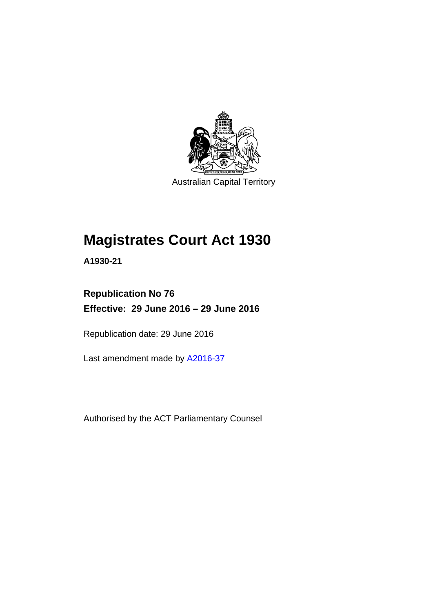

Australian Capital Territory

# **Magistrates Court Act 1930**

**A1930-21** 

# **Republication No 76 Effective: 29 June 2016 – 29 June 2016**

Republication date: 29 June 2016

Last amendment made by [A2016-37](http://www.legislation.act.gov.au/a/2016-37)

Authorised by the ACT Parliamentary Counsel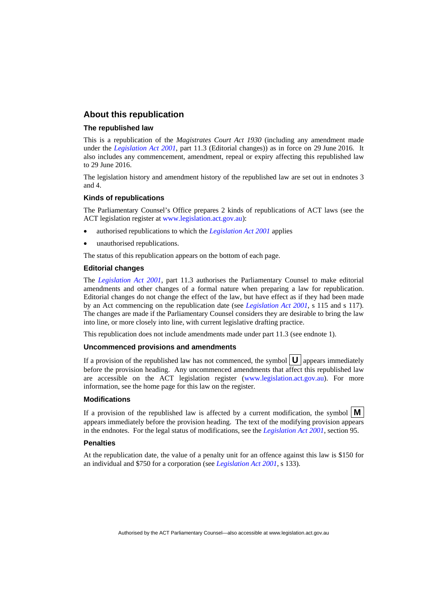#### **About this republication**

#### **The republished law**

This is a republication of the *Magistrates Court Act 1930* (including any amendment made under the *[Legislation Act 2001](http://www.legislation.act.gov.au/a/2001-14)*, part 11.3 (Editorial changes)) as in force on 29 June 2016*.* It also includes any commencement, amendment, repeal or expiry affecting this republished law to 29 June 2016.

The legislation history and amendment history of the republished law are set out in endnotes 3 and 4.

#### **Kinds of republications**

The Parliamentary Counsel's Office prepares 2 kinds of republications of ACT laws (see the ACT legislation register at [www.legislation.act.gov.au](http://www.legislation.act.gov.au/)):

- authorised republications to which the *[Legislation Act 2001](http://www.legislation.act.gov.au/a/2001-14)* applies
- unauthorised republications.

The status of this republication appears on the bottom of each page.

#### **Editorial changes**

The *[Legislation Act 2001](http://www.legislation.act.gov.au/a/2001-14)*, part 11.3 authorises the Parliamentary Counsel to make editorial amendments and other changes of a formal nature when preparing a law for republication. Editorial changes do not change the effect of the law, but have effect as if they had been made by an Act commencing on the republication date (see *[Legislation Act 2001](http://www.legislation.act.gov.au/a/2001-14)*, s 115 and s 117). The changes are made if the Parliamentary Counsel considers they are desirable to bring the law into line, or more closely into line, with current legislative drafting practice.

This republication does not include amendments made under part 11.3 (see endnote 1).

#### **Uncommenced provisions and amendments**

If a provision of the republished law has not commenced, the symbol  $\mathbf{U}$  appears immediately before the provision heading. Any uncommenced amendments that affect this republished law are accessible on the ACT legislation register [\(www.legislation.act.gov.au\)](http://www.legislation.act.gov.au/). For more information, see the home page for this law on the register.

#### **Modifications**

If a provision of the republished law is affected by a current modification, the symbol  $\mathbf{M}$ appears immediately before the provision heading. The text of the modifying provision appears in the endnotes. For the legal status of modifications, see the *[Legislation Act 2001](http://www.legislation.act.gov.au/a/2001-14)*, section 95.

#### **Penalties**

At the republication date, the value of a penalty unit for an offence against this law is \$150 for an individual and \$750 for a corporation (see *[Legislation Act 2001](http://www.legislation.act.gov.au/a/2001-14)*, s 133).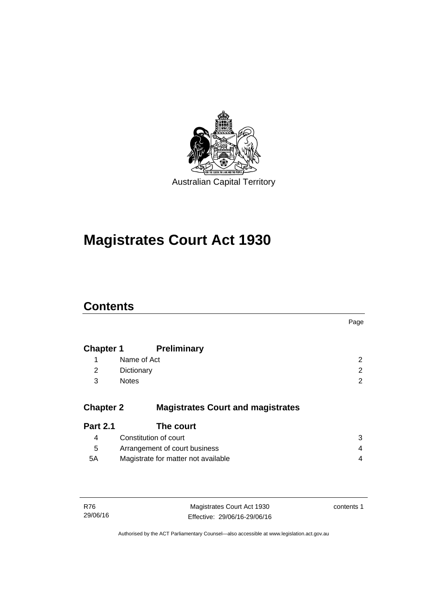

# **Magistrates Court Act 1930**

# **Contents**

|                  |                                          | Page                  |
|------------------|------------------------------------------|-----------------------|
| <b>Chapter 1</b> | <b>Preliminary</b>                       |                       |
| 1                | Name of Act                              | $\mathbf{2}^{\prime}$ |
| 2                | Dictionary                               | 2                     |
| 3                | <b>Notes</b>                             | $\overline{2}$        |
| <b>Chapter 2</b> | <b>Magistrates Court and magistrates</b> |                       |
| <b>Part 2.1</b>  | The court                                |                       |
| 4                | Constitution of court                    | 3                     |
| 5                | Arrangement of court business            | 4                     |
| 5A               | Magistrate for matter not available      | 4                     |
|                  |                                          |                       |
|                  |                                          |                       |

| R76      | Magistrates Court Act 1930   | contents 1 |
|----------|------------------------------|------------|
| 29/06/16 | Effective: 29/06/16-29/06/16 |            |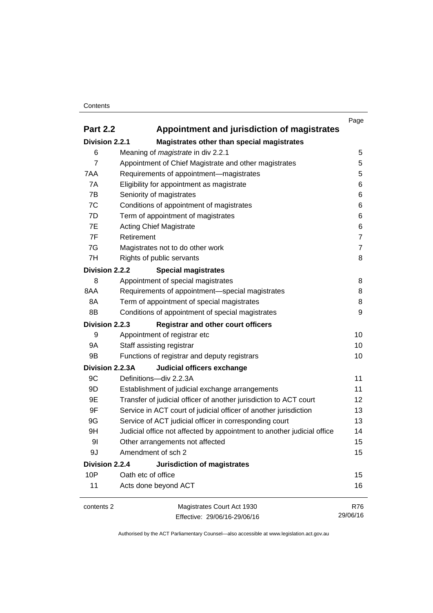#### **Contents**

|                 |                                                                        | Page           |
|-----------------|------------------------------------------------------------------------|----------------|
| <b>Part 2.2</b> | Appointment and jurisdiction of magistrates                            |                |
| Division 2.2.1  | Magistrates other than special magistrates                             |                |
| 6               | Meaning of <i>magistrate</i> in div 2.2.1                              | 5              |
| 7               | Appointment of Chief Magistrate and other magistrates                  | 5              |
| 7AA             | Requirements of appointment-magistrates                                | 5              |
| 7A              | Eligibility for appointment as magistrate                              | 6              |
| 7B              | Seniority of magistrates                                               | 6              |
| 7C              | Conditions of appointment of magistrates                               | 6              |
| 7D              | Term of appointment of magistrates                                     | 6              |
| 7E              | <b>Acting Chief Magistrate</b>                                         | 6              |
| 7F              | Retirement                                                             | $\overline{7}$ |
| 7G              | Magistrates not to do other work                                       | $\overline{7}$ |
| 7H              | Rights of public servants                                              | 8              |
| Division 2.2.2  | <b>Special magistrates</b>                                             |                |
| 8               | Appointment of special magistrates                                     | 8              |
| 8AA             | Requirements of appointment-special magistrates                        | 8              |
| 8A              | Term of appointment of special magistrates                             | 8              |
| 8B              | Conditions of appointment of special magistrates                       | 9              |
| Division 2.2.3  | <b>Registrar and other court officers</b>                              |                |
| 9               | Appointment of registrar etc                                           | 10             |
| 9A              | Staff assisting registrar                                              | 10             |
| 9B              | Functions of registrar and deputy registrars                           | 10             |
| Division 2.2.3A | Judicial officers exchange                                             |                |
| 9C              | Definitions-div 2.2.3A                                                 | 11             |
| 9D              | Establishment of judicial exchange arrangements                        | 11             |
| 9E              | Transfer of judicial officer of another jurisdiction to ACT court      | 12             |
| 9F              | Service in ACT court of judicial officer of another jurisdiction       | 13             |
| 9G              | Service of ACT judicial officer in corresponding court                 | 13             |
| 9H              | Judicial office not affected by appointment to another judicial office | 14             |
| 9 <sub>l</sub>  | Other arrangements not affected                                        | 15             |
| 9J              | Amendment of sch 2                                                     | 15             |
| Division 2.2.4  | <b>Jurisdiction of magistrates</b>                                     |                |
| 10P             | Oath etc of office                                                     | 15             |
| 11              | Acts done beyond ACT                                                   | 16             |
| contents 2      | Magistrates Court Act 1930                                             | R76            |
|                 | Effective: 29/06/16-29/06/16                                           | 29/06/16       |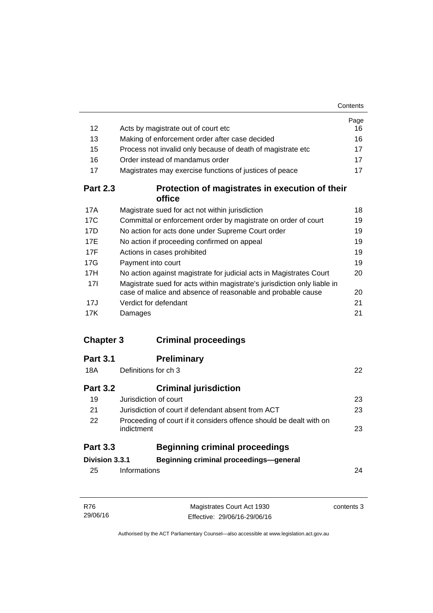|                  |                                                                                                                                         | Page |
|------------------|-----------------------------------------------------------------------------------------------------------------------------------------|------|
| 12               | Acts by magistrate out of court etc                                                                                                     | 16   |
| 13               | Making of enforcement order after case decided                                                                                          | 16   |
| 15               | Process not invalid only because of death of magistrate etc                                                                             | 17   |
| 16               | Order instead of mandamus order                                                                                                         | 17   |
| 17               | Magistrates may exercise functions of justices of peace                                                                                 | 17   |
| <b>Part 2.3</b>  | Protection of magistrates in execution of their<br>office                                                                               |      |
| 17A              | Magistrate sued for act not within jurisdiction                                                                                         | 18   |
| 17C              | Committal or enforcement order by magistrate on order of court                                                                          | 19   |
| 17D              | No action for acts done under Supreme Court order                                                                                       | 19   |
| 17E              | No action if proceeding confirmed on appeal                                                                                             | 19   |
| 17F              | Actions in cases prohibited                                                                                                             | 19   |
| 17G              | Payment into court                                                                                                                      | 19   |
| 17H              | No action against magistrate for judicial acts in Magistrates Court                                                                     | 20   |
| 17I              | Magistrate sued for acts within magistrate's jurisdiction only liable in<br>case of malice and absence of reasonable and probable cause | 20   |
| 17J              | Verdict for defendant                                                                                                                   | 21   |
| 17K              | Damages                                                                                                                                 | 21   |
| <b>Chapter 3</b> | <b>Criminal proceedings</b>                                                                                                             |      |
| <b>Part 3.1</b>  | <b>Preliminary</b>                                                                                                                      |      |
| 18A              | Definitions for ch 3                                                                                                                    | 22   |
| <b>Part 3.2</b>  | <b>Criminal jurisdiction</b>                                                                                                            |      |
| 19               | Jurisdiction of court                                                                                                                   | 23   |
| 21               | Jurisdiction of court if defendant absent from ACT                                                                                      | 23   |
| 22               | Proceeding of court if it considers offence should be dealt with on<br>indictment                                                       | 23   |
| <b>Part 3.3</b>  | <b>Beginning criminal proceedings</b>                                                                                                   |      |
| Division 3.3.1   | Beginning criminal proceedings-general                                                                                                  |      |
| 25               | Informations                                                                                                                            | 24   |
|                  |                                                                                                                                         |      |
|                  |                                                                                                                                         |      |

| R76      | Magistrates Court Act 1930   | contents 3 |
|----------|------------------------------|------------|
| 29/06/16 | Effective: 29/06/16-29/06/16 |            |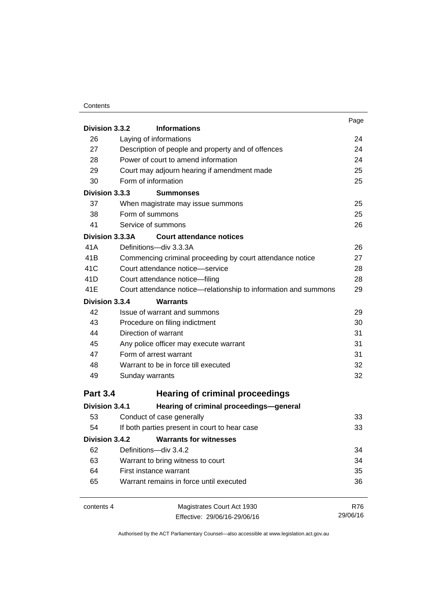#### **Contents**

| Division 3.3.2  | <b>Informations</b>                                                                                                                                             | Page       |
|-----------------|-----------------------------------------------------------------------------------------------------------------------------------------------------------------|------------|
| 26              | Laying of informations                                                                                                                                          | 24         |
| 27              | Description of people and property and of offences<br>Power of court to amend information<br>Court may adjourn hearing if amendment made<br>Form of information | 24         |
| 28              |                                                                                                                                                                 | 24         |
| 29              |                                                                                                                                                                 | 25         |
| 30              |                                                                                                                                                                 | 25         |
| Division 3.3.3  | <b>Summonses</b>                                                                                                                                                |            |
| 37              | When magistrate may issue summons                                                                                                                               | 25         |
| 38              | Form of summons                                                                                                                                                 | 25         |
| 41              | Service of summons                                                                                                                                              | 26         |
| Division 3.3.3A | <b>Court attendance notices</b>                                                                                                                                 |            |
| 41 A            | Definitions-div 3.3.3A                                                                                                                                          | 26         |
| 41B             | Commencing criminal proceeding by court attendance notice                                                                                                       | 27         |
| 41C             | Court attendance notice-service<br>Court attendance notice-filing<br>Court attendance notice—relationship to information and summons                            | 28         |
| 41D             |                                                                                                                                                                 | 28         |
| 41E             |                                                                                                                                                                 | 29         |
| Division 3.3.4  | <b>Warrants</b>                                                                                                                                                 |            |
| 42              | Issue of warrant and summons                                                                                                                                    | 29         |
| 43              | Procedure on filing indictment                                                                                                                                  | 30         |
| 44              | Direction of warrant<br>Any police officer may execute warrant<br>Form of arrest warrant<br>Warrant to be in force till executed<br>Sunday warrants             | 31         |
| 45              |                                                                                                                                                                 | 31         |
| 47<br>48        |                                                                                                                                                                 | 31         |
|                 |                                                                                                                                                                 | 32         |
| 49              |                                                                                                                                                                 | 32         |
| <b>Part 3.4</b> | <b>Hearing of criminal proceedings</b>                                                                                                                          |            |
| Division 3.4.1  | Hearing of criminal proceedings-general                                                                                                                         |            |
| 53              | Conduct of case generally                                                                                                                                       | 33         |
| 54              | If both parties present in court to hear case                                                                                                                   | 33         |
| Division 3.4.2  | <b>Warrants for witnesses</b>                                                                                                                                   |            |
| 62              | Definitions-div 3.4.2                                                                                                                                           | 34         |
| 63              | Warrant to bring witness to court                                                                                                                               | 34         |
| 64              | First instance warrant<br>Warrant remains in force until executed<br>65                                                                                         |            |
|                 |                                                                                                                                                                 |            |
| contents 4      | Magistrates Court Act 1930                                                                                                                                      | <b>R76</b> |
|                 | Effective: 29/06/16-29/06/16                                                                                                                                    | 29/06/16   |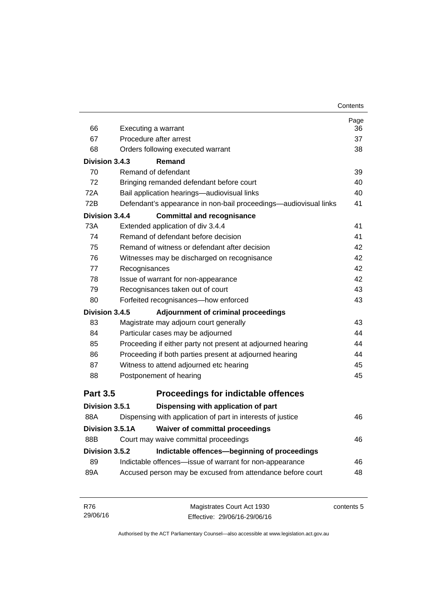|                 |                                                                  | Page |
|-----------------|------------------------------------------------------------------|------|
| 66              | Executing a warrant                                              | 36   |
| 67              | Procedure after arrest                                           | 37   |
| 68              | Orders following executed warrant                                | 38   |
| Division 3.4.3  | Remand                                                           |      |
| 70              | Remand of defendant                                              | 39   |
| 72              | Bringing remanded defendant before court                         | 40   |
| 72A             | Bail application hearings-audiovisual links                      | 40   |
| 72B             | Defendant's appearance in non-bail proceedings—audiovisual links | 41   |
| Division 3.4.4  | <b>Committal and recognisance</b>                                |      |
| 73A             | Extended application of div 3.4.4                                | 41   |
| 74              | Remand of defendant before decision                              | 41   |
| 75              | Remand of witness or defendant after decision                    | 42   |
| 76              | Witnesses may be discharged on recognisance                      | 42   |
| 77              | Recognisances                                                    | 42   |
| 78              | Issue of warrant for non-appearance                              | 42   |
| 79              | Recognisances taken out of court                                 |      |
| 80              | Forfeited recognisances-how enforced                             | 43   |
| Division 3.4.5  | Adjournment of criminal proceedings                              |      |
| 83              | Magistrate may adjourn court generally                           | 43   |
| 84              | Particular cases may be adjourned                                | 44   |
| 85              | Proceeding if either party not present at adjourned hearing      | 44   |
| 86              | Proceeding if both parties present at adjourned hearing          | 44   |
| 87              | Witness to attend adjourned etc hearing                          | 45   |
| 88              | Postponement of hearing                                          | 45   |
| <b>Part 3.5</b> | <b>Proceedings for indictable offences</b>                       |      |
| Division 3.5.1  | Dispensing with application of part                              |      |
| 88A             | Dispensing with application of part in interests of justice      | 46   |
| Division 3.5.1A | <b>Waiver of committal proceedings</b>                           |      |
| 88B             | Court may waive committal proceedings                            | 46   |
| Division 3.5.2  | Indictable offences-beginning of proceedings                     |      |
| 89              | Indictable offences-issue of warrant for non-appearance          | 46   |
| 89A             | Accused person may be excused from attendance before court       | 48   |
|                 |                                                                  |      |
|                 |                                                                  |      |

| - R76    | Magistrates Court Act 1930   | contents 5 |
|----------|------------------------------|------------|
| 29/06/16 | Effective: 29/06/16-29/06/16 |            |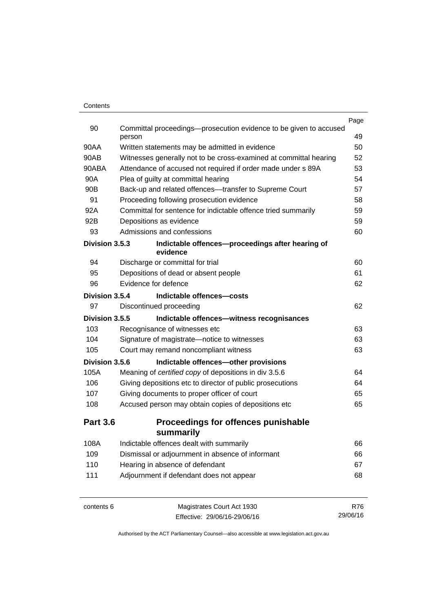|                 |                                                                             | Page |
|-----------------|-----------------------------------------------------------------------------|------|
| 90              | Committal proceedings—prosecution evidence to be given to accused<br>person | 49   |
| 90AA            | Written statements may be admitted in evidence                              | 50   |
| 90AB            | Witnesses generally not to be cross-examined at committal hearing           | 52   |
| 90ABA           | Attendance of accused not required if order made under s 89A                | 53   |
| 90A             | Plea of guilty at committal hearing                                         | 54   |
| 90 <sub>B</sub> | Back-up and related offences—transfer to Supreme Court                      | 57   |
| 91              | Proceeding following prosecution evidence                                   | 58   |
| 92A             | Committal for sentence for indictable offence tried summarily               | 59   |
| 92B             | Depositions as evidence                                                     | 59   |
| 93              | Admissions and confessions                                                  | 60   |
| Division 3.5.3  | Indictable offences-proceedings after hearing of<br>evidence                |      |
| 94              | Discharge or committal for trial                                            | 60   |
| 95              | Depositions of dead or absent people                                        | 61   |
| 96              | Evidence for defence                                                        | 62   |
| Division 3.5.4  | Indictable offences-costs                                                   |      |
| 97              | Discontinued proceeding                                                     | 62   |
| Division 3.5.5  | Indictable offences-witness recognisances                                   |      |
| 103             | Recognisance of witnesses etc                                               | 63   |
| 104             | Signature of magistrate-notice to witnesses                                 | 63   |
| 105             | Court may remand noncompliant witness                                       | 63   |
| Division 3.5.6  | Indictable offences-other provisions                                        |      |
| 105A            | Meaning of certified copy of depositions in div 3.5.6                       | 64   |
| 106             | Giving depositions etc to director of public prosecutions                   | 64   |
| 107             | Giving documents to proper officer of court                                 | 65   |
| 108             | Accused person may obtain copies of depositions etc                         | 65   |
| <b>Part 3.6</b> | <b>Proceedings for offences punishable</b>                                  |      |
|                 | summarily                                                                   |      |
| 108A            | Indictable offences dealt with summarily                                    | 66   |
| 109             | Dismissal or adjournment in absence of informant                            | 66   |
| 110             | Hearing in absence of defendant                                             | 67   |
| 111             | Adjournment if defendant does not appear                                    | 68   |
|                 |                                                                             |      |
|                 |                                                                             |      |

contents 6 Magistrates Court Act 1930 Effective: 29/06/16-29/06/16 R76 29/06/16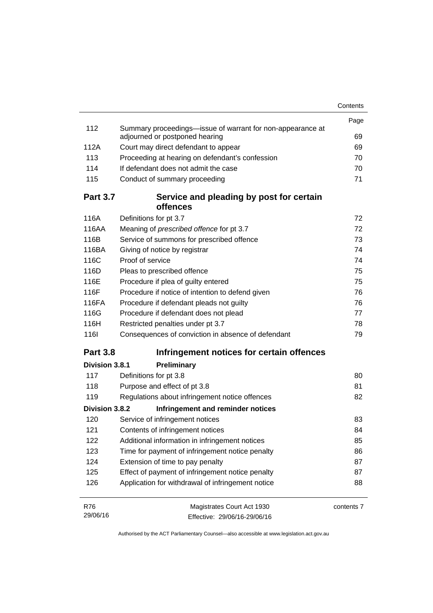|                 |                                                                                              | Contents   |
|-----------------|----------------------------------------------------------------------------------------------|------------|
|                 |                                                                                              | Page       |
| 112             | Summary proceedings—issue of warrant for non-appearance at<br>adjourned or postponed hearing | 69         |
| 112A            | Court may direct defendant to appear                                                         | 69         |
| 113             | Proceeding at hearing on defendant's confession                                              | 70         |
| 114             | If defendant does not admit the case                                                         | 70         |
| 115             | Conduct of summary proceeding                                                                | 71         |
| <b>Part 3.7</b> | Service and pleading by post for certain<br><b>offences</b>                                  |            |
| 116A            | Definitions for pt 3.7                                                                       | 72         |
| 116AA           | Meaning of <i>prescribed</i> offence for pt 3.7                                              | 72         |
| 116B            | Service of summons for prescribed offence                                                    | 73         |
| 116BA           | Giving of notice by registrar                                                                | 74         |
| 116C            | Proof of service                                                                             | 74         |
| 116D            | Pleas to prescribed offence                                                                  | 75         |
| 116E            | Procedure if plea of guilty entered                                                          | 75         |
| 116F            | Procedure if notice of intention to defend given                                             | 76         |
| 116FA           | Procedure if defendant pleads not guilty                                                     | 76         |
| 116G            | Procedure if defendant does not plead                                                        | 77         |
| 116H            | Restricted penalties under pt 3.7                                                            | 78         |
| <b>1161</b>     | Consequences of conviction in absence of defendant                                           | 79         |
| <b>Part 3.8</b> | Infringement notices for certain offences                                                    |            |
| Division 3.8.1  | Preliminary                                                                                  |            |
| 117             | Definitions for pt 3.8                                                                       | 80         |
| 118             | Purpose and effect of pt 3.8                                                                 | 81         |
| 119             | Regulations about infringement notice offences                                               | 82         |
| Division 3.8.2  | Infringement and reminder notices                                                            |            |
| 120             | Service of infringement notices                                                              | 83         |
| 121             | Contents of infringement notices                                                             | 84         |
| 122             | Additional information in infringement notices                                               | 85         |
| 123             | Time for payment of infringement notice penalty                                              | 86         |
| 124             | Extension of time to pay penalty                                                             | 87         |
| 125             | Effect of payment of infringement notice penalty                                             | 87         |
| 126             | Application for withdrawal of infringement notice                                            | 88         |
| R76             | Magistrates Court Act 1930                                                                   | contents 7 |
| 29/06/16        | Effective: 29/06/16-29/06/16                                                                 |            |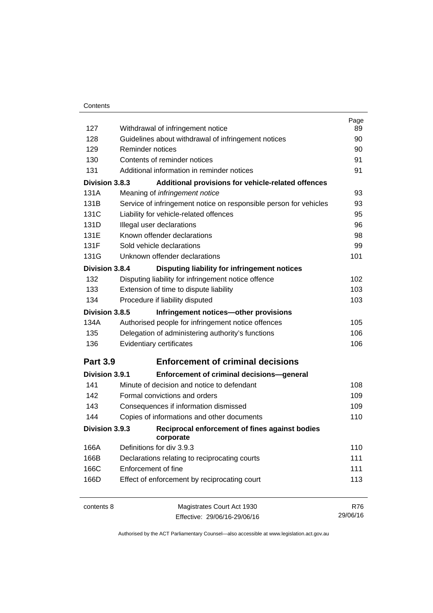| 127             | Withdrawal of infringement notice                                 | Page<br>89 |
|-----------------|-------------------------------------------------------------------|------------|
| 128             | Guidelines about withdrawal of infringement notices               | 90         |
| 129             | Reminder notices                                                  | 90         |
| 130             | Contents of reminder notices                                      | 91         |
| 131             | Additional information in reminder notices                        | 91         |
| Division 3.8.3  | Additional provisions for vehicle-related offences                |            |
| 131A            | Meaning of infringement notice                                    | 93         |
| 131B            | Service of infringement notice on responsible person for vehicles | 93         |
| 131C            | Liability for vehicle-related offences                            | 95         |
| 131D            | Illegal user declarations                                         | 96         |
| 131E            | Known offender declarations                                       |            |
|                 |                                                                   | 98         |
| 131F            | Sold vehicle declarations                                         | 99         |
| 131G            | Unknown offender declarations                                     | 101        |
| Division 3.8.4  | Disputing liability for infringement notices                      |            |
| 132             | Disputing liability for infringement notice offence               | 102        |
| 133             | Extension of time to dispute liability                            | 103        |
| 134             | Procedure if liability disputed                                   | 103        |
| Division 3.8.5  | Infringement notices-other provisions                             |            |
| 134A            | Authorised people for infringement notice offences                | 105        |
| 135             | Delegation of administering authority's functions                 | 106        |
| 136             | Evidentiary certificates                                          | 106        |
| <b>Part 3.9</b> | <b>Enforcement of criminal decisions</b>                          |            |
| Division 3.9.1  | <b>Enforcement of criminal decisions-general</b>                  |            |
| 141             | Minute of decision and notice to defendant                        | 108        |
| 142             | Formal convictions and orders                                     | 109        |
| 143             | Consequences if information dismissed                             | 109        |
| 144             | Copies of informations and other documents                        | 110        |
| Division 3.9.3  | Reciprocal enforcement of fines against bodies<br>corporate       |            |
| 166A            | Definitions for div 3.9.3                                         | 110        |
| 166B            | Declarations relating to reciprocating courts                     | 111        |
| 166C            | Enforcement of fine                                               | 111        |
| 166D            | Effect of enforcement by reciprocating court                      | 113        |
| contents 8      | Magistrates Court Act 1930                                        | <b>R76</b> |
|                 | Effective: 29/06/16-29/06/16                                      | 29/06/16   |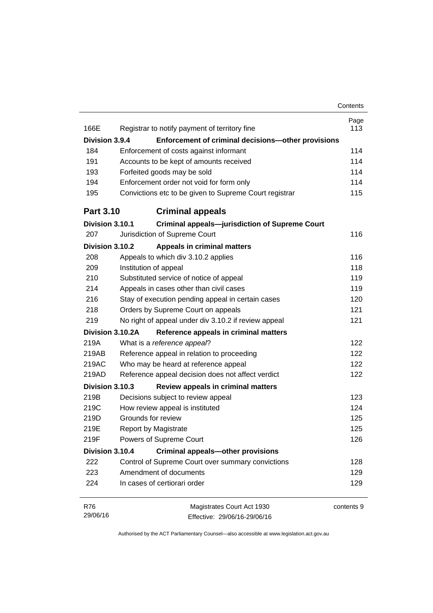|                  |                                                           | Contents |
|------------------|-----------------------------------------------------------|----------|
|                  |                                                           | Page     |
| 166E             | Registrar to notify payment of territory fine             | 113      |
| Division 3.9.4   | Enforcement of criminal decisions-other provisions        |          |
| 184              | Enforcement of costs against informant                    | 114      |
| 191              | Accounts to be kept of amounts received                   | 114      |
| 193              | Forfeited goods may be sold                               | 114      |
| 194              | Enforcement order not void for form only                  | 114      |
| 195              | Convictions etc to be given to Supreme Court registrar    | 115      |
| <b>Part 3.10</b> | <b>Criminal appeals</b>                                   |          |
| Division 3.10.1  | <b>Criminal appeals-jurisdiction of Supreme Court</b>     |          |
| 207              | Jurisdiction of Supreme Court                             | 116      |
| Division 3.10.2  | <b>Appeals in criminal matters</b>                        |          |
| 208              | Appeals to which div 3.10.2 applies                       | 116      |
| 209              | Institution of appeal                                     | 118      |
| 210              | Substituted service of notice of appeal                   | 119      |
| 214              | Appeals in cases other than civil cases                   | 119      |
| 216              | Stay of execution pending appeal in certain cases         | 120      |
| 218              | Orders by Supreme Court on appeals                        | 121      |
| 219              | No right of appeal under div 3.10.2 if review appeal      | 121      |
|                  | Division 3.10.2A<br>Reference appeals in criminal matters |          |
| 219A             | What is a reference appeal?                               | 122      |
| 219AB            | Reference appeal in relation to proceeding                | 122      |
| 219AC            | Who may be heard at reference appeal                      | 122      |
| 219AD            | Reference appeal decision does not affect verdict         | 122      |
| Division 3.10.3  | Review appeals in criminal matters                        |          |
| 219B             | Decisions subject to review appeal                        | 123      |
| 219C             | How review appeal is instituted                           | 124      |
| 219D             | Grounds for review                                        | 125      |
| 219E             | <b>Report by Magistrate</b>                               | 125      |
| 219F             | Powers of Supreme Court                                   | 126      |
| Division 3.10.4  | <b>Criminal appeals-other provisions</b>                  |          |
| 222              | Control of Supreme Court over summary convictions         | 128      |
| 223              | Amendment of documents                                    | 129      |
| 224              | In cases of certiorari order                              | 129      |

| R76      | Magistrates Court Act 1930   | contents 9 |
|----------|------------------------------|------------|
| 29/06/16 | Effective: 29/06/16-29/06/16 |            |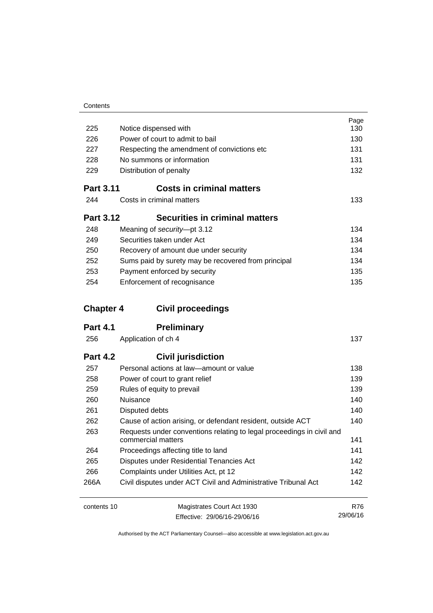| 225              | Notice dispensed with                                                 | Page<br>130 |
|------------------|-----------------------------------------------------------------------|-------------|
| 226              | Power of court to admit to bail                                       | 130         |
| 227              | Respecting the amendment of convictions etc                           | 131         |
| 228              | No summons or information                                             | 131         |
| 229              | Distribution of penalty                                               | 132         |
|                  |                                                                       |             |
| <b>Part 3.11</b> | <b>Costs in criminal matters</b>                                      |             |
| 244              | Costs in criminal matters                                             | 133         |
| <b>Part 3.12</b> | <b>Securities in criminal matters</b>                                 |             |
| 248              | Meaning of security-pt 3.12                                           | 134         |
| 249              | Securities taken under Act                                            | 134         |
| 250              | Recovery of amount due under security                                 | 134         |
| 252              | Sums paid by surety may be recovered from principal                   | 134         |
| 253              | Payment enforced by security                                          | 135         |
| 254              | Enforcement of recognisance                                           | 135         |
|                  |                                                                       |             |
| <b>Chapter 4</b> | <b>Civil proceedings</b>                                              |             |
| <b>Part 4.1</b>  | <b>Preliminary</b>                                                    |             |
| 256              | Application of ch 4                                                   | 137         |
|                  |                                                                       |             |
| <b>Part 4.2</b>  |                                                                       |             |
| 257              | <b>Civil jurisdiction</b><br>Personal actions at law-amount or value  | 138         |
| 258              |                                                                       | 139         |
| 259              | Power of court to grant relief<br>Rules of equity to prevail          | 139         |
| 260              | Nuisance                                                              | 140         |
| 261              | Disputed debts                                                        | 140         |
| 262              | Cause of action arising, or defendant resident, outside ACT           | 140         |
| 263              | Requests under conventions relating to legal proceedings in civil and |             |
|                  | commercial matters                                                    | 141         |
| 264              | Proceedings affecting title to land                                   | 141         |
| 265              | Disputes under Residential Tenancies Act                              | 142         |
| 266              | Complaints under Utilities Act, pt 12                                 | 142         |
| 266A             | Civil disputes under ACT Civil and Administrative Tribunal Act        | 142         |

contents 10 Magistrates Court Act 1930 Effective: 29/06/16-29/06/16

R76 29/06/16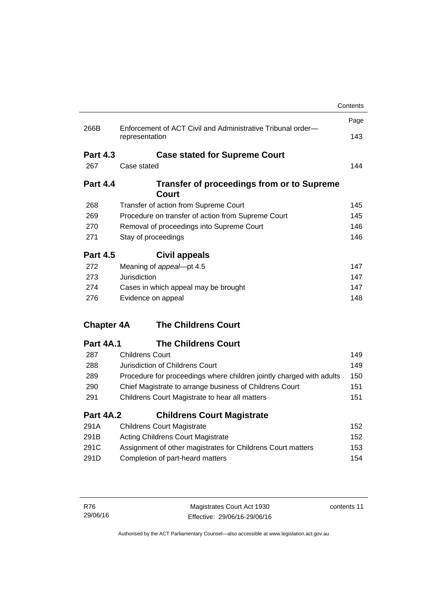|                   |                                                                               | Contents                        |
|-------------------|-------------------------------------------------------------------------------|---------------------------------|
|                   |                                                                               | Page                            |
| 266B              | Enforcement of ACT Civil and Administrative Tribunal order-<br>representation | 143                             |
| <b>Part 4.3</b>   | <b>Case stated for Supreme Court</b>                                          |                                 |
| 267               | Case stated                                                                   | 144                             |
| <b>Part 4.4</b>   | <b>Transfer of proceedings from or to Supreme</b><br>Court                    |                                 |
| 268               | Transfer of action from Supreme Court                                         | 145                             |
| 269               | Procedure on transfer of action from Supreme Court                            | 145                             |
| 270               | Removal of proceedings into Supreme Court                                     | 146                             |
| 271               | Stay of proceedings                                                           | 146                             |
| <b>Part 4.5</b>   | Civil appeals                                                                 |                                 |
| 272               | Meaning of appeal-pt 4.5                                                      | 147                             |
| 273               | Jurisdiction                                                                  | 147                             |
| 274               | Cases in which appeal may be brought                                          | 147                             |
| 276               | Evidence on appeal                                                            | 148                             |
| <b>Chapter 4A</b> | <b>The Childrens Court</b>                                                    |                                 |
| <b>Part 4A.1</b>  | <b>The Childrens Court</b>                                                    |                                 |
| 287               | <b>Childrens Court</b>                                                        | 149                             |
| 288               | Jurisdiction of Childrens Court                                               | 149                             |
|                   |                                                                               |                                 |
| 289               | Procedure for proceedings where children jointly charged with adults          |                                 |
| 290               | Chief Magistrate to arrange business of Childrens Court                       |                                 |
| 291               | Childrens Court Magistrate to hear all matters                                |                                 |
| <b>Part 4A.2</b>  | <b>Childrens Court Magistrate</b>                                             |                                 |
| 291A              | <b>Childrens Court Magistrate</b>                                             |                                 |
| 291B              | <b>Acting Childrens Court Magistrate</b>                                      | 150<br>151<br>151<br>152<br>152 |
| 291C              | Assignment of other magistrates for Childrens Court matters                   | 153                             |

| R76      | Magistrates Court Act 1930   | contents 11 |
|----------|------------------------------|-------------|
| 29/06/16 | Effective: 29/06/16-29/06/16 |             |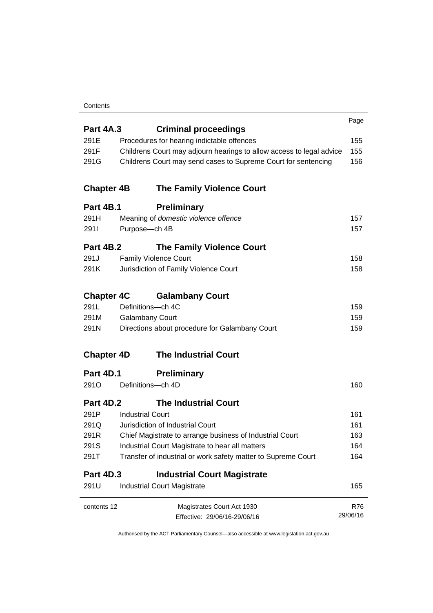#### **Contents**

|                   |                                                                      | Page     |
|-------------------|----------------------------------------------------------------------|----------|
| <b>Part 4A.3</b>  | <b>Criminal proceedings</b>                                          |          |
| 291E              | Procedures for hearing indictable offences                           | 155      |
| 291F              | Childrens Court may adjourn hearings to allow access to legal advice | 155      |
| 291G              | Childrens Court may send cases to Supreme Court for sentencing       | 156      |
| <b>Chapter 4B</b> | <b>The Family Violence Court</b>                                     |          |
| <b>Part 4B.1</b>  | <b>Preliminary</b>                                                   |          |
| 291H              | Meaning of domestic violence offence                                 | 157      |
| 2911              | Purpose-ch 4B                                                        | 157      |
| <b>Part 4B.2</b>  | <b>The Family Violence Court</b>                                     |          |
| 291J              | <b>Family Violence Court</b>                                         | 158      |
| 291K              | Jurisdiction of Family Violence Court                                | 158      |
| <b>Chapter 4C</b> | <b>Galambany Court</b>                                               |          |
| 291L              | Definitions-ch 4C                                                    | 159      |
| 291M              | <b>Galambany Court</b>                                               | 159      |
| 291N              | Directions about procedure for Galambany Court                       | 159      |
| <b>Chapter 4D</b> | <b>The Industrial Court</b>                                          |          |
| Part 4D.1         | <b>Preliminary</b>                                                   |          |
| 291O              | Definitions-ch 4D                                                    | 160      |
| Part 4D.2         | <b>The Industrial Court</b>                                          |          |
| 291P              | <b>Industrial Court</b>                                              | 161      |
| 291Q              | Jurisdiction of Industrial Court                                     | 161      |
| 291R              | Chief Magistrate to arrange business of Industrial Court             | 163      |
| 291S              | Industrial Court Magistrate to hear all matters                      | 164      |
| 291T              | Transfer of industrial or work safety matter to Supreme Court        | 164      |
| <b>Part 4D.3</b>  | <b>Industrial Court Magistrate</b>                                   |          |
| 291U              | <b>Industrial Court Magistrate</b>                                   | 165      |
| contents 12       | Magistrates Court Act 1930                                           | R76      |
|                   | Effective: 29/06/16-29/06/16                                         | 29/06/16 |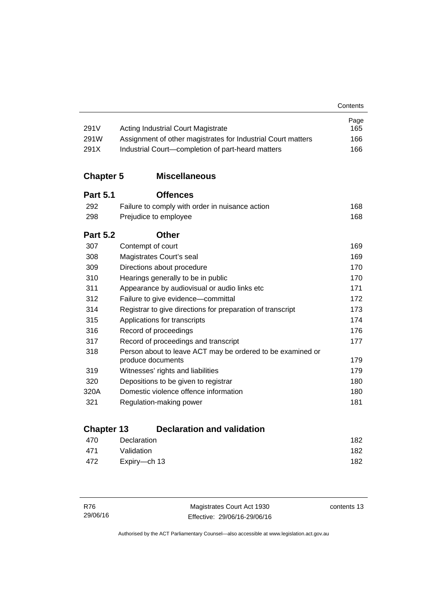| 291V             | <b>Acting Industrial Court Magistrate</b>                    | Page<br>165 |
|------------------|--------------------------------------------------------------|-------------|
| 291W             | Assignment of other magistrates for Industrial Court matters | 166         |
| 291X             | Industrial Court-completion of part-heard matters            | 166         |
| <b>Chapter 5</b> | <b>Miscellaneous</b>                                         |             |
| <b>Part 5.1</b>  | <b>Offences</b>                                              |             |
| 292              | Failure to comply with order in nuisance action              | 168         |
| 298              | Prejudice to employee                                        | 168         |
| <b>Part 5.2</b>  | <b>Other</b>                                                 |             |
| 307              | Contempt of court                                            | 169         |
| 308              | Magistrates Court's seal                                     | 169         |
| 309              | Directions about procedure                                   | 170         |
| 310              | Hearings generally to be in public                           | 170         |
| 311              | Appearance by audiovisual or audio links etc                 | 171         |
| 312              | Failure to give evidence-committal                           | 172         |
| 314              | Registrar to give directions for preparation of transcript   | 173         |
| 315              | Applications for transcripts                                 | 174         |
| 316              | Record of proceedings                                        | 176         |
| 317              | Record of proceedings and transcript                         | 177         |
| 318              | Person about to leave ACT may be ordered to be examined or   |             |
|                  | produce documents                                            | 179         |
| 319              | Witnesses' rights and liabilities                            | 179         |
| 320              | Depositions to be given to registrar                         | 180         |
| 320A             | Domestic violence offence information                        | 180         |
| 321              | Regulation-making power                                      | 181         |

# **Chapter 13 [Declaration and validation](#page-197-0)**

| 470 | Declaration  | 182 |
|-----|--------------|-----|
| 471 | Validation   | 182 |
| 472 | Expiry—ch 13 | 182 |

| R76      | Magistrates Court Act 1930   | contents 13 |
|----------|------------------------------|-------------|
| 29/06/16 | Effective: 29/06/16-29/06/16 |             |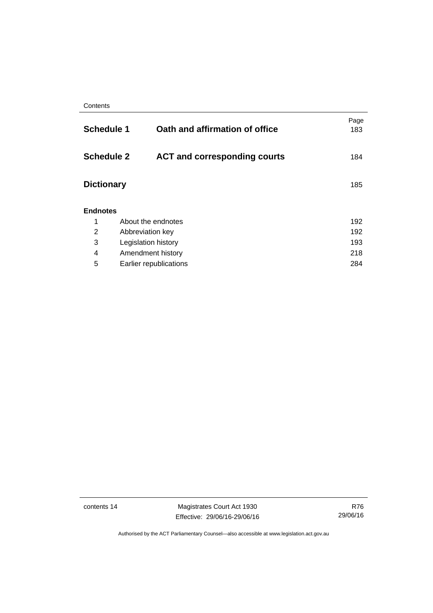| <b>Schedule 1</b> |                     | Oath and affirmation of office      | Page<br>183 |
|-------------------|---------------------|-------------------------------------|-------------|
|                   | <b>Schedule 2</b>   | <b>ACT and corresponding courts</b> | 184         |
| <b>Dictionary</b> |                     |                                     | 185         |
| <b>Endnotes</b>   |                     |                                     |             |
| 1                 |                     | About the endnotes                  | 192         |
| 2                 |                     | 192<br>Abbreviation key             |             |
| 3                 | Legislation history |                                     | 193         |
| 4                 | Amendment history   |                                     | 218         |
| 5                 |                     | Earlier republications              | 284         |
|                   |                     |                                     |             |

contents 14 Magistrates Court Act 1930 Effective: 29/06/16-29/06/16

R76 29/06/16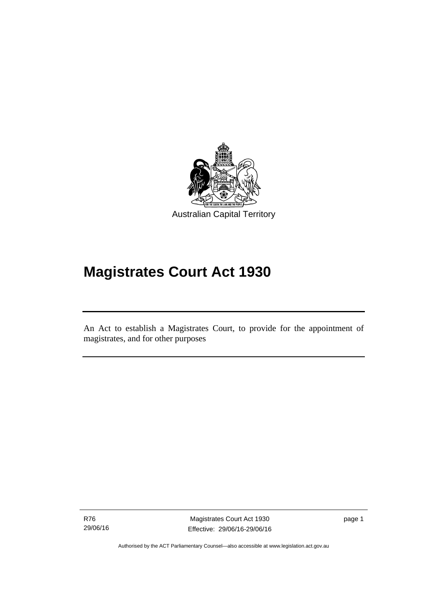

# **Magistrates Court Act 1930**

An Act to establish a Magistrates Court, to provide for the appointment of magistrates, and for other purposes

R76 29/06/16

Ī

Magistrates Court Act 1930 Effective: 29/06/16-29/06/16 page 1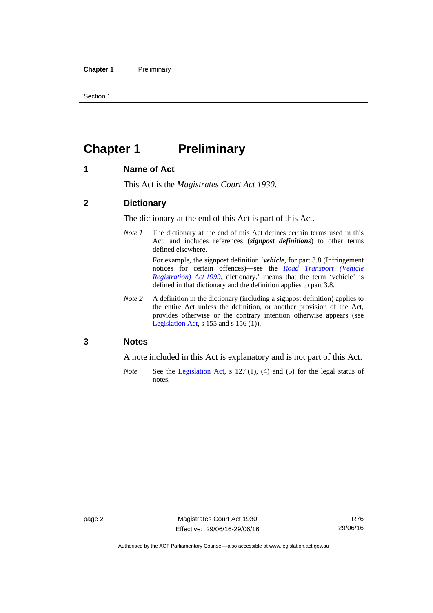Section 1

# <span id="page-17-0"></span>**Chapter 1 Preliminary**

#### <span id="page-17-1"></span>**1 Name of Act**

This Act is the *Magistrates Court Act 1930*.

#### <span id="page-17-2"></span>**2 Dictionary**

The dictionary at the end of this Act is part of this Act.

*Note 1* The dictionary at the end of this Act defines certain terms used in this Act, and includes references (*signpost definitions*) to other terms defined elsewhere.

> For example, the signpost definition '*vehicle*, for part 3.8 (Infringement notices for certain offences)—see the *[Road Transport \(Vehicle](http://www.legislation.act.gov.au/a/1999-81)  [Registration\) Act 1999](http://www.legislation.act.gov.au/a/1999-81)*, dictionary.' means that the term 'vehicle' is defined in that dictionary and the definition applies to part 3.8.

*Note 2* A definition in the dictionary (including a signpost definition) applies to the entire Act unless the definition, or another provision of the Act, provides otherwise or the contrary intention otherwise appears (see [Legislation Act,](http://www.legislation.act.gov.au/a/2001-14) s  $155$  and s  $156$  (1)).

#### <span id="page-17-3"></span>**3 Notes**

A note included in this Act is explanatory and is not part of this Act.

*Note* See the [Legislation Act,](http://www.legislation.act.gov.au/a/2001-14) s 127 (1), (4) and (5) for the legal status of notes.

Authorised by the ACT Parliamentary Counsel—also accessible at www.legislation.act.gov.au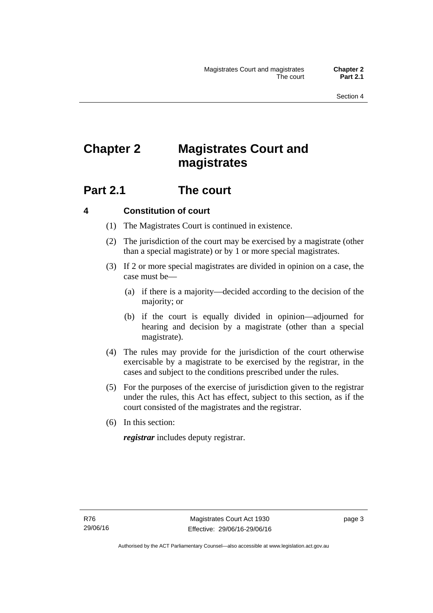# <span id="page-18-0"></span>**Chapter 2 Magistrates Court and magistrates**

# <span id="page-18-1"></span>**Part 2.1 The court**

#### <span id="page-18-2"></span>**4 Constitution of court**

- (1) The Magistrates Court is continued in existence.
- (2) The jurisdiction of the court may be exercised by a magistrate (other than a special magistrate) or by 1 or more special magistrates.
- (3) If 2 or more special magistrates are divided in opinion on a case, the case must be—
	- (a) if there is a majority—decided according to the decision of the majority; or
	- (b) if the court is equally divided in opinion—adjourned for hearing and decision by a magistrate (other than a special magistrate).
- (4) The rules may provide for the jurisdiction of the court otherwise exercisable by a magistrate to be exercised by the registrar, in the cases and subject to the conditions prescribed under the rules.
- (5) For the purposes of the exercise of jurisdiction given to the registrar under the rules, this Act has effect, subject to this section, as if the court consisted of the magistrates and the registrar.
- (6) In this section:

*registrar* includes deputy registrar.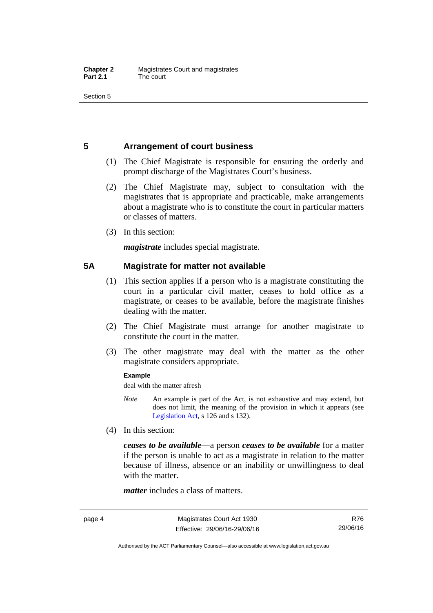Section 5

### <span id="page-19-0"></span>**5 Arrangement of court business**

- (1) The Chief Magistrate is responsible for ensuring the orderly and prompt discharge of the Magistrates Court's business.
- (2) The Chief Magistrate may, subject to consultation with the magistrates that is appropriate and practicable, make arrangements about a magistrate who is to constitute the court in particular matters or classes of matters.
- (3) In this section:

*magistrate* includes special magistrate.

#### <span id="page-19-1"></span>**5A Magistrate for matter not available**

- (1) This section applies if a person who is a magistrate constituting the court in a particular civil matter, ceases to hold office as a magistrate, or ceases to be available, before the magistrate finishes dealing with the matter.
- (2) The Chief Magistrate must arrange for another magistrate to constitute the court in the matter.
- (3) The other magistrate may deal with the matter as the other magistrate considers appropriate.

#### **Example**

deal with the matter afresh

- *Note* An example is part of the Act, is not exhaustive and may extend, but does not limit, the meaning of the provision in which it appears (see [Legislation Act,](http://www.legislation.act.gov.au/a/2001-14) s 126 and s 132).
- (4) In this section:

*ceases to be available*––a person *ceases to be available* for a matter if the person is unable to act as a magistrate in relation to the matter because of illness, absence or an inability or unwillingness to deal with the matter.

*matter* includes a class of matters.

Authorised by the ACT Parliamentary Counsel—also accessible at www.legislation.act.gov.au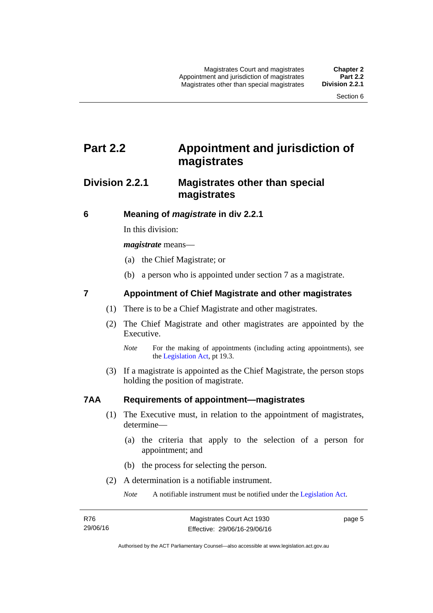# <span id="page-20-0"></span>**Part 2.2 Appointment and jurisdiction of magistrates**

### <span id="page-20-1"></span>**Division 2.2.1 Magistrates other than special magistrates**

<span id="page-20-2"></span>**6 Meaning of** *magistrate* **in div 2.2.1** 

In this division:

*magistrate* means—

- (a) the Chief Magistrate; or
- (b) a person who is appointed under section 7 as a magistrate.

#### <span id="page-20-3"></span>**7 Appointment of Chief Magistrate and other magistrates**

- (1) There is to be a Chief Magistrate and other magistrates.
- (2) The Chief Magistrate and other magistrates are appointed by the Executive.

 (3) If a magistrate is appointed as the Chief Magistrate, the person stops holding the position of magistrate.

#### <span id="page-20-4"></span>**7AA Requirements of appointment—magistrates**

- (1) The Executive must, in relation to the appointment of magistrates, determine—
	- (a) the criteria that apply to the selection of a person for appointment; and
	- (b) the process for selecting the person.
- (2) A determination is a notifiable instrument.

*Note* A notifiable instrument must be notified under the [Legislation Act](http://www.legislation.act.gov.au/a/2001-14).

*Note* For the making of appointments (including acting appointments), see the [Legislation Act,](http://www.legislation.act.gov.au/a/2001-14) pt 19.3.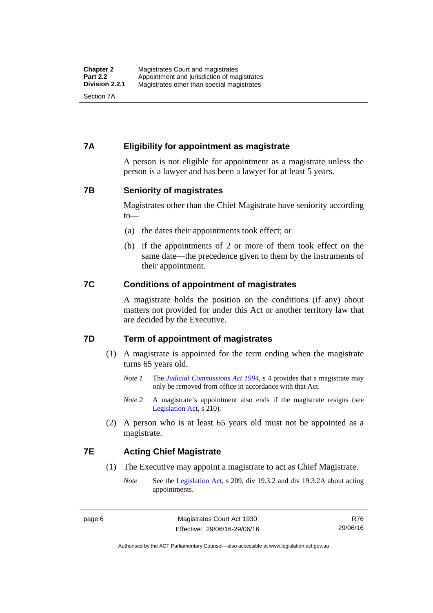#### <span id="page-21-0"></span>**7A Eligibility for appointment as magistrate**

A person is not eligible for appointment as a magistrate unless the person is a lawyer and has been a lawyer for at least 5 years.

#### <span id="page-21-1"></span>**7B Seniority of magistrates**

Magistrates other than the Chief Magistrate have seniority according to—

- (a) the dates their appointments took effect; or
- (b) if the appointments of 2 or more of them took effect on the same date—the precedence given to them by the instruments of their appointment.

#### <span id="page-21-2"></span>**7C Conditions of appointment of magistrates**

A magistrate holds the position on the conditions (if any) about matters not provided for under this Act or another territory law that are decided by the Executive.

#### <span id="page-21-3"></span>**7D Term of appointment of magistrates**

- (1) A magistrate is appointed for the term ending when the magistrate turns 65 years old.
	- *Note 1* The *[Judicial Commissions Act 1994](http://www.legislation.act.gov.au/a/1994-9)*, s 4 provides that a magistrate may only be removed from office in accordance with that Act.
	- *Note* 2 A magistrate's appointment also ends if the magistrate resigns (see [Legislation Act,](http://www.legislation.act.gov.au/a/2001-14) s 210).
- (2) A person who is at least 65 years old must not be appointed as a magistrate.

#### <span id="page-21-4"></span>**7E Acting Chief Magistrate**

- (1) The Executive may appoint a magistrate to act as Chief Magistrate.
	- *Note* See the [Legislation Act](http://www.legislation.act.gov.au/a/2001-14), s 209, div 19.3.2 and div 19.3.2A about acting appointments.

Authorised by the ACT Parliamentary Counsel—also accessible at www.legislation.act.gov.au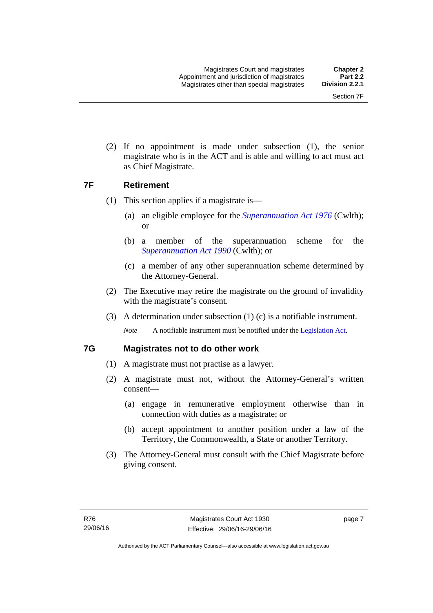(2) If no appointment is made under subsection (1), the senior magistrate who is in the ACT and is able and willing to act must act as Chief Magistrate.

#### <span id="page-22-0"></span>**7F Retirement**

- (1) This section applies if a magistrate is—
	- (a) an eligible employee for the *[Superannuation Act 1976](http://www.comlaw.gov.au/Details/C2013C00038)* (Cwlth); or
	- (b) a member of the superannuation scheme for the *[Superannuation Act 1990](http://www.comlaw.gov.au/Details/C2012C00825)* (Cwlth); or
	- (c) a member of any other superannuation scheme determined by the Attorney-General.
- (2) The Executive may retire the magistrate on the ground of invalidity with the magistrate's consent.
- (3) A determination under subsection (1) (c) is a notifiable instrument.

*Note* A notifiable instrument must be notified under the [Legislation Act](http://www.legislation.act.gov.au/a/2001-14).

#### <span id="page-22-1"></span>**7G Magistrates not to do other work**

- (1) A magistrate must not practise as a lawyer.
- (2) A magistrate must not, without the Attorney-General's written consent—
	- (a) engage in remunerative employment otherwise than in connection with duties as a magistrate; or
	- (b) accept appointment to another position under a law of the Territory, the Commonwealth, a State or another Territory.
- (3) The Attorney-General must consult with the Chief Magistrate before giving consent.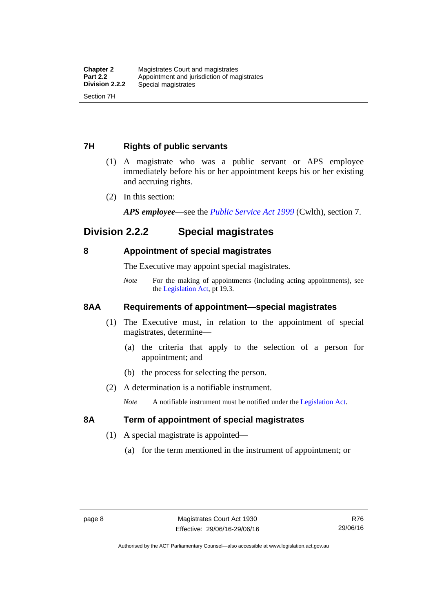#### <span id="page-23-0"></span>**7H Rights of public servants**

- (1) A magistrate who was a public servant or APS employee immediately before his or her appointment keeps his or her existing and accruing rights.
- (2) In this section:

*APS employee*—see the *[Public Service Act 1999](http://www.comlaw.gov.au/Details/C2012C00319)* (Cwlth), section 7.

### <span id="page-23-1"></span>**Division 2.2.2 Special magistrates**

#### <span id="page-23-2"></span>**8 Appointment of special magistrates**

The Executive may appoint special magistrates.

*Note* For the making of appointments (including acting appointments), see the [Legislation Act,](http://www.legislation.act.gov.au/a/2001-14) pt 19.3.

#### <span id="page-23-3"></span>**8AA Requirements of appointment—special magistrates**

- (1) The Executive must, in relation to the appointment of special magistrates, determine—
	- (a) the criteria that apply to the selection of a person for appointment; and
	- (b) the process for selecting the person.
- (2) A determination is a notifiable instrument.

*Note* A notifiable instrument must be notified under the [Legislation Act](http://www.legislation.act.gov.au/a/2001-14).

#### <span id="page-23-4"></span>**8A Term of appointment of special magistrates**

- (1) A special magistrate is appointed—
	- (a) for the term mentioned in the instrument of appointment; or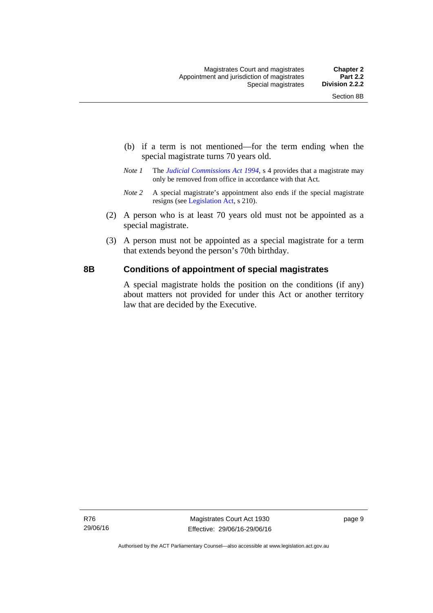- (b) if a term is not mentioned—for the term ending when the special magistrate turns 70 years old.
- *Note 1* The *[Judicial Commissions Act 1994](http://www.legislation.act.gov.au/a/1994-9)*, s 4 provides that a magistrate may only be removed from office in accordance with that Act.
- *Note 2* A special magistrate's appointment also ends if the special magistrate resigns (see [Legislation Act](http://www.legislation.act.gov.au/a/2001-14), s 210).
- (2) A person who is at least 70 years old must not be appointed as a special magistrate.
- (3) A person must not be appointed as a special magistrate for a term that extends beyond the person's 70th birthday.

#### <span id="page-24-0"></span>**8B Conditions of appointment of special magistrates**

A special magistrate holds the position on the conditions (if any) about matters not provided for under this Act or another territory law that are decided by the Executive.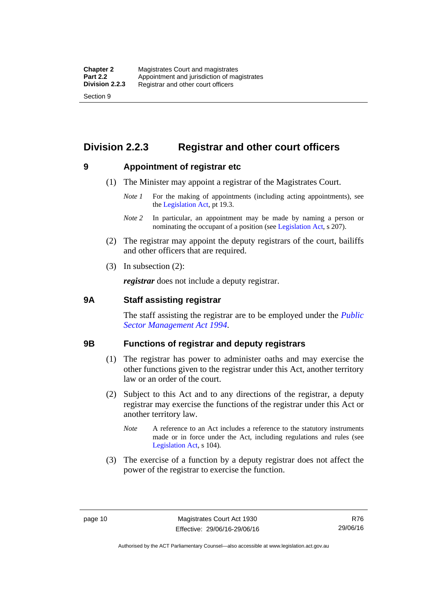## <span id="page-25-0"></span>**Division 2.2.3 Registrar and other court officers**

#### <span id="page-25-1"></span>**9 Appointment of registrar etc**

- (1) The Minister may appoint a registrar of the Magistrates Court.
	- *Note 1* For the making of appointments (including acting appointments), see the [Legislation Act,](http://www.legislation.act.gov.au/a/2001-14) pt 19.3.
	- *Note 2* In particular, an appointment may be made by naming a person or nominating the occupant of a position (see [Legislation Act](http://www.legislation.act.gov.au/a/2001-14), s 207).
- (2) The registrar may appoint the deputy registrars of the court, bailiffs and other officers that are required.
- (3) In subsection (2):

*registrar* does not include a deputy registrar.

#### <span id="page-25-2"></span>**9A Staff assisting registrar**

The staff assisting the registrar are to be employed under the *[Public](http://www.legislation.act.gov.au/a/1994-37)  [Sector Management Act 1994](http://www.legislation.act.gov.au/a/1994-37)*.

#### <span id="page-25-3"></span>**9B Functions of registrar and deputy registrars**

- (1) The registrar has power to administer oaths and may exercise the other functions given to the registrar under this Act, another territory law or an order of the court.
- (2) Subject to this Act and to any directions of the registrar, a deputy registrar may exercise the functions of the registrar under this Act or another territory law.
	- *Note* A reference to an Act includes a reference to the statutory instruments made or in force under the Act, including regulations and rules (see [Legislation Act,](http://www.legislation.act.gov.au/a/2001-14) s 104).
- (3) The exercise of a function by a deputy registrar does not affect the power of the registrar to exercise the function.

Authorised by the ACT Parliamentary Counsel—also accessible at www.legislation.act.gov.au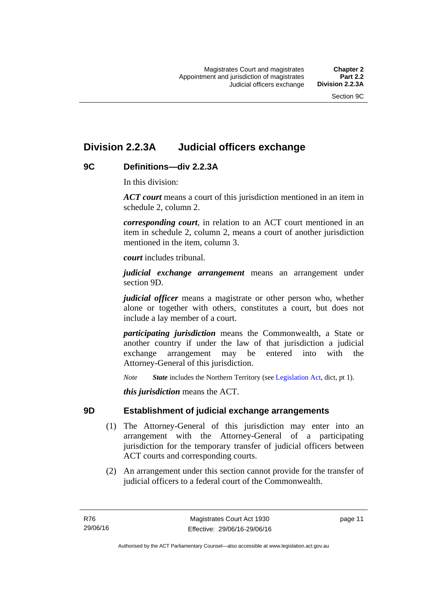## <span id="page-26-0"></span>**Division 2.2.3A Judicial officers exchange**

#### <span id="page-26-1"></span>**9C Definitions—div 2.2.3A**

In this division:

*ACT court* means a court of this jurisdiction mentioned in an item in schedule 2, column 2.

*corresponding court*, in relation to an ACT court mentioned in an item in schedule 2, column 2, means a court of another jurisdiction mentioned in the item, column 3.

*court* includes tribunal.

*judicial exchange arrangement* means an arrangement under section 9D.

*judicial officer* means a magistrate or other person who, whether alone or together with others, constitutes a court, but does not include a lay member of a court.

*participating jurisdiction* means the Commonwealth, a State or another country if under the law of that jurisdiction a judicial exchange arrangement may be entered into with the Attorney-General of this jurisdiction.

*Note State* includes the Northern Territory (see [Legislation Act](http://www.legislation.act.gov.au/a/2001-14), dict, pt 1).

*this jurisdiction* means the ACT.

#### <span id="page-26-2"></span>**9D Establishment of judicial exchange arrangements**

- (1) The Attorney-General of this jurisdiction may enter into an arrangement with the Attorney-General of a participating jurisdiction for the temporary transfer of judicial officers between ACT courts and corresponding courts.
- (2) An arrangement under this section cannot provide for the transfer of judicial officers to a federal court of the Commonwealth.

page 11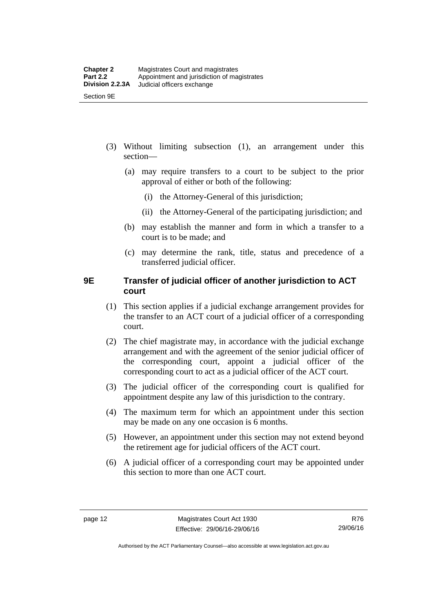- (3) Without limiting subsection (1), an arrangement under this section—
	- (a) may require transfers to a court to be subject to the prior approval of either or both of the following:
		- (i) the Attorney-General of this jurisdiction;
		- (ii) the Attorney-General of the participating jurisdiction; and
	- (b) may establish the manner and form in which a transfer to a court is to be made; and
	- (c) may determine the rank, title, status and precedence of a transferred judicial officer.

#### <span id="page-27-0"></span>**9E Transfer of judicial officer of another jurisdiction to ACT court**

- (1) This section applies if a judicial exchange arrangement provides for the transfer to an ACT court of a judicial officer of a corresponding court.
- (2) The chief magistrate may, in accordance with the judicial exchange arrangement and with the agreement of the senior judicial officer of the corresponding court, appoint a judicial officer of the corresponding court to act as a judicial officer of the ACT court.
- (3) The judicial officer of the corresponding court is qualified for appointment despite any law of this jurisdiction to the contrary.
- (4) The maximum term for which an appointment under this section may be made on any one occasion is 6 months.
- (5) However, an appointment under this section may not extend beyond the retirement age for judicial officers of the ACT court.
- (6) A judicial officer of a corresponding court may be appointed under this section to more than one ACT court.

R76 29/06/16

Authorised by the ACT Parliamentary Counsel—also accessible at www.legislation.act.gov.au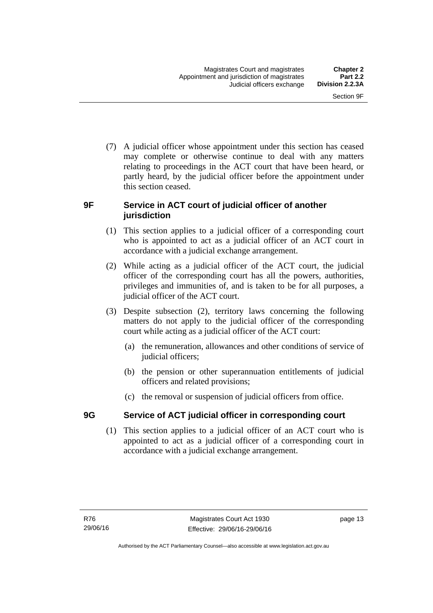(7) A judicial officer whose appointment under this section has ceased may complete or otherwise continue to deal with any matters relating to proceedings in the ACT court that have been heard, or partly heard, by the judicial officer before the appointment under this section ceased.

#### <span id="page-28-0"></span>**9F Service in ACT court of judicial officer of another jurisdiction**

- (1) This section applies to a judicial officer of a corresponding court who is appointed to act as a judicial officer of an ACT court in accordance with a judicial exchange arrangement.
- (2) While acting as a judicial officer of the ACT court, the judicial officer of the corresponding court has all the powers, authorities, privileges and immunities of, and is taken to be for all purposes, a judicial officer of the ACT court.
- (3) Despite subsection (2), territory laws concerning the following matters do not apply to the judicial officer of the corresponding court while acting as a judicial officer of the ACT court:
	- (a) the remuneration, allowances and other conditions of service of judicial officers;
	- (b) the pension or other superannuation entitlements of judicial officers and related provisions;
	- (c) the removal or suspension of judicial officers from office.

### <span id="page-28-1"></span>**9G Service of ACT judicial officer in corresponding court**

(1) This section applies to a judicial officer of an ACT court who is appointed to act as a judicial officer of a corresponding court in accordance with a judicial exchange arrangement.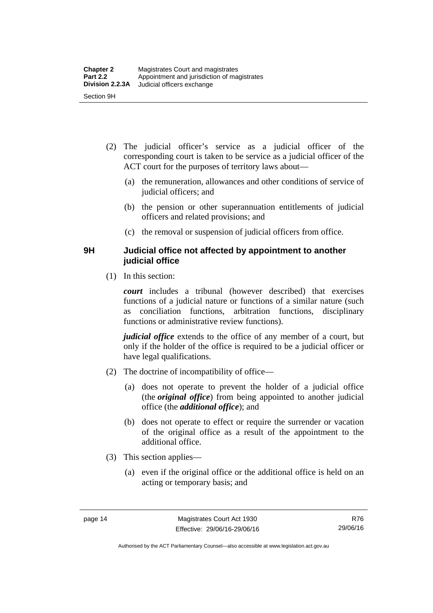- (2) The judicial officer's service as a judicial officer of the corresponding court is taken to be service as a judicial officer of the ACT court for the purposes of territory laws about—
	- (a) the remuneration, allowances and other conditions of service of judicial officers; and
	- (b) the pension or other superannuation entitlements of judicial officers and related provisions; and
	- (c) the removal or suspension of judicial officers from office.

#### <span id="page-29-0"></span>**9H Judicial office not affected by appointment to another judicial office**

(1) In this section:

*court* includes a tribunal (however described) that exercises functions of a judicial nature or functions of a similar nature (such as conciliation functions, arbitration functions, disciplinary functions or administrative review functions).

*judicial office* extends to the office of any member of a court, but only if the holder of the office is required to be a judicial officer or have legal qualifications.

- (2) The doctrine of incompatibility of office—
	- (a) does not operate to prevent the holder of a judicial office (the *original office*) from being appointed to another judicial office (the *additional office*); and
	- (b) does not operate to effect or require the surrender or vacation of the original office as a result of the appointment to the additional office.
- (3) This section applies—
	- (a) even if the original office or the additional office is held on an acting or temporary basis; and

Authorised by the ACT Parliamentary Counsel—also accessible at www.legislation.act.gov.au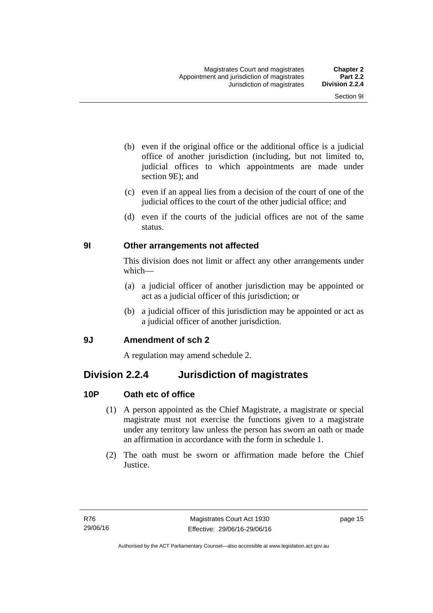- (b) even if the original office or the additional office is a judicial office of another jurisdiction (including, but not limited to, judicial offices to which appointments are made under section 9E); and
- (c) even if an appeal lies from a decision of the court of one of the judicial offices to the court of the other judicial office; and
- (d) even if the courts of the judicial offices are not of the same status.

### <span id="page-30-0"></span>**9I Other arrangements not affected**

This division does not limit or affect any other arrangements under which—

- (a) a judicial officer of another jurisdiction may be appointed or act as a judicial officer of this jurisdiction; or
- (b) a judicial officer of this jurisdiction may be appointed or act as a judicial officer of another jurisdiction.

#### <span id="page-30-1"></span>**9J Amendment of sch 2**

A regulation may amend schedule 2.

### <span id="page-30-2"></span>**Division 2.2.4 Jurisdiction of magistrates**

### <span id="page-30-3"></span>**10P Oath etc of office**

- (1) A person appointed as the Chief Magistrate, a magistrate or special magistrate must not exercise the functions given to a magistrate under any territory law unless the person has sworn an oath or made an affirmation in accordance with the form in schedule 1.
- (2) The oath must be sworn or affirmation made before the Chief Justice.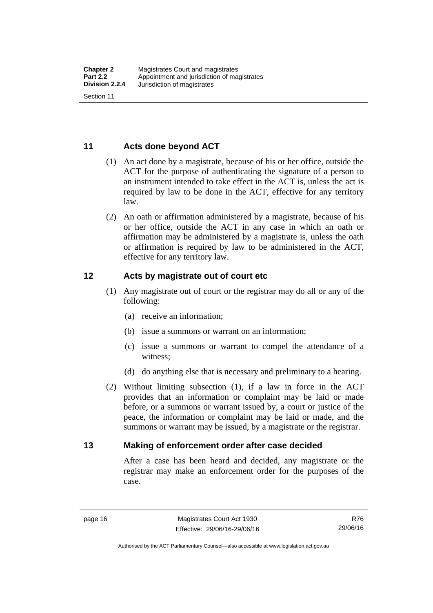#### <span id="page-31-0"></span>**11 Acts done beyond ACT**

- (1) An act done by a magistrate, because of his or her office, outside the ACT for the purpose of authenticating the signature of a person to an instrument intended to take effect in the ACT is, unless the act is required by law to be done in the ACT, effective for any territory law.
- (2) An oath or affirmation administered by a magistrate, because of his or her office, outside the ACT in any case in which an oath or affirmation may be administered by a magistrate is, unless the oath or affirmation is required by law to be administered in the ACT, effective for any territory law.

#### <span id="page-31-1"></span>**12 Acts by magistrate out of court etc**

- (1) Any magistrate out of court or the registrar may do all or any of the following:
	- (a) receive an information;
	- (b) issue a summons or warrant on an information;
	- (c) issue a summons or warrant to compel the attendance of a witness;
	- (d) do anything else that is necessary and preliminary to a hearing.
- (2) Without limiting subsection (1), if a law in force in the ACT provides that an information or complaint may be laid or made before, or a summons or warrant issued by, a court or justice of the peace, the information or complaint may be laid or made, and the summons or warrant may be issued, by a magistrate or the registrar.

#### <span id="page-31-2"></span>**13 Making of enforcement order after case decided**

After a case has been heard and decided, any magistrate or the registrar may make an enforcement order for the purposes of the case.

R76 29/06/16

Authorised by the ACT Parliamentary Counsel—also accessible at www.legislation.act.gov.au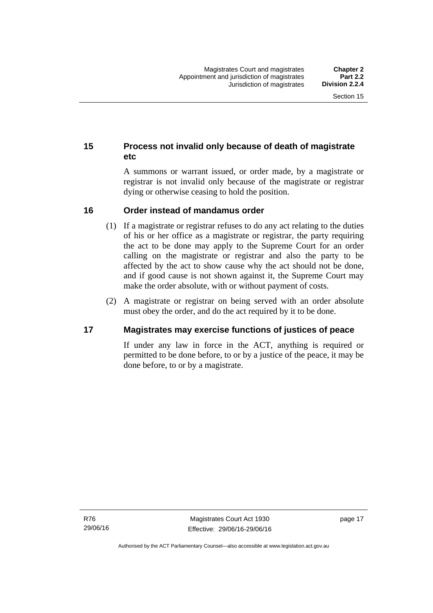### <span id="page-32-0"></span>**15 Process not invalid only because of death of magistrate etc**

A summons or warrant issued, or order made, by a magistrate or registrar is not invalid only because of the magistrate or registrar dying or otherwise ceasing to hold the position.

#### <span id="page-32-1"></span>**16 Order instead of mandamus order**

- (1) If a magistrate or registrar refuses to do any act relating to the duties of his or her office as a magistrate or registrar, the party requiring the act to be done may apply to the Supreme Court for an order calling on the magistrate or registrar and also the party to be affected by the act to show cause why the act should not be done, and if good cause is not shown against it, the Supreme Court may make the order absolute, with or without payment of costs.
- (2) A magistrate or registrar on being served with an order absolute must obey the order, and do the act required by it to be done.

#### <span id="page-32-2"></span>**17 Magistrates may exercise functions of justices of peace**

If under any law in force in the ACT, anything is required or permitted to be done before, to or by a justice of the peace, it may be done before, to or by a magistrate.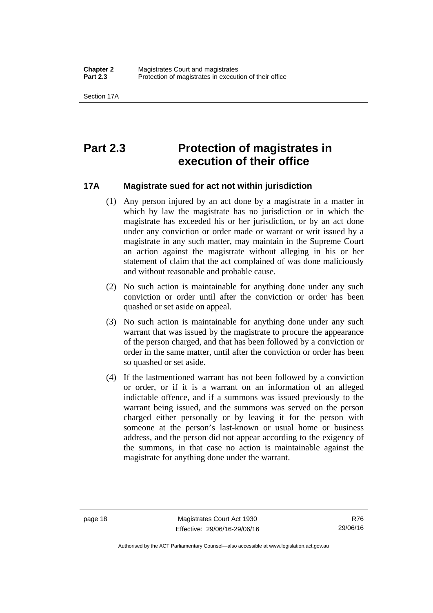# <span id="page-33-0"></span>**Part 2.3 Protection of magistrates in execution of their office**

#### <span id="page-33-1"></span>**17A Magistrate sued for act not within jurisdiction**

- (1) Any person injured by an act done by a magistrate in a matter in which by law the magistrate has no jurisdiction or in which the magistrate has exceeded his or her jurisdiction, or by an act done under any conviction or order made or warrant or writ issued by a magistrate in any such matter, may maintain in the Supreme Court an action against the magistrate without alleging in his or her statement of claim that the act complained of was done maliciously and without reasonable and probable cause.
- (2) No such action is maintainable for anything done under any such conviction or order until after the conviction or order has been quashed or set aside on appeal.
- (3) No such action is maintainable for anything done under any such warrant that was issued by the magistrate to procure the appearance of the person charged, and that has been followed by a conviction or order in the same matter, until after the conviction or order has been so quashed or set aside.
- (4) If the lastmentioned warrant has not been followed by a conviction or order, or if it is a warrant on an information of an alleged indictable offence, and if a summons was issued previously to the warrant being issued, and the summons was served on the person charged either personally or by leaving it for the person with someone at the person's last-known or usual home or business address, and the person did not appear according to the exigency of the summons, in that case no action is maintainable against the magistrate for anything done under the warrant.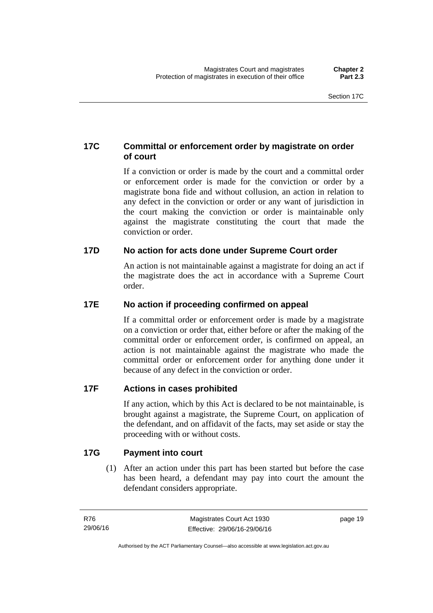### <span id="page-34-0"></span>**17C Committal or enforcement order by magistrate on order of court**

If a conviction or order is made by the court and a committal order or enforcement order is made for the conviction or order by a magistrate bona fide and without collusion, an action in relation to any defect in the conviction or order or any want of jurisdiction in the court making the conviction or order is maintainable only against the magistrate constituting the court that made the conviction or order.

### <span id="page-34-1"></span>**17D No action for acts done under Supreme Court order**

An action is not maintainable against a magistrate for doing an act if the magistrate does the act in accordance with a Supreme Court order.

### <span id="page-34-2"></span>**17E No action if proceeding confirmed on appeal**

If a committal order or enforcement order is made by a magistrate on a conviction or order that, either before or after the making of the committal order or enforcement order, is confirmed on appeal, an action is not maintainable against the magistrate who made the committal order or enforcement order for anything done under it because of any defect in the conviction or order.

#### <span id="page-34-3"></span>**17F Actions in cases prohibited**

If any action, which by this Act is declared to be not maintainable, is brought against a magistrate, the Supreme Court, on application of the defendant, and on affidavit of the facts, may set aside or stay the proceeding with or without costs.

#### <span id="page-34-4"></span>**17G Payment into court**

(1) After an action under this part has been started but before the case has been heard, a defendant may pay into court the amount the defendant considers appropriate.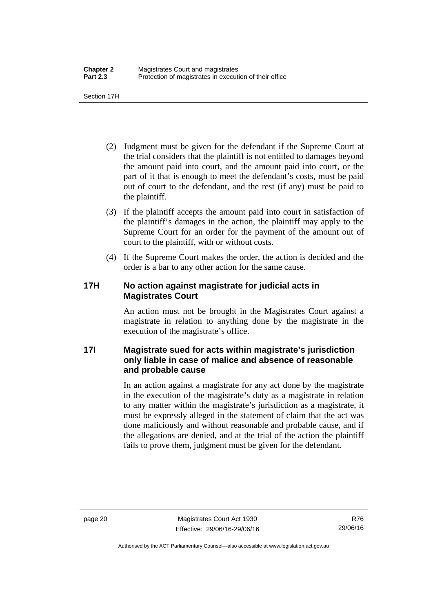Section 17H

- (2) Judgment must be given for the defendant if the Supreme Court at the trial considers that the plaintiff is not entitled to damages beyond the amount paid into court, and the amount paid into court, or the part of it that is enough to meet the defendant's costs, must be paid out of court to the defendant, and the rest (if any) must be paid to the plaintiff.
- (3) If the plaintiff accepts the amount paid into court in satisfaction of the plaintiff's damages in the action, the plaintiff may apply to the Supreme Court for an order for the payment of the amount out of court to the plaintiff, with or without costs.
- (4) If the Supreme Court makes the order, the action is decided and the order is a bar to any other action for the same cause.

#### <span id="page-35-0"></span>**17H No action against magistrate for judicial acts in Magistrates Court**

An action must not be brought in the Magistrates Court against a magistrate in relation to anything done by the magistrate in the execution of the magistrate's office.

### <span id="page-35-1"></span>**17I Magistrate sued for acts within magistrate's jurisdiction only liable in case of malice and absence of reasonable and probable cause**

In an action against a magistrate for any act done by the magistrate in the execution of the magistrate's duty as a magistrate in relation to any matter within the magistrate's jurisdiction as a magistrate, it must be expressly alleged in the statement of claim that the act was done maliciously and without reasonable and probable cause, and if the allegations are denied, and at the trial of the action the plaintiff fails to prove them, judgment must be given for the defendant.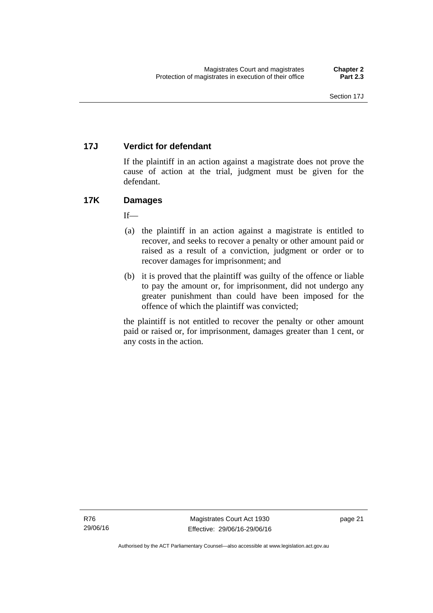# **17J Verdict for defendant**

If the plaintiff in an action against a magistrate does not prove the cause of action at the trial, judgment must be given for the defendant.

# **17K Damages**

 $If$ <sub>—</sub>

- (a) the plaintiff in an action against a magistrate is entitled to recover, and seeks to recover a penalty or other amount paid or raised as a result of a conviction, judgment or order or to recover damages for imprisonment; and
- (b) it is proved that the plaintiff was guilty of the offence or liable to pay the amount or, for imprisonment, did not undergo any greater punishment than could have been imposed for the offence of which the plaintiff was convicted;

the plaintiff is not entitled to recover the penalty or other amount paid or raised or, for imprisonment, damages greater than 1 cent, or any costs in the action.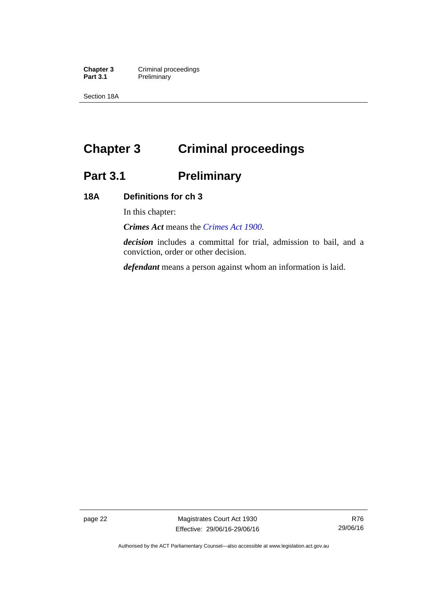**Chapter 3 Criminal proceedings**<br>**Part 3.1 Preliminary Preliminary** 

Section 18A

# **Chapter 3 Criminal proceedings**

# **Part 3.1 Preliminary**

# **18A Definitions for ch 3**

In this chapter:

*Crimes Act* means the *[Crimes Act 1900](http://www.legislation.act.gov.au/a/1900-40)*.

*decision* includes a committal for trial, admission to bail, and a conviction, order or other decision.

*defendant* means a person against whom an information is laid.

page 22 Magistrates Court Act 1930 Effective: 29/06/16-29/06/16

Authorised by the ACT Parliamentary Counsel—also accessible at www.legislation.act.gov.au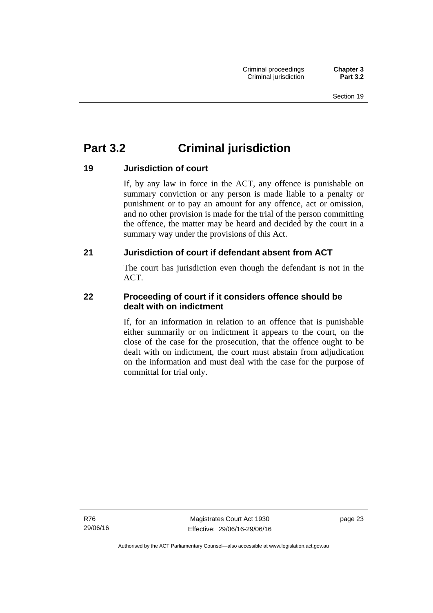# **Part 3.2 Criminal jurisdiction**

# **19 Jurisdiction of court**

If, by any law in force in the ACT, any offence is punishable on summary conviction or any person is made liable to a penalty or punishment or to pay an amount for any offence, act or omission, and no other provision is made for the trial of the person committing the offence, the matter may be heard and decided by the court in a summary way under the provisions of this Act.

# **21 Jurisdiction of court if defendant absent from ACT**

The court has jurisdiction even though the defendant is not in the ACT.

# **22 Proceeding of court if it considers offence should be dealt with on indictment**

If, for an information in relation to an offence that is punishable either summarily or on indictment it appears to the court, on the close of the case for the prosecution, that the offence ought to be dealt with on indictment, the court must abstain from adjudication on the information and must deal with the case for the purpose of committal for trial only.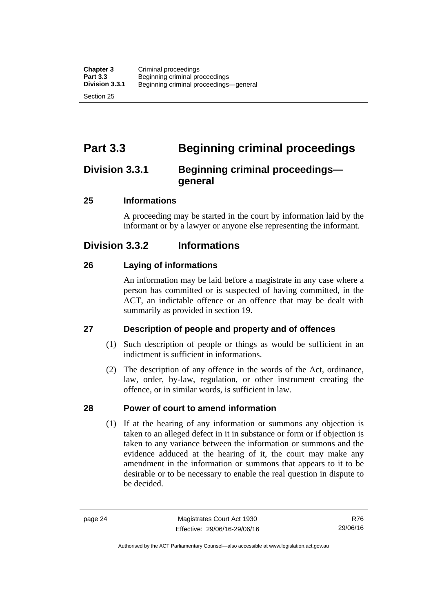# **Part 3.3 Beginning criminal proceedings**

# **Division 3.3.1 Beginning criminal proceedings general**

# **25 Informations**

A proceeding may be started in the court by information laid by the informant or by a lawyer or anyone else representing the informant.

# **Division 3.3.2 Informations**

# **26 Laying of informations**

An information may be laid before a magistrate in any case where a person has committed or is suspected of having committed, in the ACT, an indictable offence or an offence that may be dealt with summarily as provided in section 19.

# **27 Description of people and property and of offences**

- (1) Such description of people or things as would be sufficient in an indictment is sufficient in informations.
- (2) The description of any offence in the words of the Act, ordinance, law, order, by-law, regulation, or other instrument creating the offence, or in similar words, is sufficient in law.

# **28 Power of court to amend information**

(1) If at the hearing of any information or summons any objection is taken to an alleged defect in it in substance or form or if objection is taken to any variance between the information or summons and the evidence adduced at the hearing of it, the court may make any amendment in the information or summons that appears to it to be desirable or to be necessary to enable the real question in dispute to be decided.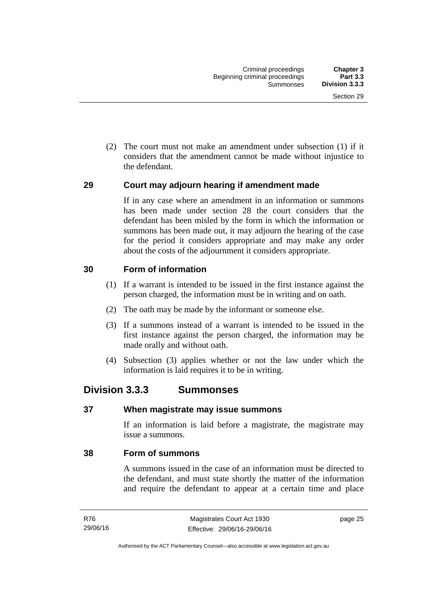(2) The court must not make an amendment under subsection (1) if it considers that the amendment cannot be made without injustice to the defendant.

# **29 Court may adjourn hearing if amendment made**

If in any case where an amendment in an information or summons has been made under section 28 the court considers that the defendant has been misled by the form in which the information or summons has been made out, it may adjourn the hearing of the case for the period it considers appropriate and may make any order about the costs of the adjournment it considers appropriate.

# **30 Form of information**

- (1) If a warrant is intended to be issued in the first instance against the person charged, the information must be in writing and on oath.
- (2) The oath may be made by the informant or someone else.
- (3) If a summons instead of a warrant is intended to be issued in the first instance against the person charged, the information may be made orally and without oath.
- (4) Subsection (3) applies whether or not the law under which the information is laid requires it to be in writing.

# **Division 3.3.3 Summonses**

# **37 When magistrate may issue summons**

If an information is laid before a magistrate, the magistrate may issue a summons.

# **38 Form of summons**

A summons issued in the case of an information must be directed to the defendant, and must state shortly the matter of the information and require the defendant to appear at a certain time and place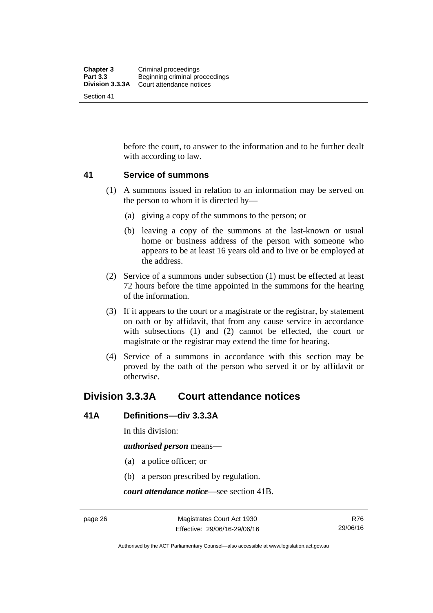before the court, to answer to the information and to be further dealt with according to law.

# **41 Service of summons**

- (1) A summons issued in relation to an information may be served on the person to whom it is directed by—
	- (a) giving a copy of the summons to the person; or
	- (b) leaving a copy of the summons at the last-known or usual home or business address of the person with someone who appears to be at least 16 years old and to live or be employed at the address.
- (2) Service of a summons under subsection (1) must be effected at least 72 hours before the time appointed in the summons for the hearing of the information.
- (3) If it appears to the court or a magistrate or the registrar, by statement on oath or by affidavit, that from any cause service in accordance with subsections (1) and (2) cannot be effected, the court or magistrate or the registrar may extend the time for hearing.
- (4) Service of a summons in accordance with this section may be proved by the oath of the person who served it or by affidavit or otherwise.

# **Division 3.3.3A Court attendance notices**

# **41A Definitions—div 3.3.3A**

In this division:

*authorised person* means—

- (a) a police officer; or
- (b) a person prescribed by regulation.

*court attendance notice*—see section 41B.

R76 29/06/16

Authorised by the ACT Parliamentary Counsel—also accessible at www.legislation.act.gov.au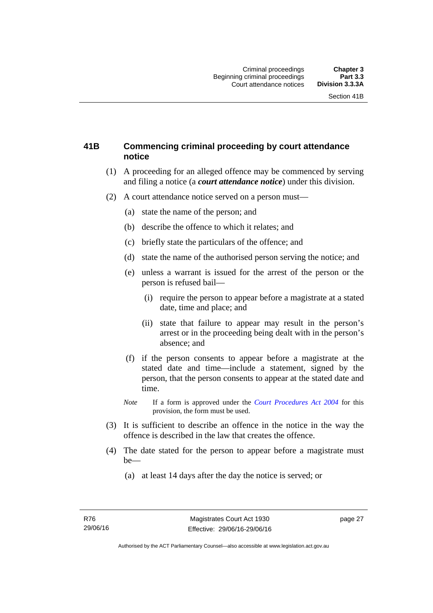# **41B Commencing criminal proceeding by court attendance notice**

- (1) A proceeding for an alleged offence may be commenced by serving and filing a notice (a *court attendance notice*) under this division.
- (2) A court attendance notice served on a person must––
	- (a) state the name of the person; and
	- (b) describe the offence to which it relates; and
	- (c) briefly state the particulars of the offence; and
	- (d) state the name of the authorised person serving the notice; and
	- (e) unless a warrant is issued for the arrest of the person or the person is refused bail—
		- (i) require the person to appear before a magistrate at a stated date, time and place; and
		- (ii) state that failure to appear may result in the person's arrest or in the proceeding being dealt with in the person's absence; and
	- (f) if the person consents to appear before a magistrate at the stated date and time—include a statement, signed by the person, that the person consents to appear at the stated date and time.
	- *Note* If a form is approved under the *[Court Procedures Act 2004](http://www.legislation.act.gov.au/a/2004-59)* for this provision, the form must be used.
- (3) It is sufficient to describe an offence in the notice in the way the offence is described in the law that creates the offence.
- (4) The date stated for the person to appear before a magistrate must be—
	- (a) at least 14 days after the day the notice is served; or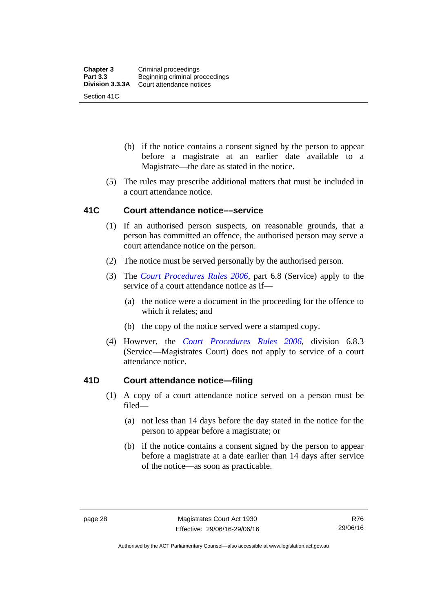- (b) if the notice contains a consent signed by the person to appear before a magistrate at an earlier date available to a Magistrate—the date as stated in the notice.
- (5) The rules may prescribe additional matters that must be included in a court attendance notice.

# **41C Court attendance notice––service**

- (1) If an authorised person suspects, on reasonable grounds, that a person has committed an offence, the authorised person may serve a court attendance notice on the person.
- (2) The notice must be served personally by the authorised person.
- (3) The *[Court Procedures Rules 2006](http://www.legislation.act.gov.au/sl/2006-29),* part 6.8 (Service) apply to the service of a court attendance notice as if—
	- (a) the notice were a document in the proceeding for the offence to which it relates; and
	- (b) the copy of the notice served were a stamped copy.
- (4) However, the *[Court Procedures Rules 2006,](http://www.legislation.act.gov.au/sl/2006-29)* division 6.8.3 (Service—Magistrates Court) does not apply to service of a court attendance notice.

# **41D Court attendance notice—filing**

- (1) A copy of a court attendance notice served on a person must be filed—
	- (a) not less than 14 days before the day stated in the notice for the person to appear before a magistrate; or
	- (b) if the notice contains a consent signed by the person to appear before a magistrate at a date earlier than 14 days after service of the notice—as soon as practicable.

R76 29/06/16

Authorised by the ACT Parliamentary Counsel—also accessible at www.legislation.act.gov.au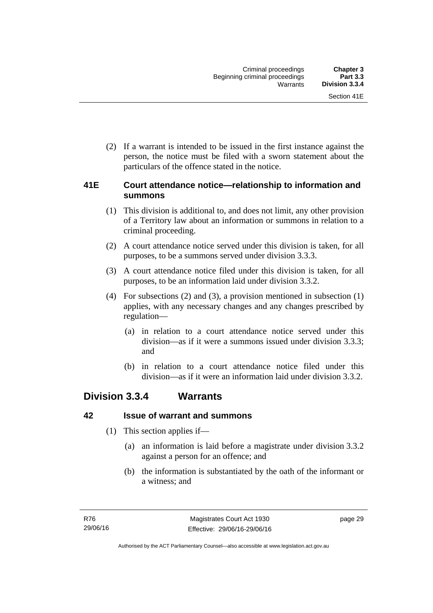(2) If a warrant is intended to be issued in the first instance against the person, the notice must be filed with a sworn statement about the particulars of the offence stated in the notice.

# **41E Court attendance notice—relationship to information and summons**

- (1) This division is additional to, and does not limit, any other provision of a Territory law about an information or summons in relation to a criminal proceeding.
- (2) A court attendance notice served under this division is taken, for all purposes, to be a summons served under division 3.3.3.
- (3) A court attendance notice filed under this division is taken, for all purposes, to be an information laid under division 3.3.2.
- (4) For subsections (2) and (3), a provision mentioned in subsection (1) applies, with any necessary changes and any changes prescribed by regulation—
	- (a) in relation to a court attendance notice served under this division—as if it were a summons issued under division 3.3.3; and
	- (b) in relation to a court attendance notice filed under this division—as if it were an information laid under division 3.3.2.

# **Division 3.3.4 Warrants**

# **42 Issue of warrant and summons**

- (1) This section applies if—
	- (a) an information is laid before a magistrate under division 3.3.2 against a person for an offence; and
	- (b) the information is substantiated by the oath of the informant or a witness; and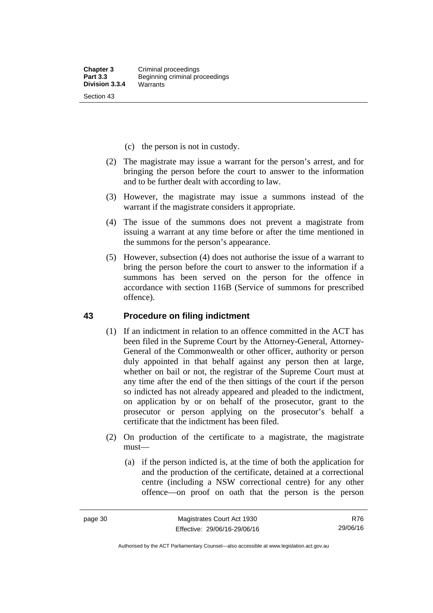- (c) the person is not in custody.
- (2) The magistrate may issue a warrant for the person's arrest, and for bringing the person before the court to answer to the information and to be further dealt with according to law.
- (3) However, the magistrate may issue a summons instead of the warrant if the magistrate considers it appropriate.
- (4) The issue of the summons does not prevent a magistrate from issuing a warrant at any time before or after the time mentioned in the summons for the person's appearance.
- (5) However, subsection (4) does not authorise the issue of a warrant to bring the person before the court to answer to the information if a summons has been served on the person for the offence in accordance with section 116B (Service of summons for prescribed offence).

#### **43 Procedure on filing indictment**

- (1) If an indictment in relation to an offence committed in the ACT has been filed in the Supreme Court by the Attorney-General, Attorney-General of the Commonwealth or other officer, authority or person duly appointed in that behalf against any person then at large, whether on bail or not, the registrar of the Supreme Court must at any time after the end of the then sittings of the court if the person so indicted has not already appeared and pleaded to the indictment, on application by or on behalf of the prosecutor, grant to the prosecutor or person applying on the prosecutor's behalf a certificate that the indictment has been filed.
- (2) On production of the certificate to a magistrate, the magistrate must—
	- (a) if the person indicted is, at the time of both the application for and the production of the certificate, detained at a correctional centre (including a NSW correctional centre) for any other offence—on proof on oath that the person is the person

R76 29/06/16

Authorised by the ACT Parliamentary Counsel—also accessible at www.legislation.act.gov.au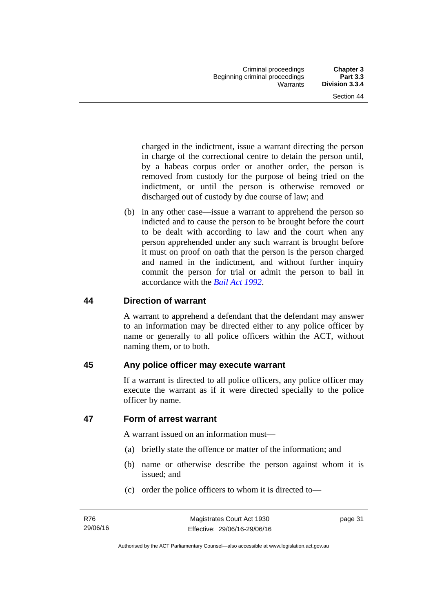charged in the indictment, issue a warrant directing the person in charge of the correctional centre to detain the person until, by a habeas corpus order or another order, the person is removed from custody for the purpose of being tried on the indictment, or until the person is otherwise removed or discharged out of custody by due course of law; and

 (b) in any other case—issue a warrant to apprehend the person so indicted and to cause the person to be brought before the court to be dealt with according to law and the court when any person apprehended under any such warrant is brought before it must on proof on oath that the person is the person charged and named in the indictment, and without further inquiry commit the person for trial or admit the person to bail in accordance with the *[Bail Act 1992](http://www.legislation.act.gov.au/a/1992-8)*.

# **44 Direction of warrant**

A warrant to apprehend a defendant that the defendant may answer to an information may be directed either to any police officer by name or generally to all police officers within the ACT, without naming them, or to both.

# **45 Any police officer may execute warrant**

If a warrant is directed to all police officers, any police officer may execute the warrant as if it were directed specially to the police officer by name.

# **47 Form of arrest warrant**

A warrant issued on an information must—

- (a) briefly state the offence or matter of the information; and
- (b) name or otherwise describe the person against whom it is issued; and
- (c) order the police officers to whom it is directed to—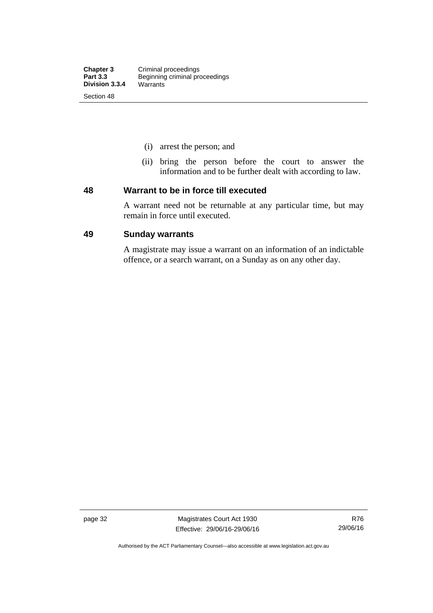- (i) arrest the person; and
- (ii) bring the person before the court to answer the information and to be further dealt with according to law.

#### **48 Warrant to be in force till executed**

A warrant need not be returnable at any particular time, but may remain in force until executed.

## **49 Sunday warrants**

A magistrate may issue a warrant on an information of an indictable offence, or a search warrant, on a Sunday as on any other day.

page 32 Magistrates Court Act 1930 Effective: 29/06/16-29/06/16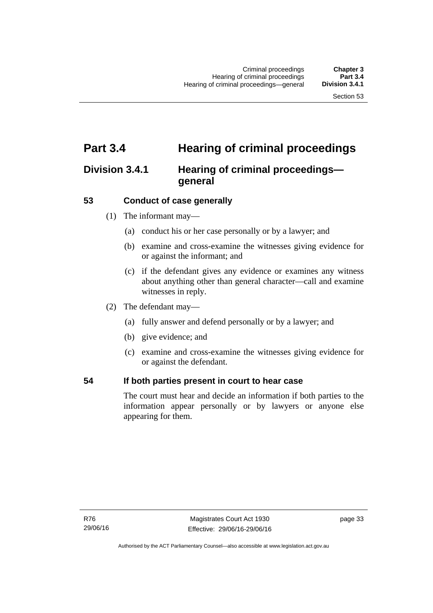# **Part 3.4 Hearing of criminal proceedings**

# **Division 3.4.1 Hearing of criminal proceedings general**

# **53 Conduct of case generally**

- (1) The informant may—
	- (a) conduct his or her case personally or by a lawyer; and
	- (b) examine and cross-examine the witnesses giving evidence for or against the informant; and
	- (c) if the defendant gives any evidence or examines any witness about anything other than general character—call and examine witnesses in reply.
- (2) The defendant may—
	- (a) fully answer and defend personally or by a lawyer; and
	- (b) give evidence; and
	- (c) examine and cross-examine the witnesses giving evidence for or against the defendant.

# **54 If both parties present in court to hear case**

The court must hear and decide an information if both parties to the information appear personally or by lawyers or anyone else appearing for them.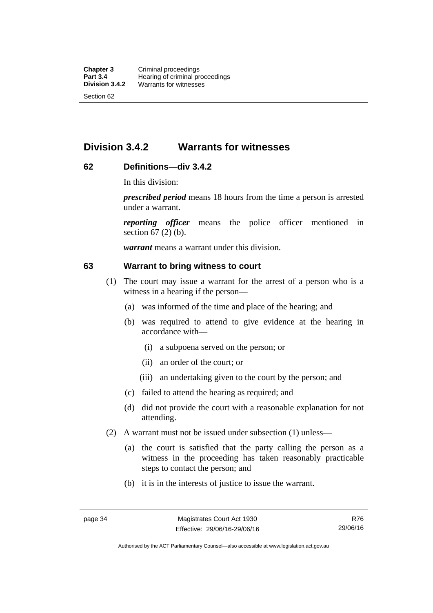# **Division 3.4.2 Warrants for witnesses**

# **62 Definitions—div 3.4.2**

In this division:

*prescribed period* means 18 hours from the time a person is arrested under a warrant.

*reporting officer* means the police officer mentioned in section 67 (2) (b).

*warrant* means a warrant under this division.

#### **63 Warrant to bring witness to court**

- (1) The court may issue a warrant for the arrest of a person who is a witness in a hearing if the person—
	- (a) was informed of the time and place of the hearing; and
	- (b) was required to attend to give evidence at the hearing in accordance with—
		- (i) a subpoena served on the person; or
		- (ii) an order of the court; or
		- (iii) an undertaking given to the court by the person; and
	- (c) failed to attend the hearing as required; and
	- (d) did not provide the court with a reasonable explanation for not attending.
- (2) A warrant must not be issued under subsection (1) unless—
	- (a) the court is satisfied that the party calling the person as a witness in the proceeding has taken reasonably practicable steps to contact the person; and
	- (b) it is in the interests of justice to issue the warrant.

Authorised by the ACT Parliamentary Counsel—also accessible at www.legislation.act.gov.au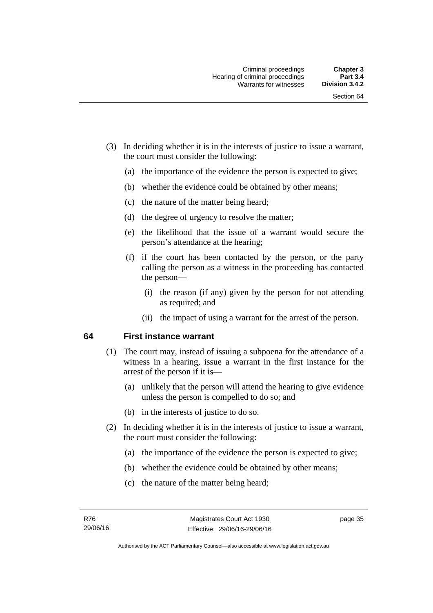- (3) In deciding whether it is in the interests of justice to issue a warrant, the court must consider the following:
	- (a) the importance of the evidence the person is expected to give;
	- (b) whether the evidence could be obtained by other means;
	- (c) the nature of the matter being heard;
	- (d) the degree of urgency to resolve the matter;
	- (e) the likelihood that the issue of a warrant would secure the person's attendance at the hearing;
	- (f) if the court has been contacted by the person, or the party calling the person as a witness in the proceeding has contacted the person—
		- (i) the reason (if any) given by the person for not attending as required; and
		- (ii) the impact of using a warrant for the arrest of the person.

#### **64 First instance warrant**

- (1) The court may, instead of issuing a subpoena for the attendance of a witness in a hearing, issue a warrant in the first instance for the arrest of the person if it is—
	- (a) unlikely that the person will attend the hearing to give evidence unless the person is compelled to do so; and
	- (b) in the interests of justice to do so.
- (2) In deciding whether it is in the interests of justice to issue a warrant, the court must consider the following:
	- (a) the importance of the evidence the person is expected to give;
	- (b) whether the evidence could be obtained by other means;
	- (c) the nature of the matter being heard;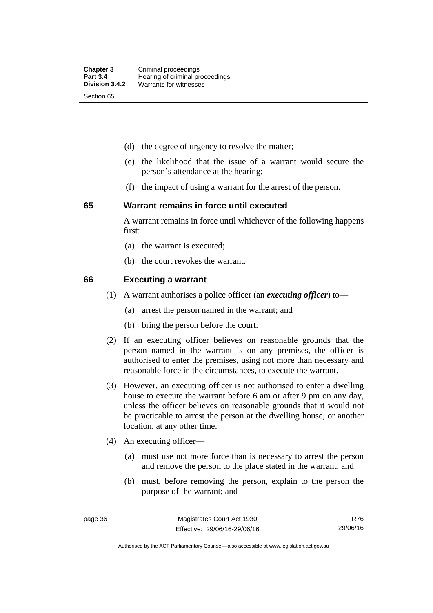- (d) the degree of urgency to resolve the matter;
- (e) the likelihood that the issue of a warrant would secure the person's attendance at the hearing;
- (f) the impact of using a warrant for the arrest of the person.

#### **65 Warrant remains in force until executed**

A warrant remains in force until whichever of the following happens first:

- (a) the warrant is executed;
- (b) the court revokes the warrant.

#### **66 Executing a warrant**

- (1) A warrant authorises a police officer (an *executing officer*) to—
	- (a) arrest the person named in the warrant; and
	- (b) bring the person before the court.
- (2) If an executing officer believes on reasonable grounds that the person named in the warrant is on any premises, the officer is authorised to enter the premises, using not more than necessary and reasonable force in the circumstances, to execute the warrant.
- (3) However, an executing officer is not authorised to enter a dwelling house to execute the warrant before 6 am or after 9 pm on any day, unless the officer believes on reasonable grounds that it would not be practicable to arrest the person at the dwelling house, or another location, at any other time.
- (4) An executing officer—
	- (a) must use not more force than is necessary to arrest the person and remove the person to the place stated in the warrant; and
	- (b) must, before removing the person, explain to the person the purpose of the warrant; and

R76 29/06/16

Authorised by the ACT Parliamentary Counsel—also accessible at www.legislation.act.gov.au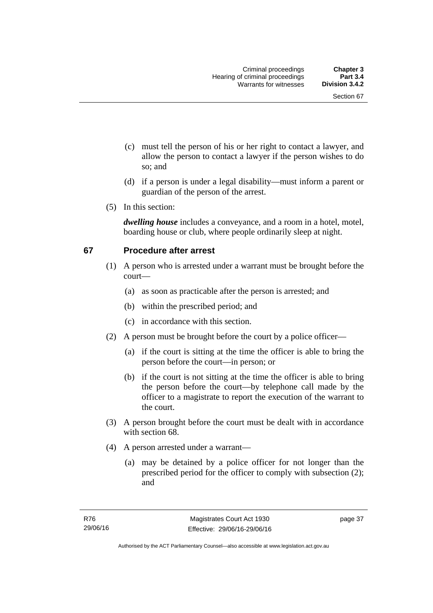- (c) must tell the person of his or her right to contact a lawyer, and allow the person to contact a lawyer if the person wishes to do so; and
- (d) if a person is under a legal disability—must inform a parent or guardian of the person of the arrest.
- (5) In this section:

*dwelling house* includes a conveyance, and a room in a hotel, motel, boarding house or club, where people ordinarily sleep at night.

# **67 Procedure after arrest**

- (1) A person who is arrested under a warrant must be brought before the court—
	- (a) as soon as practicable after the person is arrested; and
	- (b) within the prescribed period; and
	- (c) in accordance with this section.
- (2) A person must be brought before the court by a police officer—
	- (a) if the court is sitting at the time the officer is able to bring the person before the court—in person; or
	- (b) if the court is not sitting at the time the officer is able to bring the person before the court—by telephone call made by the officer to a magistrate to report the execution of the warrant to the court.
- (3) A person brought before the court must be dealt with in accordance with section 68.
- (4) A person arrested under a warrant—
	- (a) may be detained by a police officer for not longer than the prescribed period for the officer to comply with subsection (2); and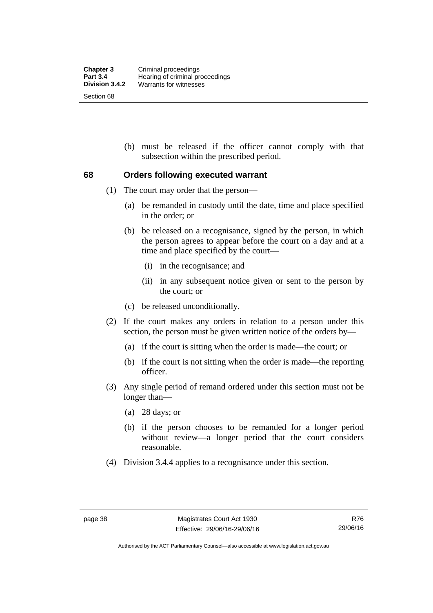(b) must be released if the officer cannot comply with that subsection within the prescribed period.

# **68 Orders following executed warrant**

- (1) The court may order that the person—
	- (a) be remanded in custody until the date, time and place specified in the order; or
	- (b) be released on a recognisance, signed by the person, in which the person agrees to appear before the court on a day and at a time and place specified by the court—
		- (i) in the recognisance; and
		- (ii) in any subsequent notice given or sent to the person by the court; or
	- (c) be released unconditionally.
- (2) If the court makes any orders in relation to a person under this section, the person must be given written notice of the orders by—
	- (a) if the court is sitting when the order is made—the court; or
	- (b) if the court is not sitting when the order is made—the reporting officer.
- (3) Any single period of remand ordered under this section must not be longer than—
	- (a) 28 days; or
	- (b) if the person chooses to be remanded for a longer period without review—a longer period that the court considers reasonable.
- (4) Division 3.4.4 applies to a recognisance under this section.

Authorised by the ACT Parliamentary Counsel—also accessible at www.legislation.act.gov.au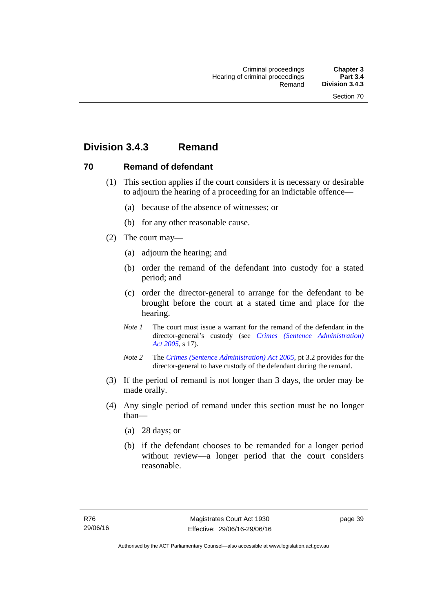# **Division 3.4.3 Remand**

# **70 Remand of defendant**

- (1) This section applies if the court considers it is necessary or desirable to adjourn the hearing of a proceeding for an indictable offence—
	- (a) because of the absence of witnesses; or
	- (b) for any other reasonable cause.
- (2) The court may—
	- (a) adjourn the hearing; and
	- (b) order the remand of the defendant into custody for a stated period; and
	- (c) order the director-general to arrange for the defendant to be brought before the court at a stated time and place for the hearing.
	- *Note 1* The court must issue a warrant for the remand of the defendant in the director-general's custody (see *[Crimes \(Sentence Administration\)](http://www.legislation.act.gov.au/a/2005-59)  [Act 2005](http://www.legislation.act.gov.au/a/2005-59)*, s 17).
	- *Note 2* The *[Crimes \(Sentence Administration\) Act 2005](http://www.legislation.act.gov.au/a/2005-59)*, pt 3.2 provides for the director-general to have custody of the defendant during the remand.
- (3) If the period of remand is not longer than 3 days, the order may be made orally.
- (4) Any single period of remand under this section must be no longer than—
	- (a) 28 days; or
	- (b) if the defendant chooses to be remanded for a longer period without review—a longer period that the court considers reasonable.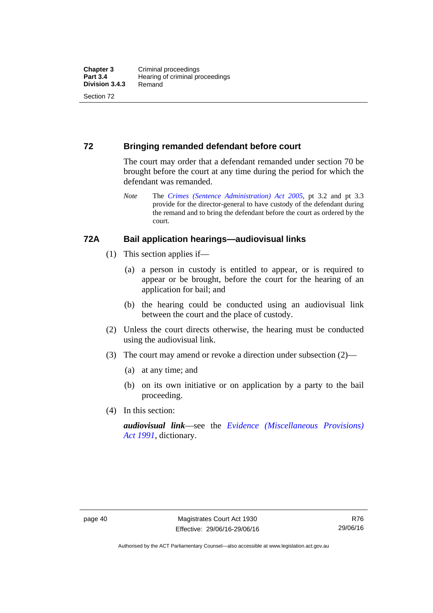# **72 Bringing remanded defendant before court**

The court may order that a defendant remanded under section 70 be brought before the court at any time during the period for which the defendant was remanded.

*Note* The *[Crimes \(Sentence Administration\) Act 2005](http://www.legislation.act.gov.au/a/2005-59)*, pt 3.2 and pt 3.3 provide for the director-general to have custody of the defendant during the remand and to bring the defendant before the court as ordered by the court.

# **72A Bail application hearings—audiovisual links**

- (1) This section applies if—
	- (a) a person in custody is entitled to appear, or is required to appear or be brought, before the court for the hearing of an application for bail; and
	- (b) the hearing could be conducted using an audiovisual link between the court and the place of custody.
- (2) Unless the court directs otherwise, the hearing must be conducted using the audiovisual link.
- (3) The court may amend or revoke a direction under subsection (2)—
	- (a) at any time; and
	- (b) on its own initiative or on application by a party to the bail proceeding.
- (4) In this section:

*audiovisual link*—see the *[Evidence \(Miscellaneous Provisions\)](http://www.legislation.act.gov.au/a/1991-34)  [Act 1991](http://www.legislation.act.gov.au/a/1991-34)*, dictionary.

Authorised by the ACT Parliamentary Counsel—also accessible at www.legislation.act.gov.au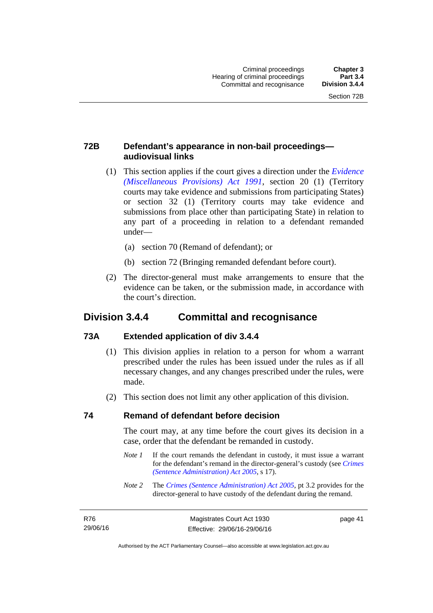# **72B Defendant's appearance in non-bail proceedings audiovisual links**

- (1) This section applies if the court gives a direction under the *[Evidence](http://www.legislation.act.gov.au/a/1991-34)  [\(Miscellaneous Provisions\) Act 1991](http://www.legislation.act.gov.au/a/1991-34)*, section 20 (1) (Territory courts may take evidence and submissions from participating States) or section 32 (1) (Territory courts may take evidence and submissions from place other than participating State) in relation to any part of a proceeding in relation to a defendant remanded under—
	- (a) section 70 (Remand of defendant); or
	- (b) section 72 (Bringing remanded defendant before court).
- (2) The director-general must make arrangements to ensure that the evidence can be taken, or the submission made, in accordance with the court's direction.

# **Division 3.4.4 Committal and recognisance**

# **73A Extended application of div 3.4.4**

- (1) This division applies in relation to a person for whom a warrant prescribed under the rules has been issued under the rules as if all necessary changes, and any changes prescribed under the rules, were made.
- (2) This section does not limit any other application of this division.

# **74 Remand of defendant before decision**

The court may, at any time before the court gives its decision in a case, order that the defendant be remanded in custody.

- *Note 1* If the court remands the defendant in custody, it must issue a warrant for the defendant's remand in the director-general's custody (see *[Crimes](http://www.legislation.act.gov.au/a/2005-59)  [\(Sentence Administration\) Act 2005](http://www.legislation.act.gov.au/a/2005-59)*, s 17).
- *Note 2* The *[Crimes \(Sentence Administration\) Act 2005](http://www.legislation.act.gov.au/a/2005-59)*, pt 3.2 provides for the director-general to have custody of the defendant during the remand.

| R76      |  |
|----------|--|
| 29/06/16 |  |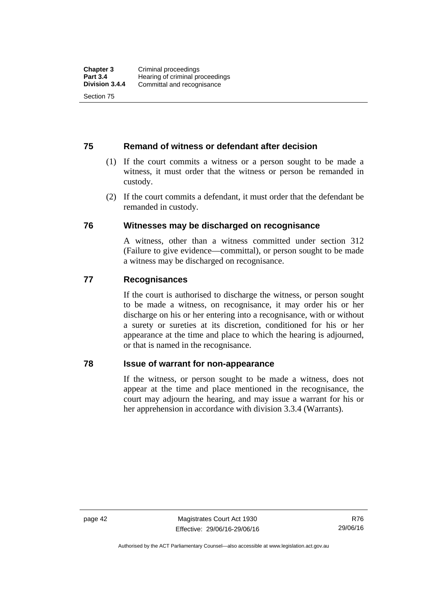# **75 Remand of witness or defendant after decision**

- (1) If the court commits a witness or a person sought to be made a witness, it must order that the witness or person be remanded in custody.
- (2) If the court commits a defendant, it must order that the defendant be remanded in custody.

# **76 Witnesses may be discharged on recognisance**

A witness, other than a witness committed under section 312 (Failure to give evidence—committal), or person sought to be made a witness may be discharged on recognisance.

# **77 Recognisances**

If the court is authorised to discharge the witness, or person sought to be made a witness, on recognisance, it may order his or her discharge on his or her entering into a recognisance, with or without a surety or sureties at its discretion, conditioned for his or her appearance at the time and place to which the hearing is adjourned, or that is named in the recognisance.

# **78 Issue of warrant for non-appearance**

If the witness, or person sought to be made a witness, does not appear at the time and place mentioned in the recognisance, the court may adjourn the hearing, and may issue a warrant for his or her apprehension in accordance with division 3.3.4 (Warrants).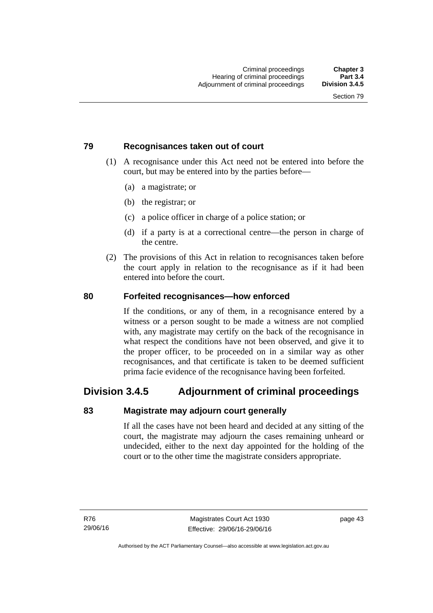# **79 Recognisances taken out of court**

- (1) A recognisance under this Act need not be entered into before the court, but may be entered into by the parties before—
	- (a) a magistrate; or
	- (b) the registrar; or
	- (c) a police officer in charge of a police station; or
	- (d) if a party is at a correctional centre—the person in charge of the centre.
- (2) The provisions of this Act in relation to recognisances taken before the court apply in relation to the recognisance as if it had been entered into before the court.

# **80 Forfeited recognisances—how enforced**

If the conditions, or any of them, in a recognisance entered by a witness or a person sought to be made a witness are not complied with, any magistrate may certify on the back of the recognisance in what respect the conditions have not been observed, and give it to the proper officer, to be proceeded on in a similar way as other recognisances, and that certificate is taken to be deemed sufficient prima facie evidence of the recognisance having been forfeited.

# **Division 3.4.5 Adjournment of criminal proceedings**

# **83 Magistrate may adjourn court generally**

If all the cases have not been heard and decided at any sitting of the court, the magistrate may adjourn the cases remaining unheard or undecided, either to the next day appointed for the holding of the court or to the other time the magistrate considers appropriate.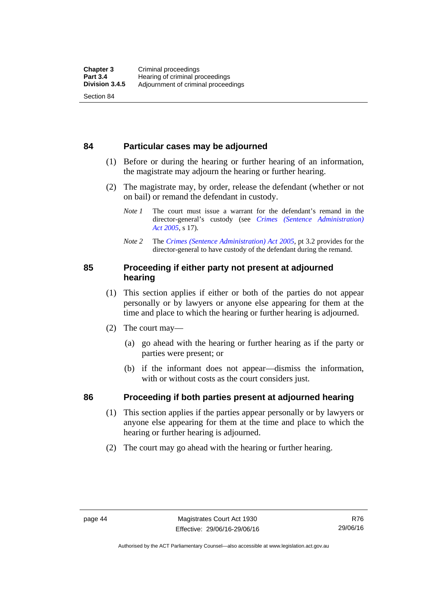# **84 Particular cases may be adjourned**

- (1) Before or during the hearing or further hearing of an information, the magistrate may adjourn the hearing or further hearing.
- (2) The magistrate may, by order, release the defendant (whether or not on bail) or remand the defendant in custody.
	- *Note 1* The court must issue a warrant for the defendant's remand in the director-general's custody (see *[Crimes \(Sentence Administration\)](http://www.legislation.act.gov.au/a/2005-59)  [Act 2005](http://www.legislation.act.gov.au/a/2005-59)*, s 17).
	- *Note 2* The *[Crimes \(Sentence Administration\) Act 2005](http://www.legislation.act.gov.au/a/2005-59)*, pt 3.2 provides for the director-general to have custody of the defendant during the remand.

# **85 Proceeding if either party not present at adjourned hearing**

- (1) This section applies if either or both of the parties do not appear personally or by lawyers or anyone else appearing for them at the time and place to which the hearing or further hearing is adjourned.
- (2) The court may—
	- (a) go ahead with the hearing or further hearing as if the party or parties were present; or
	- (b) if the informant does not appear—dismiss the information, with or without costs as the court considers just.

# **86 Proceeding if both parties present at adjourned hearing**

- (1) This section applies if the parties appear personally or by lawyers or anyone else appearing for them at the time and place to which the hearing or further hearing is adjourned.
- (2) The court may go ahead with the hearing or further hearing.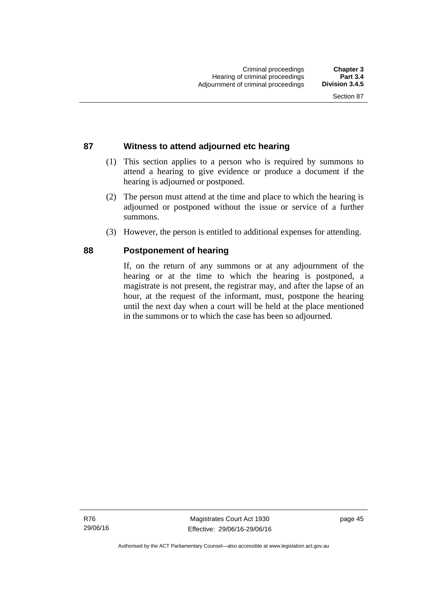# **87 Witness to attend adjourned etc hearing**

- (1) This section applies to a person who is required by summons to attend a hearing to give evidence or produce a document if the hearing is adjourned or postponed.
- (2) The person must attend at the time and place to which the hearing is adjourned or postponed without the issue or service of a further summons.
- (3) However, the person is entitled to additional expenses for attending.

# **88 Postponement of hearing**

If, on the return of any summons or at any adjournment of the hearing or at the time to which the hearing is postponed, a magistrate is not present, the registrar may, and after the lapse of an hour, at the request of the informant, must, postpone the hearing until the next day when a court will be held at the place mentioned in the summons or to which the case has been so adjourned.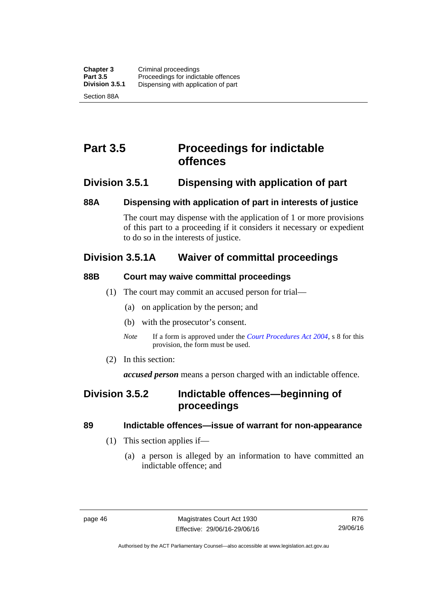# **Part 3.5 Proceedings for indictable offences**

# **Division 3.5.1 Dispensing with application of part**

# **88A Dispensing with application of part in interests of justice**

The court may dispense with the application of 1 or more provisions of this part to a proceeding if it considers it necessary or expedient to do so in the interests of justice.

# **Division 3.5.1A Waiver of committal proceedings**

# **88B Court may waive committal proceedings**

- (1) The court may commit an accused person for trial—
	- (a) on application by the person; and
	- (b) with the prosecutor's consent.
	- *Note* If a form is approved under the *[Court Procedures Act 2004](http://www.legislation.act.gov.au/a/2004-59)*, s 8 for this provision, the form must be used.
- (2) In this section:

*accused person* means a person charged with an indictable offence.

# **Division 3.5.2 Indictable offences—beginning of proceedings**

# **89 Indictable offences—issue of warrant for non-appearance**

- (1) This section applies if—
	- (a) a person is alleged by an information to have committed an indictable offence; and

Authorised by the ACT Parliamentary Counsel—also accessible at www.legislation.act.gov.au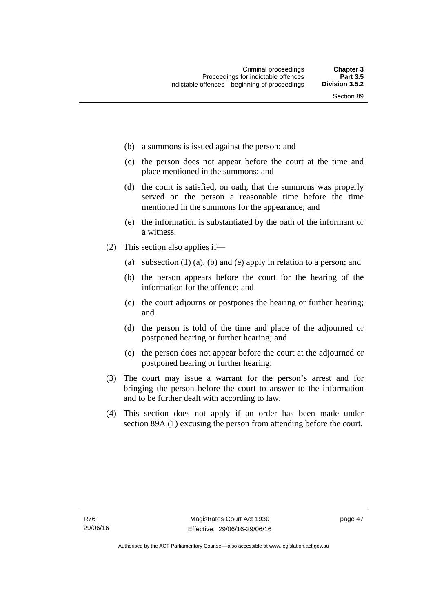- (b) a summons is issued against the person; and
- (c) the person does not appear before the court at the time and place mentioned in the summons; and
- (d) the court is satisfied, on oath, that the summons was properly served on the person a reasonable time before the time mentioned in the summons for the appearance; and
- (e) the information is substantiated by the oath of the informant or a witness.
- (2) This section also applies if—
	- (a) subsection (1) (a), (b) and (e) apply in relation to a person; and
	- (b) the person appears before the court for the hearing of the information for the offence; and
	- (c) the court adjourns or postpones the hearing or further hearing; and
	- (d) the person is told of the time and place of the adjourned or postponed hearing or further hearing; and
	- (e) the person does not appear before the court at the adjourned or postponed hearing or further hearing.
- (3) The court may issue a warrant for the person's arrest and for bringing the person before the court to answer to the information and to be further dealt with according to law.
- (4) This section does not apply if an order has been made under section 89A (1) excusing the person from attending before the court.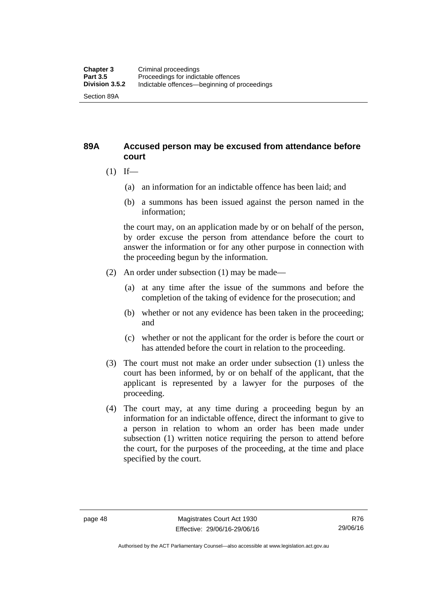# **89A Accused person may be excused from attendance before court**

- $(1)$  If—
	- (a) an information for an indictable offence has been laid; and
	- (b) a summons has been issued against the person named in the information;

the court may, on an application made by or on behalf of the person, by order excuse the person from attendance before the court to answer the information or for any other purpose in connection with the proceeding begun by the information.

- (2) An order under subsection (1) may be made—
	- (a) at any time after the issue of the summons and before the completion of the taking of evidence for the prosecution; and
	- (b) whether or not any evidence has been taken in the proceeding; and
	- (c) whether or not the applicant for the order is before the court or has attended before the court in relation to the proceeding.
- (3) The court must not make an order under subsection (1) unless the court has been informed, by or on behalf of the applicant, that the applicant is represented by a lawyer for the purposes of the proceeding.
- (4) The court may, at any time during a proceeding begun by an information for an indictable offence, direct the informant to give to a person in relation to whom an order has been made under subsection (1) written notice requiring the person to attend before the court, for the purposes of the proceeding, at the time and place specified by the court.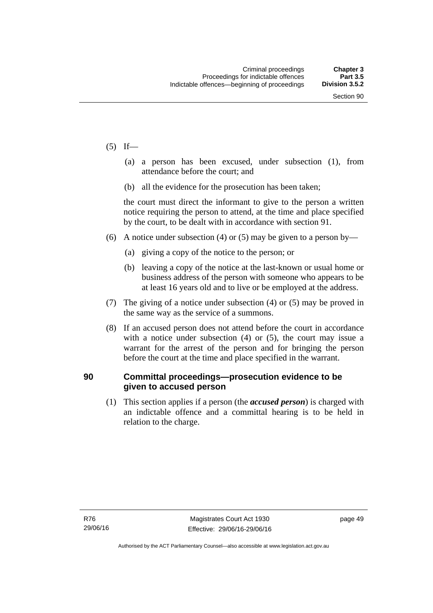- $(5)$  If—
	- (a) a person has been excused, under subsection (1), from attendance before the court; and
	- (b) all the evidence for the prosecution has been taken;

the court must direct the informant to give to the person a written notice requiring the person to attend, at the time and place specified by the court, to be dealt with in accordance with section 91.

- (6) A notice under subsection (4) or (5) may be given to a person by—
	- (a) giving a copy of the notice to the person; or
	- (b) leaving a copy of the notice at the last-known or usual home or business address of the person with someone who appears to be at least 16 years old and to live or be employed at the address.
- (7) The giving of a notice under subsection (4) or (5) may be proved in the same way as the service of a summons.
- (8) If an accused person does not attend before the court in accordance with a notice under subsection (4) or (5), the court may issue a warrant for the arrest of the person and for bringing the person before the court at the time and place specified in the warrant.

# **90 Committal proceedings—prosecution evidence to be given to accused person**

(1) This section applies if a person (the *accused person*) is charged with an indictable offence and a committal hearing is to be held in relation to the charge.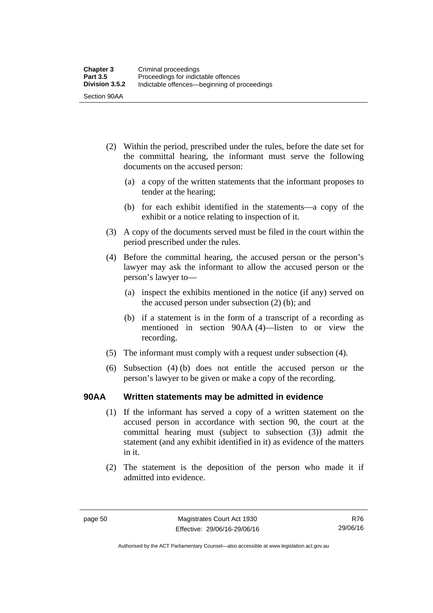- (2) Within the period, prescribed under the rules, before the date set for the committal hearing, the informant must serve the following documents on the accused person:
	- (a) a copy of the written statements that the informant proposes to tender at the hearing;
	- (b) for each exhibit identified in the statements—a copy of the exhibit or a notice relating to inspection of it.
- (3) A copy of the documents served must be filed in the court within the period prescribed under the rules.
- (4) Before the committal hearing, the accused person or the person's lawyer may ask the informant to allow the accused person or the person's lawyer to—
	- (a) inspect the exhibits mentioned in the notice (if any) served on the accused person under subsection (2) (b); and
	- (b) if a statement is in the form of a transcript of a recording as mentioned in section 90AA (4)—listen to or view the recording.
- (5) The informant must comply with a request under subsection (4).
- (6) Subsection (4) (b) does not entitle the accused person or the person's lawyer to be given or make a copy of the recording.

# **90AA Written statements may be admitted in evidence**

- (1) If the informant has served a copy of a written statement on the accused person in accordance with section 90, the court at the committal hearing must (subject to subsection (3)) admit the statement (and any exhibit identified in it) as evidence of the matters in it.
- (2) The statement is the deposition of the person who made it if admitted into evidence.

R76 29/06/16

Authorised by the ACT Parliamentary Counsel—also accessible at www.legislation.act.gov.au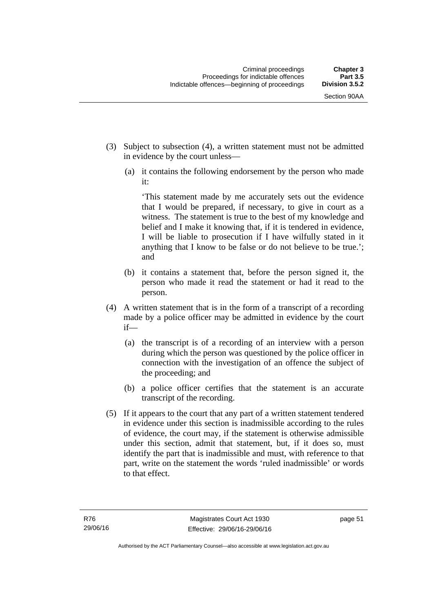- (3) Subject to subsection (4), a written statement must not be admitted in evidence by the court unless—
	- (a) it contains the following endorsement by the person who made it:

'This statement made by me accurately sets out the evidence that I would be prepared, if necessary, to give in court as a witness. The statement is true to the best of my knowledge and belief and I make it knowing that, if it is tendered in evidence, I will be liable to prosecution if I have wilfully stated in it anything that I know to be false or do not believe to be true.'; and

- (b) it contains a statement that, before the person signed it, the person who made it read the statement or had it read to the person.
- (4) A written statement that is in the form of a transcript of a recording made by a police officer may be admitted in evidence by the court if—
	- (a) the transcript is of a recording of an interview with a person during which the person was questioned by the police officer in connection with the investigation of an offence the subject of the proceeding; and
	- (b) a police officer certifies that the statement is an accurate transcript of the recording.
- (5) If it appears to the court that any part of a written statement tendered in evidence under this section is inadmissible according to the rules of evidence, the court may, if the statement is otherwise admissible under this section, admit that statement, but, if it does so, must identify the part that is inadmissible and must, with reference to that part, write on the statement the words 'ruled inadmissible' or words to that effect.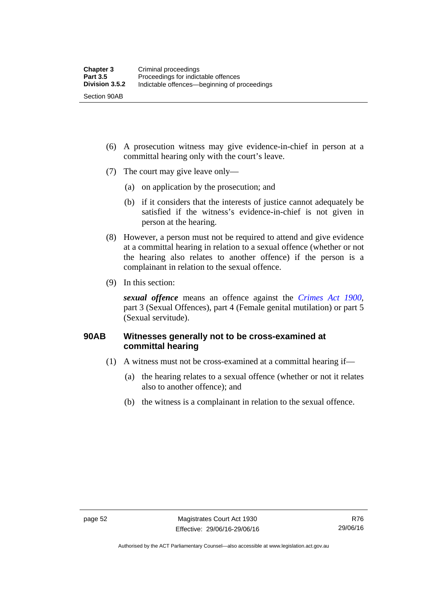- (6) A prosecution witness may give evidence-in-chief in person at a committal hearing only with the court's leave.
- (7) The court may give leave only—
	- (a) on application by the prosecution; and
	- (b) if it considers that the interests of justice cannot adequately be satisfied if the witness's evidence-in-chief is not given in person at the hearing.
- (8) However, a person must not be required to attend and give evidence at a committal hearing in relation to a sexual offence (whether or not the hearing also relates to another offence) if the person is a complainant in relation to the sexual offence.
- (9) In this section:

*sexual offence* means an offence against the *[Crimes Act 1900](http://www.legislation.act.gov.au/a/1900-40)*, part 3 (Sexual Offences), part 4 (Female genital mutilation) or part 5 (Sexual servitude).

# **90AB Witnesses generally not to be cross-examined at committal hearing**

- (1) A witness must not be cross-examined at a committal hearing if—
	- (a) the hearing relates to a sexual offence (whether or not it relates also to another offence); and
	- (b) the witness is a complainant in relation to the sexual offence.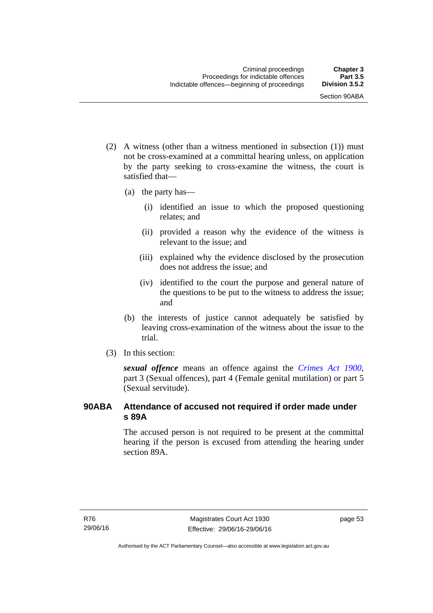- (2) A witness (other than a witness mentioned in subsection (1)) must not be cross-examined at a committal hearing unless, on application by the party seeking to cross-examine the witness, the court is satisfied that—
	- (a) the party has—
		- (i) identified an issue to which the proposed questioning relates; and
		- (ii) provided a reason why the evidence of the witness is relevant to the issue; and
		- (iii) explained why the evidence disclosed by the prosecution does not address the issue; and
		- (iv) identified to the court the purpose and general nature of the questions to be put to the witness to address the issue; and
	- (b) the interests of justice cannot adequately be satisfied by leaving cross-examination of the witness about the issue to the trial.
- (3) In this section:

*sexual offence* means an offence against the *[Crimes Act 1900](http://www.legislation.act.gov.au/a/1900-40)*, part 3 (Sexual offences), part 4 (Female genital mutilation) or part 5 (Sexual servitude).

# **90ABA Attendance of accused not required if order made under s 89A**

The accused person is not required to be present at the committal hearing if the person is excused from attending the hearing under section 89A.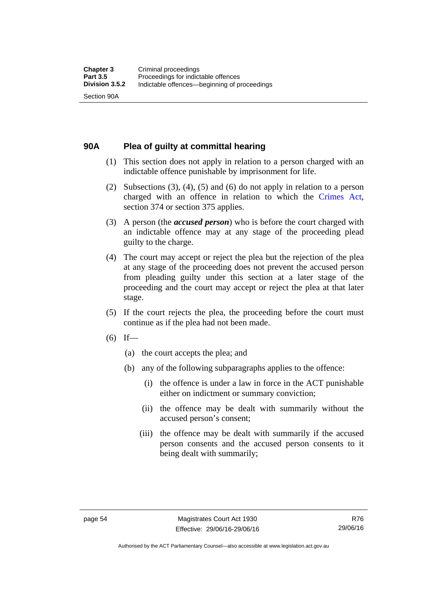# **90A Plea of guilty at committal hearing**

- (1) This section does not apply in relation to a person charged with an indictable offence punishable by imprisonment for life.
- (2) Subsections (3), (4), (5) and (6) do not apply in relation to a person charged with an offence in relation to which the [Crimes Act](http://www.legislation.act.gov.au/a/1900-40/default.asp), section 374 or section 375 applies.
- (3) A person (the *accused person*) who is before the court charged with an indictable offence may at any stage of the proceeding plead guilty to the charge.
- (4) The court may accept or reject the plea but the rejection of the plea at any stage of the proceeding does not prevent the accused person from pleading guilty under this section at a later stage of the proceeding and the court may accept or reject the plea at that later stage.
- (5) If the court rejects the plea, the proceeding before the court must continue as if the plea had not been made.
- $(6)$  If—
	- (a) the court accepts the plea; and
	- (b) any of the following subparagraphs applies to the offence:
		- (i) the offence is under a law in force in the ACT punishable either on indictment or summary conviction;
		- (ii) the offence may be dealt with summarily without the accused person's consent;
		- (iii) the offence may be dealt with summarily if the accused person consents and the accused person consents to it being dealt with summarily;

Authorised by the ACT Parliamentary Counsel—also accessible at www.legislation.act.gov.au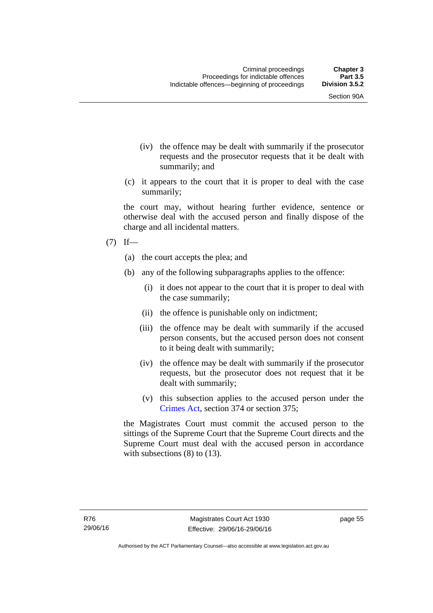- (iv) the offence may be dealt with summarily if the prosecutor requests and the prosecutor requests that it be dealt with summarily; and
- (c) it appears to the court that it is proper to deal with the case summarily;

the court may, without hearing further evidence, sentence or otherwise deal with the accused person and finally dispose of the charge and all incidental matters.

# $(7)$  If—

- (a) the court accepts the plea; and
- (b) any of the following subparagraphs applies to the offence:
	- (i) it does not appear to the court that it is proper to deal with the case summarily;
	- (ii) the offence is punishable only on indictment;
	- (iii) the offence may be dealt with summarily if the accused person consents, but the accused person does not consent to it being dealt with summarily;
	- (iv) the offence may be dealt with summarily if the prosecutor requests, but the prosecutor does not request that it be dealt with summarily;
	- (v) this subsection applies to the accused person under the [Crimes Act,](http://www.legislation.act.gov.au/a/1900-40/default.asp) section 374 or section 375;

the Magistrates Court must commit the accused person to the sittings of the Supreme Court that the Supreme Court directs and the Supreme Court must deal with the accused person in accordance with subsections (8) to (13).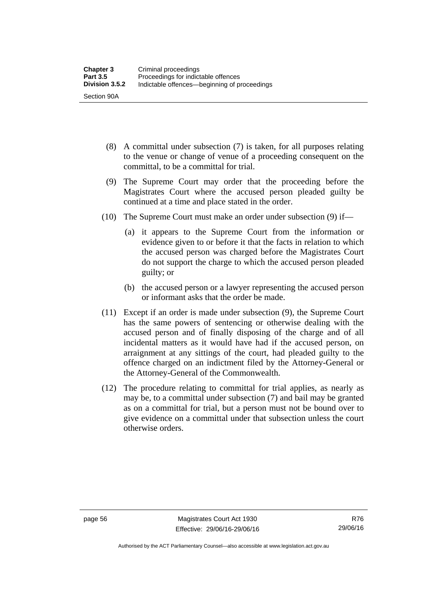- (8) A committal under subsection (7) is taken, for all purposes relating to the venue or change of venue of a proceeding consequent on the committal, to be a committal for trial.
- (9) The Supreme Court may order that the proceeding before the Magistrates Court where the accused person pleaded guilty be continued at a time and place stated in the order.
- (10) The Supreme Court must make an order under subsection (9) if—
	- (a) it appears to the Supreme Court from the information or evidence given to or before it that the facts in relation to which the accused person was charged before the Magistrates Court do not support the charge to which the accused person pleaded guilty; or
	- (b) the accused person or a lawyer representing the accused person or informant asks that the order be made.
- (11) Except if an order is made under subsection (9), the Supreme Court has the same powers of sentencing or otherwise dealing with the accused person and of finally disposing of the charge and of all incidental matters as it would have had if the accused person, on arraignment at any sittings of the court, had pleaded guilty to the offence charged on an indictment filed by the Attorney-General or the Attorney-General of the Commonwealth.
- (12) The procedure relating to committal for trial applies, as nearly as may be, to a committal under subsection (7) and bail may be granted as on a committal for trial, but a person must not be bound over to give evidence on a committal under that subsection unless the court otherwise orders.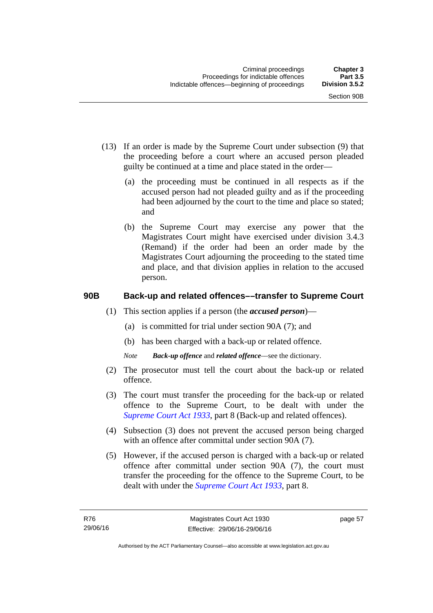- (13) If an order is made by the Supreme Court under subsection (9) that the proceeding before a court where an accused person pleaded guilty be continued at a time and place stated in the order—
	- (a) the proceeding must be continued in all respects as if the accused person had not pleaded guilty and as if the proceeding had been adjourned by the court to the time and place so stated; and
	- (b) the Supreme Court may exercise any power that the Magistrates Court might have exercised under division 3.4.3 (Remand) if the order had been an order made by the Magistrates Court adjourning the proceeding to the stated time and place, and that division applies in relation to the accused person.

# **90B Back-up and related offences––transfer to Supreme Court**

- (1) This section applies if a person (the *accused person*)––
	- (a) is committed for trial under section 90A (7); and
	- (b) has been charged with a back-up or related offence.
	- *Note Back-up offence* and *related offence*––see the dictionary.
- (2) The prosecutor must tell the court about the back-up or related offence.
- (3) The court must transfer the proceeding for the back-up or related offence to the Supreme Court, to be dealt with under the *[Supreme Court Act 1933](http://www.legislation.act.gov.au/a/1933-34)*, part 8 (Back-up and related offences).
- (4) Subsection (3) does not prevent the accused person being charged with an offence after committal under section 90A (7).
- (5) However, if the accused person is charged with a back-up or related offence after committal under section 90A (7), the court must transfer the proceeding for the offence to the Supreme Court, to be dealt with under the *[Supreme Court Act 1933](http://www.legislation.act.gov.au/a/1933-34)*, part 8.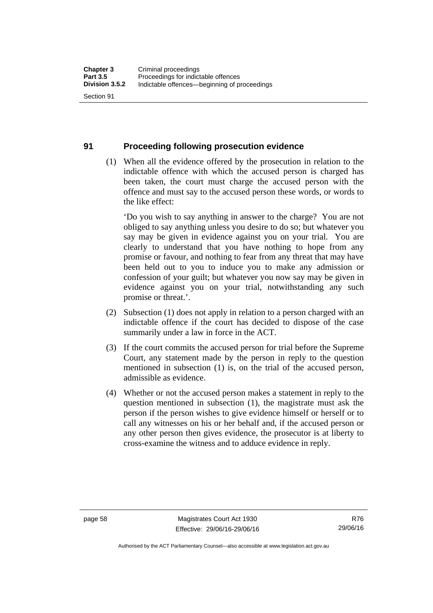#### **91 Proceeding following prosecution evidence**

 (1) When all the evidence offered by the prosecution in relation to the indictable offence with which the accused person is charged has been taken, the court must charge the accused person with the offence and must say to the accused person these words, or words to the like effect:

'Do you wish to say anything in answer to the charge? You are not obliged to say anything unless you desire to do so; but whatever you say may be given in evidence against you on your trial. You are clearly to understand that you have nothing to hope from any promise or favour, and nothing to fear from any threat that may have been held out to you to induce you to make any admission or confession of your guilt; but whatever you now say may be given in evidence against you on your trial, notwithstanding any such promise or threat.'.

- (2) Subsection (1) does not apply in relation to a person charged with an indictable offence if the court has decided to dispose of the case summarily under a law in force in the ACT.
- (3) If the court commits the accused person for trial before the Supreme Court, any statement made by the person in reply to the question mentioned in subsection (1) is, on the trial of the accused person, admissible as evidence.
- (4) Whether or not the accused person makes a statement in reply to the question mentioned in subsection (1), the magistrate must ask the person if the person wishes to give evidence himself or herself or to call any witnesses on his or her behalf and, if the accused person or any other person then gives evidence, the prosecutor is at liberty to cross-examine the witness and to adduce evidence in reply.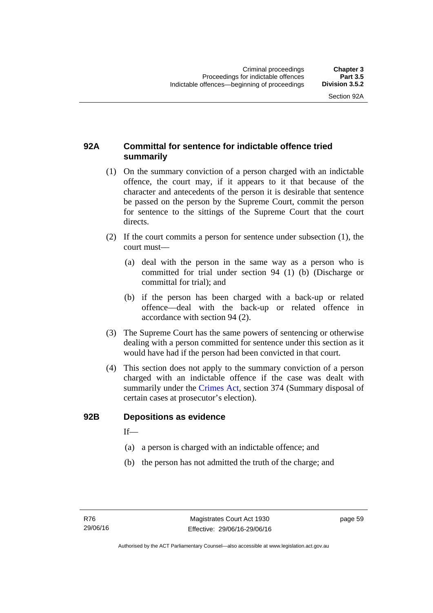# **92A Committal for sentence for indictable offence tried summarily**

- (1) On the summary conviction of a person charged with an indictable offence, the court may, if it appears to it that because of the character and antecedents of the person it is desirable that sentence be passed on the person by the Supreme Court, commit the person for sentence to the sittings of the Supreme Court that the court directs.
- (2) If the court commits a person for sentence under subsection (1), the court must––
	- (a) deal with the person in the same way as a person who is committed for trial under section 94 (1) (b) (Discharge or committal for trial); and
	- (b) if the person has been charged with a back-up or related offence––deal with the back-up or related offence in accordance with section 94 (2).
- (3) The Supreme Court has the same powers of sentencing or otherwise dealing with a person committed for sentence under this section as it would have had if the person had been convicted in that court.
- (4) This section does not apply to the summary conviction of a person charged with an indictable offence if the case was dealt with summarily under the [Crimes Act,](http://www.legislation.act.gov.au/a/1900-40/default.asp) section 374 (Summary disposal of certain cases at prosecutor's election).

#### **92B Depositions as evidence**

 $If$ —

- (a) a person is charged with an indictable offence; and
- (b) the person has not admitted the truth of the charge; and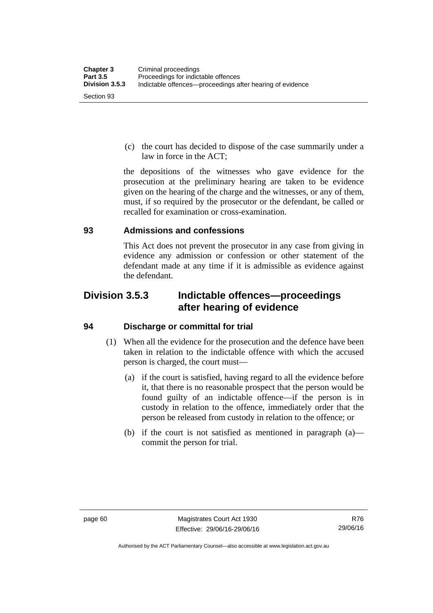(c) the court has decided to dispose of the case summarily under a law in force in the ACT;

the depositions of the witnesses who gave evidence for the prosecution at the preliminary hearing are taken to be evidence given on the hearing of the charge and the witnesses, or any of them, must, if so required by the prosecutor or the defendant, be called or recalled for examination or cross-examination.

#### **93 Admissions and confessions**

This Act does not prevent the prosecutor in any case from giving in evidence any admission or confession or other statement of the defendant made at any time if it is admissible as evidence against the defendant.

# **Division 3.5.3 Indictable offences—proceedings after hearing of evidence**

## **94 Discharge or committal for trial**

- (1) When all the evidence for the prosecution and the defence have been taken in relation to the indictable offence with which the accused person is charged, the court must—
	- (a) if the court is satisfied, having regard to all the evidence before it, that there is no reasonable prospect that the person would be found guilty of an indictable offence—if the person is in custody in relation to the offence, immediately order that the person be released from custody in relation to the offence; or
	- (b) if the court is not satisfied as mentioned in paragraph (a) commit the person for trial.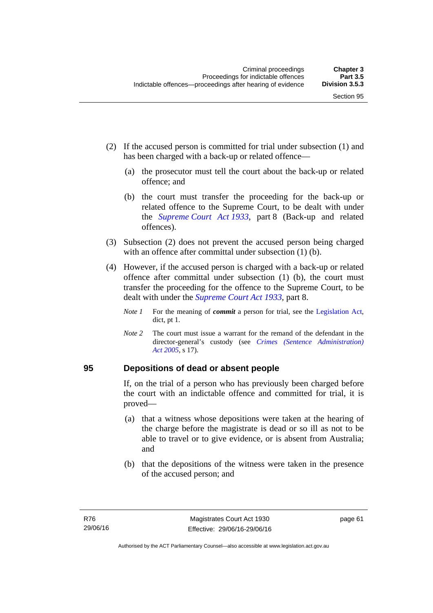- (2) If the accused person is committed for trial under subsection (1) and has been charged with a back-up or related offence—
	- (a) the prosecutor must tell the court about the back-up or related offence; and
	- (b) the court must transfer the proceeding for the back-up or related offence to the Supreme Court, to be dealt with under the *[Supreme Court Act 1933](http://www.legislation.act.gov.au/a/1933-34)*, part 8 (Back-up and related offences).
- (3) Subsection (2) does not prevent the accused person being charged with an offence after committal under subsection (1) (b).
- (4) However, if the accused person is charged with a back-up or related offence after committal under subsection (1) (b), the court must transfer the proceeding for the offence to the Supreme Court, to be dealt with under the *[Supreme Court Act 1933](http://www.legislation.act.gov.au/a/1933-34)*, part 8.
	- *Note 1* For the meaning of *commit* a person for trial, see the [Legislation Act,](http://www.legislation.act.gov.au/a/2001-14) dict, pt 1.
	- *Note 2* The court must issue a warrant for the remand of the defendant in the director-general's custody (see *[Crimes \(Sentence Administration\)](http://www.legislation.act.gov.au/a/2005-59)  [Act 2005](http://www.legislation.act.gov.au/a/2005-59)*, s 17).

#### **95 Depositions of dead or absent people**

If, on the trial of a person who has previously been charged before the court with an indictable offence and committed for trial, it is proved—

- (a) that a witness whose depositions were taken at the hearing of the charge before the magistrate is dead or so ill as not to be able to travel or to give evidence, or is absent from Australia; and
- (b) that the depositions of the witness were taken in the presence of the accused person; and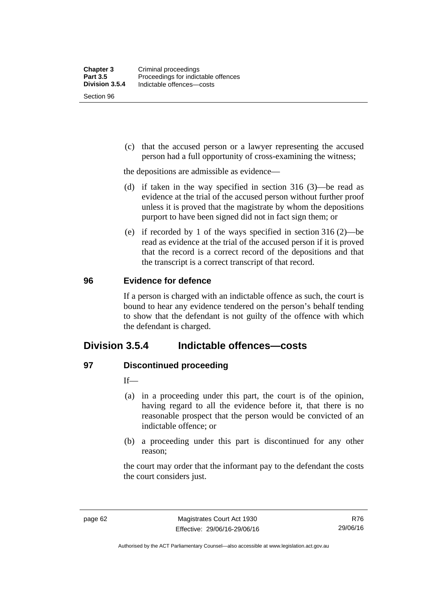Section 96

 (c) that the accused person or a lawyer representing the accused person had a full opportunity of cross-examining the witness;

the depositions are admissible as evidence—

- (d) if taken in the way specified in section 316 (3)—be read as evidence at the trial of the accused person without further proof unless it is proved that the magistrate by whom the depositions purport to have been signed did not in fact sign them; or
- (e) if recorded by 1 of the ways specified in section 316 (2)—be read as evidence at the trial of the accused person if it is proved that the record is a correct record of the depositions and that the transcript is a correct transcript of that record.

#### **96 Evidence for defence**

If a person is charged with an indictable offence as such, the court is bound to hear any evidence tendered on the person's behalf tending to show that the defendant is not guilty of the offence with which the defendant is charged.

# **Division 3.5.4 Indictable offences—costs**

## **97 Discontinued proceeding**

If—

- (a) in a proceeding under this part, the court is of the opinion, having regard to all the evidence before it, that there is no reasonable prospect that the person would be convicted of an indictable offence; or
- (b) a proceeding under this part is discontinued for any other reason;

the court may order that the informant pay to the defendant the costs the court considers just.

Authorised by the ACT Parliamentary Counsel—also accessible at www.legislation.act.gov.au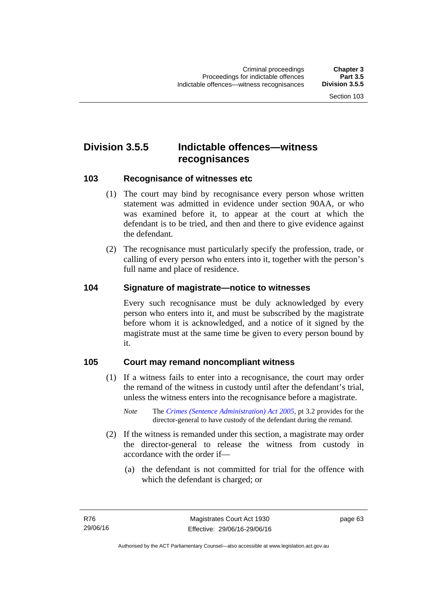# **Division 3.5.5 Indictable offences—witness recognisances**

#### **103 Recognisance of witnesses etc**

- (1) The court may bind by recognisance every person whose written statement was admitted in evidence under section 90AA, or who was examined before it, to appear at the court at which the defendant is to be tried, and then and there to give evidence against the defendant.
- (2) The recognisance must particularly specify the profession, trade, or calling of every person who enters into it, together with the person's full name and place of residence.

#### **104 Signature of magistrate—notice to witnesses**

Every such recognisance must be duly acknowledged by every person who enters into it, and must be subscribed by the magistrate before whom it is acknowledged, and a notice of it signed by the magistrate must at the same time be given to every person bound by it.

#### **105 Court may remand noncompliant witness**

- (1) If a witness fails to enter into a recognisance, the court may order the remand of the witness in custody until after the defendant's trial, unless the witness enters into the recognisance before a magistrate.
	- *Note* The *[Crimes \(Sentence Administration\) Act 2005](http://www.legislation.act.gov.au/a/2005-59)*, pt 3.2 provides for the director-general to have custody of the defendant during the remand.
- (2) If the witness is remanded under this section, a magistrate may order the director-general to release the witness from custody in accordance with the order if—
	- (a) the defendant is not committed for trial for the offence with which the defendant is charged; or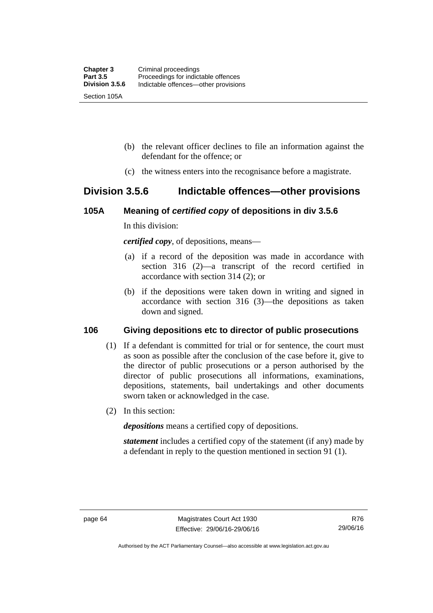- (b) the relevant officer declines to file an information against the defendant for the offence; or
- (c) the witness enters into the recognisance before a magistrate.

# **Division 3.5.6 Indictable offences—other provisions**

#### **105A Meaning of** *certified copy* **of depositions in div 3.5.6**

In this division:

*certified copy*, of depositions, means—

- (a) if a record of the deposition was made in accordance with section 316 (2)—a transcript of the record certified in accordance with section 314 (2); or
- (b) if the depositions were taken down in writing and signed in accordance with section 316 (3)—the depositions as taken down and signed.

## **106 Giving depositions etc to director of public prosecutions**

- (1) If a defendant is committed for trial or for sentence, the court must as soon as possible after the conclusion of the case before it, give to the director of public prosecutions or a person authorised by the director of public prosecutions all informations, examinations, depositions, statements, bail undertakings and other documents sworn taken or acknowledged in the case.
- (2) In this section:

*depositions* means a certified copy of depositions.

*statement* includes a certified copy of the statement (if any) made by a defendant in reply to the question mentioned in section 91 (1).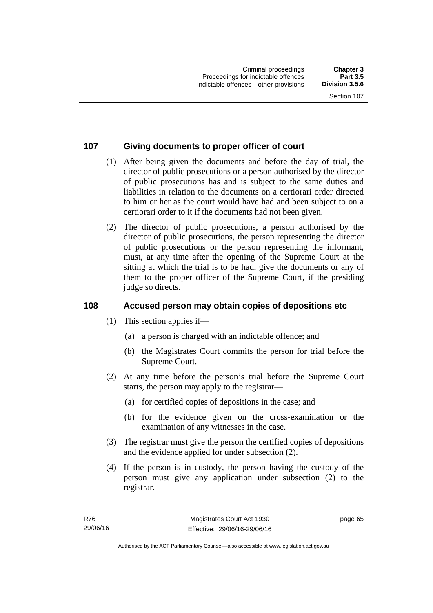## **107 Giving documents to proper officer of court**

- (1) After being given the documents and before the day of trial, the director of public prosecutions or a person authorised by the director of public prosecutions has and is subject to the same duties and liabilities in relation to the documents on a certiorari order directed to him or her as the court would have had and been subject to on a certiorari order to it if the documents had not been given.
- (2) The director of public prosecutions, a person authorised by the director of public prosecutions, the person representing the director of public prosecutions or the person representing the informant, must, at any time after the opening of the Supreme Court at the sitting at which the trial is to be had, give the documents or any of them to the proper officer of the Supreme Court, if the presiding judge so directs.

## **108 Accused person may obtain copies of depositions etc**

- (1) This section applies if—
	- (a) a person is charged with an indictable offence; and
	- (b) the Magistrates Court commits the person for trial before the Supreme Court.
- (2) At any time before the person's trial before the Supreme Court starts, the person may apply to the registrar—
	- (a) for certified copies of depositions in the case; and
	- (b) for the evidence given on the cross-examination or the examination of any witnesses in the case.
- (3) The registrar must give the person the certified copies of depositions and the evidence applied for under subsection (2).
- (4) If the person is in custody, the person having the custody of the person must give any application under subsection (2) to the registrar.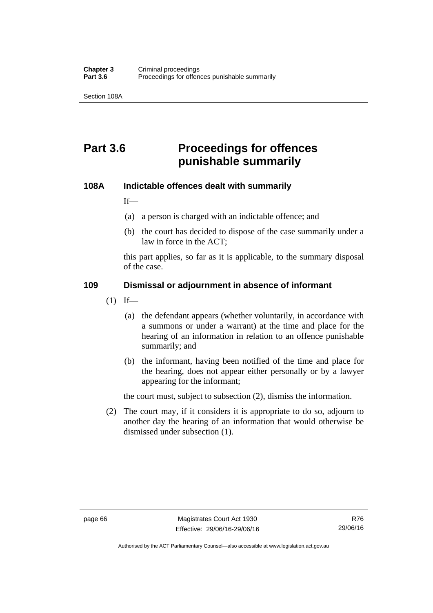Section 108A

# **Part 3.6 Proceedings for offences punishable summarily**

#### **108A Indictable offences dealt with summarily**

If—

- (a) a person is charged with an indictable offence; and
- (b) the court has decided to dispose of the case summarily under a law in force in the ACT;

this part applies, so far as it is applicable, to the summary disposal of the case.

#### **109 Dismissal or adjournment in absence of informant**

- $(1)$  If—
	- (a) the defendant appears (whether voluntarily, in accordance with a summons or under a warrant) at the time and place for the hearing of an information in relation to an offence punishable summarily; and
	- (b) the informant, having been notified of the time and place for the hearing, does not appear either personally or by a lawyer appearing for the informant;

the court must, subject to subsection (2), dismiss the information.

 (2) The court may, if it considers it is appropriate to do so, adjourn to another day the hearing of an information that would otherwise be dismissed under subsection (1).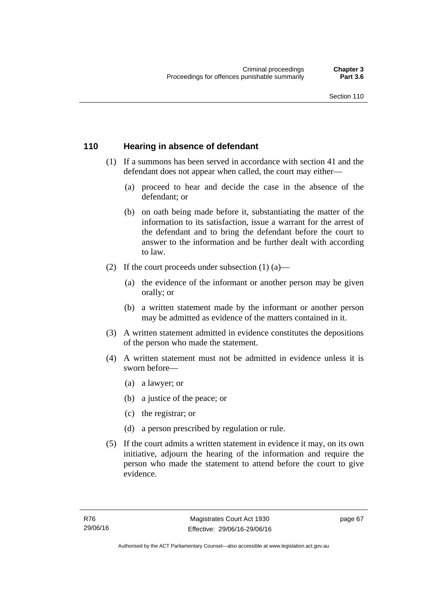#### **110 Hearing in absence of defendant**

- (1) If a summons has been served in accordance with section 41 and the defendant does not appear when called, the court may either—
	- (a) proceed to hear and decide the case in the absence of the defendant; or
	- (b) on oath being made before it, substantiating the matter of the information to its satisfaction, issue a warrant for the arrest of the defendant and to bring the defendant before the court to answer to the information and be further dealt with according to law.
- (2) If the court proceeds under subsection  $(1)$   $(a)$ 
	- (a) the evidence of the informant or another person may be given orally; or
	- (b) a written statement made by the informant or another person may be admitted as evidence of the matters contained in it.
- (3) A written statement admitted in evidence constitutes the depositions of the person who made the statement.
- (4) A written statement must not be admitted in evidence unless it is sworn before—
	- (a) a lawyer; or
	- (b) a justice of the peace; or
	- (c) the registrar; or
	- (d) a person prescribed by regulation or rule.
- (5) If the court admits a written statement in evidence it may, on its own initiative, adjourn the hearing of the information and require the person who made the statement to attend before the court to give evidence.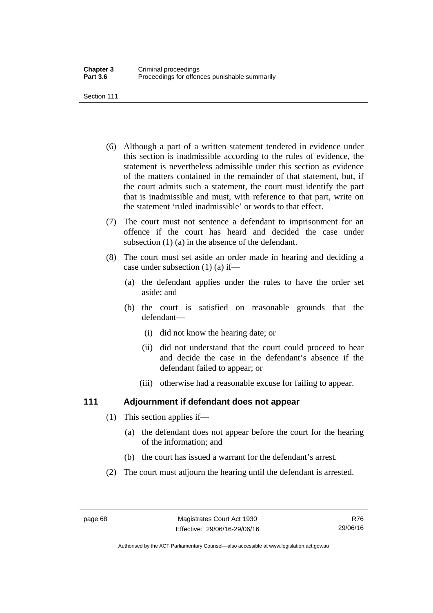Section 111

- (6) Although a part of a written statement tendered in evidence under this section is inadmissible according to the rules of evidence, the statement is nevertheless admissible under this section as evidence of the matters contained in the remainder of that statement, but, if the court admits such a statement, the court must identify the part that is inadmissible and must, with reference to that part, write on the statement 'ruled inadmissible' or words to that effect.
- (7) The court must not sentence a defendant to imprisonment for an offence if the court has heard and decided the case under subsection (1) (a) in the absence of the defendant.
- (8) The court must set aside an order made in hearing and deciding a case under subsection (1) (a) if—
	- (a) the defendant applies under the rules to have the order set aside; and
	- (b) the court is satisfied on reasonable grounds that the defendant—
		- (i) did not know the hearing date; or
		- (ii) did not understand that the court could proceed to hear and decide the case in the defendant's absence if the defendant failed to appear; or
		- (iii) otherwise had a reasonable excuse for failing to appear.

## **111 Adjournment if defendant does not appear**

- (1) This section applies if—
	- (a) the defendant does not appear before the court for the hearing of the information; and
	- (b) the court has issued a warrant for the defendant's arrest.
- (2) The court must adjourn the hearing until the defendant is arrested.

Authorised by the ACT Parliamentary Counsel—also accessible at www.legislation.act.gov.au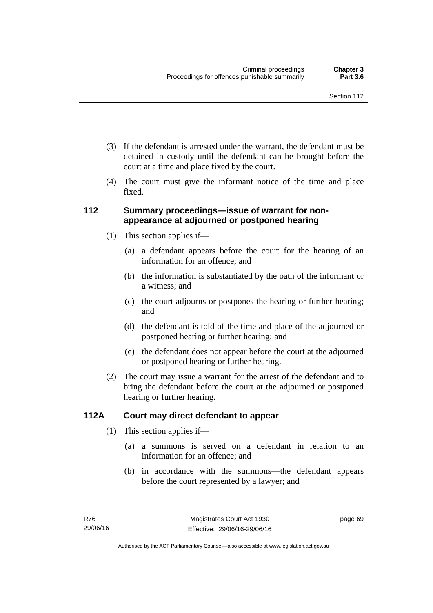- (3) If the defendant is arrested under the warrant, the defendant must be detained in custody until the defendant can be brought before the court at a time and place fixed by the court.
- (4) The court must give the informant notice of the time and place fixed.

#### **112 Summary proceedings—issue of warrant for nonappearance at adjourned or postponed hearing**

- (1) This section applies if—
	- (a) a defendant appears before the court for the hearing of an information for an offence; and
	- (b) the information is substantiated by the oath of the informant or a witness; and
	- (c) the court adjourns or postpones the hearing or further hearing; and
	- (d) the defendant is told of the time and place of the adjourned or postponed hearing or further hearing; and
	- (e) the defendant does not appear before the court at the adjourned or postponed hearing or further hearing.
- (2) The court may issue a warrant for the arrest of the defendant and to bring the defendant before the court at the adjourned or postponed hearing or further hearing.

## **112A Court may direct defendant to appear**

- (1) This section applies if—
	- (a) a summons is served on a defendant in relation to an information for an offence; and
	- (b) in accordance with the summons—the defendant appears before the court represented by a lawyer; and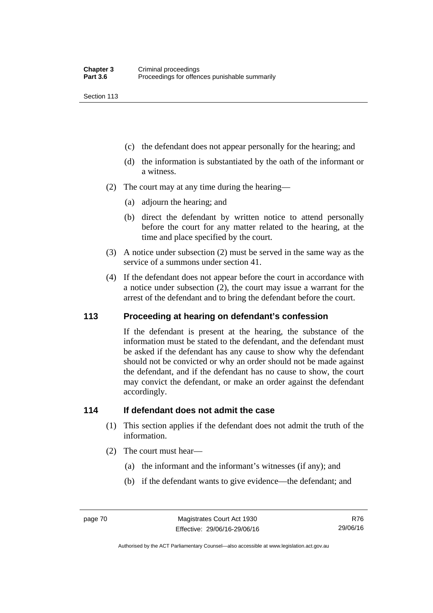Section 113

- (c) the defendant does not appear personally for the hearing; and
- (d) the information is substantiated by the oath of the informant or a witness.
- (2) The court may at any time during the hearing—
	- (a) adjourn the hearing; and
	- (b) direct the defendant by written notice to attend personally before the court for any matter related to the hearing, at the time and place specified by the court.
- (3) A notice under subsection (2) must be served in the same way as the service of a summons under section 41.
- (4) If the defendant does not appear before the court in accordance with a notice under subsection (2), the court may issue a warrant for the arrest of the defendant and to bring the defendant before the court.

#### **113 Proceeding at hearing on defendant's confession**

If the defendant is present at the hearing, the substance of the information must be stated to the defendant, and the defendant must be asked if the defendant has any cause to show why the defendant should not be convicted or why an order should not be made against the defendant, and if the defendant has no cause to show, the court may convict the defendant, or make an order against the defendant accordingly.

#### **114 If defendant does not admit the case**

- (1) This section applies if the defendant does not admit the truth of the information.
- (2) The court must hear—
	- (a) the informant and the informant's witnesses (if any); and
	- (b) if the defendant wants to give evidence—the defendant; and

R76 29/06/16

Authorised by the ACT Parliamentary Counsel—also accessible at www.legislation.act.gov.au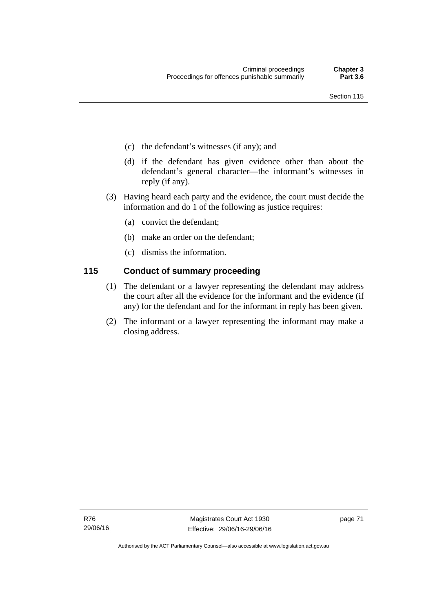- (c) the defendant's witnesses (if any); and
- (d) if the defendant has given evidence other than about the defendant's general character—the informant's witnesses in reply (if any).
- (3) Having heard each party and the evidence, the court must decide the information and do 1 of the following as justice requires:
	- (a) convict the defendant;
	- (b) make an order on the defendant;
	- (c) dismiss the information.

## **115 Conduct of summary proceeding**

- (1) The defendant or a lawyer representing the defendant may address the court after all the evidence for the informant and the evidence (if any) for the defendant and for the informant in reply has been given.
- (2) The informant or a lawyer representing the informant may make a closing address.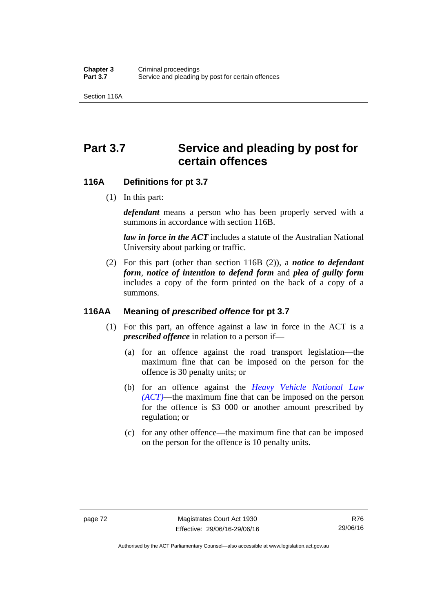Section 116A

# Part 3.7 Service and pleading by post for **certain offences**

#### **116A Definitions for pt 3.7**

(1) In this part:

*defendant* means a person who has been properly served with a summons in accordance with section 116B.

*law in force in the ACT* includes a statute of the Australian National University about parking or traffic.

 (2) For this part (other than section 116B (2)), a *notice to defendant form*, *notice of intention to defend form* and *plea of guilty form* includes a copy of the form printed on the back of a copy of a summons.

#### **116AA Meaning of** *prescribed offence* **for pt 3.7**

- (1) For this part, an offence against a law in force in the ACT is a *prescribed offence* in relation to a person if—
	- (a) for an offence against the road transport legislation—the maximum fine that can be imposed on the person for the offence is 30 penalty units; or
	- (b) for an offence against the *[Heavy Vehicle National Law](http://www.legislation.act.gov.au/a/db_49155/default.asp)  [\(ACT\)](http://www.legislation.act.gov.au/a/db_49155/default.asp)*—the maximum fine that can be imposed on the person for the offence is \$3 000 or another amount prescribed by regulation; or
	- (c) for any other offence—the maximum fine that can be imposed on the person for the offence is 10 penalty units.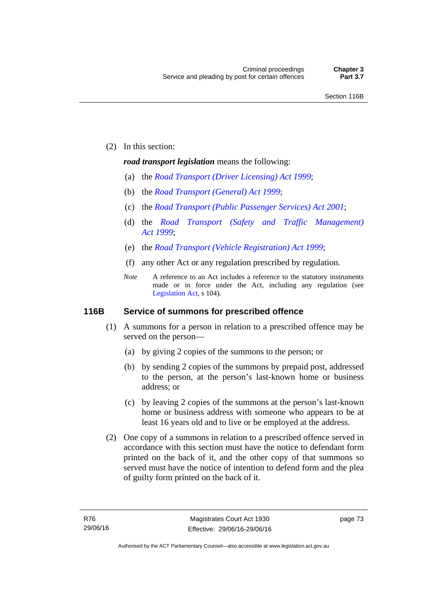(2) In this section:

#### *road transport legislation* means the following:

- (a) the *[Road Transport \(Driver Licensing\) Act 1999](http://www.legislation.act.gov.au/a/1999-78)*;
- (b) the *[Road Transport \(General\) Act 1999](http://www.legislation.act.gov.au/a/1999-77)*;
- (c) the *[Road Transport \(Public Passenger Services\) Act 2001](http://www.legislation.act.gov.au/a/2001-62)*;
- (d) the *[Road Transport \(Safety and Traffic Management\)](http://www.legislation.act.gov.au/a/1999-80)  [Act 1999](http://www.legislation.act.gov.au/a/1999-80)*;
- (e) the *[Road Transport \(Vehicle Registration\) Act 1999](http://www.legislation.act.gov.au/a/1999-81)*;
- (f) any other Act or any regulation prescribed by regulation.
- *Note* A reference to an Act includes a reference to the statutory instruments made or in force under the Act, including any regulation (see [Legislation Act,](http://www.legislation.act.gov.au/a/2001-14) s 104).

#### **116B Service of summons for prescribed offence**

- (1) A summons for a person in relation to a prescribed offence may be served on the person—
	- (a) by giving 2 copies of the summons to the person; or
	- (b) by sending 2 copies of the summons by prepaid post, addressed to the person, at the person's last-known home or business address; or
	- (c) by leaving 2 copies of the summons at the person's last-known home or business address with someone who appears to be at least 16 years old and to live or be employed at the address.
- (2) One copy of a summons in relation to a prescribed offence served in accordance with this section must have the notice to defendant form printed on the back of it, and the other copy of that summons so served must have the notice of intention to defend form and the plea of guilty form printed on the back of it.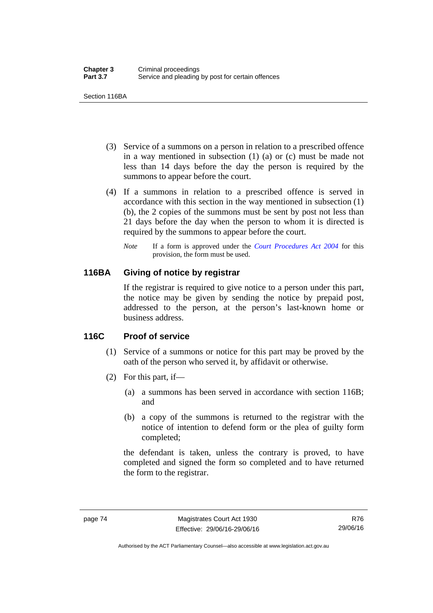Section 116BA

- (3) Service of a summons on a person in relation to a prescribed offence in a way mentioned in subsection (1) (a) or (c) must be made not less than 14 days before the day the person is required by the summons to appear before the court.
- (4) If a summons in relation to a prescribed offence is served in accordance with this section in the way mentioned in subsection (1) (b), the 2 copies of the summons must be sent by post not less than 21 days before the day when the person to whom it is directed is required by the summons to appear before the court.
	- *Note* If a form is approved under the *[Court Procedures Act 2004](http://www.legislation.act.gov.au/a/2004-59)* for this provision, the form must be used.

#### **116BA Giving of notice by registrar**

If the registrar is required to give notice to a person under this part, the notice may be given by sending the notice by prepaid post, addressed to the person, at the person's last-known home or business address.

## **116C Proof of service**

- (1) Service of a summons or notice for this part may be proved by the oath of the person who served it, by affidavit or otherwise.
- (2) For this part, if—
	- (a) a summons has been served in accordance with section 116B; and
	- (b) a copy of the summons is returned to the registrar with the notice of intention to defend form or the plea of guilty form completed;

the defendant is taken, unless the contrary is proved, to have completed and signed the form so completed and to have returned the form to the registrar.

Authorised by the ACT Parliamentary Counsel—also accessible at www.legislation.act.gov.au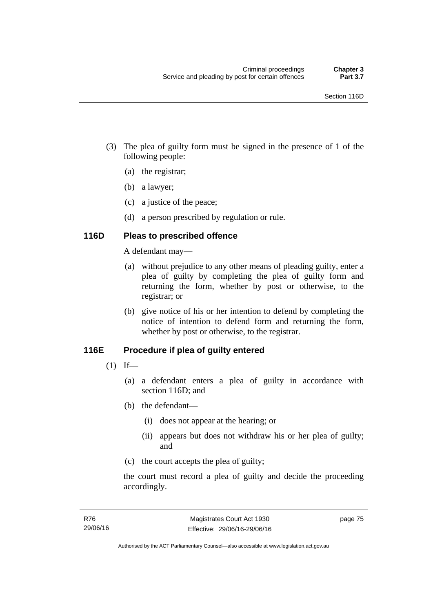- (3) The plea of guilty form must be signed in the presence of 1 of the following people:
	- (a) the registrar;
	- (b) a lawyer;
	- (c) a justice of the peace;
	- (d) a person prescribed by regulation or rule.

## **116D Pleas to prescribed offence**

A defendant may—

- (a) without prejudice to any other means of pleading guilty, enter a plea of guilty by completing the plea of guilty form and returning the form, whether by post or otherwise, to the registrar; or
- (b) give notice of his or her intention to defend by completing the notice of intention to defend form and returning the form, whether by post or otherwise, to the registrar.

# **116E Procedure if plea of guilty entered**

- $(1)$  If—
	- (a) a defendant enters a plea of guilty in accordance with section 116D; and
	- (b) the defendant—
		- (i) does not appear at the hearing; or
		- (ii) appears but does not withdraw his or her plea of guilty; and
	- (c) the court accepts the plea of guilty;

the court must record a plea of guilty and decide the proceeding accordingly.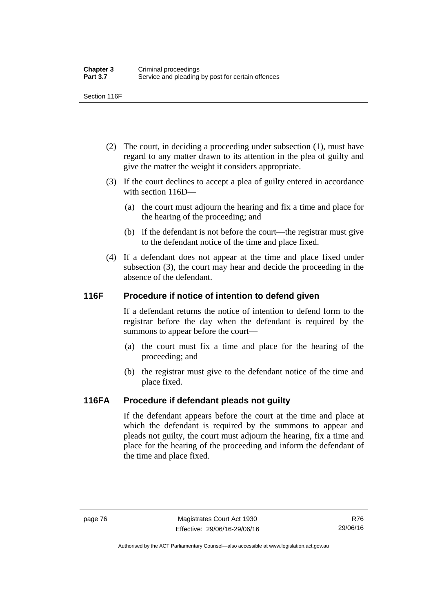Section 116F

- (2) The court, in deciding a proceeding under subsection (1), must have regard to any matter drawn to its attention in the plea of guilty and give the matter the weight it considers appropriate.
- (3) If the court declines to accept a plea of guilty entered in accordance with section 116D—
	- (a) the court must adjourn the hearing and fix a time and place for the hearing of the proceeding; and
	- (b) if the defendant is not before the court—the registrar must give to the defendant notice of the time and place fixed.
- (4) If a defendant does not appear at the time and place fixed under subsection (3), the court may hear and decide the proceeding in the absence of the defendant.

# **116F Procedure if notice of intention to defend given**

If a defendant returns the notice of intention to defend form to the registrar before the day when the defendant is required by the summons to appear before the court—

- (a) the court must fix a time and place for the hearing of the proceeding; and
- (b) the registrar must give to the defendant notice of the time and place fixed.

# **116FA Procedure if defendant pleads not guilty**

If the defendant appears before the court at the time and place at which the defendant is required by the summons to appear and pleads not guilty, the court must adjourn the hearing, fix a time and place for the hearing of the proceeding and inform the defendant of the time and place fixed.

Authorised by the ACT Parliamentary Counsel—also accessible at www.legislation.act.gov.au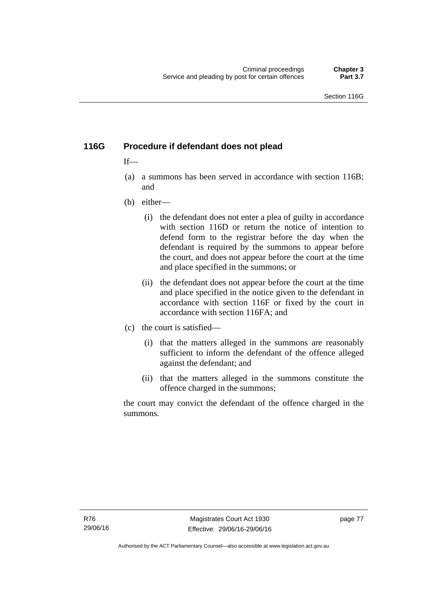# **116G Procedure if defendant does not plead**

## $If$ —

- (a) a summons has been served in accordance with section 116B; and
- (b) either—
	- (i) the defendant does not enter a plea of guilty in accordance with section 116D or return the notice of intention to defend form to the registrar before the day when the defendant is required by the summons to appear before the court, and does not appear before the court at the time and place specified in the summons; or
	- (ii) the defendant does not appear before the court at the time and place specified in the notice given to the defendant in accordance with section 116F or fixed by the court in accordance with section 116FA; and
- (c) the court is satisfied—
	- (i) that the matters alleged in the summons are reasonably sufficient to inform the defendant of the offence alleged against the defendant; and
	- (ii) that the matters alleged in the summons constitute the offence charged in the summons;

the court may convict the defendant of the offence charged in the summons.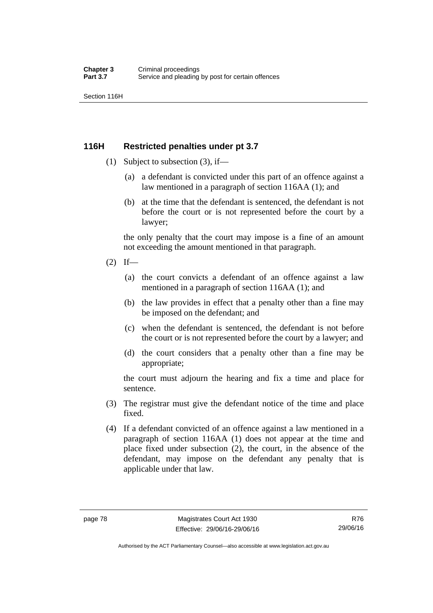Section 116H

## **116H Restricted penalties under pt 3.7**

- (1) Subject to subsection (3), if—
	- (a) a defendant is convicted under this part of an offence against a law mentioned in a paragraph of section 116AA (1); and
	- (b) at the time that the defendant is sentenced, the defendant is not before the court or is not represented before the court by a lawyer;

the only penalty that the court may impose is a fine of an amount not exceeding the amount mentioned in that paragraph.

- $(2)$  If—
	- (a) the court convicts a defendant of an offence against a law mentioned in a paragraph of section 116AA (1); and
	- (b) the law provides in effect that a penalty other than a fine may be imposed on the defendant; and
	- (c) when the defendant is sentenced, the defendant is not before the court or is not represented before the court by a lawyer; and
	- (d) the court considers that a penalty other than a fine may be appropriate;

the court must adjourn the hearing and fix a time and place for sentence.

- (3) The registrar must give the defendant notice of the time and place fixed.
- (4) If a defendant convicted of an offence against a law mentioned in a paragraph of section 116AA (1) does not appear at the time and place fixed under subsection (2), the court, in the absence of the defendant, may impose on the defendant any penalty that is applicable under that law.

Authorised by the ACT Parliamentary Counsel—also accessible at www.legislation.act.gov.au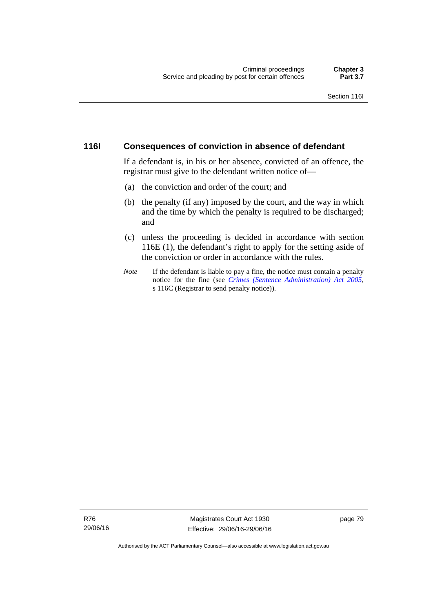#### **116I Consequences of conviction in absence of defendant**

If a defendant is, in his or her absence, convicted of an offence, the registrar must give to the defendant written notice of—

- (a) the conviction and order of the court; and
- (b) the penalty (if any) imposed by the court, and the way in which and the time by which the penalty is required to be discharged; and
- (c) unless the proceeding is decided in accordance with section 116E (1), the defendant's right to apply for the setting aside of the conviction or order in accordance with the rules.
- *Note* If the defendant is liable to pay a fine, the notice must contain a penalty notice for the fine (see *[Crimes \(Sentence Administration\) Act 2005](http://www.legislation.act.gov.au/a/2005-59)*, s 116C (Registrar to send penalty notice)).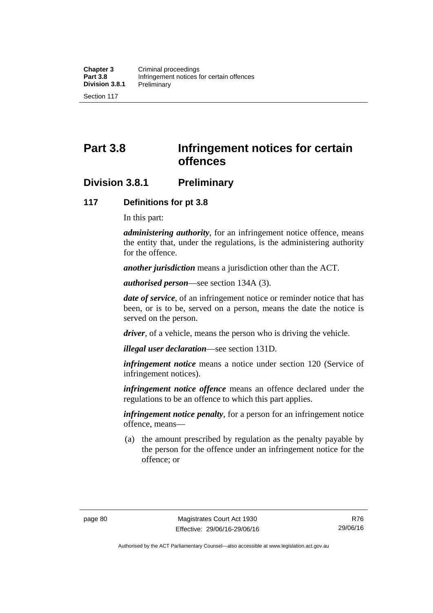# **Part 3.8 Infringement notices for certain offences**

# **Division 3.8.1 Preliminary**

#### **117 Definitions for pt 3.8**

In this part:

*administering authority*, for an infringement notice offence, means the entity that, under the regulations, is the administering authority for the offence.

*another jurisdiction* means a jurisdiction other than the ACT.

*authorised person*—see section 134A (3).

*date of service*, of an infringement notice or reminder notice that has been, or is to be, served on a person, means the date the notice is served on the person.

*driver*, of a vehicle, means the person who is driving the vehicle.

*illegal user declaration*—see section 131D.

*infringement notice* means a notice under section 120 (Service of infringement notices).

*infringement notice offence* means an offence declared under the regulations to be an offence to which this part applies.

*infringement notice penalty*, for a person for an infringement notice offence, means—

 (a) the amount prescribed by regulation as the penalty payable by the person for the offence under an infringement notice for the offence; or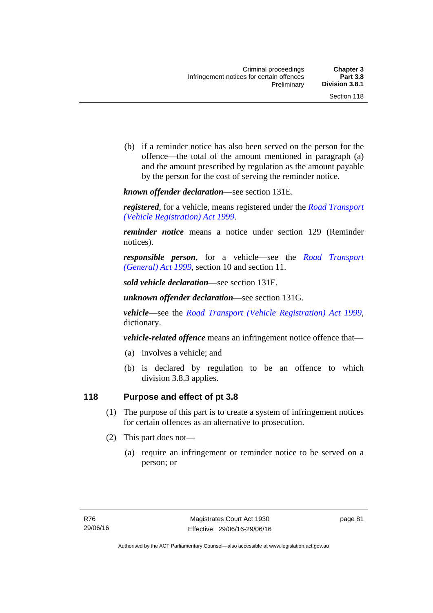(b) if a reminder notice has also been served on the person for the offence—the total of the amount mentioned in paragraph (a) and the amount prescribed by regulation as the amount payable by the person for the cost of serving the reminder notice.

*known offender declaration*—see section 131E.

*registered*, for a vehicle, means registered under the *[Road Transport](http://www.legislation.act.gov.au/a/1999-81)  [\(Vehicle Registration\) Act 1999](http://www.legislation.act.gov.au/a/1999-81)*.

*reminder notice* means a notice under section 129 (Reminder notices).

*responsible person*, for a vehicle—see the *[Road Transport](http://www.legislation.act.gov.au/a/1999-77)  [\(General\) Act 1999](http://www.legislation.act.gov.au/a/1999-77)*, section 10 and section 11.

*sold vehicle declaration*—see section 131F.

*unknown offender declaration*—see section 131G.

*vehicle*—see the *[Road Transport \(Vehicle Registration\) Act 1999](http://www.legislation.act.gov.au/a/1999-81)*, dictionary.

*vehicle-related offence* means an infringement notice offence that—

- (a) involves a vehicle; and
- (b) is declared by regulation to be an offence to which division 3.8.3 applies.

## **118 Purpose and effect of pt 3.8**

- (1) The purpose of this part is to create a system of infringement notices for certain offences as an alternative to prosecution.
- (2) This part does not—
	- (a) require an infringement or reminder notice to be served on a person; or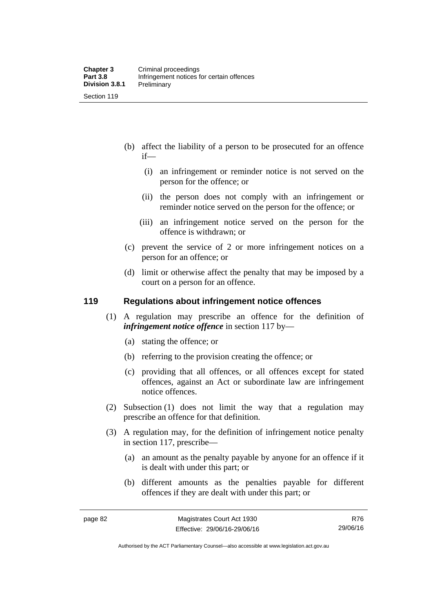- (b) affect the liability of a person to be prosecuted for an offence if—
	- (i) an infringement or reminder notice is not served on the person for the offence; or
	- (ii) the person does not comply with an infringement or reminder notice served on the person for the offence; or
	- (iii) an infringement notice served on the person for the offence is withdrawn; or
- (c) prevent the service of 2 or more infringement notices on a person for an offence; or
- (d) limit or otherwise affect the penalty that may be imposed by a court on a person for an offence.

#### **119 Regulations about infringement notice offences**

- (1) A regulation may prescribe an offence for the definition of *infringement notice offence* in section 117 by—
	- (a) stating the offence; or
	- (b) referring to the provision creating the offence; or
	- (c) providing that all offences, or all offences except for stated offences, against an Act or subordinate law are infringement notice offences.
- (2) Subsection (1) does not limit the way that a regulation may prescribe an offence for that definition.
- (3) A regulation may, for the definition of infringement notice penalty in section 117, prescribe—
	- (a) an amount as the penalty payable by anyone for an offence if it is dealt with under this part; or
	- (b) different amounts as the penalties payable for different offences if they are dealt with under this part; or

R76 29/06/16

Authorised by the ACT Parliamentary Counsel—also accessible at www.legislation.act.gov.au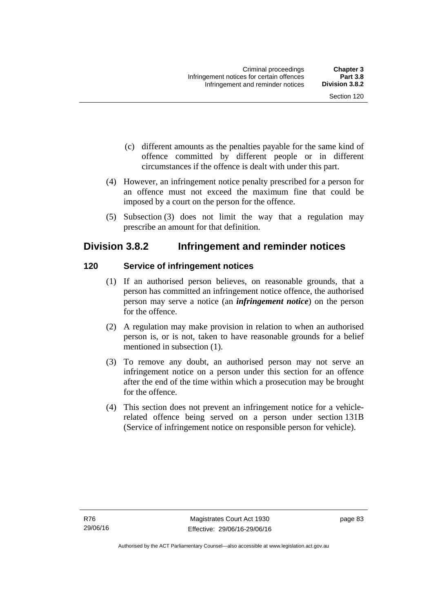- (c) different amounts as the penalties payable for the same kind of offence committed by different people or in different circumstances if the offence is dealt with under this part.
- (4) However, an infringement notice penalty prescribed for a person for an offence must not exceed the maximum fine that could be imposed by a court on the person for the offence.
- (5) Subsection (3) does not limit the way that a regulation may prescribe an amount for that definition.

# **Division 3.8.2 Infringement and reminder notices**

## **120 Service of infringement notices**

- (1) If an authorised person believes, on reasonable grounds, that a person has committed an infringement notice offence, the authorised person may serve a notice (an *infringement notice*) on the person for the offence.
- (2) A regulation may make provision in relation to when an authorised person is, or is not, taken to have reasonable grounds for a belief mentioned in subsection (1).
- (3) To remove any doubt, an authorised person may not serve an infringement notice on a person under this section for an offence after the end of the time within which a prosecution may be brought for the offence.
- (4) This section does not prevent an infringement notice for a vehiclerelated offence being served on a person under section 131B (Service of infringement notice on responsible person for vehicle).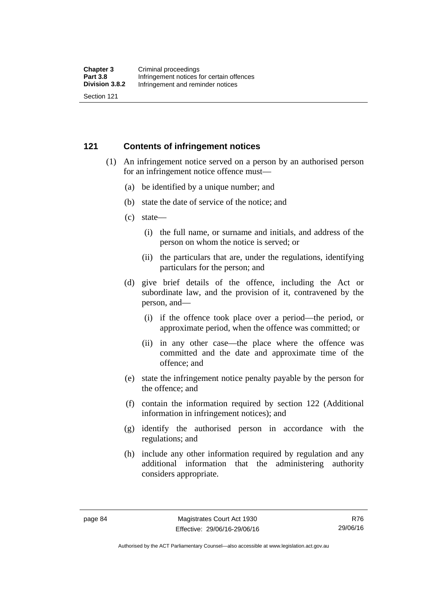#### **121 Contents of infringement notices**

- (1) An infringement notice served on a person by an authorised person for an infringement notice offence must—
	- (a) be identified by a unique number; and
	- (b) state the date of service of the notice; and
	- (c) state—
		- (i) the full name, or surname and initials, and address of the person on whom the notice is served; or
		- (ii) the particulars that are, under the regulations, identifying particulars for the person; and
	- (d) give brief details of the offence, including the Act or subordinate law, and the provision of it, contravened by the person, and—
		- (i) if the offence took place over a period—the period, or approximate period, when the offence was committed; or
		- (ii) in any other case—the place where the offence was committed and the date and approximate time of the offence; and
	- (e) state the infringement notice penalty payable by the person for the offence; and
	- (f) contain the information required by section 122 (Additional information in infringement notices); and
	- (g) identify the authorised person in accordance with the regulations; and
	- (h) include any other information required by regulation and any additional information that the administering authority considers appropriate.

Authorised by the ACT Parliamentary Counsel—also accessible at www.legislation.act.gov.au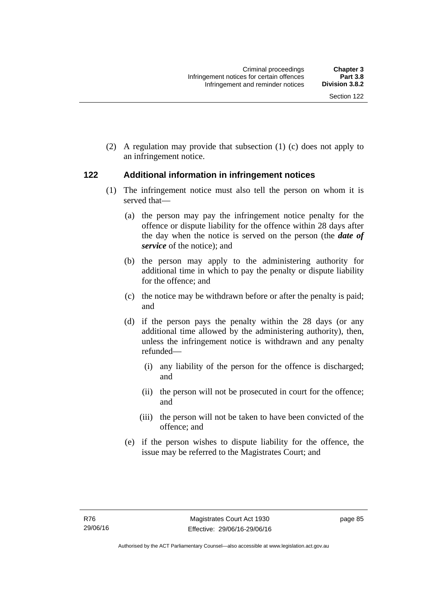(2) A regulation may provide that subsection (1) (c) does not apply to an infringement notice.

## **122 Additional information in infringement notices**

- (1) The infringement notice must also tell the person on whom it is served that—
	- (a) the person may pay the infringement notice penalty for the offence or dispute liability for the offence within 28 days after the day when the notice is served on the person (the *date of service* of the notice); and
	- (b) the person may apply to the administering authority for additional time in which to pay the penalty or dispute liability for the offence; and
	- (c) the notice may be withdrawn before or after the penalty is paid; and
	- (d) if the person pays the penalty within the 28 days (or any additional time allowed by the administering authority), then, unless the infringement notice is withdrawn and any penalty refunded—
		- (i) any liability of the person for the offence is discharged; and
		- (ii) the person will not be prosecuted in court for the offence; and
		- (iii) the person will not be taken to have been convicted of the offence; and
	- (e) if the person wishes to dispute liability for the offence, the issue may be referred to the Magistrates Court; and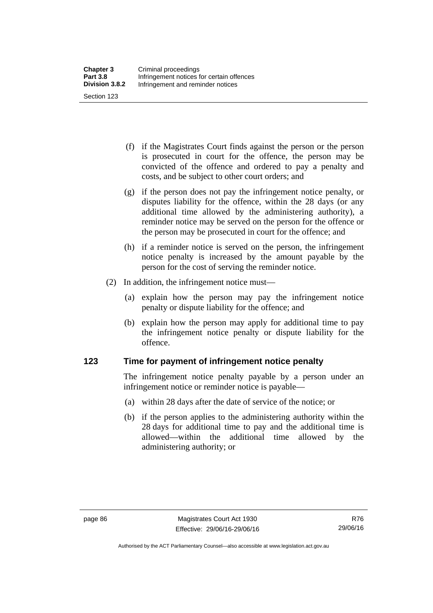(f) if the Magistrates Court finds against the person or the person is prosecuted in court for the offence, the person may be convicted of the offence and ordered to pay a penalty and costs, and be subject to other court orders; and

- (g) if the person does not pay the infringement notice penalty, or disputes liability for the offence, within the 28 days (or any additional time allowed by the administering authority), a reminder notice may be served on the person for the offence or the person may be prosecuted in court for the offence; and
- (h) if a reminder notice is served on the person, the infringement notice penalty is increased by the amount payable by the person for the cost of serving the reminder notice.
- (2) In addition, the infringement notice must—
	- (a) explain how the person may pay the infringement notice penalty or dispute liability for the offence; and
	- (b) explain how the person may apply for additional time to pay the infringement notice penalty or dispute liability for the offence.

#### **123 Time for payment of infringement notice penalty**

The infringement notice penalty payable by a person under an infringement notice or reminder notice is payable—

- (a) within 28 days after the date of service of the notice; or
- (b) if the person applies to the administering authority within the 28 days for additional time to pay and the additional time is allowed—within the additional time allowed by the administering authority; or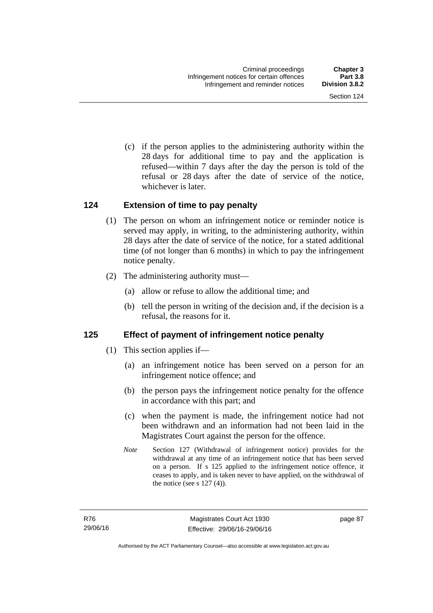(c) if the person applies to the administering authority within the 28 days for additional time to pay and the application is refused—within 7 days after the day the person is told of the refusal or 28 days after the date of service of the notice, whichever is later.

#### **124 Extension of time to pay penalty**

- (1) The person on whom an infringement notice or reminder notice is served may apply, in writing, to the administering authority, within 28 days after the date of service of the notice, for a stated additional time (of not longer than 6 months) in which to pay the infringement notice penalty.
- (2) The administering authority must—
	- (a) allow or refuse to allow the additional time; and
	- (b) tell the person in writing of the decision and, if the decision is a refusal, the reasons for it.

## **125 Effect of payment of infringement notice penalty**

- (1) This section applies if—
	- (a) an infringement notice has been served on a person for an infringement notice offence; and
	- (b) the person pays the infringement notice penalty for the offence in accordance with this part; and
	- (c) when the payment is made, the infringement notice had not been withdrawn and an information had not been laid in the Magistrates Court against the person for the offence.
	- *Note* Section 127 (Withdrawal of infringement notice) provides for the withdrawal at any time of an infringement notice that has been served on a person. If s 125 applied to the infringement notice offence, it ceases to apply, and is taken never to have applied, on the withdrawal of the notice (see s  $127(4)$ ).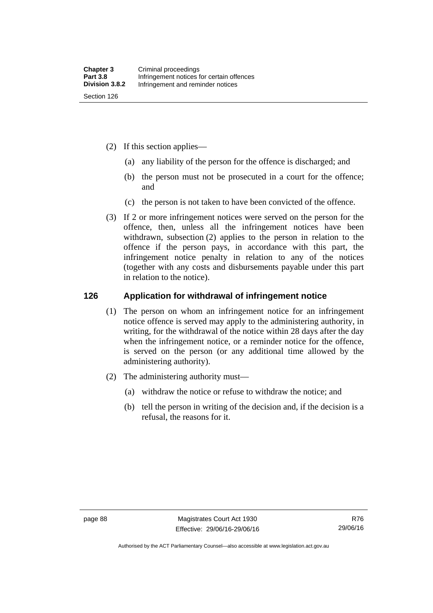- (2) If this section applies—
	- (a) any liability of the person for the offence is discharged; and
	- (b) the person must not be prosecuted in a court for the offence; and
	- (c) the person is not taken to have been convicted of the offence.
- (3) If 2 or more infringement notices were served on the person for the offence, then, unless all the infringement notices have been withdrawn, subsection (2) applies to the person in relation to the offence if the person pays, in accordance with this part, the infringement notice penalty in relation to any of the notices (together with any costs and disbursements payable under this part in relation to the notice).

#### **126 Application for withdrawal of infringement notice**

- (1) The person on whom an infringement notice for an infringement notice offence is served may apply to the administering authority, in writing, for the withdrawal of the notice within 28 days after the day when the infringement notice, or a reminder notice for the offence, is served on the person (or any additional time allowed by the administering authority).
- (2) The administering authority must—
	- (a) withdraw the notice or refuse to withdraw the notice; and
	- (b) tell the person in writing of the decision and, if the decision is a refusal, the reasons for it.

Authorised by the ACT Parliamentary Counsel—also accessible at www.legislation.act.gov.au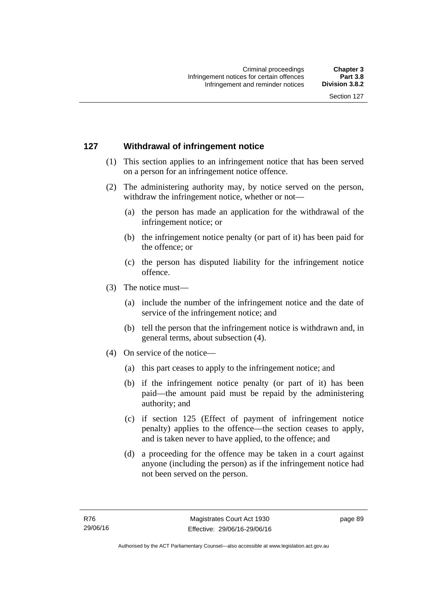## **127 Withdrawal of infringement notice**

- (1) This section applies to an infringement notice that has been served on a person for an infringement notice offence.
- (2) The administering authority may, by notice served on the person, withdraw the infringement notice, whether or not—
	- (a) the person has made an application for the withdrawal of the infringement notice; or
	- (b) the infringement notice penalty (or part of it) has been paid for the offence; or
	- (c) the person has disputed liability for the infringement notice offence.
- (3) The notice must—
	- (a) include the number of the infringement notice and the date of service of the infringement notice; and
	- (b) tell the person that the infringement notice is withdrawn and, in general terms, about subsection (4).
- (4) On service of the notice—
	- (a) this part ceases to apply to the infringement notice; and
	- (b) if the infringement notice penalty (or part of it) has been paid—the amount paid must be repaid by the administering authority; and
	- (c) if section 125 (Effect of payment of infringement notice penalty) applies to the offence—the section ceases to apply, and is taken never to have applied, to the offence; and
	- (d) a proceeding for the offence may be taken in a court against anyone (including the person) as if the infringement notice had not been served on the person.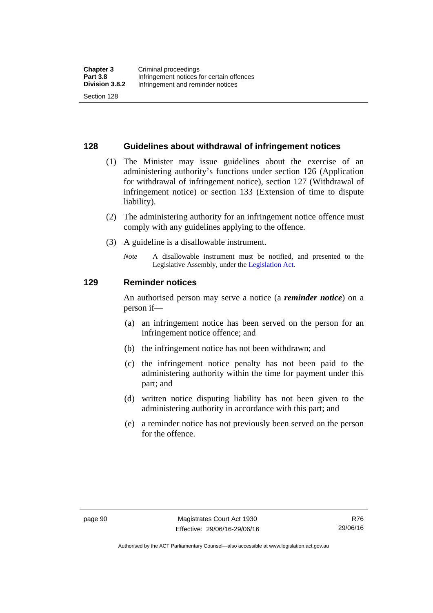#### **128 Guidelines about withdrawal of infringement notices**

- (1) The Minister may issue guidelines about the exercise of an administering authority's functions under section 126 (Application for withdrawal of infringement notice), section 127 (Withdrawal of infringement notice) or section 133 (Extension of time to dispute liability).
- (2) The administering authority for an infringement notice offence must comply with any guidelines applying to the offence.
- (3) A guideline is a disallowable instrument.
	- *Note* A disallowable instrument must be notified, and presented to the Legislative Assembly, under the [Legislation Act](http://www.legislation.act.gov.au/a/2001-14)*.*

#### **129 Reminder notices**

An authorised person may serve a notice (a *reminder notice*) on a person if—

- (a) an infringement notice has been served on the person for an infringement notice offence; and
- (b) the infringement notice has not been withdrawn; and
- (c) the infringement notice penalty has not been paid to the administering authority within the time for payment under this part; and
- (d) written notice disputing liability has not been given to the administering authority in accordance with this part; and
- (e) a reminder notice has not previously been served on the person for the offence.

Authorised by the ACT Parliamentary Counsel—also accessible at www.legislation.act.gov.au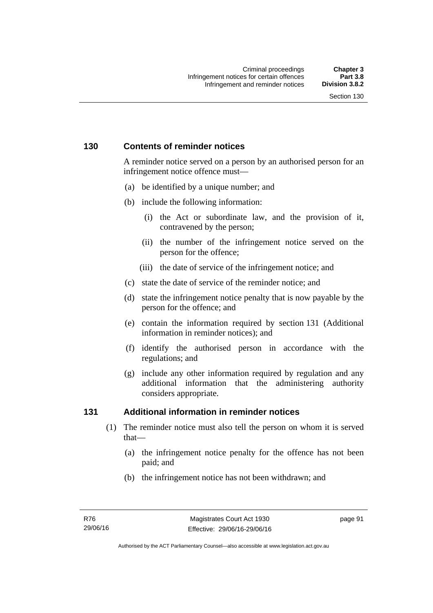## **130 Contents of reminder notices**

A reminder notice served on a person by an authorised person for an infringement notice offence must—

- (a) be identified by a unique number; and
- (b) include the following information:
	- (i) the Act or subordinate law, and the provision of it, contravened by the person;
	- (ii) the number of the infringement notice served on the person for the offence;
	- (iii) the date of service of the infringement notice; and
- (c) state the date of service of the reminder notice; and
- (d) state the infringement notice penalty that is now payable by the person for the offence; and
- (e) contain the information required by section 131 (Additional information in reminder notices); and
- (f) identify the authorised person in accordance with the regulations; and
- (g) include any other information required by regulation and any additional information that the administering authority considers appropriate.

#### **131 Additional information in reminder notices**

- (1) The reminder notice must also tell the person on whom it is served that—
	- (a) the infringement notice penalty for the offence has not been paid; and
	- (b) the infringement notice has not been withdrawn; and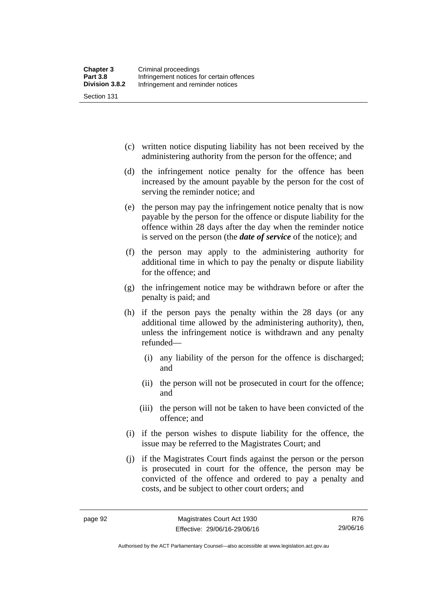(c) written notice disputing liability has not been received by the administering authority from the person for the offence; and

- (d) the infringement notice penalty for the offence has been increased by the amount payable by the person for the cost of serving the reminder notice; and
- (e) the person may pay the infringement notice penalty that is now payable by the person for the offence or dispute liability for the offence within 28 days after the day when the reminder notice is served on the person (the *date of service* of the notice); and
- (f) the person may apply to the administering authority for additional time in which to pay the penalty or dispute liability for the offence; and
- (g) the infringement notice may be withdrawn before or after the penalty is paid; and
- (h) if the person pays the penalty within the 28 days (or any additional time allowed by the administering authority), then, unless the infringement notice is withdrawn and any penalty refunded—
	- (i) any liability of the person for the offence is discharged; and
	- (ii) the person will not be prosecuted in court for the offence; and
	- (iii) the person will not be taken to have been convicted of the offence; and
- (i) if the person wishes to dispute liability for the offence, the issue may be referred to the Magistrates Court; and
- (j) if the Magistrates Court finds against the person or the person is prosecuted in court for the offence, the person may be convicted of the offence and ordered to pay a penalty and costs, and be subject to other court orders; and

Authorised by the ACT Parliamentary Counsel—also accessible at www.legislation.act.gov.au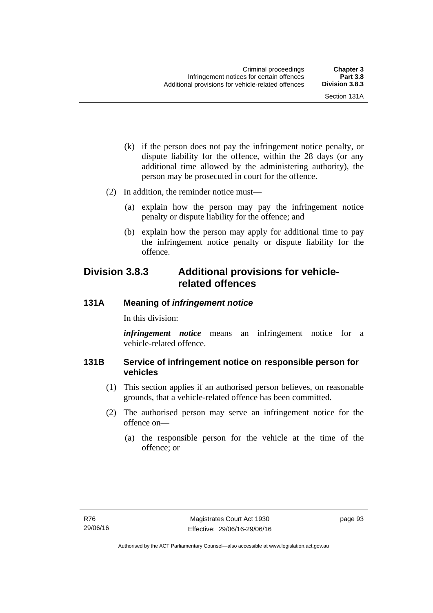- (k) if the person does not pay the infringement notice penalty, or dispute liability for the offence, within the 28 days (or any additional time allowed by the administering authority), the person may be prosecuted in court for the offence.
- (2) In addition, the reminder notice must—
	- (a) explain how the person may pay the infringement notice penalty or dispute liability for the offence; and
	- (b) explain how the person may apply for additional time to pay the infringement notice penalty or dispute liability for the offence.

# **Division 3.8.3 Additional provisions for vehiclerelated offences**

#### **131A Meaning of** *infringement notice*

In this division:

*infringement notice* means an infringement notice for a vehicle-related offence.

#### **131B Service of infringement notice on responsible person for vehicles**

- (1) This section applies if an authorised person believes, on reasonable grounds, that a vehicle-related offence has been committed.
- (2) The authorised person may serve an infringement notice for the offence on—
	- (a) the responsible person for the vehicle at the time of the offence; or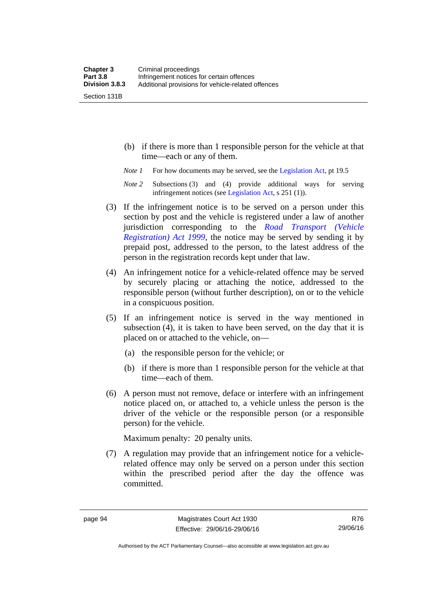Section 131B

- (b) if there is more than 1 responsible person for the vehicle at that time—each or any of them.
- *Note 1* For how documents may be served, see the [Legislation Act,](http://www.legislation.act.gov.au/a/2001-14) pt 19.5
- *Note 2* Subsections (3) and (4) provide additional ways for serving infringement notices (see [Legislation Act,](http://www.legislation.act.gov.au/a/2001-14) s 251 (1)).
- (3) If the infringement notice is to be served on a person under this section by post and the vehicle is registered under a law of another jurisdiction corresponding to the *[Road Transport \(Vehicle](http://www.legislation.act.gov.au/a/1999-81)  [Registration\) Act 1999](http://www.legislation.act.gov.au/a/1999-81)*, the notice may be served by sending it by prepaid post, addressed to the person, to the latest address of the person in the registration records kept under that law.
- (4) An infringement notice for a vehicle-related offence may be served by securely placing or attaching the notice, addressed to the responsible person (without further description), on or to the vehicle in a conspicuous position.
- (5) If an infringement notice is served in the way mentioned in subsection (4), it is taken to have been served, on the day that it is placed on or attached to the vehicle, on—
	- (a) the responsible person for the vehicle; or
	- (b) if there is more than 1 responsible person for the vehicle at that time—each of them.
- (6) A person must not remove, deface or interfere with an infringement notice placed on, or attached to, a vehicle unless the person is the driver of the vehicle or the responsible person (or a responsible person) for the vehicle.

Maximum penalty: 20 penalty units.

 (7) A regulation may provide that an infringement notice for a vehiclerelated offence may only be served on a person under this section within the prescribed period after the day the offence was committed.

Authorised by the ACT Parliamentary Counsel—also accessible at www.legislation.act.gov.au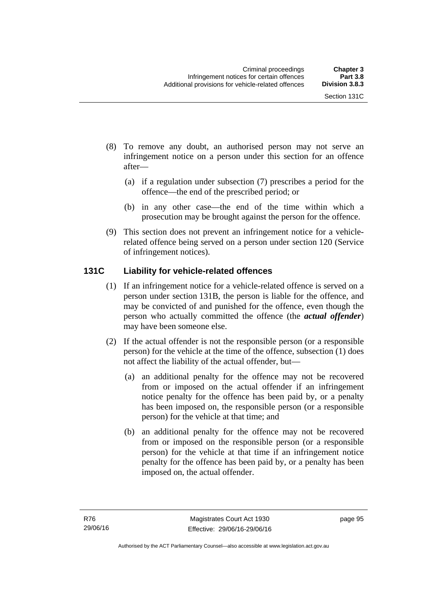- (8) To remove any doubt, an authorised person may not serve an infringement notice on a person under this section for an offence after—
	- (a) if a regulation under subsection (7) prescribes a period for the offence—the end of the prescribed period; or
	- (b) in any other case—the end of the time within which a prosecution may be brought against the person for the offence.
- (9) This section does not prevent an infringement notice for a vehiclerelated offence being served on a person under section 120 (Service of infringement notices).

## **131C Liability for vehicle-related offences**

- (1) If an infringement notice for a vehicle-related offence is served on a person under section 131B, the person is liable for the offence, and may be convicted of and punished for the offence, even though the person who actually committed the offence (the *actual offender*) may have been someone else.
- (2) If the actual offender is not the responsible person (or a responsible person) for the vehicle at the time of the offence, subsection (1) does not affect the liability of the actual offender, but—
	- (a) an additional penalty for the offence may not be recovered from or imposed on the actual offender if an infringement notice penalty for the offence has been paid by, or a penalty has been imposed on, the responsible person (or a responsible person) for the vehicle at that time; and
	- (b) an additional penalty for the offence may not be recovered from or imposed on the responsible person (or a responsible person) for the vehicle at that time if an infringement notice penalty for the offence has been paid by, or a penalty has been imposed on, the actual offender.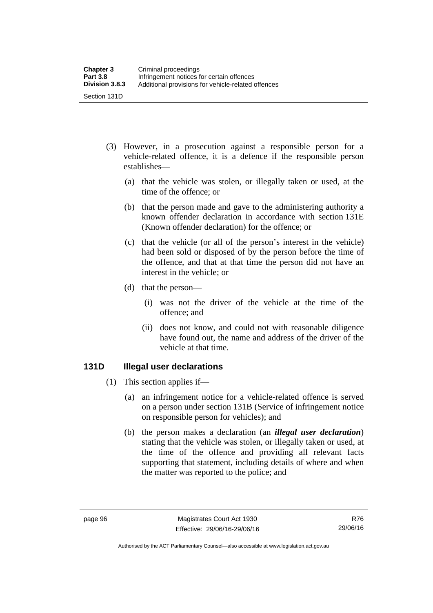- (3) However, in a prosecution against a responsible person for a vehicle-related offence, it is a defence if the responsible person establishes—
	- (a) that the vehicle was stolen, or illegally taken or used, at the time of the offence; or
	- (b) that the person made and gave to the administering authority a known offender declaration in accordance with section 131E (Known offender declaration) for the offence; or
	- (c) that the vehicle (or all of the person's interest in the vehicle) had been sold or disposed of by the person before the time of the offence, and that at that time the person did not have an interest in the vehicle; or
	- (d) that the person—
		- (i) was not the driver of the vehicle at the time of the offence; and
		- (ii) does not know, and could not with reasonable diligence have found out, the name and address of the driver of the vehicle at that time.

#### **131D Illegal user declarations**

- (1) This section applies if—
	- (a) an infringement notice for a vehicle-related offence is served on a person under section 131B (Service of infringement notice on responsible person for vehicles); and
	- (b) the person makes a declaration (an *illegal user declaration*) stating that the vehicle was stolen, or illegally taken or used, at the time of the offence and providing all relevant facts supporting that statement, including details of where and when the matter was reported to the police; and

Authorised by the ACT Parliamentary Counsel—also accessible at www.legislation.act.gov.au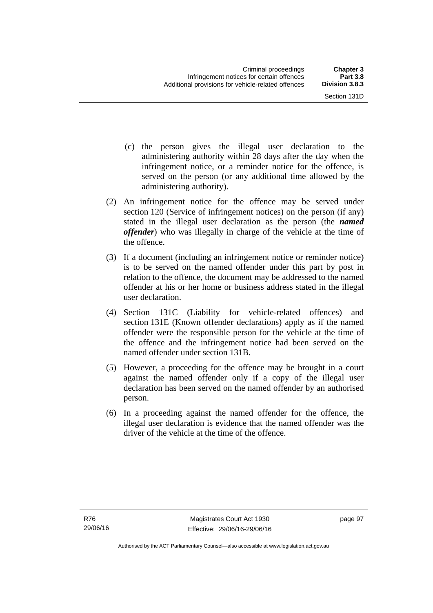- (c) the person gives the illegal user declaration to the administering authority within 28 days after the day when the infringement notice, or a reminder notice for the offence, is served on the person (or any additional time allowed by the administering authority).
- (2) An infringement notice for the offence may be served under section 120 (Service of infringement notices) on the person (if any) stated in the illegal user declaration as the person (the *named offender*) who was illegally in charge of the vehicle at the time of the offence.
- (3) If a document (including an infringement notice or reminder notice) is to be served on the named offender under this part by post in relation to the offence, the document may be addressed to the named offender at his or her home or business address stated in the illegal user declaration.
- (4) Section 131C (Liability for vehicle-related offences) and section 131E (Known offender declarations) apply as if the named offender were the responsible person for the vehicle at the time of the offence and the infringement notice had been served on the named offender under section 131B.
- (5) However, a proceeding for the offence may be brought in a court against the named offender only if a copy of the illegal user declaration has been served on the named offender by an authorised person.
- (6) In a proceeding against the named offender for the offence, the illegal user declaration is evidence that the named offender was the driver of the vehicle at the time of the offence.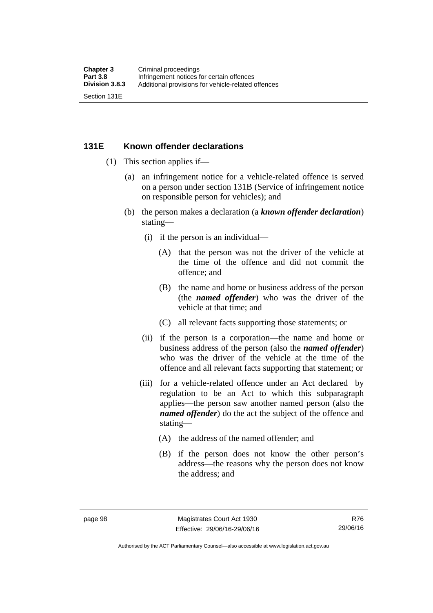#### **131E Known offender declarations**

- (1) This section applies if—
	- (a) an infringement notice for a vehicle-related offence is served on a person under section 131B (Service of infringement notice on responsible person for vehicles); and
	- (b) the person makes a declaration (a *known offender declaration*) stating—
		- (i) if the person is an individual—
			- (A) that the person was not the driver of the vehicle at the time of the offence and did not commit the offence; and
			- (B) the name and home or business address of the person (the *named offender*) who was the driver of the vehicle at that time; and
			- (C) all relevant facts supporting those statements; or
		- (ii) if the person is a corporation—the name and home or business address of the person (also the *named offender*) who was the driver of the vehicle at the time of the offence and all relevant facts supporting that statement; or
		- (iii) for a vehicle-related offence under an Act declared by regulation to be an Act to which this subparagraph applies—the person saw another named person (also the *named offender*) do the act the subject of the offence and stating—
			- (A) the address of the named offender; and
			- (B) if the person does not know the other person's address—the reasons why the person does not know the address; and

Authorised by the ACT Parliamentary Counsel—also accessible at www.legislation.act.gov.au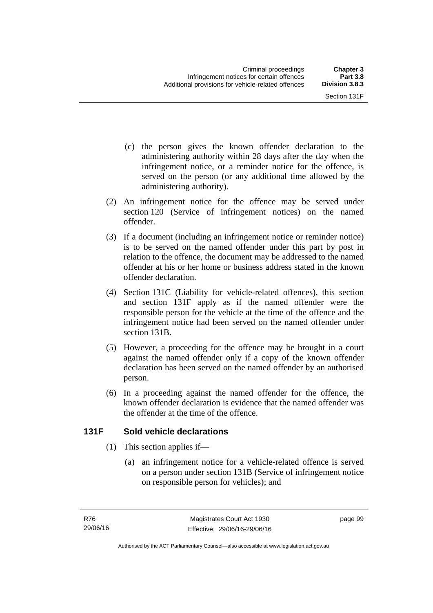- (c) the person gives the known offender declaration to the administering authority within 28 days after the day when the infringement notice, or a reminder notice for the offence, is served on the person (or any additional time allowed by the administering authority).
- (2) An infringement notice for the offence may be served under section 120 (Service of infringement notices) on the named offender.
- (3) If a document (including an infringement notice or reminder notice) is to be served on the named offender under this part by post in relation to the offence, the document may be addressed to the named offender at his or her home or business address stated in the known offender declaration.
- (4) Section 131C (Liability for vehicle-related offences), this section and section 131F apply as if the named offender were the responsible person for the vehicle at the time of the offence and the infringement notice had been served on the named offender under section 131B.
- (5) However, a proceeding for the offence may be brought in a court against the named offender only if a copy of the known offender declaration has been served on the named offender by an authorised person.
- (6) In a proceeding against the named offender for the offence, the known offender declaration is evidence that the named offender was the offender at the time of the offence.

## **131F Sold vehicle declarations**

- (1) This section applies if—
	- (a) an infringement notice for a vehicle-related offence is served on a person under section 131B (Service of infringement notice on responsible person for vehicles); and

page 99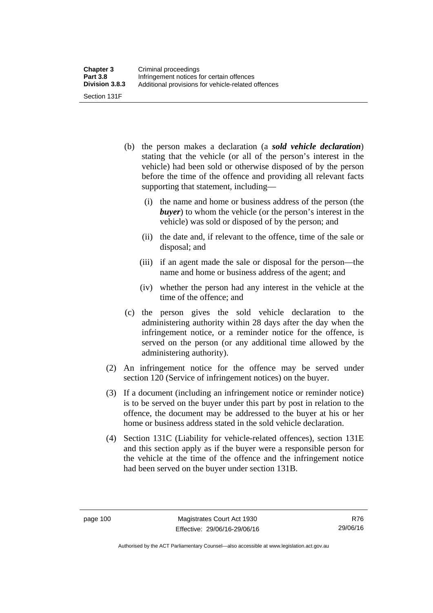- (b) the person makes a declaration (a *sold vehicle declaration*) stating that the vehicle (or all of the person's interest in the vehicle) had been sold or otherwise disposed of by the person before the time of the offence and providing all relevant facts supporting that statement, including—
	- (i) the name and home or business address of the person (the *buyer*) to whom the vehicle (or the person's interest in the vehicle) was sold or disposed of by the person; and
	- (ii) the date and, if relevant to the offence, time of the sale or disposal; and
	- (iii) if an agent made the sale or disposal for the person—the name and home or business address of the agent; and
	- (iv) whether the person had any interest in the vehicle at the time of the offence; and
- (c) the person gives the sold vehicle declaration to the administering authority within 28 days after the day when the infringement notice, or a reminder notice for the offence, is served on the person (or any additional time allowed by the administering authority).
- (2) An infringement notice for the offence may be served under section 120 (Service of infringement notices) on the buyer.
- (3) If a document (including an infringement notice or reminder notice) is to be served on the buyer under this part by post in relation to the offence, the document may be addressed to the buyer at his or her home or business address stated in the sold vehicle declaration.
- (4) Section 131C (Liability for vehicle-related offences), section 131E and this section apply as if the buyer were a responsible person for the vehicle at the time of the offence and the infringement notice had been served on the buyer under section 131B.

R76 29/06/16

Authorised by the ACT Parliamentary Counsel—also accessible at www.legislation.act.gov.au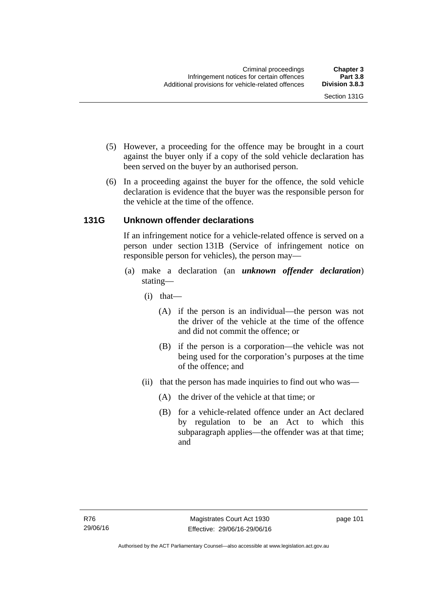- (5) However, a proceeding for the offence may be brought in a court against the buyer only if a copy of the sold vehicle declaration has been served on the buyer by an authorised person.
- (6) In a proceeding against the buyer for the offence, the sold vehicle declaration is evidence that the buyer was the responsible person for the vehicle at the time of the offence.

## **131G Unknown offender declarations**

If an infringement notice for a vehicle-related offence is served on a person under section 131B (Service of infringement notice on responsible person for vehicles), the person may—

- (a) make a declaration (an *unknown offender declaration*) stating—
	- (i) that—
		- (A) if the person is an individual—the person was not the driver of the vehicle at the time of the offence and did not commit the offence; or
		- (B) if the person is a corporation—the vehicle was not being used for the corporation's purposes at the time of the offence; and
	- (ii) that the person has made inquiries to find out who was—
		- (A) the driver of the vehicle at that time; or
		- (B) for a vehicle-related offence under an Act declared by regulation to be an Act to which this subparagraph applies—the offender was at that time; and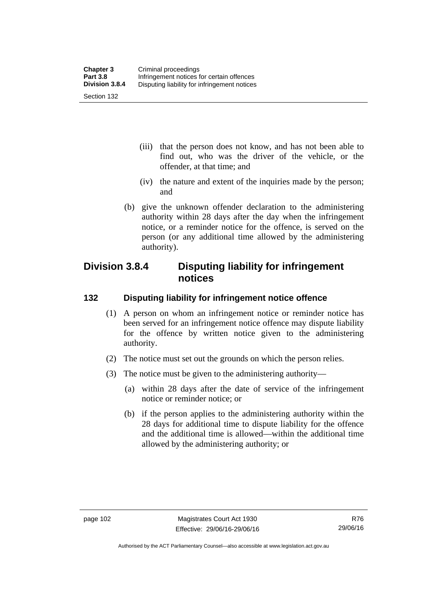- (iii) that the person does not know, and has not been able to find out, who was the driver of the vehicle, or the offender, at that time; and
- (iv) the nature and extent of the inquiries made by the person; and
- (b) give the unknown offender declaration to the administering authority within 28 days after the day when the infringement notice, or a reminder notice for the offence, is served on the person (or any additional time allowed by the administering authority).

# **Division 3.8.4 Disputing liability for infringement notices**

#### **132 Disputing liability for infringement notice offence**

- (1) A person on whom an infringement notice or reminder notice has been served for an infringement notice offence may dispute liability for the offence by written notice given to the administering authority.
- (2) The notice must set out the grounds on which the person relies.
- (3) The notice must be given to the administering authority—
	- (a) within 28 days after the date of service of the infringement notice or reminder notice; or
	- (b) if the person applies to the administering authority within the 28 days for additional time to dispute liability for the offence and the additional time is allowed—within the additional time allowed by the administering authority; or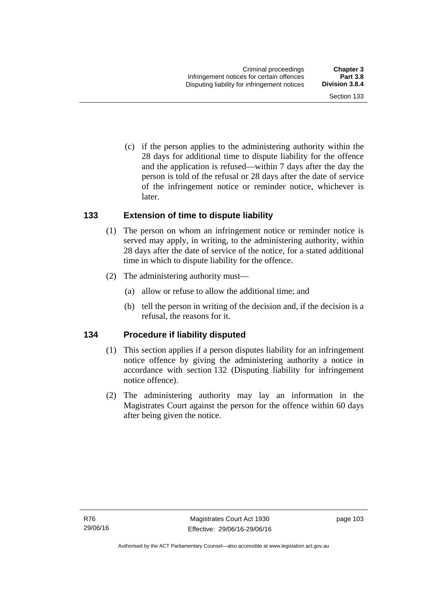Section 133

 (c) if the person applies to the administering authority within the 28 days for additional time to dispute liability for the offence and the application is refused—within 7 days after the day the person is told of the refusal or 28 days after the date of service of the infringement notice or reminder notice, whichever is

#### **133 Extension of time to dispute liability**

later.

- (1) The person on whom an infringement notice or reminder notice is served may apply, in writing, to the administering authority, within 28 days after the date of service of the notice, for a stated additional time in which to dispute liability for the offence.
- (2) The administering authority must—
	- (a) allow or refuse to allow the additional time; and
	- (b) tell the person in writing of the decision and, if the decision is a refusal, the reasons for it.

#### **134 Procedure if liability disputed**

- (1) This section applies if a person disputes liability for an infringement notice offence by giving the administering authority a notice in accordance with section 132 (Disputing liability for infringement notice offence).
- (2) The administering authority may lay an information in the Magistrates Court against the person for the offence within 60 days after being given the notice.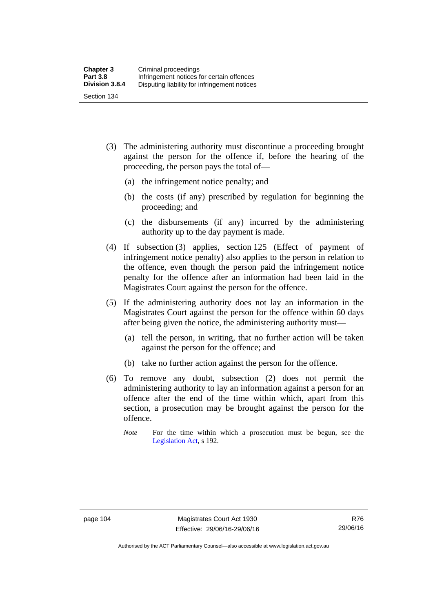- (3) The administering authority must discontinue a proceeding brought against the person for the offence if, before the hearing of the proceeding, the person pays the total of—
	- (a) the infringement notice penalty; and
	- (b) the costs (if any) prescribed by regulation for beginning the proceeding; and
	- (c) the disbursements (if any) incurred by the administering authority up to the day payment is made.
- (4) If subsection (3) applies, section 125 (Effect of payment of infringement notice penalty) also applies to the person in relation to the offence, even though the person paid the infringement notice penalty for the offence after an information had been laid in the Magistrates Court against the person for the offence.
- (5) If the administering authority does not lay an information in the Magistrates Court against the person for the offence within 60 days after being given the notice, the administering authority must—
	- (a) tell the person, in writing, that no further action will be taken against the person for the offence; and
	- (b) take no further action against the person for the offence.
- (6) To remove any doubt, subsection (2) does not permit the administering authority to lay an information against a person for an offence after the end of the time within which, apart from this section, a prosecution may be brought against the person for the offence.
	- *Note* For the time within which a prosecution must be begun, see the [Legislation Act,](http://www.legislation.act.gov.au/a/2001-14) s 192.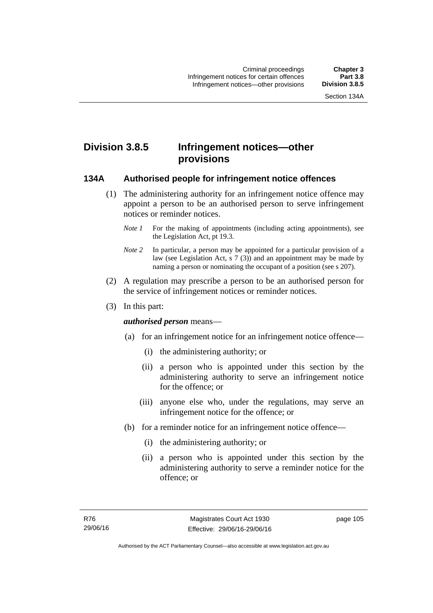# **Division 3.8.5 Infringement notices—other provisions**

#### **134A Authorised people for infringement notice offences**

- (1) The administering authority for an infringement notice offence may appoint a person to be an authorised person to serve infringement notices or reminder notices.
	- *Note 1* For the making of appointments (including acting appointments), see the [Legislation Act,](http://www.legislation.act.gov.au/a/2001-14) pt 19.3.
	- *Note 2* In particular, a person may be appointed for a particular provision of a law (see [Legislation Act,](http://www.legislation.act.gov.au/a/2001-14) s 7 (3)) and an appointment may be made by naming a person or nominating the occupant of a position (see s 207).
- (2) A regulation may prescribe a person to be an authorised person for the service of infringement notices or reminder notices.
- (3) In this part:

#### *authorised person* means—

- (a) for an infringement notice for an infringement notice offence—
	- (i) the administering authority; or
	- (ii) a person who is appointed under this section by the administering authority to serve an infringement notice for the offence; or
	- (iii) anyone else who, under the regulations, may serve an infringement notice for the offence; or
- (b) for a reminder notice for an infringement notice offence—
	- (i) the administering authority; or
	- (ii) a person who is appointed under this section by the administering authority to serve a reminder notice for the offence; or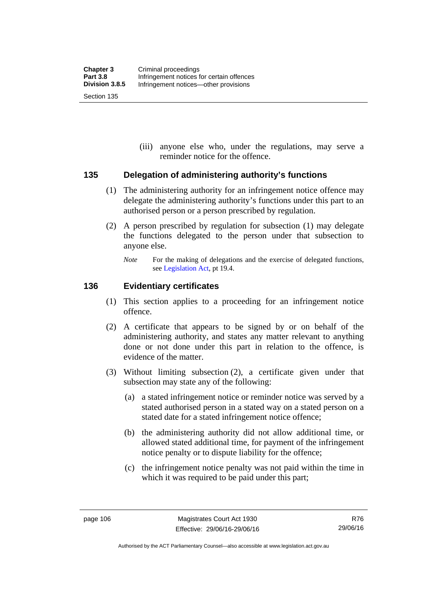(iii) anyone else who, under the regulations, may serve a reminder notice for the offence.

#### **135 Delegation of administering authority's functions**

- (1) The administering authority for an infringement notice offence may delegate the administering authority's functions under this part to an authorised person or a person prescribed by regulation.
- (2) A person prescribed by regulation for subsection (1) may delegate the functions delegated to the person under that subsection to anyone else.
	- *Note* For the making of delegations and the exercise of delegated functions, see [Legislation Act](http://www.legislation.act.gov.au/a/2001-14), pt 19.4.

#### **136 Evidentiary certificates**

- (1) This section applies to a proceeding for an infringement notice offence.
- (2) A certificate that appears to be signed by or on behalf of the administering authority, and states any matter relevant to anything done or not done under this part in relation to the offence, is evidence of the matter.
- (3) Without limiting subsection (2), a certificate given under that subsection may state any of the following:
	- (a) a stated infringement notice or reminder notice was served by a stated authorised person in a stated way on a stated person on a stated date for a stated infringement notice offence;
	- (b) the administering authority did not allow additional time, or allowed stated additional time, for payment of the infringement notice penalty or to dispute liability for the offence;
	- (c) the infringement notice penalty was not paid within the time in which it was required to be paid under this part;

R76 29/06/16

Authorised by the ACT Parliamentary Counsel—also accessible at www.legislation.act.gov.au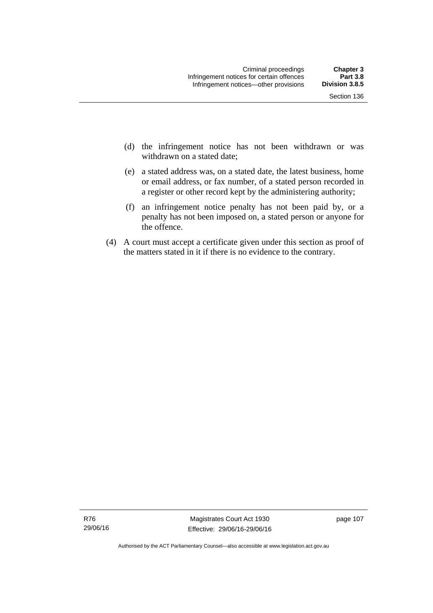- (d) the infringement notice has not been withdrawn or was withdrawn on a stated date:
- (e) a stated address was, on a stated date, the latest business, home or email address, or fax number, of a stated person recorded in a register or other record kept by the administering authority;
- (f) an infringement notice penalty has not been paid by, or a penalty has not been imposed on, a stated person or anyone for the offence.
- (4) A court must accept a certificate given under this section as proof of the matters stated in it if there is no evidence to the contrary.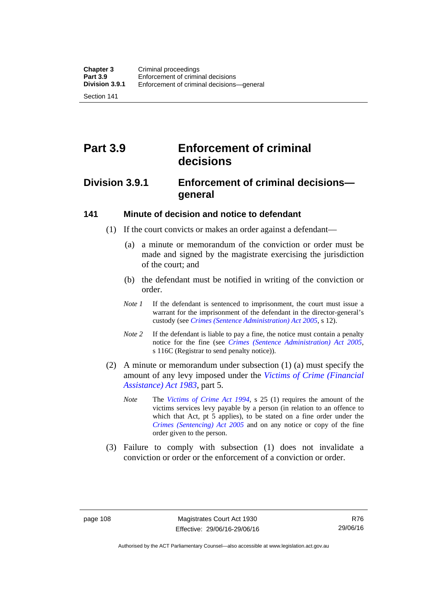Section 141

# **Part 3.9 Enforcement of criminal decisions**

# **Division 3.9.1 Enforcement of criminal decisions general**

#### **141 Minute of decision and notice to defendant**

- (1) If the court convicts or makes an order against a defendant—
	- (a) a minute or memorandum of the conviction or order must be made and signed by the magistrate exercising the jurisdiction of the court; and
	- (b) the defendant must be notified in writing of the conviction or order.
	- *Note 1* If the defendant is sentenced to imprisonment, the court must issue a warrant for the imprisonment of the defendant in the director-general's custody (see *[Crimes \(Sentence Administration\) Act 2005](http://www.legislation.act.gov.au/a/2005-59)*, s 12).
	- *Note* 2 If the defendant is liable to pay a fine, the notice must contain a penalty notice for the fine (see *[Crimes \(Sentence Administration\) Act 2005](http://www.legislation.act.gov.au/a/2005-59)*, s 116C (Registrar to send penalty notice)).
- (2) A minute or memorandum under subsection (1) (a) must specify the amount of any levy imposed under the *[Victims of Crime \(Financial](http://www.legislation.act.gov.au/a/1983-11)  [Assistance\) Act 1983](http://www.legislation.act.gov.au/a/1983-11)*, part 5.
	- *Note* The *[Victims of Crime Act 1994](http://www.legislation.act.gov.au/a/1994-83)*, s 25 (1) requires the amount of the victims services levy payable by a person (in relation to an offence to which that Act, pt 5 applies), to be stated on a fine order under the *[Crimes \(Sentencing\) Act 2005](http://www.legislation.act.gov.au/a/2005-58)* and on any notice or copy of the fine order given to the person.
- (3) Failure to comply with subsection (1) does not invalidate a conviction or order or the enforcement of a conviction or order.

Authorised by the ACT Parliamentary Counsel—also accessible at www.legislation.act.gov.au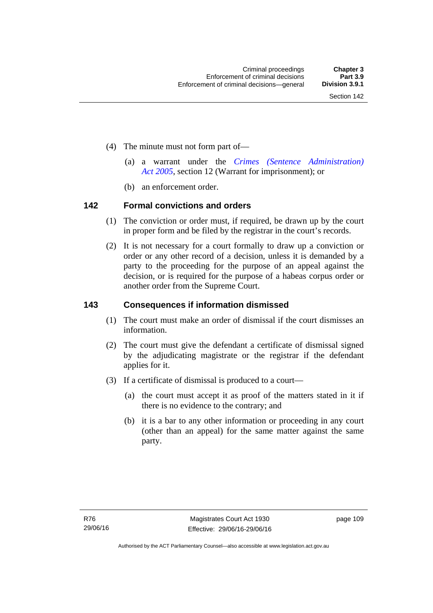- (4) The minute must not form part of—
	- (a) a warrant under the *[Crimes \(Sentence Administration\)](http://www.legislation.act.gov.au/a/2005-59)  [Act 2005](http://www.legislation.act.gov.au/a/2005-59)*, section 12 (Warrant for imprisonment); or
	- (b) an enforcement order.

#### **142 Formal convictions and orders**

- (1) The conviction or order must, if required, be drawn up by the court in proper form and be filed by the registrar in the court's records.
- (2) It is not necessary for a court formally to draw up a conviction or order or any other record of a decision, unless it is demanded by a party to the proceeding for the purpose of an appeal against the decision, or is required for the purpose of a habeas corpus order or another order from the Supreme Court.

#### **143 Consequences if information dismissed**

- (1) The court must make an order of dismissal if the court dismisses an information.
- (2) The court must give the defendant a certificate of dismissal signed by the adjudicating magistrate or the registrar if the defendant applies for it.
- (3) If a certificate of dismissal is produced to a court—
	- (a) the court must accept it as proof of the matters stated in it if there is no evidence to the contrary; and
	- (b) it is a bar to any other information or proceeding in any court (other than an appeal) for the same matter against the same party.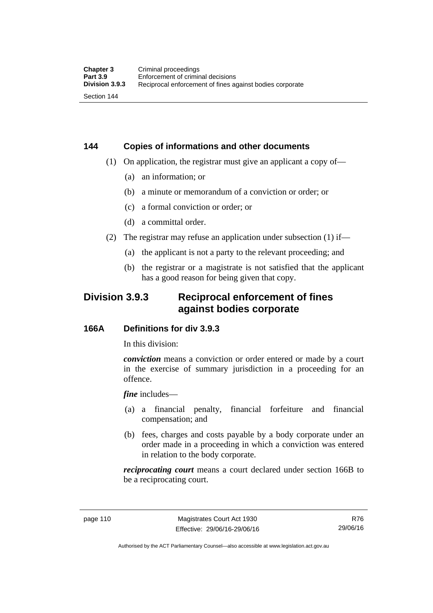# **144 Copies of informations and other documents**

- (1) On application, the registrar must give an applicant a copy of—
	- (a) an information; or
	- (b) a minute or memorandum of a conviction or order; or
	- (c) a formal conviction or order; or
	- (d) a committal order.
- (2) The registrar may refuse an application under subsection (1) if—
	- (a) the applicant is not a party to the relevant proceeding; and
	- (b) the registrar or a magistrate is not satisfied that the applicant has a good reason for being given that copy.

# **Division 3.9.3 Reciprocal enforcement of fines against bodies corporate**

#### **166A Definitions for div 3.9.3**

In this division:

*conviction* means a conviction or order entered or made by a court in the exercise of summary jurisdiction in a proceeding for an offence.

*fine* includes—

- (a) a financial penalty, financial forfeiture and financial compensation; and
- (b) fees, charges and costs payable by a body corporate under an order made in a proceeding in which a conviction was entered in relation to the body corporate.

*reciprocating court* means a court declared under section 166B to be a reciprocating court.

Authorised by the ACT Parliamentary Counsel—also accessible at www.legislation.act.gov.au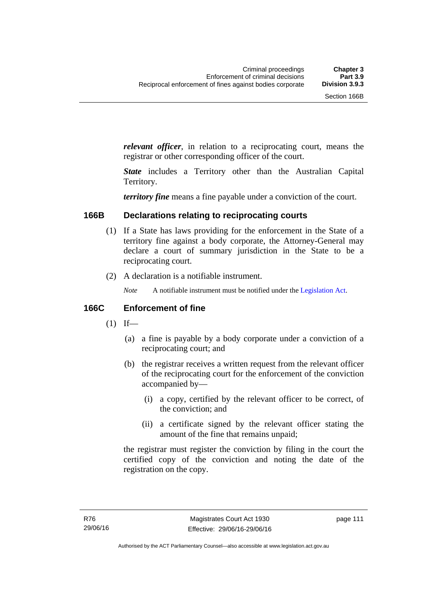*relevant officer*, in relation to a reciprocating court, means the registrar or other corresponding officer of the court.

*State* includes a Territory other than the Australian Capital Territory.

*territory fine* means a fine payable under a conviction of the court.

#### **166B Declarations relating to reciprocating courts**

- (1) If a State has laws providing for the enforcement in the State of a territory fine against a body corporate, the Attorney-General may declare a court of summary jurisdiction in the State to be a reciprocating court.
- (2) A declaration is a notifiable instrument.
	- *Note* A notifiable instrument must be notified under the [Legislation Act](http://www.legislation.act.gov.au/a/2001-14).

#### **166C Enforcement of fine**

- $(1)$  If—
	- (a) a fine is payable by a body corporate under a conviction of a reciprocating court; and
	- (b) the registrar receives a written request from the relevant officer of the reciprocating court for the enforcement of the conviction accompanied by—
		- (i) a copy, certified by the relevant officer to be correct, of the conviction; and
		- (ii) a certificate signed by the relevant officer stating the amount of the fine that remains unpaid;

the registrar must register the conviction by filing in the court the certified copy of the conviction and noting the date of the registration on the copy.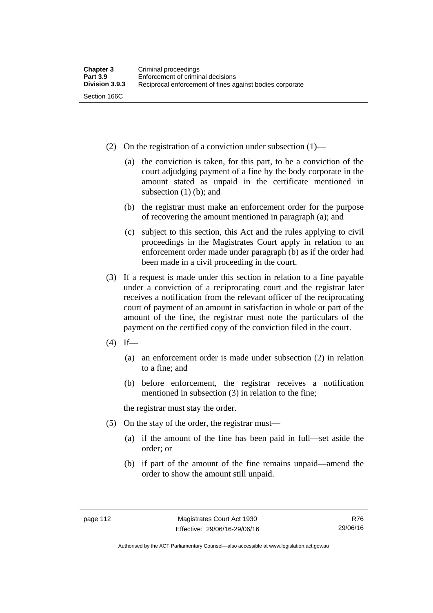- (2) On the registration of a conviction under subsection (1)—
	- (a) the conviction is taken, for this part, to be a conviction of the court adjudging payment of a fine by the body corporate in the amount stated as unpaid in the certificate mentioned in subsection (1) (b); and
	- (b) the registrar must make an enforcement order for the purpose of recovering the amount mentioned in paragraph (a); and
	- (c) subject to this section, this Act and the rules applying to civil proceedings in the Magistrates Court apply in relation to an enforcement order made under paragraph (b) as if the order had been made in a civil proceeding in the court.
- (3) If a request is made under this section in relation to a fine payable under a conviction of a reciprocating court and the registrar later receives a notification from the relevant officer of the reciprocating court of payment of an amount in satisfaction in whole or part of the amount of the fine, the registrar must note the particulars of the payment on the certified copy of the conviction filed in the court.
- $(4)$  If—
	- (a) an enforcement order is made under subsection (2) in relation to a fine; and
	- (b) before enforcement, the registrar receives a notification mentioned in subsection (3) in relation to the fine;

the registrar must stay the order.

- (5) On the stay of the order, the registrar must—
	- (a) if the amount of the fine has been paid in full—set aside the order; or
	- (b) if part of the amount of the fine remains unpaid—amend the order to show the amount still unpaid.

Authorised by the ACT Parliamentary Counsel—also accessible at www.legislation.act.gov.au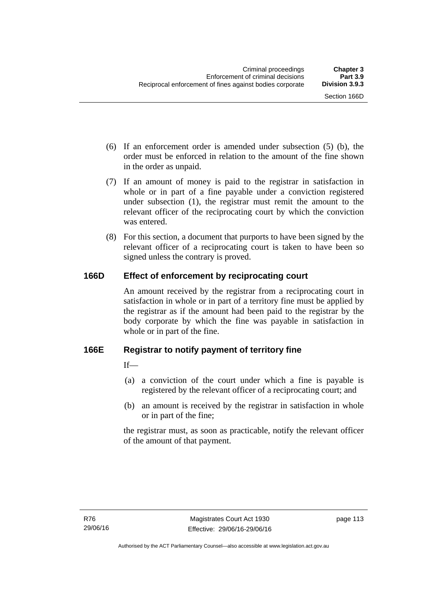- (6) If an enforcement order is amended under subsection (5) (b), the order must be enforced in relation to the amount of the fine shown in the order as unpaid.
- (7) If an amount of money is paid to the registrar in satisfaction in whole or in part of a fine payable under a conviction registered under subsection (1), the registrar must remit the amount to the relevant officer of the reciprocating court by which the conviction was entered.
- (8) For this section, a document that purports to have been signed by the relevant officer of a reciprocating court is taken to have been so signed unless the contrary is proved.

## **166D Effect of enforcement by reciprocating court**

An amount received by the registrar from a reciprocating court in satisfaction in whole or in part of a territory fine must be applied by the registrar as if the amount had been paid to the registrar by the body corporate by which the fine was payable in satisfaction in whole or in part of the fine.

## **166E Registrar to notify payment of territory fine**

 $If$ <sub>—</sub>

- (a) a conviction of the court under which a fine is payable is registered by the relevant officer of a reciprocating court; and
- (b) an amount is received by the registrar in satisfaction in whole or in part of the fine;

the registrar must, as soon as practicable, notify the relevant officer of the amount of that payment.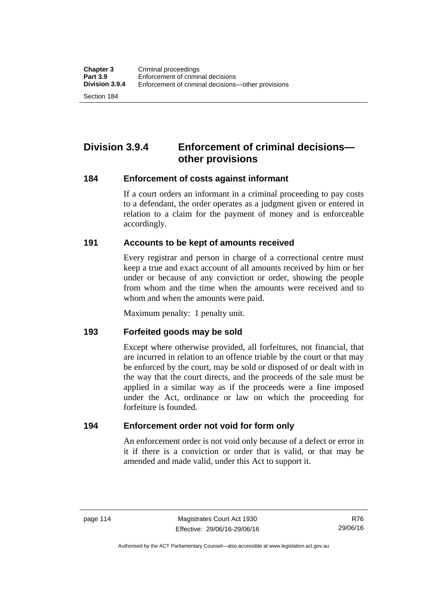Section 184

# **Division 3.9.4 Enforcement of criminal decisions other provisions**

#### **184 Enforcement of costs against informant**

If a court orders an informant in a criminal proceeding to pay costs to a defendant, the order operates as a judgment given or entered in relation to a claim for the payment of money and is enforceable accordingly.

#### **191 Accounts to be kept of amounts received**

Every registrar and person in charge of a correctional centre must keep a true and exact account of all amounts received by him or her under or because of any conviction or order, showing the people from whom and the time when the amounts were received and to whom and when the amounts were paid.

Maximum penalty: 1 penalty unit.

#### **193 Forfeited goods may be sold**

Except where otherwise provided, all forfeitures, not financial, that are incurred in relation to an offence triable by the court or that may be enforced by the court, may be sold or disposed of or dealt with in the way that the court directs, and the proceeds of the sale must be applied in a similar way as if the proceeds were a fine imposed under the Act, ordinance or law on which the proceeding for forfeiture is founded.

#### **194 Enforcement order not void for form only**

An enforcement order is not void only because of a defect or error in it if there is a conviction or order that is valid, or that may be amended and made valid, under this Act to support it.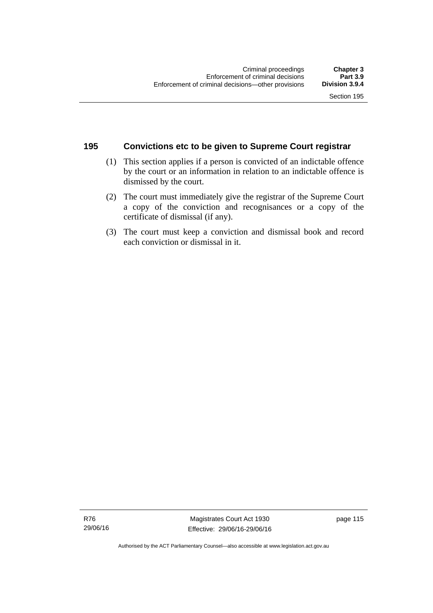# **195 Convictions etc to be given to Supreme Court registrar**

- (1) This section applies if a person is convicted of an indictable offence by the court or an information in relation to an indictable offence is dismissed by the court.
- (2) The court must immediately give the registrar of the Supreme Court a copy of the conviction and recognisances or a copy of the certificate of dismissal (if any).
- (3) The court must keep a conviction and dismissal book and record each conviction or dismissal in it.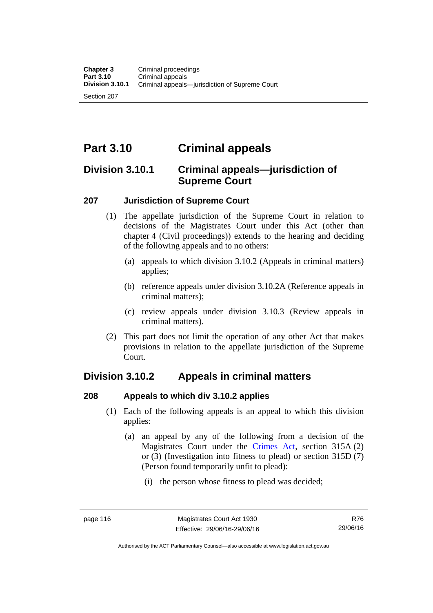Section 207

# **Part 3.10 Criminal appeals**

# **Division 3.10.1 Criminal appeals—jurisdiction of Supreme Court**

#### **207 Jurisdiction of Supreme Court**

- (1) The appellate jurisdiction of the Supreme Court in relation to decisions of the Magistrates Court under this Act (other than chapter 4 (Civil proceedings)) extends to the hearing and deciding of the following appeals and to no others:
	- (a) appeals to which division 3.10.2 (Appeals in criminal matters) applies;
	- (b) reference appeals under division 3.10.2A (Reference appeals in criminal matters);
	- (c) review appeals under division 3.10.3 (Review appeals in criminal matters).
- (2) This part does not limit the operation of any other Act that makes provisions in relation to the appellate jurisdiction of the Supreme Court.

# **Division 3.10.2 Appeals in criminal matters**

#### **208 Appeals to which div 3.10.2 applies**

- (1) Each of the following appeals is an appeal to which this division applies:
	- (a) an appeal by any of the following from a decision of the Magistrates Court under the [Crimes Act](http://www.legislation.act.gov.au/a/1900-40/default.asp), section 315A (2) or (3) (Investigation into fitness to plead) or section 315D (7) (Person found temporarily unfit to plead):
		- (i) the person whose fitness to plead was decided;

Authorised by the ACT Parliamentary Counsel—also accessible at www.legislation.act.gov.au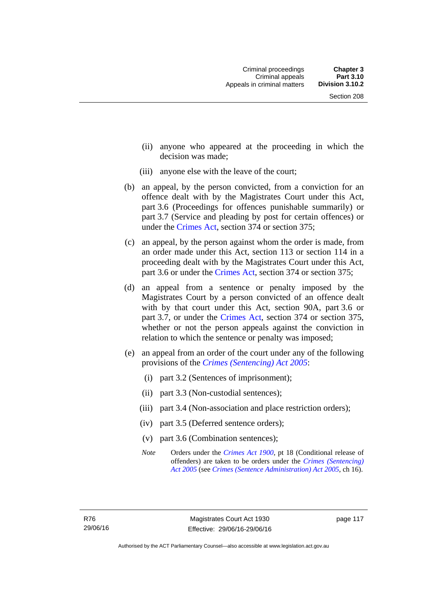- (ii) anyone who appeared at the proceeding in which the decision was made;
- (iii) anyone else with the leave of the court;
- (b) an appeal, by the person convicted, from a conviction for an offence dealt with by the Magistrates Court under this Act, part 3.6 (Proceedings for offences punishable summarily) or part 3.7 (Service and pleading by post for certain offences) or under the [Crimes Act,](http://www.legislation.act.gov.au/a/1900-40/default.asp) section 374 or section 375;
- (c) an appeal, by the person against whom the order is made, from an order made under this Act, section 113 or section 114 in a proceeding dealt with by the Magistrates Court under this Act, part 3.6 or under the [Crimes Act,](http://www.legislation.act.gov.au/a/1900-40/default.asp) section 374 or section 375;
- (d) an appeal from a sentence or penalty imposed by the Magistrates Court by a person convicted of an offence dealt with by that court under this Act, section 90A, part 3.6 or part 3.7, or under the [Crimes Act,](http://www.legislation.act.gov.au/a/1900-40/default.asp) section 374 or section 375, whether or not the person appeals against the conviction in relation to which the sentence or penalty was imposed;
- (e) an appeal from an order of the court under any of the following provisions of the *[Crimes \(Sentencing\) Act 2005](http://www.legislation.act.gov.au/a/2005-58)*:
	- (i) part 3.2 (Sentences of imprisonment);
	- (ii) part 3.3 (Non-custodial sentences);
	- (iii) part 3.4 (Non-association and place restriction orders);
	- (iv) part 3.5 (Deferred sentence orders);
	- (v) part 3.6 (Combination sentences);
	- *Note* Orders under the *[Crimes Act 1900](http://www.legislation.act.gov.au/a/1900-40)*, pt 18 (Conditional release of offenders) are taken to be orders under the *[Crimes \(Sentencing\)](http://www.legislation.act.gov.au/a/2005-58)  [Act 2005](http://www.legislation.act.gov.au/a/2005-58)* (see *[Crimes \(Sentence Administration\) Act 2005](http://www.legislation.act.gov.au/a/2005-59)*, ch 16).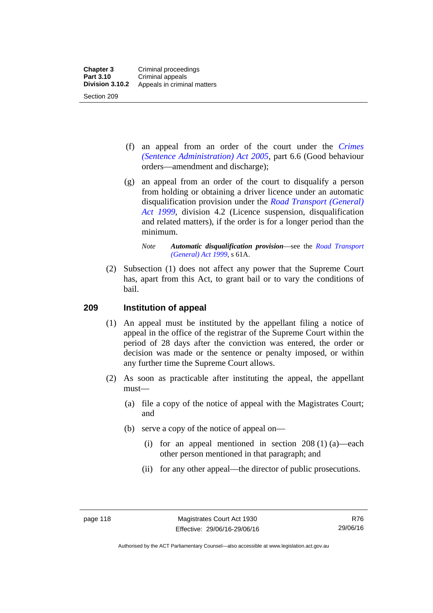- (f) an appeal from an order of the court under the *[Crimes](http://www.legislation.act.gov.au/a/2005-59)  [\(Sentence Administration\) Act 2005](http://www.legislation.act.gov.au/a/2005-59),* part 6.6 (Good behaviour orders—amendment and discharge);
- (g) an appeal from an order of the court to disqualify a person from holding or obtaining a driver licence under an automatic disqualification provision under the *[Road Transport \(General\)](http://www.legislation.act.gov.au/a/1999-77)  [Act 1999](http://www.legislation.act.gov.au/a/1999-77)*, division 4.2 (Licence suspension, disqualification and related matters), if the order is for a longer period than the minimum.

 (2) Subsection (1) does not affect any power that the Supreme Court has, apart from this Act, to grant bail or to vary the conditions of bail.

#### **209 Institution of appeal**

- (1) An appeal must be instituted by the appellant filing a notice of appeal in the office of the registrar of the Supreme Court within the period of 28 days after the conviction was entered, the order or decision was made or the sentence or penalty imposed, or within any further time the Supreme Court allows.
- (2) As soon as practicable after instituting the appeal, the appellant must—
	- (a) file a copy of the notice of appeal with the Magistrates Court; and
	- (b) serve a copy of the notice of appeal on—
		- (i) for an appeal mentioned in section  $208(1)(a)$ —each other person mentioned in that paragraph; and
		- (ii) for any other appeal—the director of public prosecutions.

*Note Automatic disqualification provision*—see the *[Road Transport](http://www.legislation.act.gov.au/a/1999-77)  [\(General\) Act 1999](http://www.legislation.act.gov.au/a/1999-77)*, s 61A.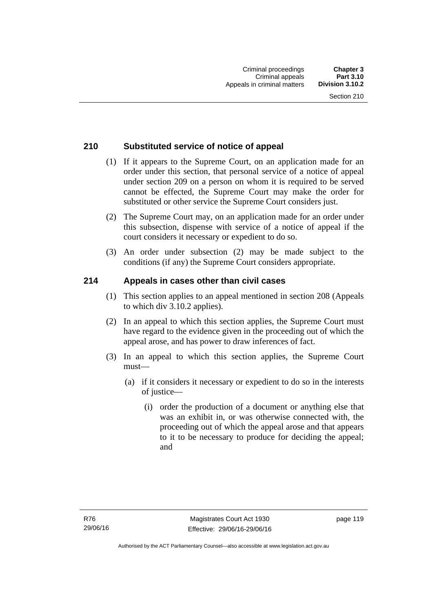#### **210 Substituted service of notice of appeal**

- (1) If it appears to the Supreme Court, on an application made for an order under this section, that personal service of a notice of appeal under section 209 on a person on whom it is required to be served cannot be effected, the Supreme Court may make the order for substituted or other service the Supreme Court considers just.
- (2) The Supreme Court may, on an application made for an order under this subsection, dispense with service of a notice of appeal if the court considers it necessary or expedient to do so.
- (3) An order under subsection (2) may be made subject to the conditions (if any) the Supreme Court considers appropriate.

#### **214 Appeals in cases other than civil cases**

- (1) This section applies to an appeal mentioned in section 208 (Appeals to which div 3.10.2 applies).
- (2) In an appeal to which this section applies, the Supreme Court must have regard to the evidence given in the proceeding out of which the appeal arose, and has power to draw inferences of fact.
- (3) In an appeal to which this section applies, the Supreme Court must—
	- (a) if it considers it necessary or expedient to do so in the interests of justice—
		- (i) order the production of a document or anything else that was an exhibit in, or was otherwise connected with, the proceeding out of which the appeal arose and that appears to it to be necessary to produce for deciding the appeal; and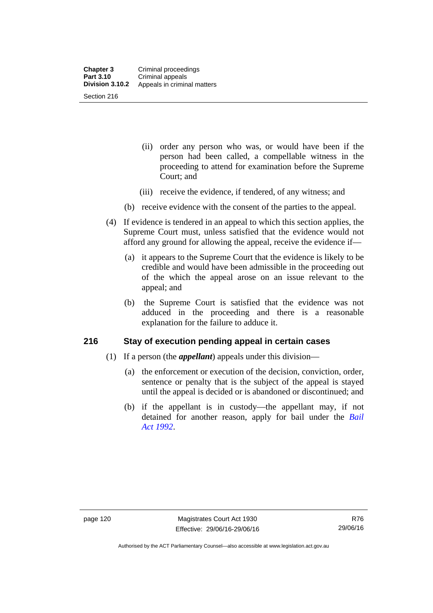- (ii) order any person who was, or would have been if the person had been called, a compellable witness in the proceeding to attend for examination before the Supreme Court; and
- (iii) receive the evidence, if tendered, of any witness; and
- (b) receive evidence with the consent of the parties to the appeal.
- (4) If evidence is tendered in an appeal to which this section applies, the Supreme Court must, unless satisfied that the evidence would not afford any ground for allowing the appeal, receive the evidence if—
	- (a) it appears to the Supreme Court that the evidence is likely to be credible and would have been admissible in the proceeding out of the which the appeal arose on an issue relevant to the appeal; and
	- (b) the Supreme Court is satisfied that the evidence was not adduced in the proceeding and there is a reasonable explanation for the failure to adduce it.

#### **216 Stay of execution pending appeal in certain cases**

- (1) If a person (the *appellant*) appeals under this division—
	- (a) the enforcement or execution of the decision, conviction, order, sentence or penalty that is the subject of the appeal is stayed until the appeal is decided or is abandoned or discontinued; and
	- (b) if the appellant is in custody—the appellant may, if not detained for another reason, apply for bail under the *[Bail](http://www.legislation.act.gov.au/a/1992-8)  [Act 1992](http://www.legislation.act.gov.au/a/1992-8)*.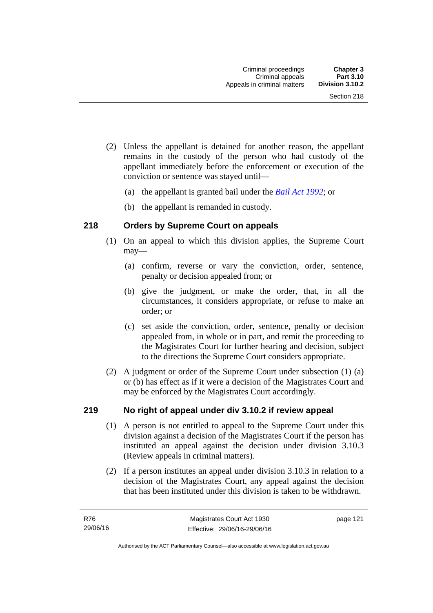- (2) Unless the appellant is detained for another reason, the appellant remains in the custody of the person who had custody of the appellant immediately before the enforcement or execution of the conviction or sentence was stayed until—
	- (a) the appellant is granted bail under the *[Bail Act 1992](http://www.legislation.act.gov.au/a/1992-8)*; or
	- (b) the appellant is remanded in custody.

#### **218 Orders by Supreme Court on appeals**

- (1) On an appeal to which this division applies, the Supreme Court may—
	- (a) confirm, reverse or vary the conviction, order, sentence, penalty or decision appealed from; or
	- (b) give the judgment, or make the order, that, in all the circumstances, it considers appropriate, or refuse to make an order; or
	- (c) set aside the conviction, order, sentence, penalty or decision appealed from, in whole or in part, and remit the proceeding to the Magistrates Court for further hearing and decision, subject to the directions the Supreme Court considers appropriate.
- (2) A judgment or order of the Supreme Court under subsection (1) (a) or (b) has effect as if it were a decision of the Magistrates Court and may be enforced by the Magistrates Court accordingly.

#### **219 No right of appeal under div 3.10.2 if review appeal**

- (1) A person is not entitled to appeal to the Supreme Court under this division against a decision of the Magistrates Court if the person has instituted an appeal against the decision under division 3.10.3 (Review appeals in criminal matters).
- (2) If a person institutes an appeal under division 3.10.3 in relation to a decision of the Magistrates Court, any appeal against the decision that has been instituted under this division is taken to be withdrawn.

page 121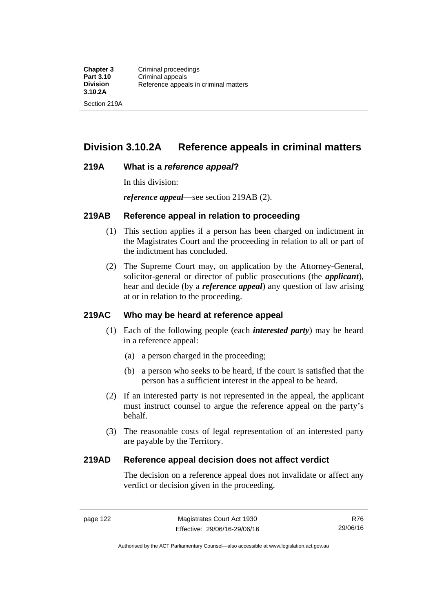# **Division 3.10.2A Reference appeals in criminal matters**

#### **219A What is a** *reference appeal***?**

In this division:

*reference appeal*—see section 219AB (2).

#### **219AB Reference appeal in relation to proceeding**

- (1) This section applies if a person has been charged on indictment in the Magistrates Court and the proceeding in relation to all or part of the indictment has concluded.
- (2) The Supreme Court may, on application by the Attorney-General, solicitor-general or director of public prosecutions (the *applicant*), hear and decide (by a *reference appeal*) any question of law arising at or in relation to the proceeding.

#### **219AC Who may be heard at reference appeal**

- (1) Each of the following people (each *interested party*) may be heard in a reference appeal:
	- (a) a person charged in the proceeding;
	- (b) a person who seeks to be heard, if the court is satisfied that the person has a sufficient interest in the appeal to be heard.
- (2) If an interested party is not represented in the appeal, the applicant must instruct counsel to argue the reference appeal on the party's behalf.
- (3) The reasonable costs of legal representation of an interested party are payable by the Territory.

#### **219AD Reference appeal decision does not affect verdict**

The decision on a reference appeal does not invalidate or affect any verdict or decision given in the proceeding.

R76 29/06/16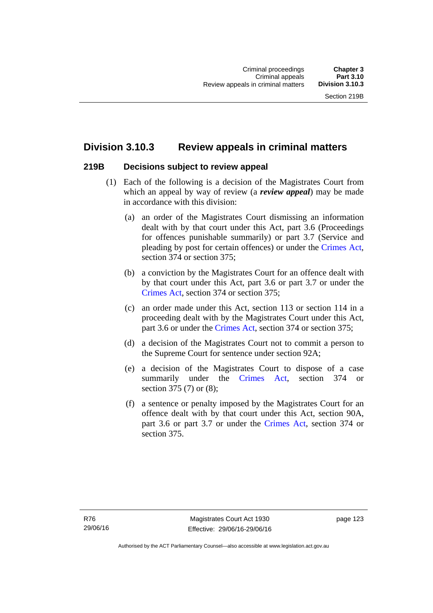# **Division 3.10.3 Review appeals in criminal matters**

#### **219B Decisions subject to review appeal**

- (1) Each of the following is a decision of the Magistrates Court from which an appeal by way of review (a *review appeal*) may be made in accordance with this division:
	- (a) an order of the Magistrates Court dismissing an information dealt with by that court under this Act, part 3.6 (Proceedings for offences punishable summarily) or part 3.7 (Service and pleading by post for certain offences) or under the [Crimes Act](http://www.legislation.act.gov.au/a/1900-40/default.asp), section 374 or section 375;
	- (b) a conviction by the Magistrates Court for an offence dealt with by that court under this Act, part 3.6 or part 3.7 or under the [Crimes Act,](http://www.legislation.act.gov.au/a/1900-40/default.asp) section 374 or section 375;
	- (c) an order made under this Act, section 113 or section 114 in a proceeding dealt with by the Magistrates Court under this Act, part 3.6 or under the [Crimes Act,](http://www.legislation.act.gov.au/a/1900-40/default.asp) section 374 or section 375;
	- (d) a decision of the Magistrates Court not to commit a person to the Supreme Court for sentence under section 92A;
	- (e) a decision of the Magistrates Court to dispose of a case summarily under the [Crimes Act,](http://www.legislation.act.gov.au/a/1900-40/default.asp) section 374 or section 375 (7) or (8);
	- (f) a sentence or penalty imposed by the Magistrates Court for an offence dealt with by that court under this Act, section 90A, part 3.6 or part 3.7 or under the [Crimes Act,](http://www.legislation.act.gov.au/a/1900-40/default.asp) section 374 or section 375.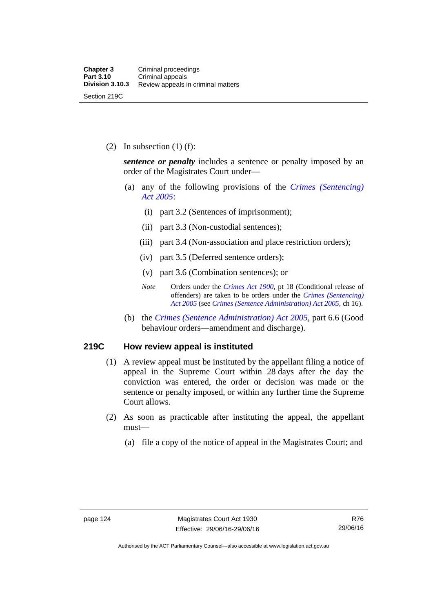(2) In subsection  $(1)$  (f):

*sentence or penalty* includes a sentence or penalty imposed by an order of the Magistrates Court under—

- (a) any of the following provisions of the *[Crimes \(Sentencing\)](http://www.legislation.act.gov.au/a/2005-58)  [Act 2005](http://www.legislation.act.gov.au/a/2005-58)*:
	- (i) part 3.2 (Sentences of imprisonment);
	- (ii) part 3.3 (Non-custodial sentences);
	- (iii) part 3.4 (Non-association and place restriction orders);
	- (iv) part 3.5 (Deferred sentence orders);
	- (v) part 3.6 (Combination sentences); or
	- *Note* Orders under the *[Crimes Act 1900](http://www.legislation.act.gov.au/a/1900-40)*, pt 18 (Conditional release of offenders) are taken to be orders under the *[Crimes \(Sentencing\)](http://www.legislation.act.gov.au/a/2005-58)  [Act 2005](http://www.legislation.act.gov.au/a/2005-58)* (see *[Crimes \(Sentence Administration\) Act 2005](http://www.legislation.act.gov.au/a/2005-59)*, ch 16).
- (b) the *[Crimes \(Sentence Administration\) Act 2005](http://www.legislation.act.gov.au/a/2005-59),* part 6.6 (Good behaviour orders—amendment and discharge).

#### **219C How review appeal is instituted**

- (1) A review appeal must be instituted by the appellant filing a notice of appeal in the Supreme Court within 28 days after the day the conviction was entered, the order or decision was made or the sentence or penalty imposed, or within any further time the Supreme Court allows.
- (2) As soon as practicable after instituting the appeal, the appellant must—
	- (a) file a copy of the notice of appeal in the Magistrates Court; and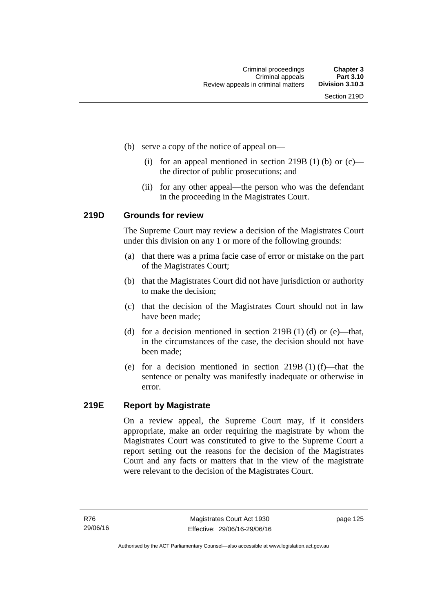- (b) serve a copy of the notice of appeal on—
	- (i) for an appeal mentioned in section 219B (1) (b) or  $(c)$  the director of public prosecutions; and
	- (ii) for any other appeal—the person who was the defendant in the proceeding in the Magistrates Court.

#### **219D Grounds for review**

The Supreme Court may review a decision of the Magistrates Court under this division on any 1 or more of the following grounds:

- (a) that there was a prima facie case of error or mistake on the part of the Magistrates Court;
- (b) that the Magistrates Court did not have jurisdiction or authority to make the decision;
- (c) that the decision of the Magistrates Court should not in law have been made;
- (d) for a decision mentioned in section 219B (1) (d) or (e)—that, in the circumstances of the case, the decision should not have been made;
- (e) for a decision mentioned in section 219B (1) (f)—that the sentence or penalty was manifestly inadequate or otherwise in error.

#### **219E Report by Magistrate**

On a review appeal, the Supreme Court may, if it considers appropriate, make an order requiring the magistrate by whom the Magistrates Court was constituted to give to the Supreme Court a report setting out the reasons for the decision of the Magistrates Court and any facts or matters that in the view of the magistrate were relevant to the decision of the Magistrates Court.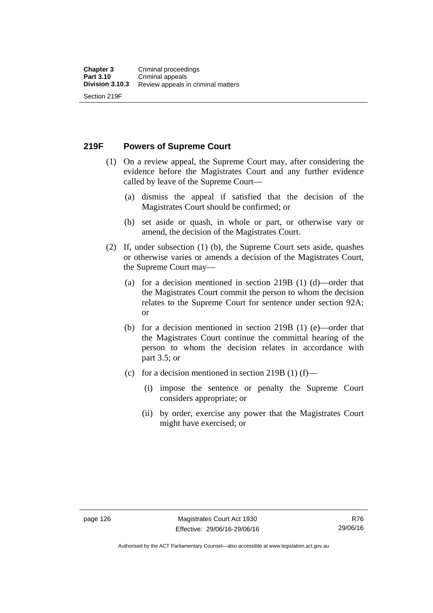**219F Powers of Supreme Court** 

- (1) On a review appeal, the Supreme Court may, after considering the evidence before the Magistrates Court and any further evidence called by leave of the Supreme Court—
	- (a) dismiss the appeal if satisfied that the decision of the Magistrates Court should be confirmed; or
	- (b) set aside or quash, in whole or part, or otherwise vary or amend, the decision of the Magistrates Court.
- (2) If, under subsection (1) (b), the Supreme Court sets aside, quashes or otherwise varies or amends a decision of the Magistrates Court, the Supreme Court may—
	- (a) for a decision mentioned in section 219B (1) (d)—order that the Magistrates Court commit the person to whom the decision relates to the Supreme Court for sentence under section 92A; or
	- (b) for a decision mentioned in section 219B (1) (e)—order that the Magistrates Court continue the committal hearing of the person to whom the decision relates in accordance with part 3.5; or
	- (c) for a decision mentioned in section 219B (1) (f)—
		- (i) impose the sentence or penalty the Supreme Court considers appropriate; or
		- (ii) by order, exercise any power that the Magistrates Court might have exercised; or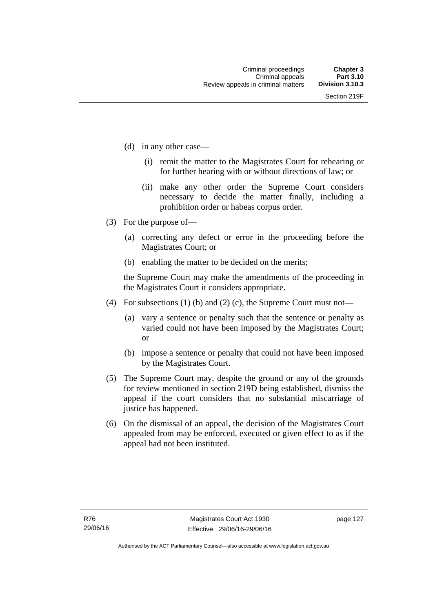- (d) in any other case—
	- (i) remit the matter to the Magistrates Court for rehearing or for further hearing with or without directions of law; or
	- (ii) make any other order the Supreme Court considers necessary to decide the matter finally, including a prohibition order or habeas corpus order.
- (3) For the purpose of—
	- (a) correcting any defect or error in the proceeding before the Magistrates Court; or
	- (b) enabling the matter to be decided on the merits;

the Supreme Court may make the amendments of the proceeding in the Magistrates Court it considers appropriate.

- (4) For subsections (1) (b) and (2) (c), the Supreme Court must not—
	- (a) vary a sentence or penalty such that the sentence or penalty as varied could not have been imposed by the Magistrates Court; or
	- (b) impose a sentence or penalty that could not have been imposed by the Magistrates Court.
- (5) The Supreme Court may, despite the ground or any of the grounds for review mentioned in section 219D being established, dismiss the appeal if the court considers that no substantial miscarriage of justice has happened.
- (6) On the dismissal of an appeal, the decision of the Magistrates Court appealed from may be enforced, executed or given effect to as if the appeal had not been instituted.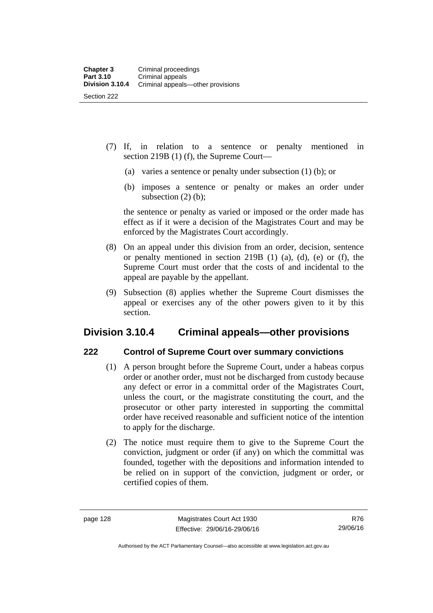- (7) If, in relation to a sentence or penalty mentioned in section 219B (1) (f), the Supreme Court—
	- (a) varies a sentence or penalty under subsection (1) (b); or
	- (b) imposes a sentence or penalty or makes an order under subsection  $(2)$  (b);

the sentence or penalty as varied or imposed or the order made has effect as if it were a decision of the Magistrates Court and may be enforced by the Magistrates Court accordingly.

- (8) On an appeal under this division from an order, decision, sentence or penalty mentioned in section 219B (1) (a), (d), (e) or (f), the Supreme Court must order that the costs of and incidental to the appeal are payable by the appellant.
- (9) Subsection (8) applies whether the Supreme Court dismisses the appeal or exercises any of the other powers given to it by this section.

# **Division 3.10.4 Criminal appeals—other provisions**

#### **222 Control of Supreme Court over summary convictions**

- (1) A person brought before the Supreme Court, under a habeas corpus order or another order, must not be discharged from custody because any defect or error in a committal order of the Magistrates Court, unless the court, or the magistrate constituting the court, and the prosecutor or other party interested in supporting the committal order have received reasonable and sufficient notice of the intention to apply for the discharge.
- (2) The notice must require them to give to the Supreme Court the conviction, judgment or order (if any) on which the committal was founded, together with the depositions and information intended to be relied on in support of the conviction, judgment or order, or certified copies of them.

Authorised by the ACT Parliamentary Counsel—also accessible at www.legislation.act.gov.au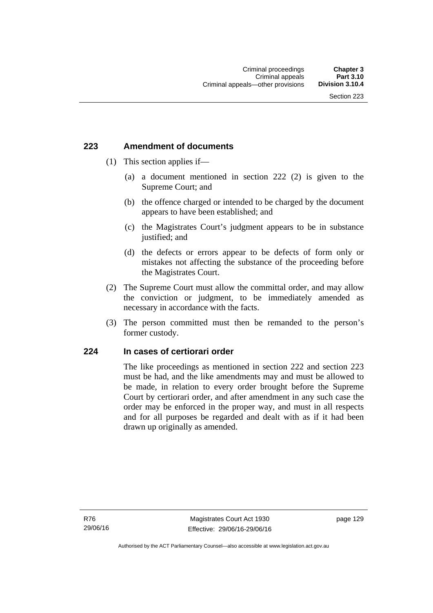### **223 Amendment of documents**

- (1) This section applies if—
	- (a) a document mentioned in section 222 (2) is given to the Supreme Court; and
	- (b) the offence charged or intended to be charged by the document appears to have been established; and
	- (c) the Magistrates Court's judgment appears to be in substance justified; and
	- (d) the defects or errors appear to be defects of form only or mistakes not affecting the substance of the proceeding before the Magistrates Court.
- (2) The Supreme Court must allow the committal order, and may allow the conviction or judgment, to be immediately amended as necessary in accordance with the facts.
- (3) The person committed must then be remanded to the person's former custody.

### **224 In cases of certiorari order**

The like proceedings as mentioned in section 222 and section 223 must be had, and the like amendments may and must be allowed to be made, in relation to every order brought before the Supreme Court by certiorari order, and after amendment in any such case the order may be enforced in the proper way, and must in all respects and for all purposes be regarded and dealt with as if it had been drawn up originally as amended.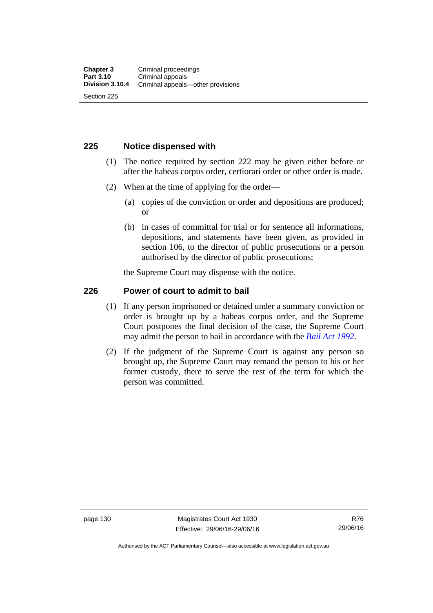### **225 Notice dispensed with**

- (1) The notice required by section 222 may be given either before or after the habeas corpus order, certiorari order or other order is made.
- (2) When at the time of applying for the order—
	- (a) copies of the conviction or order and depositions are produced; or
	- (b) in cases of committal for trial or for sentence all informations, depositions, and statements have been given, as provided in section 106, to the director of public prosecutions or a person authorised by the director of public prosecutions;

the Supreme Court may dispense with the notice.

### **226 Power of court to admit to bail**

- (1) If any person imprisoned or detained under a summary conviction or order is brought up by a habeas corpus order, and the Supreme Court postpones the final decision of the case, the Supreme Court may admit the person to bail in accordance with the *[Bail Act 1992](http://www.legislation.act.gov.au/a/1992-8)*.
- (2) If the judgment of the Supreme Court is against any person so brought up, the Supreme Court may remand the person to his or her former custody, there to serve the rest of the term for which the person was committed.

page 130 Magistrates Court Act 1930 Effective: 29/06/16-29/06/16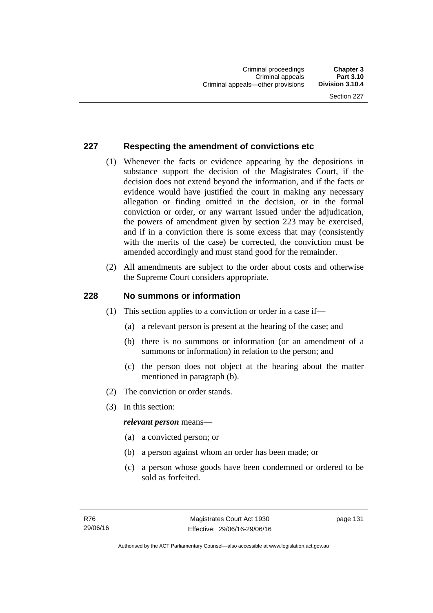### **227 Respecting the amendment of convictions etc**

- (1) Whenever the facts or evidence appearing by the depositions in substance support the decision of the Magistrates Court, if the decision does not extend beyond the information, and if the facts or evidence would have justified the court in making any necessary allegation or finding omitted in the decision, or in the formal conviction or order, or any warrant issued under the adjudication, the powers of amendment given by section 223 may be exercised, and if in a conviction there is some excess that may (consistently with the merits of the case) be corrected, the conviction must be amended accordingly and must stand good for the remainder.
- (2) All amendments are subject to the order about costs and otherwise the Supreme Court considers appropriate.

### **228 No summons or information**

- (1) This section applies to a conviction or order in a case if—
	- (a) a relevant person is present at the hearing of the case; and
	- (b) there is no summons or information (or an amendment of a summons or information) in relation to the person; and
	- (c) the person does not object at the hearing about the matter mentioned in paragraph (b).
- (2) The conviction or order stands.
- (3) In this section:

#### *relevant person* means—

- (a) a convicted person; or
- (b) a person against whom an order has been made; or
- (c) a person whose goods have been condemned or ordered to be sold as forfeited.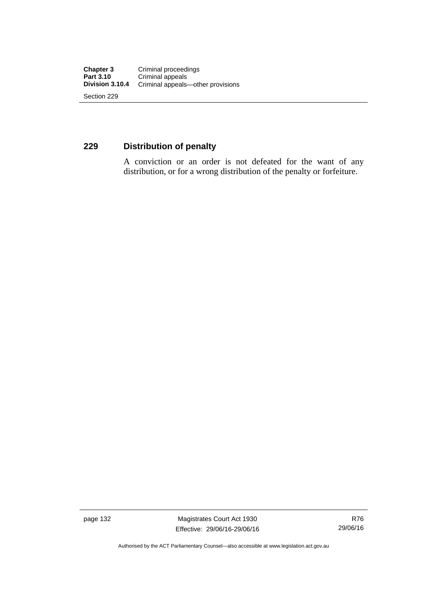### **229 Distribution of penalty**

A conviction or an order is not defeated for the want of any distribution, or for a wrong distribution of the penalty or forfeiture.

page 132 Magistrates Court Act 1930 Effective: 29/06/16-29/06/16

Authorised by the ACT Parliamentary Counsel—also accessible at www.legislation.act.gov.au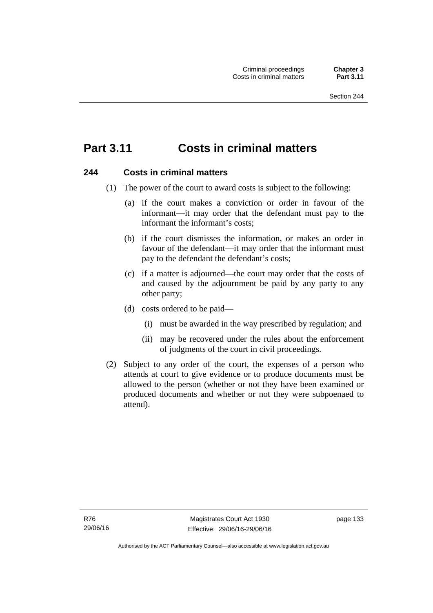# **Part 3.11 Costs in criminal matters**

### **244 Costs in criminal matters**

- (1) The power of the court to award costs is subject to the following:
	- (a) if the court makes a conviction or order in favour of the informant—it may order that the defendant must pay to the informant the informant's costs;
	- (b) if the court dismisses the information, or makes an order in favour of the defendant—it may order that the informant must pay to the defendant the defendant's costs;
	- (c) if a matter is adjourned—the court may order that the costs of and caused by the adjournment be paid by any party to any other party;
	- (d) costs ordered to be paid—
		- (i) must be awarded in the way prescribed by regulation; and
		- (ii) may be recovered under the rules about the enforcement of judgments of the court in civil proceedings.
- (2) Subject to any order of the court, the expenses of a person who attends at court to give evidence or to produce documents must be allowed to the person (whether or not they have been examined or produced documents and whether or not they were subpoenaed to attend).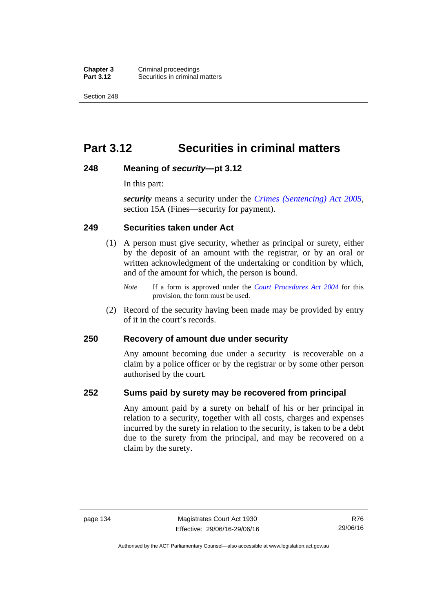**Chapter 3** Criminal proceedings<br>**Part 3.12** Securities in criminal **Securities in criminal matters** 

Section 248

# **Part 3.12 Securities in criminal matters**

### **248 Meaning of** *security***—pt 3.12**

In this part:

*security* means a security under the *[Crimes \(Sentencing\) Act 2005](http://www.legislation.act.gov.au/a/2005-58)*, section 15A (Fines—security for payment).

### **249 Securities taken under Act**

- (1) A person must give security, whether as principal or surety, either by the deposit of an amount with the registrar, or by an oral or written acknowledgment of the undertaking or condition by which, and of the amount for which, the person is bound.
	- *Note* If a form is approved under the *[Court Procedures Act 2004](http://www.legislation.act.gov.au/a/2004-59)* for this provision, the form must be used.
- (2) Record of the security having been made may be provided by entry of it in the court's records.

### **250 Recovery of amount due under security**

Any amount becoming due under a security is recoverable on a claim by a police officer or by the registrar or by some other person authorised by the court.

### **252 Sums paid by surety may be recovered from principal**

Any amount paid by a surety on behalf of his or her principal in relation to a security, together with all costs, charges and expenses incurred by the surety in relation to the security, is taken to be a debt due to the surety from the principal, and may be recovered on a claim by the surety.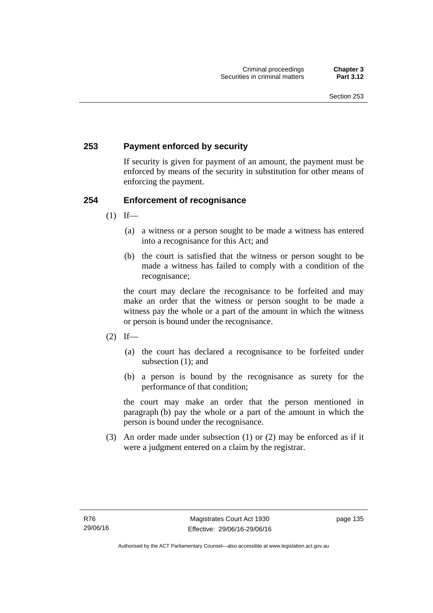### **253 Payment enforced by security**

If security is given for payment of an amount, the payment must be enforced by means of the security in substitution for other means of enforcing the payment.

### **254 Enforcement of recognisance**

- $(1)$  If—
	- (a) a witness or a person sought to be made a witness has entered into a recognisance for this Act; and
	- (b) the court is satisfied that the witness or person sought to be made a witness has failed to comply with a condition of the recognisance;

the court may declare the recognisance to be forfeited and may make an order that the witness or person sought to be made a witness pay the whole or a part of the amount in which the witness or person is bound under the recognisance.

- $(2)$  If—
	- (a) the court has declared a recognisance to be forfeited under subsection (1); and
	- (b) a person is bound by the recognisance as surety for the performance of that condition;

the court may make an order that the person mentioned in paragraph (b) pay the whole or a part of the amount in which the person is bound under the recognisance.

 (3) An order made under subsection (1) or (2) may be enforced as if it were a judgment entered on a claim by the registrar.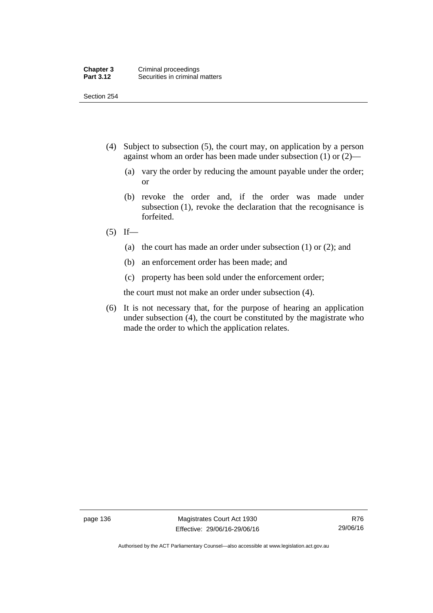Section 254

- (4) Subject to subsection (5), the court may, on application by a person against whom an order has been made under subsection (1) or (2)—
	- (a) vary the order by reducing the amount payable under the order; or
	- (b) revoke the order and, if the order was made under subsection (1), revoke the declaration that the recognisance is forfeited.
- $(5)$  If—
	- (a) the court has made an order under subsection (1) or (2); and
	- (b) an enforcement order has been made; and
	- (c) property has been sold under the enforcement order;

the court must not make an order under subsection (4).

 (6) It is not necessary that, for the purpose of hearing an application under subsection (4), the court be constituted by the magistrate who made the order to which the application relates.

Authorised by the ACT Parliamentary Counsel—also accessible at www.legislation.act.gov.au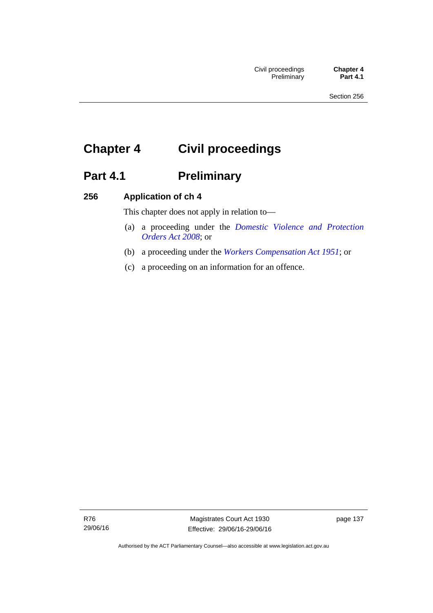# **Chapter 4 Civil proceedings**

# Part 4.1 **Preliminary**

### **256 Application of ch 4**

This chapter does not apply in relation to—

- (a) a proceeding under the *[Domestic Violence and Protection](http://www.legislation.act.gov.au/a/2008-46)  [Orders Act 2008](http://www.legislation.act.gov.au/a/2008-46)*; or
- (b) a proceeding under the *[Workers Compensation Act 1951](http://www.legislation.act.gov.au/a/1951-2)*; or
- (c) a proceeding on an information for an offence.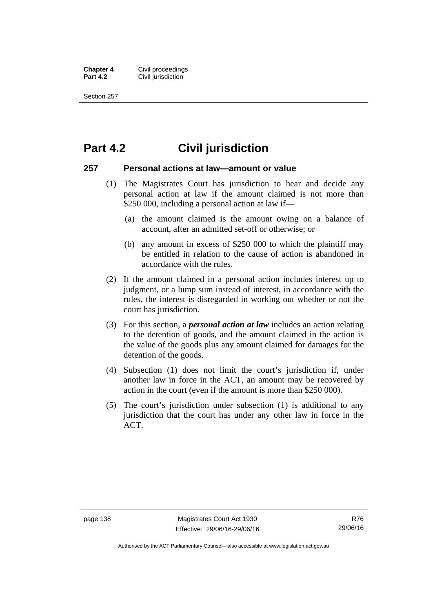**Chapter 4 Civil proceedings**<br>**Part 4.2 Civil iurisdiction Civil jurisdiction** 

Section 257

### **Part 4.2 Civil jurisdiction**

### **257 Personal actions at law—amount or value**

- (1) The Magistrates Court has jurisdiction to hear and decide any personal action at law if the amount claimed is not more than \$250 000, including a personal action at law if—
	- (a) the amount claimed is the amount owing on a balance of account, after an admitted set-off or otherwise; or
	- (b) any amount in excess of \$250 000 to which the plaintiff may be entitled in relation to the cause of action is abandoned in accordance with the rules.
- (2) If the amount claimed in a personal action includes interest up to judgment, or a lump sum instead of interest, in accordance with the rules, the interest is disregarded in working out whether or not the court has jurisdiction.
- (3) For this section, a *personal action at law* includes an action relating to the detention of goods, and the amount claimed in the action is the value of the goods plus any amount claimed for damages for the detention of the goods.
- (4) Subsection (1) does not limit the court's jurisdiction if, under another law in force in the ACT, an amount may be recovered by action in the court (even if the amount is more than \$250 000).
- (5) The court's jurisdiction under subsection (1) is additional to any jurisdiction that the court has under any other law in force in the ACT.

Authorised by the ACT Parliamentary Counsel—also accessible at www.legislation.act.gov.au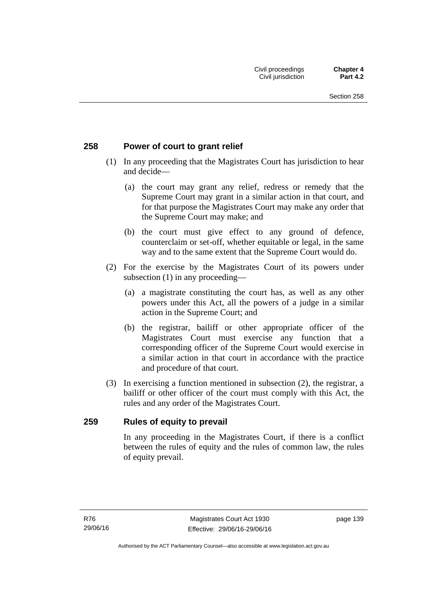### **258 Power of court to grant relief**

- (1) In any proceeding that the Magistrates Court has jurisdiction to hear and decide—
	- (a) the court may grant any relief, redress or remedy that the Supreme Court may grant in a similar action in that court, and for that purpose the Magistrates Court may make any order that the Supreme Court may make; and
	- (b) the court must give effect to any ground of defence, counterclaim or set-off, whether equitable or legal, in the same way and to the same extent that the Supreme Court would do.
- (2) For the exercise by the Magistrates Court of its powers under subsection (1) in any proceeding—
	- (a) a magistrate constituting the court has, as well as any other powers under this Act, all the powers of a judge in a similar action in the Supreme Court; and
	- (b) the registrar, bailiff or other appropriate officer of the Magistrates Court must exercise any function that a corresponding officer of the Supreme Court would exercise in a similar action in that court in accordance with the practice and procedure of that court.
- (3) In exercising a function mentioned in subsection (2), the registrar, a bailiff or other officer of the court must comply with this Act, the rules and any order of the Magistrates Court.

### **259 Rules of equity to prevail**

In any proceeding in the Magistrates Court, if there is a conflict between the rules of equity and the rules of common law, the rules of equity prevail.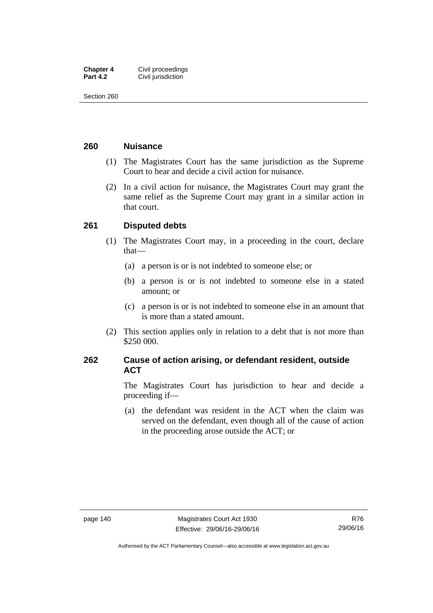| <b>Chapter 4</b> | Civil proceedings  |
|------------------|--------------------|
| <b>Part 4.2</b>  | Civil jurisdiction |

Section 260

### **260 Nuisance**

- (1) The Magistrates Court has the same jurisdiction as the Supreme Court to hear and decide a civil action for nuisance.
- (2) In a civil action for nuisance, the Magistrates Court may grant the same relief as the Supreme Court may grant in a similar action in that court.

### **261 Disputed debts**

- (1) The Magistrates Court may, in a proceeding in the court, declare that—
	- (a) a person is or is not indebted to someone else; or
	- (b) a person is or is not indebted to someone else in a stated amount; or
	- (c) a person is or is not indebted to someone else in an amount that is more than a stated amount.
- (2) This section applies only in relation to a debt that is not more than \$250 000.

### **262 Cause of action arising, or defendant resident, outside ACT**

The Magistrates Court has jurisdiction to hear and decide a proceeding if—

 (a) the defendant was resident in the ACT when the claim was served on the defendant, even though all of the cause of action in the proceeding arose outside the ACT; or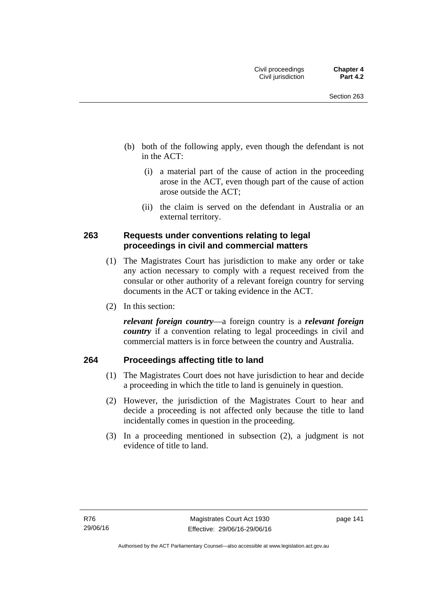- (b) both of the following apply, even though the defendant is not in the ACT:
	- (i) a material part of the cause of action in the proceeding arose in the ACT, even though part of the cause of action arose outside the ACT;
	- (ii) the claim is served on the defendant in Australia or an external territory.

### **263 Requests under conventions relating to legal proceedings in civil and commercial matters**

- (1) The Magistrates Court has jurisdiction to make any order or take any action necessary to comply with a request received from the consular or other authority of a relevant foreign country for serving documents in the ACT or taking evidence in the ACT.
- (2) In this section:

*relevant foreign country*—a foreign country is a *relevant foreign country* if a convention relating to legal proceedings in civil and commercial matters is in force between the country and Australia.

### **264 Proceedings affecting title to land**

- (1) The Magistrates Court does not have jurisdiction to hear and decide a proceeding in which the title to land is genuinely in question.
- (2) However, the jurisdiction of the Magistrates Court to hear and decide a proceeding is not affected only because the title to land incidentally comes in question in the proceeding.
- (3) In a proceeding mentioned in subsection (2), a judgment is not evidence of title to land.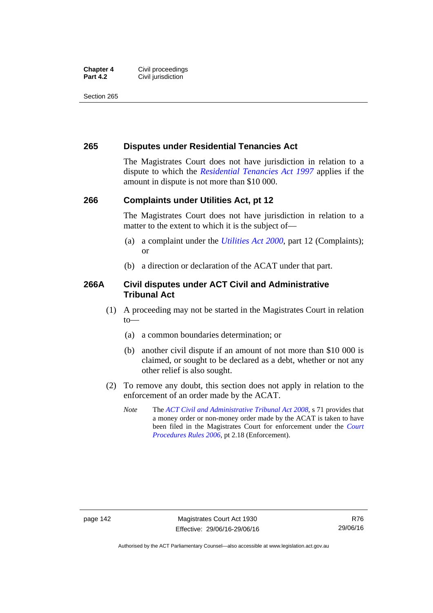#### **Chapter 4 Civil proceedings**<br>**Part 4.2 Civil iurisdiction Civil jurisdiction**

Section 265

### **265 Disputes under Residential Tenancies Act**

The Magistrates Court does not have jurisdiction in relation to a dispute to which the *[Residential Tenancies Act 1997](http://www.legislation.act.gov.au/a/1997-84)* applies if the amount in dispute is not more than \$10 000.

### **266 Complaints under Utilities Act, pt 12**

The Magistrates Court does not have jurisdiction in relation to a matter to the extent to which it is the subject of—

- (a) a complaint under the *[Utilities Act 2000](http://www.legislation.act.gov.au/a/2000-65)*, part 12 (Complaints); or
- (b) a direction or declaration of the ACAT under that part.

### **266A Civil disputes under ACT Civil and Administrative Tribunal Act**

- (1) A proceeding may not be started in the Magistrates Court in relation to—
	- (a) a common boundaries determination; or
	- (b) another civil dispute if an amount of not more than \$10 000 is claimed, or sought to be declared as a debt, whether or not any other relief is also sought.
- (2) To remove any doubt, this section does not apply in relation to the enforcement of an order made by the ACAT.
	- *Note* The *[ACT Civil and Administrative Tribunal Act 2008](http://www.legislation.act.gov.au/a/2008-35)*, s 71 provides that a money order or non-money order made by the ACAT is taken to have been filed in the Magistrates Court for enforcement under the *[Court](http://www.legislation.act.gov.au/sl/2006-29)  [Procedures Rules 2006](http://www.legislation.act.gov.au/sl/2006-29)*, pt 2.18 (Enforcement).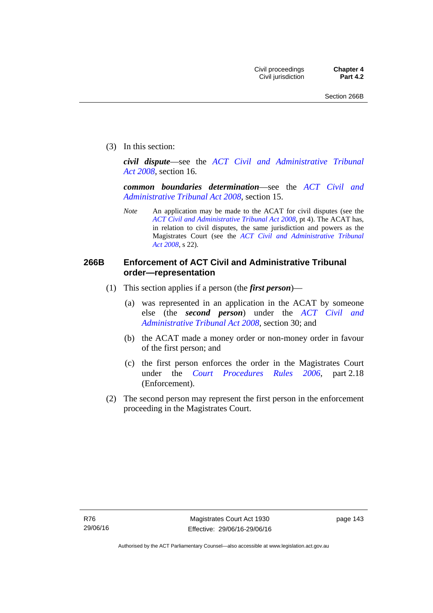(3) In this section:

*civil dispute*—see the *[ACT Civil and Administrative Tribunal](http://www.legislation.act.gov.au/a/2008-35)  [Act 2008](http://www.legislation.act.gov.au/a/2008-35)*, section 16.

*common boundaries determination*—see the *[ACT Civil and](http://www.legislation.act.gov.au/a/2008-35)  [Administrative Tribunal Act 2008](http://www.legislation.act.gov.au/a/2008-35)*, section 15.

*Note* An application may be made to the ACAT for civil disputes (see the *[ACT Civil and Administrative Tribunal Act 2008](http://www.legislation.act.gov.au/a/2008-35/default.asp)*, pt 4). The ACAT has, in relation to civil disputes, the same jurisdiction and powers as the Magistrates Court (see the *[ACT Civil and Administrative Tribunal](http://www.legislation.act.gov.au/a/2008-35)  [Act 2008](http://www.legislation.act.gov.au/a/2008-35)*, s 22).

### **266B Enforcement of ACT Civil and Administrative Tribunal order—representation**

- (1) This section applies if a person (the *first person*)—
	- (a) was represented in an application in the ACAT by someone else (the *second person*) under the *[ACT Civil and](http://www.legislation.act.gov.au/a/2008-35)  [Administrative Tribunal Act 2008](http://www.legislation.act.gov.au/a/2008-35)*, section 30; and
	- (b) the ACAT made a money order or non-money order in favour of the first person; and
	- (c) the first person enforces the order in the Magistrates Court under the *[Court Procedures Rules 2006](http://www.legislation.act.gov.au/sl/2006-29)*, part 2.18 (Enforcement).
- (2) The second person may represent the first person in the enforcement proceeding in the Magistrates Court.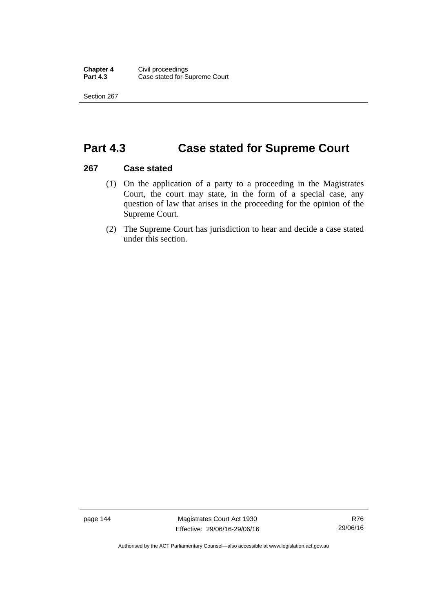Section 267

## **Part 4.3 Case stated for Supreme Court**

### **267 Case stated**

- (1) On the application of a party to a proceeding in the Magistrates Court, the court may state, in the form of a special case, any question of law that arises in the proceeding for the opinion of the Supreme Court.
- (2) The Supreme Court has jurisdiction to hear and decide a case stated under this section.

page 144 Magistrates Court Act 1930 Effective: 29/06/16-29/06/16

Authorised by the ACT Parliamentary Counsel—also accessible at www.legislation.act.gov.au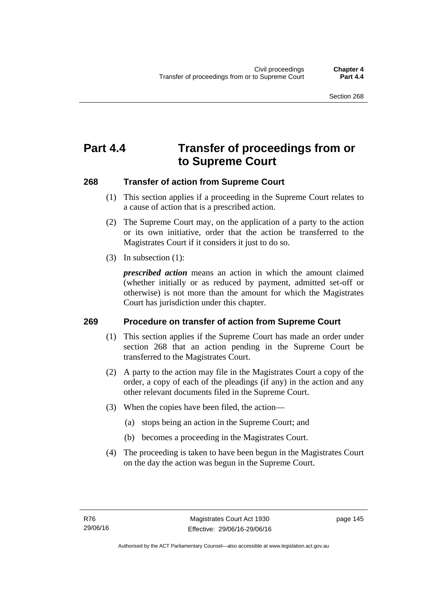# **Part 4.4 Transfer of proceedings from or to Supreme Court**

### **268 Transfer of action from Supreme Court**

- (1) This section applies if a proceeding in the Supreme Court relates to a cause of action that is a prescribed action.
- (2) The Supreme Court may, on the application of a party to the action or its own initiative, order that the action be transferred to the Magistrates Court if it considers it just to do so.
- (3) In subsection (1):

*prescribed action* means an action in which the amount claimed (whether initially or as reduced by payment, admitted set-off or otherwise) is not more than the amount for which the Magistrates Court has jurisdiction under this chapter.

### **269 Procedure on transfer of action from Supreme Court**

- (1) This section applies if the Supreme Court has made an order under section 268 that an action pending in the Supreme Court be transferred to the Magistrates Court.
- (2) A party to the action may file in the Magistrates Court a copy of the order, a copy of each of the pleadings (if any) in the action and any other relevant documents filed in the Supreme Court.
- (3) When the copies have been filed, the action—
	- (a) stops being an action in the Supreme Court; and
	- (b) becomes a proceeding in the Magistrates Court.
- (4) The proceeding is taken to have been begun in the Magistrates Court on the day the action was begun in the Supreme Court.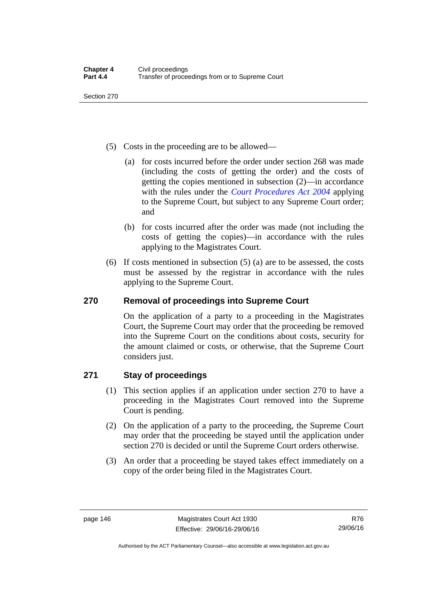Section 270

- (5) Costs in the proceeding are to be allowed—
	- (a) for costs incurred before the order under section 268 was made (including the costs of getting the order) and the costs of getting the copies mentioned in subsection (2)—in accordance with the rules under the *[Court Procedures Act 2004](http://www.legislation.act.gov.au/a/2004-59)* applying to the Supreme Court, but subject to any Supreme Court order; and
	- (b) for costs incurred after the order was made (not including the costs of getting the copies)—in accordance with the rules applying to the Magistrates Court.
- (6) If costs mentioned in subsection (5) (a) are to be assessed, the costs must be assessed by the registrar in accordance with the rules applying to the Supreme Court.

### **270 Removal of proceedings into Supreme Court**

On the application of a party to a proceeding in the Magistrates Court, the Supreme Court may order that the proceeding be removed into the Supreme Court on the conditions about costs, security for the amount claimed or costs, or otherwise, that the Supreme Court considers just.

### **271 Stay of proceedings**

- (1) This section applies if an application under section 270 to have a proceeding in the Magistrates Court removed into the Supreme Court is pending.
- (2) On the application of a party to the proceeding, the Supreme Court may order that the proceeding be stayed until the application under section 270 is decided or until the Supreme Court orders otherwise.
- (3) An order that a proceeding be stayed takes effect immediately on a copy of the order being filed in the Magistrates Court.

Authorised by the ACT Parliamentary Counsel—also accessible at www.legislation.act.gov.au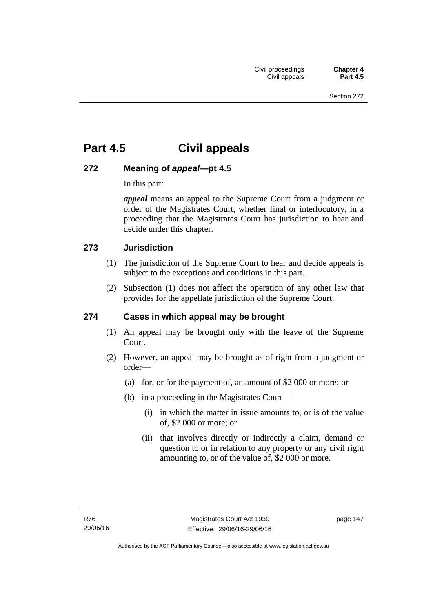# **Part 4.5 Civil appeals**

### **272 Meaning of** *appeal***—pt 4.5**

In this part:

*appeal* means an appeal to the Supreme Court from a judgment or order of the Magistrates Court, whether final or interlocutory, in a proceeding that the Magistrates Court has jurisdiction to hear and decide under this chapter.

### **273 Jurisdiction**

- (1) The jurisdiction of the Supreme Court to hear and decide appeals is subject to the exceptions and conditions in this part.
- (2) Subsection (1) does not affect the operation of any other law that provides for the appellate jurisdiction of the Supreme Court.

### **274 Cases in which appeal may be brought**

- (1) An appeal may be brought only with the leave of the Supreme Court.
- (2) However, an appeal may be brought as of right from a judgment or order—
	- (a) for, or for the payment of, an amount of \$2 000 or more; or
	- (b) in a proceeding in the Magistrates Court—
		- (i) in which the matter in issue amounts to, or is of the value of, \$2 000 or more; or
		- (ii) that involves directly or indirectly a claim, demand or question to or in relation to any property or any civil right amounting to, or of the value of, \$2 000 or more.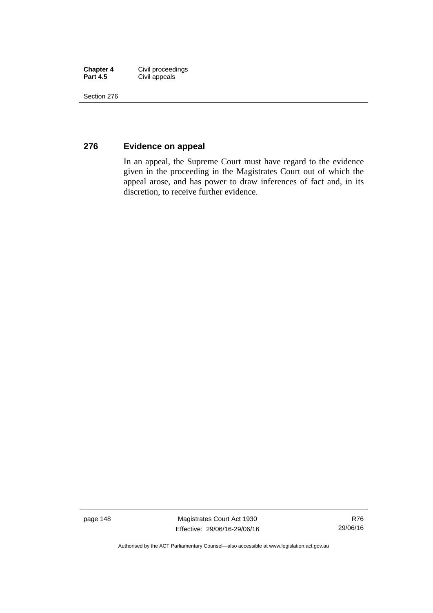| <b>Chapter 4</b> | Civil proceedings |
|------------------|-------------------|
| <b>Part 4.5</b>  | Civil appeals     |

Section 276

### **276 Evidence on appeal**

In an appeal, the Supreme Court must have regard to the evidence given in the proceeding in the Magistrates Court out of which the appeal arose, and has power to draw inferences of fact and, in its discretion, to receive further evidence.

page 148 Magistrates Court Act 1930 Effective: 29/06/16-29/06/16

Authorised by the ACT Parliamentary Counsel—also accessible at www.legislation.act.gov.au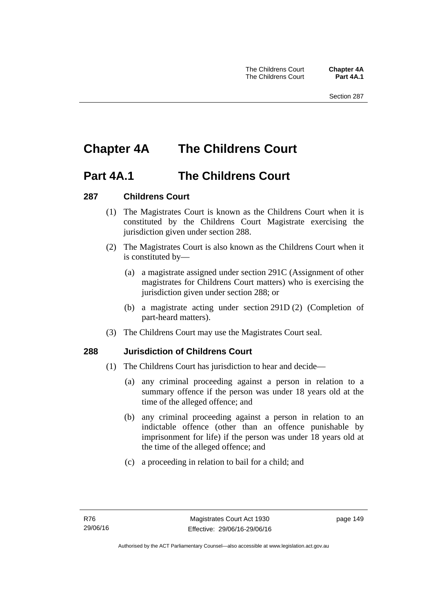# **Chapter 4A The Childrens Court**

### **Part 4A.1 The Childrens Court**

### **287 Childrens Court**

- (1) The Magistrates Court is known as the Childrens Court when it is constituted by the Childrens Court Magistrate exercising the jurisdiction given under section 288.
- (2) The Magistrates Court is also known as the Childrens Court when it is constituted by—
	- (a) a magistrate assigned under section 291C (Assignment of other magistrates for Childrens Court matters) who is exercising the jurisdiction given under section 288; or
	- (b) a magistrate acting under section 291D (2) (Completion of part-heard matters).
- (3) The Childrens Court may use the Magistrates Court seal.

### **288 Jurisdiction of Childrens Court**

- (1) The Childrens Court has jurisdiction to hear and decide—
	- (a) any criminal proceeding against a person in relation to a summary offence if the person was under 18 years old at the time of the alleged offence; and
	- (b) any criminal proceeding against a person in relation to an indictable offence (other than an offence punishable by imprisonment for life) if the person was under 18 years old at the time of the alleged offence; and
	- (c) a proceeding in relation to bail for a child; and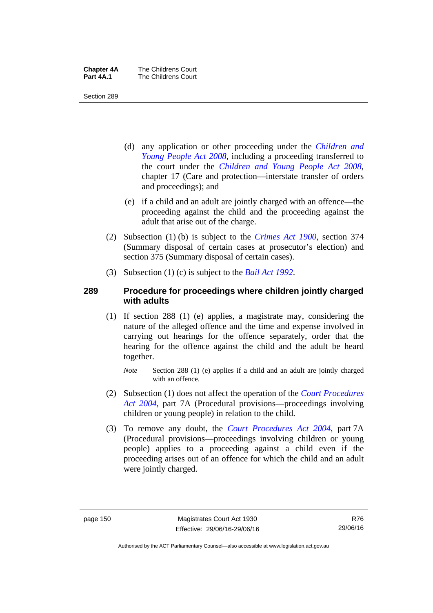| <b>Chapter 4A</b> | The Childrens Court |
|-------------------|---------------------|
| Part 4A.1         | The Childrens Court |

Section 289

- (d) any application or other proceeding under the *[Children and](http://www.legislation.act.gov.au/a/2008-19)  [Young People Act 2008](http://www.legislation.act.gov.au/a/2008-19)*, including a proceeding transferred to the court under the *[Children and Young People Act 2008](http://www.legislation.act.gov.au/a/2008-19)*, chapter 17 (Care and protection—interstate transfer of orders and proceedings); and
- (e) if a child and an adult are jointly charged with an offence—the proceeding against the child and the proceeding against the adult that arise out of the charge.
- (2) Subsection (1) (b) is subject to the *[Crimes Act 1900](http://www.legislation.act.gov.au/a/1900-40)*, section 374 (Summary disposal of certain cases at prosecutor's election) and section 375 (Summary disposal of certain cases).
- (3) Subsection (1) (c) is subject to the *[Bail Act 1992](http://www.legislation.act.gov.au/a/1992-8)*.

### **289 Procedure for proceedings where children jointly charged with adults**

- (1) If section 288 (1) (e) applies, a magistrate may, considering the nature of the alleged offence and the time and expense involved in carrying out hearings for the offence separately, order that the hearing for the offence against the child and the adult be heard together.
	- *Note* Section 288 (1) (e) applies if a child and an adult are jointly charged with an offence.
- (2) Subsection (1) does not affect the operation of the *[Court Procedures](http://www.legislation.act.gov.au/a/2004-59)  [Act 2004](http://www.legislation.act.gov.au/a/2004-59)*, part 7A (Procedural provisions—proceedings involving children or young people) in relation to the child.
- (3) To remove any doubt, the *[Court Procedures Act 2004](http://www.legislation.act.gov.au/a/2004-59)*, part 7A (Procedural provisions—proceedings involving children or young people) applies to a proceeding against a child even if the proceeding arises out of an offence for which the child and an adult were jointly charged.

Authorised by the ACT Parliamentary Counsel—also accessible at www.legislation.act.gov.au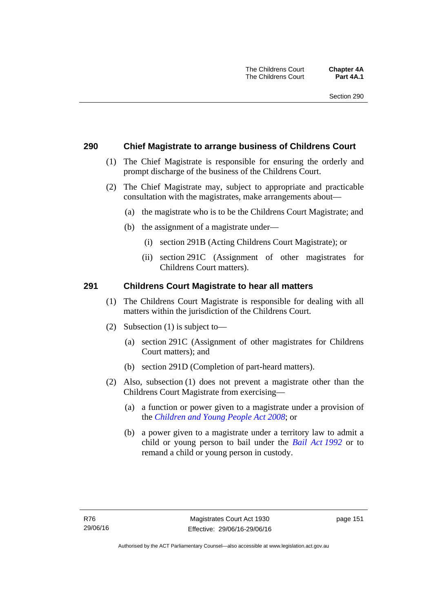### **290 Chief Magistrate to arrange business of Childrens Court**

- (1) The Chief Magistrate is responsible for ensuring the orderly and prompt discharge of the business of the Childrens Court.
- (2) The Chief Magistrate may, subject to appropriate and practicable consultation with the magistrates, make arrangements about—
	- (a) the magistrate who is to be the Childrens Court Magistrate; and
	- (b) the assignment of a magistrate under—
		- (i) section 291B (Acting Childrens Court Magistrate); or
		- (ii) section 291C (Assignment of other magistrates for Childrens Court matters).

### **291 Childrens Court Magistrate to hear all matters**

- (1) The Childrens Court Magistrate is responsible for dealing with all matters within the jurisdiction of the Childrens Court.
- (2) Subsection (1) is subject to—
	- (a) section 291C (Assignment of other magistrates for Childrens Court matters); and
	- (b) section 291D (Completion of part-heard matters).
- (2) Also, subsection (1) does not prevent a magistrate other than the Childrens Court Magistrate from exercising—
	- (a) a function or power given to a magistrate under a provision of the *[Children and Young People Act 2008](http://www.legislation.act.gov.au/a/2008-19)*; or
	- (b) a power given to a magistrate under a territory law to admit a child or young person to bail under the *[Bail Act 1992](http://www.legislation.act.gov.au/a/1992-8)* or to remand a child or young person in custody.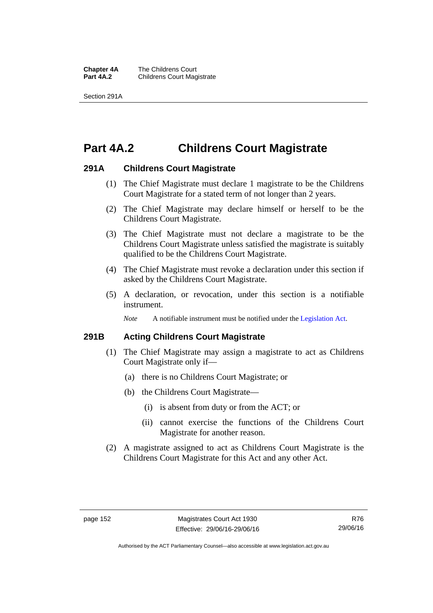**Chapter 4A** The Childrens Court<br>**Part 4A.2** Childrens Court Mag **Childrens Court Magistrate** 

Section 291A

# **Part 4A.2 Childrens Court Magistrate**

### **291A Childrens Court Magistrate**

- (1) The Chief Magistrate must declare 1 magistrate to be the Childrens Court Magistrate for a stated term of not longer than 2 years.
- (2) The Chief Magistrate may declare himself or herself to be the Childrens Court Magistrate.
- (3) The Chief Magistrate must not declare a magistrate to be the Childrens Court Magistrate unless satisfied the magistrate is suitably qualified to be the Childrens Court Magistrate.
- (4) The Chief Magistrate must revoke a declaration under this section if asked by the Childrens Court Magistrate.
- (5) A declaration, or revocation, under this section is a notifiable instrument.

*Note* A notifiable instrument must be notified under the [Legislation Act](http://www.legislation.act.gov.au/a/2001-14).

### **291B Acting Childrens Court Magistrate**

- (1) The Chief Magistrate may assign a magistrate to act as Childrens Court Magistrate only if—
	- (a) there is no Childrens Court Magistrate; or
	- (b) the Childrens Court Magistrate—
		- (i) is absent from duty or from the ACT; or
		- (ii) cannot exercise the functions of the Childrens Court Magistrate for another reason.
- (2) A magistrate assigned to act as Childrens Court Magistrate is the Childrens Court Magistrate for this Act and any other Act.

Authorised by the ACT Parliamentary Counsel—also accessible at www.legislation.act.gov.au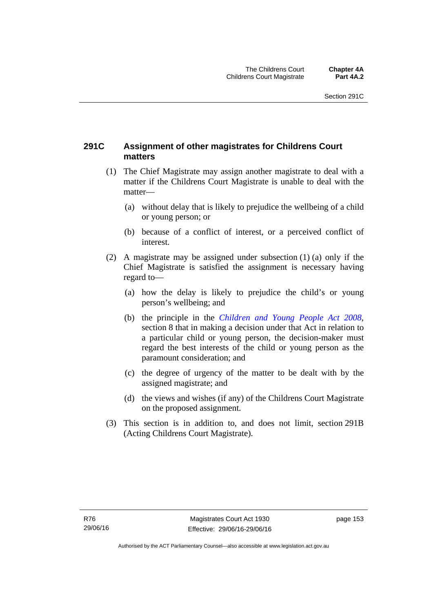### **291C Assignment of other magistrates for Childrens Court matters**

- (1) The Chief Magistrate may assign another magistrate to deal with a matter if the Childrens Court Magistrate is unable to deal with the matter—
	- (a) without delay that is likely to prejudice the wellbeing of a child or young person; or
	- (b) because of a conflict of interest, or a perceived conflict of interest.
- (2) A magistrate may be assigned under subsection (1) (a) only if the Chief Magistrate is satisfied the assignment is necessary having regard to—
	- (a) how the delay is likely to prejudice the child's or young person's wellbeing; and
	- (b) the principle in the *[Children and Young People Act 2008](http://www.legislation.act.gov.au/a/2008-19)*, section 8 that in making a decision under that Act in relation to a particular child or young person, the decision-maker must regard the best interests of the child or young person as the paramount consideration; and
	- (c) the degree of urgency of the matter to be dealt with by the assigned magistrate; and
	- (d) the views and wishes (if any) of the Childrens Court Magistrate on the proposed assignment.
- (3) This section is in addition to, and does not limit, section 291B (Acting Childrens Court Magistrate).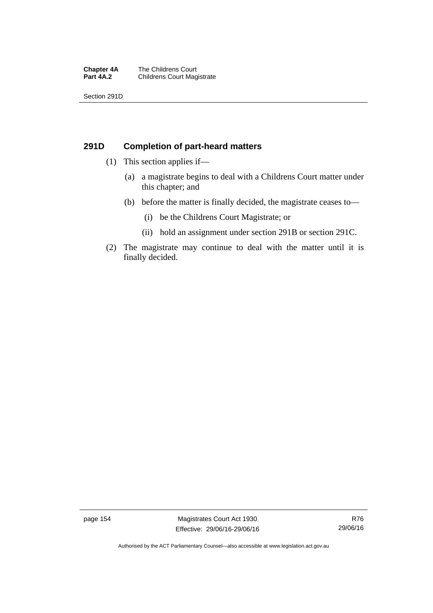#### **Chapter 4A** The Childrens Court<br>**Part 4A.2** Childrens Court Mag **Childrens Court Magistrate**

Section 291D

### **291D Completion of part-heard matters**

- (1) This section applies if—
	- (a) a magistrate begins to deal with a Childrens Court matter under this chapter; and
	- (b) before the matter is finally decided, the magistrate ceases to—
		- (i) be the Childrens Court Magistrate; or
		- (ii) hold an assignment under section 291B or section 291C.
- (2) The magistrate may continue to deal with the matter until it is finally decided.

page 154 Magistrates Court Act 1930 Effective: 29/06/16-29/06/16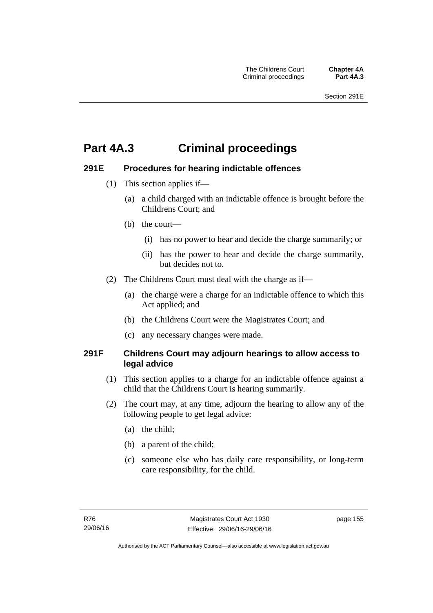# **Part 4A.3 Criminal proceedings**

### **291E Procedures for hearing indictable offences**

- (1) This section applies if—
	- (a) a child charged with an indictable offence is brought before the Childrens Court; and
	- (b) the court—
		- (i) has no power to hear and decide the charge summarily; or
		- (ii) has the power to hear and decide the charge summarily, but decides not to.
- (2) The Childrens Court must deal with the charge as if—
	- (a) the charge were a charge for an indictable offence to which this Act applied; and
	- (b) the Childrens Court were the Magistrates Court; and
	- (c) any necessary changes were made.

### **291F Childrens Court may adjourn hearings to allow access to legal advice**

- (1) This section applies to a charge for an indictable offence against a child that the Childrens Court is hearing summarily.
- (2) The court may, at any time, adjourn the hearing to allow any of the following people to get legal advice:
	- (a) the child;
	- (b) a parent of the child;
	- (c) someone else who has daily care responsibility, or long-term care responsibility, for the child.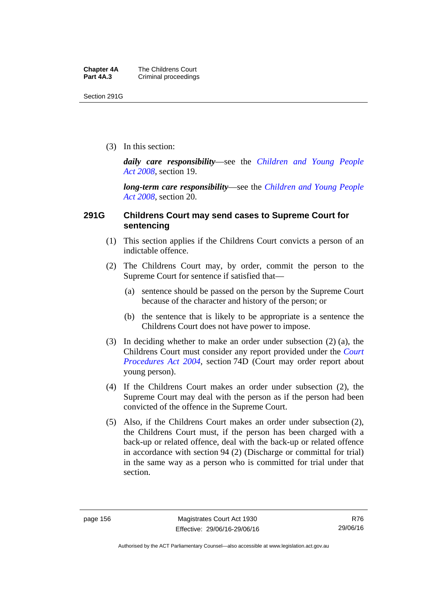Section 291G

(3) In this section:

*daily care responsibility*—see the *[Children and Young People](http://www.legislation.act.gov.au/a/2008-19)  [Act 2008](http://www.legislation.act.gov.au/a/2008-19)*, section 19.

*long-term care responsibility*—see the *[Children and Young People](http://www.legislation.act.gov.au/a/2008-19)  [Act 2008](http://www.legislation.act.gov.au/a/2008-19)*, section 20.

### **291G Childrens Court may send cases to Supreme Court for sentencing**

- (1) This section applies if the Childrens Court convicts a person of an indictable offence.
- (2) The Childrens Court may, by order, commit the person to the Supreme Court for sentence if satisfied that—
	- (a) sentence should be passed on the person by the Supreme Court because of the character and history of the person; or
	- (b) the sentence that is likely to be appropriate is a sentence the Childrens Court does not have power to impose.
- (3) In deciding whether to make an order under subsection (2) (a), the Childrens Court must consider any report provided under the *[Court](http://www.legislation.act.gov.au/a/2004-59)  [Procedures Act 2004](http://www.legislation.act.gov.au/a/2004-59)*, section 74D (Court may order report about young person).
- (4) If the Childrens Court makes an order under subsection (2), the Supreme Court may deal with the person as if the person had been convicted of the offence in the Supreme Court.
- (5) Also, if the Childrens Court makes an order under subsection (2), the Childrens Court must, if the person has been charged with a back-up or related offence, deal with the back-up or related offence in accordance with section 94 (2) (Discharge or committal for trial) in the same way as a person who is committed for trial under that section.

Authorised by the ACT Parliamentary Counsel—also accessible at www.legislation.act.gov.au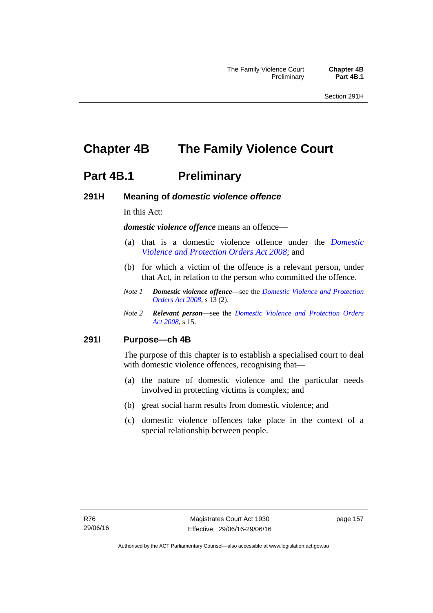# **Chapter 4B The Family Violence Court**

### **Part 4B.1** Preliminary

### **291H Meaning of** *domestic violence offence*

In this Act:

*domestic violence offence* means an offence—

- (a) that is a domestic violence offence under the *[Domestic](http://www.legislation.act.gov.au/a/2008-46)  [Violence and Protection Orders Act 2008](http://www.legislation.act.gov.au/a/2008-46)*; and
- (b) for which a victim of the offence is a relevant person, under that Act, in relation to the person who committed the offence.
- *Note 1 Domestic violence offence*—see the *[Domestic Violence and Protection](http://www.legislation.act.gov.au/a/2008-46)  [Orders Act 2008](http://www.legislation.act.gov.au/a/2008-46)*, s 13 (2).
- *Note 2 Relevant person*—see the *[Domestic Violence and Protection Orders](http://www.legislation.act.gov.au/a/2008-46)  [Act 2008](http://www.legislation.act.gov.au/a/2008-46)*, s 15.

#### **291I Purpose—ch 4B**

The purpose of this chapter is to establish a specialised court to deal with domestic violence offences, recognising that—

- (a) the nature of domestic violence and the particular needs involved in protecting victims is complex; and
- (b) great social harm results from domestic violence; and
- (c) domestic violence offences take place in the context of a special relationship between people.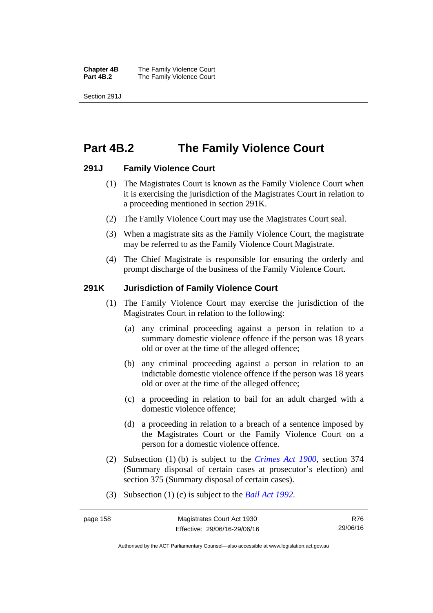**Chapter 4B** The Family Violence Court **Part 4B.2 The Family Violence Court** 

Section 291J

## **Part 4B.2 The Family Violence Court**

### **291J Family Violence Court**

- (1) The Magistrates Court is known as the Family Violence Court when it is exercising the jurisdiction of the Magistrates Court in relation to a proceeding mentioned in section 291K.
- (2) The Family Violence Court may use the Magistrates Court seal.
- (3) When a magistrate sits as the Family Violence Court, the magistrate may be referred to as the Family Violence Court Magistrate.
- (4) The Chief Magistrate is responsible for ensuring the orderly and prompt discharge of the business of the Family Violence Court.

### **291K Jurisdiction of Family Violence Court**

- (1) The Family Violence Court may exercise the jurisdiction of the Magistrates Court in relation to the following:
	- (a) any criminal proceeding against a person in relation to a summary domestic violence offence if the person was 18 years old or over at the time of the alleged offence;
	- (b) any criminal proceeding against a person in relation to an indictable domestic violence offence if the person was 18 years old or over at the time of the alleged offence;
	- (c) a proceeding in relation to bail for an adult charged with a domestic violence offence;
	- (d) a proceeding in relation to a breach of a sentence imposed by the Magistrates Court or the Family Violence Court on a person for a domestic violence offence.
- (2) Subsection (1) (b) is subject to the *[Crimes Act 1900](http://www.legislation.act.gov.au/a/1900-40)*, section 374 (Summary disposal of certain cases at prosecutor's election) and section 375 (Summary disposal of certain cases).
- (3) Subsection (1) (c) is subject to the *[Bail Act 1992](http://www.legislation.act.gov.au/a/1992-8)*.

R76 29/06/16

Authorised by the ACT Parliamentary Counsel—also accessible at www.legislation.act.gov.au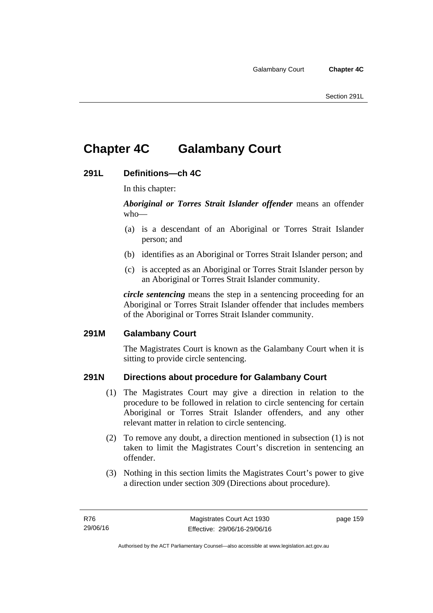# **Chapter 4C Galambany Court**

### **291L Definitions—ch 4C**

In this chapter:

*Aboriginal or Torres Strait Islander offender* means an offender who—

- (a) is a descendant of an Aboriginal or Torres Strait Islander person; and
- (b) identifies as an Aboriginal or Torres Strait Islander person; and
- (c) is accepted as an Aboriginal or Torres Strait Islander person by an Aboriginal or Torres Strait Islander community.

*circle sentencing* means the step in a sentencing proceeding for an Aboriginal or Torres Strait Islander offender that includes members of the Aboriginal or Torres Strait Islander community.

### **291M Galambany Court**

The Magistrates Court is known as the Galambany Court when it is sitting to provide circle sentencing.

### **291N Directions about procedure for Galambany Court**

- (1) The Magistrates Court may give a direction in relation to the procedure to be followed in relation to circle sentencing for certain Aboriginal or Torres Strait Islander offenders, and any other relevant matter in relation to circle sentencing.
- (2) To remove any doubt, a direction mentioned in subsection (1) is not taken to limit the Magistrates Court's discretion in sentencing an offender.
- (3) Nothing in this section limits the Magistrates Court's power to give a direction under section 309 (Directions about procedure).

page 159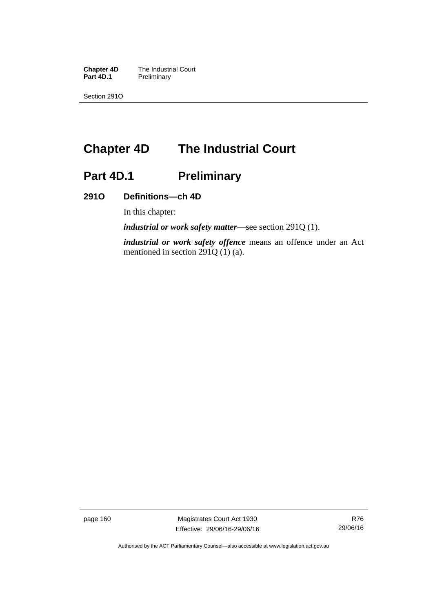**Chapter 4D** The Industrial Court<br>**Part 4D.1** Preliminary **Preliminary** 

Section 291O

# **Chapter 4D The Industrial Court**

# Part 4D.1 **Preliminary**

### **291O Definitions—ch 4D**

In this chapter:

*industrial or work safety matter*—see section 291Q (1).

*industrial or work safety offence* means an offence under an Act mentioned in section 291Q (1) (a).

page 160 Magistrates Court Act 1930 Effective: 29/06/16-29/06/16

Authorised by the ACT Parliamentary Counsel—also accessible at www.legislation.act.gov.au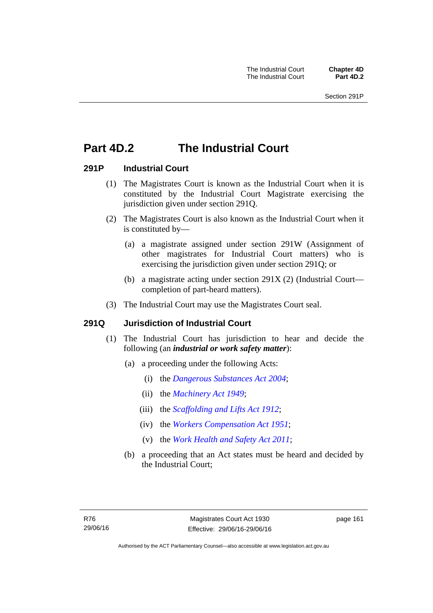# **Part 4D.2 The Industrial Court**

### **291P Industrial Court**

- (1) The Magistrates Court is known as the Industrial Court when it is constituted by the Industrial Court Magistrate exercising the jurisdiction given under section 291Q.
- (2) The Magistrates Court is also known as the Industrial Court when it is constituted by—
	- (a) a magistrate assigned under section 291W (Assignment of other magistrates for Industrial Court matters) who is exercising the jurisdiction given under section 291Q; or
	- (b) a magistrate acting under section 291X (2) (Industrial Court completion of part-heard matters).
- (3) The Industrial Court may use the Magistrates Court seal.

### **291Q Jurisdiction of Industrial Court**

- (1) The Industrial Court has jurisdiction to hear and decide the following (an *industrial or work safety matter*):
	- (a) a proceeding under the following Acts:
		- (i) the *[Dangerous Substances Act 2004](http://www.legislation.act.gov.au/a/2004-7)*;
		- (ii) the *[Machinery Act 1949](http://www.legislation.act.gov.au/a/1949-11)*;
		- (iii) the *[Scaffolding and Lifts Act 1912](http://www.legislation.act.gov.au/a/1912-38)*;
		- (iv) the *[Workers Compensation Act 1951](http://www.legislation.act.gov.au/a/1951-2)*;
		- (v) the *[Work Health and Safety Act 2011](http://www.legislation.act.gov.au/a/2011-35)*;
	- (b) a proceeding that an Act states must be heard and decided by the Industrial Court;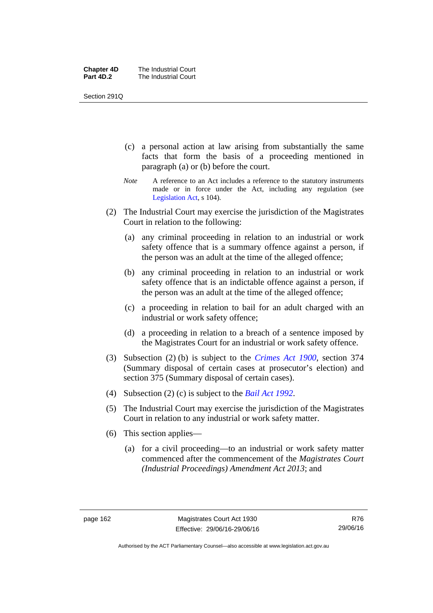| <b>Chapter 4D</b> | The Industrial Court |
|-------------------|----------------------|
| Part 4D.2         | The Industrial Court |

Section 291Q

- (c) a personal action at law arising from substantially the same facts that form the basis of a proceeding mentioned in paragraph (a) or (b) before the court.
- *Note* A reference to an Act includes a reference to the statutory instruments made or in force under the Act, including any regulation (see [Legislation Act,](http://www.legislation.act.gov.au/a/2001-14) s 104).
- (2) The Industrial Court may exercise the jurisdiction of the Magistrates Court in relation to the following:
	- (a) any criminal proceeding in relation to an industrial or work safety offence that is a summary offence against a person, if the person was an adult at the time of the alleged offence;
	- (b) any criminal proceeding in relation to an industrial or work safety offence that is an indictable offence against a person, if the person was an adult at the time of the alleged offence;
	- (c) a proceeding in relation to bail for an adult charged with an industrial or work safety offence;
	- (d) a proceeding in relation to a breach of a sentence imposed by the Magistrates Court for an industrial or work safety offence.
- (3) Subsection (2) (b) is subject to the *[Crimes Act 1900](http://www.legislation.act.gov.au/a/1900-40)*, section 374 (Summary disposal of certain cases at prosecutor's election) and section 375 (Summary disposal of certain cases).
- (4) Subsection (2) (c) is subject to the *[Bail Act 1992](http://www.legislation.act.gov.au/a/1992-8)*.
- (5) The Industrial Court may exercise the jurisdiction of the Magistrates Court in relation to any industrial or work safety matter.
- (6) This section applies—
	- (a) for a civil proceeding—to an industrial or work safety matter commenced after the commencement of the *Magistrates Court (Industrial Proceedings) Amendment Act 2013*; and

Authorised by the ACT Parliamentary Counsel—also accessible at www.legislation.act.gov.au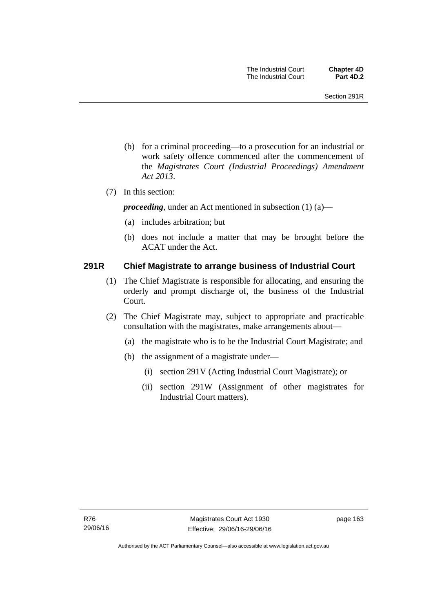- (b) for a criminal proceeding—to a prosecution for an industrial or work safety offence commenced after the commencement of the *Magistrates Court (Industrial Proceedings) Amendment Act 2013*.
- (7) In this section:

*proceeding*, under an Act mentioned in subsection (1) (a)—

- (a) includes arbitration; but
- (b) does not include a matter that may be brought before the ACAT under the Act.

### **291R Chief Magistrate to arrange business of Industrial Court**

- (1) The Chief Magistrate is responsible for allocating, and ensuring the orderly and prompt discharge of, the business of the Industrial Court.
- (2) The Chief Magistrate may, subject to appropriate and practicable consultation with the magistrates, make arrangements about—
	- (a) the magistrate who is to be the Industrial Court Magistrate; and
	- (b) the assignment of a magistrate under—
		- (i) section 291V (Acting Industrial Court Magistrate); or
		- (ii) section 291W (Assignment of other magistrates for Industrial Court matters).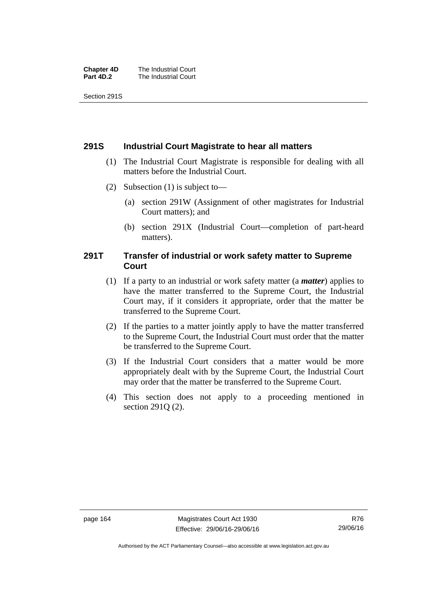| <b>Chapter 4D</b> | The Industrial Court |
|-------------------|----------------------|
| Part 4D.2         | The Industrial Court |

Section 291S

### **291S Industrial Court Magistrate to hear all matters**

- (1) The Industrial Court Magistrate is responsible for dealing with all matters before the Industrial Court.
- (2) Subsection (1) is subject to—
	- (a) section 291W (Assignment of other magistrates for Industrial Court matters); and
	- (b) section 291X (Industrial Court—completion of part-heard matters).

### **291T Transfer of industrial or work safety matter to Supreme Court**

- (1) If a party to an industrial or work safety matter (a *matter*) applies to have the matter transferred to the Supreme Court, the Industrial Court may, if it considers it appropriate, order that the matter be transferred to the Supreme Court.
- (2) If the parties to a matter jointly apply to have the matter transferred to the Supreme Court, the Industrial Court must order that the matter be transferred to the Supreme Court.
- (3) If the Industrial Court considers that a matter would be more appropriately dealt with by the Supreme Court, the Industrial Court may order that the matter be transferred to the Supreme Court.
- (4) This section does not apply to a proceeding mentioned in section 291Q (2).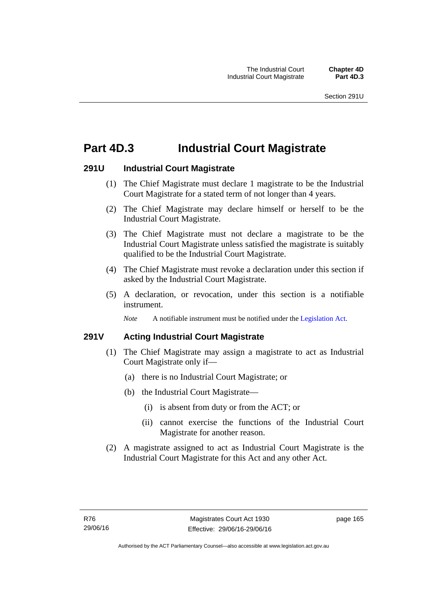# **Part 4D.3 Industrial Court Magistrate**

## **291U Industrial Court Magistrate**

- (1) The Chief Magistrate must declare 1 magistrate to be the Industrial Court Magistrate for a stated term of not longer than 4 years.
- (2) The Chief Magistrate may declare himself or herself to be the Industrial Court Magistrate.
- (3) The Chief Magistrate must not declare a magistrate to be the Industrial Court Magistrate unless satisfied the magistrate is suitably qualified to be the Industrial Court Magistrate.
- (4) The Chief Magistrate must revoke a declaration under this section if asked by the Industrial Court Magistrate.
- (5) A declaration, or revocation, under this section is a notifiable instrument.

*Note* A notifiable instrument must be notified under the [Legislation Act](http://www.legislation.act.gov.au/a/2001-14).

# **291V Acting Industrial Court Magistrate**

- (1) The Chief Magistrate may assign a magistrate to act as Industrial Court Magistrate only if—
	- (a) there is no Industrial Court Magistrate; or
	- (b) the Industrial Court Magistrate—
		- (i) is absent from duty or from the ACT; or
		- (ii) cannot exercise the functions of the Industrial Court Magistrate for another reason.
- (2) A magistrate assigned to act as Industrial Court Magistrate is the Industrial Court Magistrate for this Act and any other Act.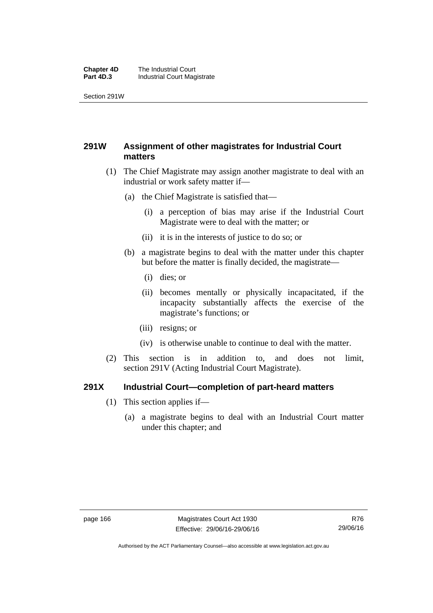#### **Chapter 4D** The Industrial Court<br>**Part 4D.3** Industrial Court Mag **Industrial Court Magistrate**

Section 291W

# **291W Assignment of other magistrates for Industrial Court matters**

- (1) The Chief Magistrate may assign another magistrate to deal with an industrial or work safety matter if—
	- (a) the Chief Magistrate is satisfied that—
		- (i) a perception of bias may arise if the Industrial Court Magistrate were to deal with the matter; or
		- (ii) it is in the interests of justice to do so; or
	- (b) a magistrate begins to deal with the matter under this chapter but before the matter is finally decided, the magistrate—
		- (i) dies; or
		- (ii) becomes mentally or physically incapacitated, if the incapacity substantially affects the exercise of the magistrate's functions; or
		- (iii) resigns; or
		- (iv) is otherwise unable to continue to deal with the matter.
- (2) This section is in addition to, and does not limit, section 291V (Acting Industrial Court Magistrate).

## **291X Industrial Court—completion of part-heard matters**

- (1) This section applies if—
	- (a) a magistrate begins to deal with an Industrial Court matter under this chapter; and

Authorised by the ACT Parliamentary Counsel—also accessible at www.legislation.act.gov.au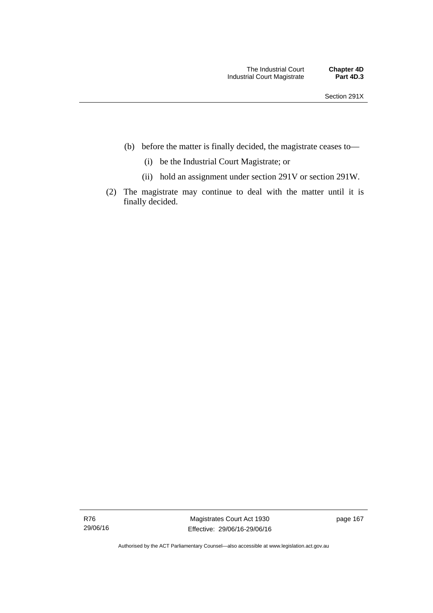- (b) before the matter is finally decided, the magistrate ceases to—
	- (i) be the Industrial Court Magistrate; or
	- (ii) hold an assignment under section 291V or section 291W.
- (2) The magistrate may continue to deal with the matter until it is finally decided.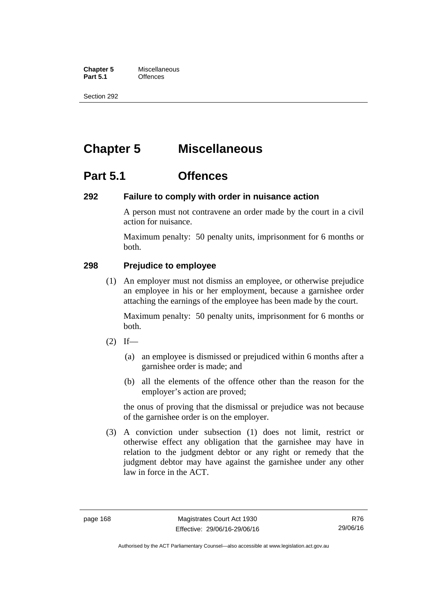**Chapter 5** Miscellaneous<br>**Part 5.1** Offences **Part 5.1** 

Section 292

# **Chapter 5 Miscellaneous**

# **Part 5.1 Offences**

## **292 Failure to comply with order in nuisance action**

A person must not contravene an order made by the court in a civil action for nuisance.

Maximum penalty: 50 penalty units, imprisonment for 6 months or both.

# **298 Prejudice to employee**

(1) An employer must not dismiss an employee, or otherwise prejudice an employee in his or her employment, because a garnishee order attaching the earnings of the employee has been made by the court.

Maximum penalty: 50 penalty units, imprisonment for 6 months or both.

- $(2)$  If—
	- (a) an employee is dismissed or prejudiced within 6 months after a garnishee order is made; and
	- (b) all the elements of the offence other than the reason for the employer's action are proved;

the onus of proving that the dismissal or prejudice was not because of the garnishee order is on the employer.

 (3) A conviction under subsection (1) does not limit, restrict or otherwise effect any obligation that the garnishee may have in relation to the judgment debtor or any right or remedy that the judgment debtor may have against the garnishee under any other law in force in the ACT.

R76 29/06/16

Authorised by the ACT Parliamentary Counsel—also accessible at www.legislation.act.gov.au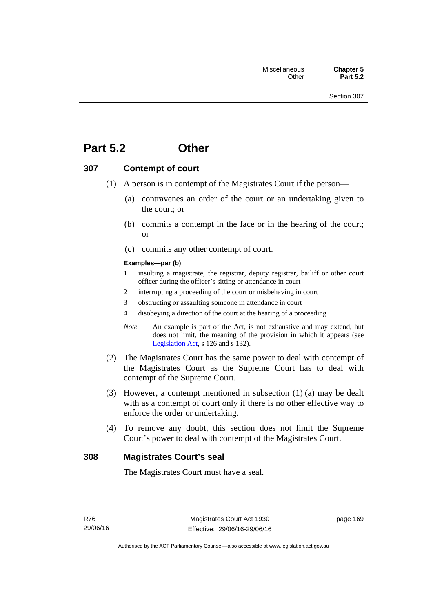# **Part 5.2 Other**

## **307 Contempt of court**

- (1) A person is in contempt of the Magistrates Court if the person—
	- (a) contravenes an order of the court or an undertaking given to the court; or
	- (b) commits a contempt in the face or in the hearing of the court; or
	- (c) commits any other contempt of court.

#### **Examples—par (b)**

- 1 insulting a magistrate, the registrar, deputy registrar, bailiff or other court officer during the officer's sitting or attendance in court
- 2 interrupting a proceeding of the court or misbehaving in court
- 3 obstructing or assaulting someone in attendance in court
- 4 disobeying a direction of the court at the hearing of a proceeding
- *Note* An example is part of the Act, is not exhaustive and may extend, but does not limit, the meaning of the provision in which it appears (see [Legislation Act,](http://www.legislation.act.gov.au/a/2001-14) s 126 and s 132).
- (2) The Magistrates Court has the same power to deal with contempt of the Magistrates Court as the Supreme Court has to deal with contempt of the Supreme Court.
- (3) However, a contempt mentioned in subsection (1) (a) may be dealt with as a contempt of court only if there is no other effective way to enforce the order or undertaking.
- (4) To remove any doubt, this section does not limit the Supreme Court's power to deal with contempt of the Magistrates Court.

## **308 Magistrates Court's seal**

The Magistrates Court must have a seal.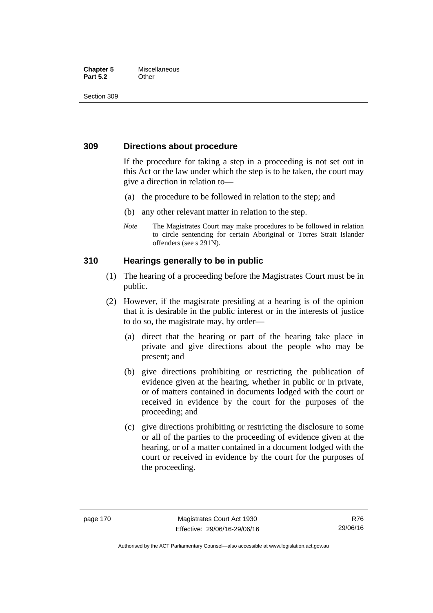#### **Chapter 5** Miscellaneous **Part 5.2** Other

Section 309

# **309 Directions about procedure**

If the procedure for taking a step in a proceeding is not set out in this Act or the law under which the step is to be taken, the court may give a direction in relation to—

- (a) the procedure to be followed in relation to the step; and
- (b) any other relevant matter in relation to the step.
- *Note* The Magistrates Court may make procedures to be followed in relation to circle sentencing for certain Aboriginal or Torres Strait Islander offenders (see s 291N).

# **310 Hearings generally to be in public**

- (1) The hearing of a proceeding before the Magistrates Court must be in public.
- (2) However, if the magistrate presiding at a hearing is of the opinion that it is desirable in the public interest or in the interests of justice to do so, the magistrate may, by order—
	- (a) direct that the hearing or part of the hearing take place in private and give directions about the people who may be present; and
	- (b) give directions prohibiting or restricting the publication of evidence given at the hearing, whether in public or in private, or of matters contained in documents lodged with the court or received in evidence by the court for the purposes of the proceeding; and
	- (c) give directions prohibiting or restricting the disclosure to some or all of the parties to the proceeding of evidence given at the hearing, or of a matter contained in a document lodged with the court or received in evidence by the court for the purposes of the proceeding.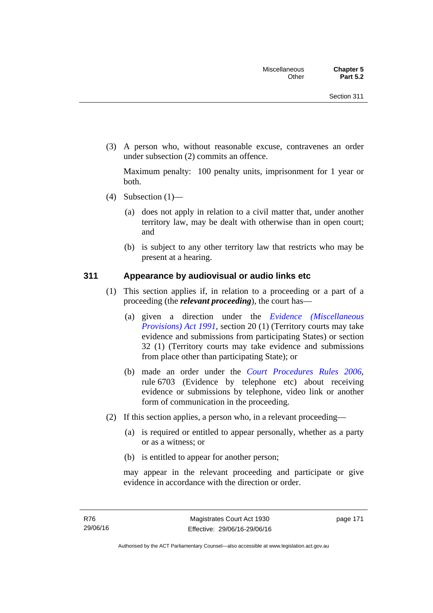(3) A person who, without reasonable excuse, contravenes an order under subsection (2) commits an offence.

Maximum penalty: 100 penalty units, imprisonment for 1 year or both.

- (4) Subsection  $(1)$ 
	- (a) does not apply in relation to a civil matter that, under another territory law, may be dealt with otherwise than in open court; and
	- (b) is subject to any other territory law that restricts who may be present at a hearing.

## **311 Appearance by audiovisual or audio links etc**

- (1) This section applies if, in relation to a proceeding or a part of a proceeding (the *relevant proceeding*), the court has—
	- (a) given a direction under the *[Evidence \(Miscellaneous](http://www.legislation.act.gov.au/a/1991-34)  [Provisions\) Act 1991](http://www.legislation.act.gov.au/a/1991-34)*, section 20 (1) (Territory courts may take evidence and submissions from participating States) or section 32 (1) (Territory courts may take evidence and submissions from place other than participating State); or
	- (b) made an order under the *[Court Procedures Rules 2006](http://www.legislation.act.gov.au/sl/2006-29)*, rule 6703 (Evidence by telephone etc) about receiving evidence or submissions by telephone, video link or another form of communication in the proceeding.
- (2) If this section applies, a person who, in a relevant proceeding—
	- (a) is required or entitled to appear personally, whether as a party or as a witness; or
	- (b) is entitled to appear for another person;

may appear in the relevant proceeding and participate or give evidence in accordance with the direction or order.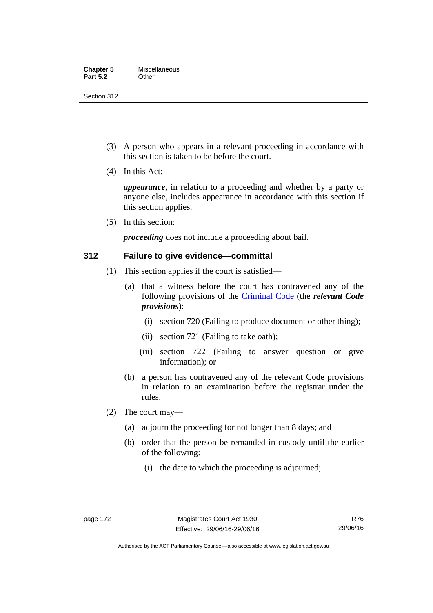Section 312

- (3) A person who appears in a relevant proceeding in accordance with this section is taken to be before the court.
- (4) In this Act:

*appearance*, in relation to a proceeding and whether by a party or anyone else, includes appearance in accordance with this section if this section applies.

(5) In this section:

*proceeding* does not include a proceeding about bail.

## **312 Failure to give evidence—committal**

- (1) This section applies if the court is satisfied—
	- (a) that a witness before the court has contravened any of the following provisions of the [Criminal Code](http://www.legislation.act.gov.au/a/2002-51) (the *relevant Code provisions*):
		- (i) section 720 (Failing to produce document or other thing);
		- (ii) section 721 (Failing to take oath);
		- (iii) section 722 (Failing to answer question or give information); or
	- (b) a person has contravened any of the relevant Code provisions in relation to an examination before the registrar under the rules.
- (2) The court may—
	- (a) adjourn the proceeding for not longer than 8 days; and
	- (b) order that the person be remanded in custody until the earlier of the following:
		- (i) the date to which the proceeding is adjourned;

R76 29/06/16

Authorised by the ACT Parliamentary Counsel—also accessible at www.legislation.act.gov.au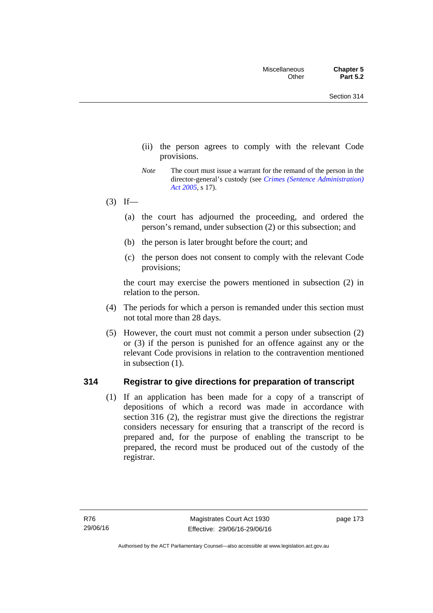- (ii) the person agrees to comply with the relevant Code provisions.
- *Note* The court must issue a warrant for the remand of the person in the director-general's custody (see *[Crimes \(Sentence Administration\)](http://www.legislation.act.gov.au/a/2005-59)  [Act 2005](http://www.legislation.act.gov.au/a/2005-59)*, s 17).
- $(3)$  If—
	- (a) the court has adjourned the proceeding, and ordered the person's remand, under subsection (2) or this subsection; and
	- (b) the person is later brought before the court; and
	- (c) the person does not consent to comply with the relevant Code provisions;

the court may exercise the powers mentioned in subsection (2) in relation to the person.

- (4) The periods for which a person is remanded under this section must not total more than 28 days.
- (5) However, the court must not commit a person under subsection (2) or (3) if the person is punished for an offence against any or the relevant Code provisions in relation to the contravention mentioned in subsection (1).

## **314 Registrar to give directions for preparation of transcript**

(1) If an application has been made for a copy of a transcript of depositions of which a record was made in accordance with section 316 (2), the registrar must give the directions the registrar considers necessary for ensuring that a transcript of the record is prepared and, for the purpose of enabling the transcript to be prepared, the record must be produced out of the custody of the registrar.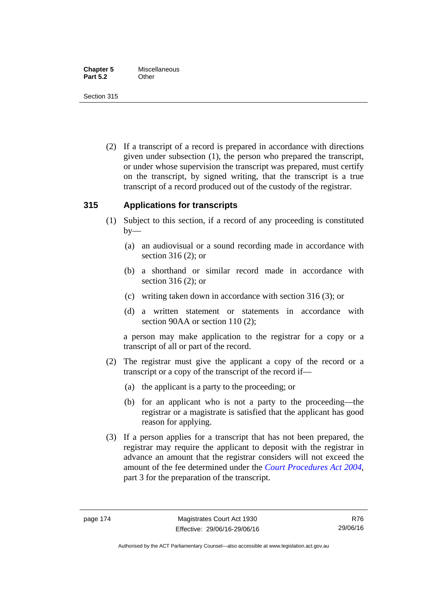Section 315

 (2) If a transcript of a record is prepared in accordance with directions given under subsection (1), the person who prepared the transcript, or under whose supervision the transcript was prepared, must certify on the transcript, by signed writing, that the transcript is a true transcript of a record produced out of the custody of the registrar.

# **315 Applications for transcripts**

- (1) Subject to this section, if a record of any proceeding is constituted  $by-$ 
	- (a) an audiovisual or a sound recording made in accordance with section 316 (2); or
	- (b) a shorthand or similar record made in accordance with section 316 (2); or
	- (c) writing taken down in accordance with section 316 (3); or
	- (d) a written statement or statements in accordance with section 90AA or section 110 (2);

a person may make application to the registrar for a copy or a transcript of all or part of the record.

- (2) The registrar must give the applicant a copy of the record or a transcript or a copy of the transcript of the record if—
	- (a) the applicant is a party to the proceeding; or
	- (b) for an applicant who is not a party to the proceeding—the registrar or a magistrate is satisfied that the applicant has good reason for applying.
- (3) If a person applies for a transcript that has not been prepared, the registrar may require the applicant to deposit with the registrar in advance an amount that the registrar considers will not exceed the amount of the fee determined under the *[Court Procedures Act 2004](http://www.legislation.act.gov.au/a/2004-59)*, part 3 for the preparation of the transcript.

Authorised by the ACT Parliamentary Counsel—also accessible at www.legislation.act.gov.au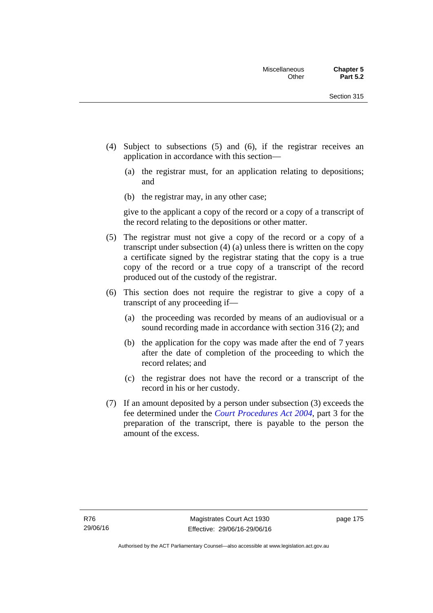- (4) Subject to subsections (5) and (6), if the registrar receives an application in accordance with this section—
	- (a) the registrar must, for an application relating to depositions; and
	- (b) the registrar may, in any other case;

give to the applicant a copy of the record or a copy of a transcript of the record relating to the depositions or other matter.

- (5) The registrar must not give a copy of the record or a copy of a transcript under subsection (4) (a) unless there is written on the copy a certificate signed by the registrar stating that the copy is a true copy of the record or a true copy of a transcript of the record produced out of the custody of the registrar.
- (6) This section does not require the registrar to give a copy of a transcript of any proceeding if—
	- (a) the proceeding was recorded by means of an audiovisual or a sound recording made in accordance with section 316 (2); and
	- (b) the application for the copy was made after the end of 7 years after the date of completion of the proceeding to which the record relates; and
	- (c) the registrar does not have the record or a transcript of the record in his or her custody.
- (7) If an amount deposited by a person under subsection (3) exceeds the fee determined under the *[Court Procedures Act 2004](http://www.legislation.act.gov.au/a/2004-59)*, part 3 for the preparation of the transcript, there is payable to the person the amount of the excess.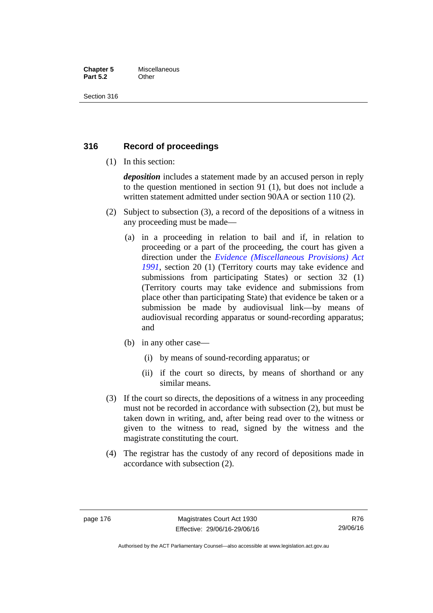#### **Chapter 5** Miscellaneous **Part 5.2** Other

Section 316

# **316 Record of proceedings**

(1) In this section:

*deposition* includes a statement made by an accused person in reply to the question mentioned in section 91 (1), but does not include a written statement admitted under section 90AA or section 110 (2).

- (2) Subject to subsection (3), a record of the depositions of a witness in any proceeding must be made—
	- (a) in a proceeding in relation to bail and if, in relation to proceeding or a part of the proceeding, the court has given a direction under the *[Evidence \(Miscellaneous Provisions\) Act](http://www.legislation.act.gov.au/a/1991-34)  [1991](http://www.legislation.act.gov.au/a/1991-34)*, section 20 (1) (Territory courts may take evidence and submissions from participating States) or section 32 (1) (Territory courts may take evidence and submissions from place other than participating State) that evidence be taken or a submission be made by audiovisual link—by means of audiovisual recording apparatus or sound-recording apparatus; and
	- (b) in any other case—
		- (i) by means of sound-recording apparatus; or
		- (ii) if the court so directs, by means of shorthand or any similar means.
- (3) If the court so directs, the depositions of a witness in any proceeding must not be recorded in accordance with subsection (2), but must be taken down in writing, and, after being read over to the witness or given to the witness to read, signed by the witness and the magistrate constituting the court.
- (4) The registrar has the custody of any record of depositions made in accordance with subsection (2).

Authorised by the ACT Parliamentary Counsel—also accessible at www.legislation.act.gov.au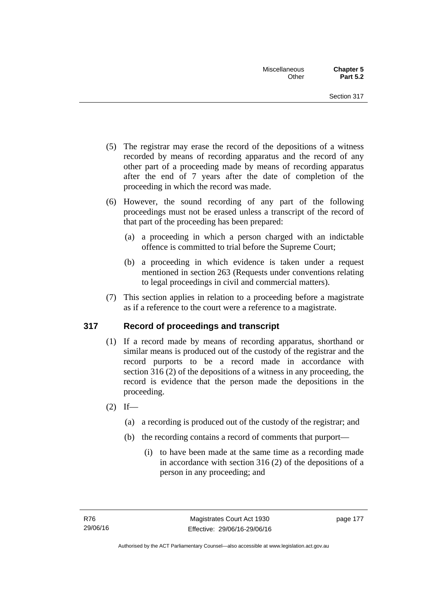- (5) The registrar may erase the record of the depositions of a witness recorded by means of recording apparatus and the record of any other part of a proceeding made by means of recording apparatus after the end of 7 years after the date of completion of the proceeding in which the record was made.
- (6) However, the sound recording of any part of the following proceedings must not be erased unless a transcript of the record of that part of the proceeding has been prepared:
	- (a) a proceeding in which a person charged with an indictable offence is committed to trial before the Supreme Court;
	- (b) a proceeding in which evidence is taken under a request mentioned in section 263 (Requests under conventions relating to legal proceedings in civil and commercial matters).
- (7) This section applies in relation to a proceeding before a magistrate as if a reference to the court were a reference to a magistrate.

# **317 Record of proceedings and transcript**

- (1) If a record made by means of recording apparatus, shorthand or similar means is produced out of the custody of the registrar and the record purports to be a record made in accordance with section 316 (2) of the depositions of a witness in any proceeding, the record is evidence that the person made the depositions in the proceeding.
- $(2)$  If—
	- (a) a recording is produced out of the custody of the registrar; and
	- (b) the recording contains a record of comments that purport—
		- (i) to have been made at the same time as a recording made in accordance with section 316 (2) of the depositions of a person in any proceeding; and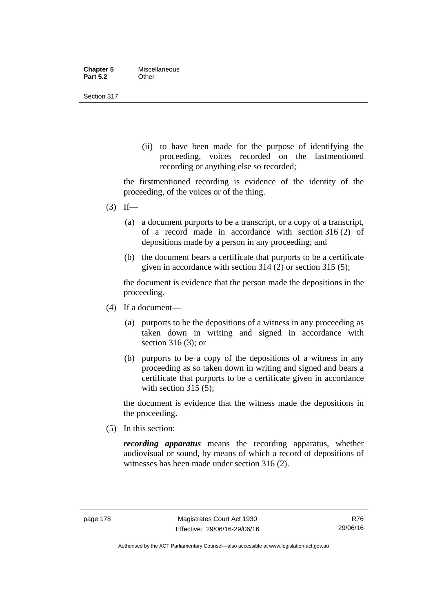| <b>Chapter 5</b> | Miscellaneous |
|------------------|---------------|
| <b>Part 5.2</b>  | Other         |

Section 317

(ii) to have been made for the purpose of identifying the proceeding, voices recorded on the lastmentioned recording or anything else so recorded;

the firstmentioned recording is evidence of the identity of the proceeding, of the voices or of the thing.

- $(3)$  If—
	- (a) a document purports to be a transcript, or a copy of a transcript, of a record made in accordance with section 316 (2) of depositions made by a person in any proceeding; and
	- (b) the document bears a certificate that purports to be a certificate given in accordance with section 314 (2) or section 315 (5);

the document is evidence that the person made the depositions in the proceeding.

- (4) If a document—
	- (a) purports to be the depositions of a witness in any proceeding as taken down in writing and signed in accordance with section 316 (3); or
	- (b) purports to be a copy of the depositions of a witness in any proceeding as so taken down in writing and signed and bears a certificate that purports to be a certificate given in accordance with section 315 (5):

the document is evidence that the witness made the depositions in the proceeding.

(5) In this section:

*recording apparatus* means the recording apparatus, whether audiovisual or sound, by means of which a record of depositions of witnesses has been made under section 316 (2).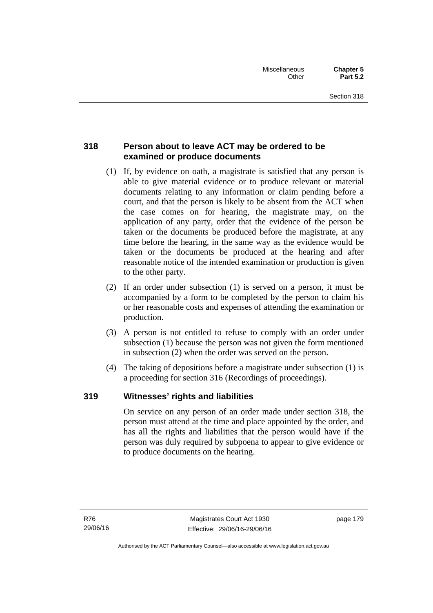# **318 Person about to leave ACT may be ordered to be examined or produce documents**

- (1) If, by evidence on oath, a magistrate is satisfied that any person is able to give material evidence or to produce relevant or material documents relating to any information or claim pending before a court, and that the person is likely to be absent from the ACT when the case comes on for hearing, the magistrate may, on the application of any party, order that the evidence of the person be taken or the documents be produced before the magistrate, at any time before the hearing, in the same way as the evidence would be taken or the documents be produced at the hearing and after reasonable notice of the intended examination or production is given to the other party.
- (2) If an order under subsection (1) is served on a person, it must be accompanied by a form to be completed by the person to claim his or her reasonable costs and expenses of attending the examination or production.
- (3) A person is not entitled to refuse to comply with an order under subsection (1) because the person was not given the form mentioned in subsection (2) when the order was served on the person.
- (4) The taking of depositions before a magistrate under subsection (1) is a proceeding for section 316 (Recordings of proceedings).

# **319 Witnesses' rights and liabilities**

On service on any person of an order made under section 318, the person must attend at the time and place appointed by the order, and has all the rights and liabilities that the person would have if the person was duly required by subpoena to appear to give evidence or to produce documents on the hearing.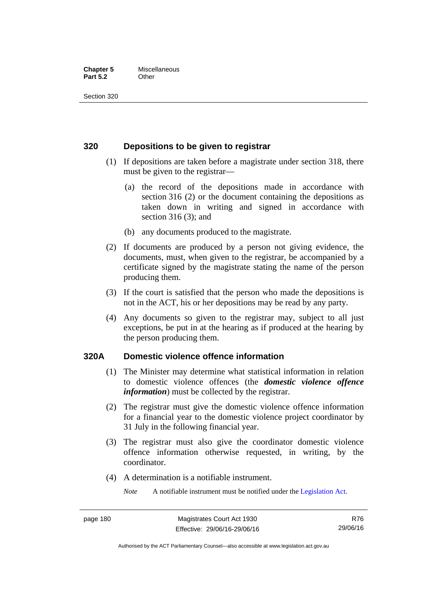#### **Chapter 5** Miscellaneous **Part 5.2** Other

Section 320

# **320 Depositions to be given to registrar**

- (1) If depositions are taken before a magistrate under section 318, there must be given to the registrar—
	- (a) the record of the depositions made in accordance with section 316 (2) or the document containing the depositions as taken down in writing and signed in accordance with section 316 (3); and
	- (b) any documents produced to the magistrate.
- (2) If documents are produced by a person not giving evidence, the documents, must, when given to the registrar, be accompanied by a certificate signed by the magistrate stating the name of the person producing them.
- (3) If the court is satisfied that the person who made the depositions is not in the ACT, his or her depositions may be read by any party.
- (4) Any documents so given to the registrar may, subject to all just exceptions, be put in at the hearing as if produced at the hearing by the person producing them.

## **320A Domestic violence offence information**

- (1) The Minister may determine what statistical information in relation to domestic violence offences (the *domestic violence offence information*) must be collected by the registrar.
- (2) The registrar must give the domestic violence offence information for a financial year to the domestic violence project coordinator by 31 July in the following financial year.
- (3) The registrar must also give the coordinator domestic violence offence information otherwise requested, in writing, by the coordinator.
- (4) A determination is a notifiable instrument.

*Note* A notifiable instrument must be notified under the [Legislation Act](http://www.legislation.act.gov.au/a/2001-14).

R76 29/06/16

Authorised by the ACT Parliamentary Counsel—also accessible at www.legislation.act.gov.au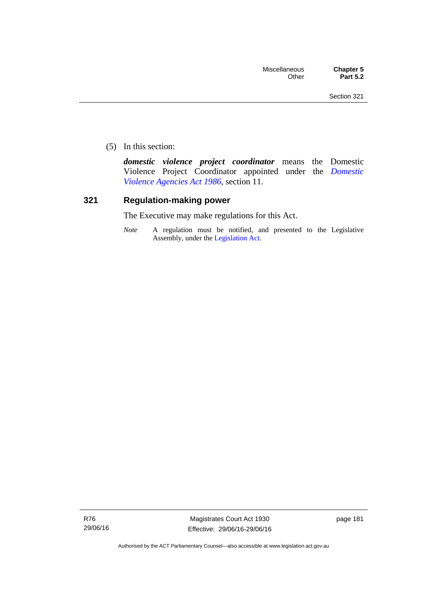(5) In this section:

*domestic violence project coordinator* means the Domestic Violence Project Coordinator appointed under the *[Domestic](http://www.legislation.act.gov.au/a/1986-52)  [Violence Agencies Act 1986](http://www.legislation.act.gov.au/a/1986-52)*, section 11.

## **321 Regulation-making power**

The Executive may make regulations for this Act.

*Note* A regulation must be notified, and presented to the Legislative Assembly, under the [Legislation Act](http://www.legislation.act.gov.au/a/2001-14).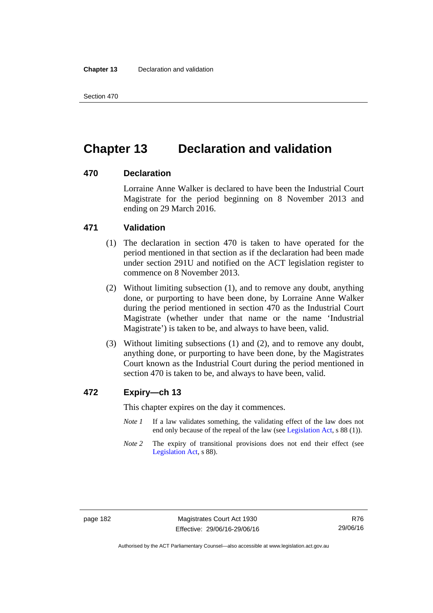Section 470

# **Chapter 13 Declaration and validation**

# **470 Declaration**

Lorraine Anne Walker is declared to have been the Industrial Court Magistrate for the period beginning on 8 November 2013 and ending on 29 March 2016.

# **471 Validation**

- (1) The declaration in section 470 is taken to have operated for the period mentioned in that section as if the declaration had been made under section 291U and notified on the ACT legislation register to commence on 8 November 2013.
- (2) Without limiting subsection (1), and to remove any doubt, anything done, or purporting to have been done, by Lorraine Anne Walker during the period mentioned in section 470 as the Industrial Court Magistrate (whether under that name or the name 'Industrial Magistrate') is taken to be, and always to have been, valid.
- (3) Without limiting subsections (1) and (2), and to remove any doubt, anything done, or purporting to have been done, by the Magistrates Court known as the Industrial Court during the period mentioned in section 470 is taken to be, and always to have been, valid.

## **472 Expiry—ch 13**

This chapter expires on the day it commences.

- *Note 1* If a law validates something, the validating effect of the law does not end only because of the repeal of the law (see [Legislation Act,](http://www.legislation.act.gov.au/a/2001-14) s 88 (1)).
- *Note* 2 The expiry of transitional provisions does not end their effect (see [Legislation Act,](http://www.legislation.act.gov.au/a/2001-14) s 88).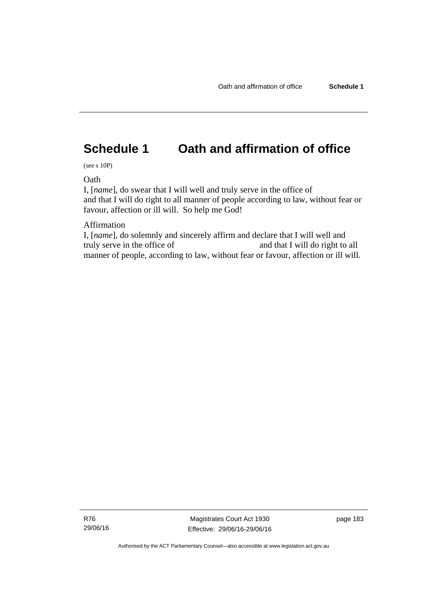# **Schedule 1 Oath and affirmation of office**

(see s 10P)

**Oath** 

I, [*name*], do swear that I will well and truly serve in the office of and that I will do right to all manner of people according to law, without fear or favour, affection or ill will. So help me God!

Affirmation

I, [*name*], do solemnly and sincerely affirm and declare that I will well and truly serve in the office of and that I will do right to all manner of people, according to law, without fear or favour, affection or ill will.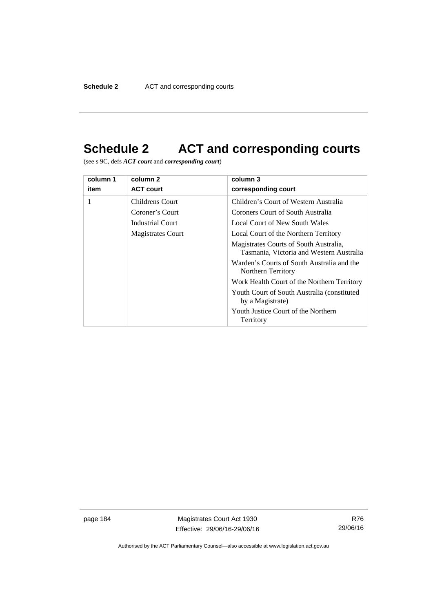# **Schedule 2 ACT and corresponding courts**

(see s 9C, defs *ACT court* and *corresponding court*)

| column 1 | column 2                 | column 3                                                                           |
|----------|--------------------------|------------------------------------------------------------------------------------|
| item     | <b>ACT court</b>         | corresponding court                                                                |
|          | Childrens Court          | Children's Court of Western Australia                                              |
|          | Coroner's Court          | Coroners Court of South Australia                                                  |
|          | Industrial Court         | Local Court of New South Wales                                                     |
|          | <b>Magistrates Court</b> | Local Court of the Northern Territory                                              |
|          |                          | Magistrates Courts of South Australia,<br>Tasmania, Victoria and Western Australia |
|          |                          | Warden's Courts of South Australia and the<br>Northern Territory                   |
|          |                          | Work Health Court of the Northern Territory                                        |
|          |                          | Youth Court of South Australia (constituted)<br>by a Magistrate)                   |
|          |                          | Youth Justice Court of the Northern<br>Territory                                   |

page 184 Magistrates Court Act 1930 Effective: 29/06/16-29/06/16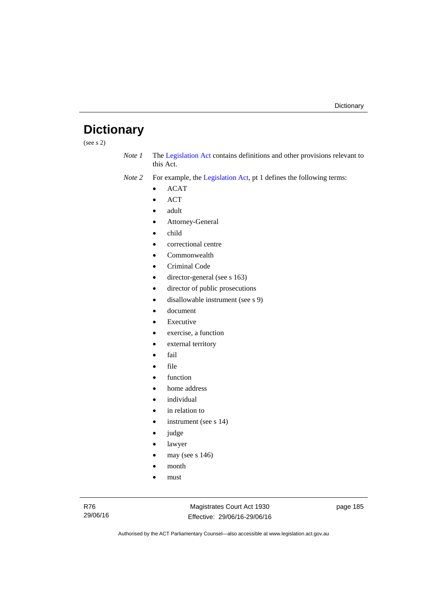# **Dictionary**

(see s 2)

*Note 1* The [Legislation Act](http://www.legislation.act.gov.au/a/2001-14) contains definitions and other provisions relevant to this Act.

*Note 2* For example, the [Legislation Act,](http://www.legislation.act.gov.au/a/2001-14) pt 1 defines the following terms:

- ACAT
- ACT
- adult
- Attorney-General
- child
- correctional centre
- Commonwealth
- Criminal Code
- director-general (see s 163)
- director of public prosecutions
- disallowable instrument (see s 9)
- document
- Executive
- exercise, a function
- external territory
- fail
- file
- function
- home address
- individual
- in relation to
- instrument (see s 14)
- judge
- lawyer
- may (see s 146)
- month
- must

Magistrates Court Act 1930 Effective: 29/06/16-29/06/16 page 185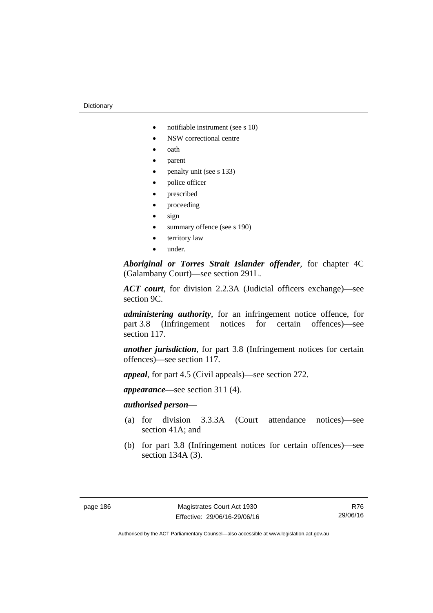- notifiable instrument (see s 10)
- NSW correctional centre
- oath
- parent
- penalty unit (see s 133)
- police officer
- prescribed
- proceeding
- sign
- summary offence (see s 190)
- territory law
- under.

*Aboriginal or Torres Strait Islander offender*, for chapter 4C (Galambany Court)—see section 291L.

*ACT court*, for division 2.2.3A (Judicial officers exchange)—see section 9C.

*administering authority*, for an infringement notice offence, for part 3.8 (Infringement notices for certain offences)—see section 117.

*another jurisdiction*, for part 3.8 (Infringement notices for certain offences)—see section 117.

*appeal*, for part 4.5 (Civil appeals)—see section 272.

*appearance*—see section 311 (4).

## *authorised person*—

- (a) for division 3.3.3A (Court attendance notices)—see section 41A; and
- (b) for part 3.8 (Infringement notices for certain offences)—see section 134A (3).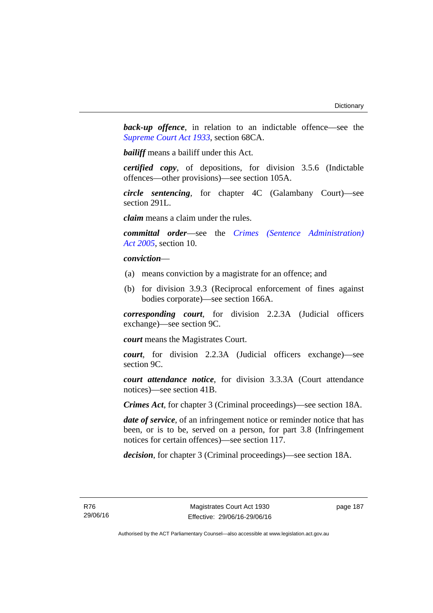**back-up** offence, in relation to an indictable offence—see the *[Supreme Court Act 1933](http://www.legislation.act.gov.au/a/1933-34)*, section 68CA.

*bailiff* means a bailiff under this Act.

*certified copy*, of depositions, for division 3.5.6 (Indictable offences—other provisions)—see section 105A.

*circle sentencing*, for chapter 4C (Galambany Court)—see section 291L.

*claim* means a claim under the rules.

*committal order*—see the *[Crimes \(Sentence Administration\)](http://www.legislation.act.gov.au/a/2005-59)  [Act 2005](http://www.legislation.act.gov.au/a/2005-59)*, section 10.

## *conviction*—

- (a) means conviction by a magistrate for an offence; and
- (b) for division 3.9.3 (Reciprocal enforcement of fines against bodies corporate)—see section 166A.

*corresponding court*, for division 2.2.3A (Judicial officers exchange)—see section 9C.

*court* means the Magistrates Court.

*court*, for division 2.2.3A (Judicial officers exchange)—see section 9C.

*court attendance notice*, for division 3.3.3A (Court attendance notices)—see section 41B.

*Crimes Act*, for chapter 3 (Criminal proceedings)—see section 18A.

*date of service*, of an infringement notice or reminder notice that has been, or is to be, served on a person, for part 3.8 (Infringement notices for certain offences)—see section 117.

*decision*, for chapter 3 (Criminal proceedings)—see section 18A.

page 187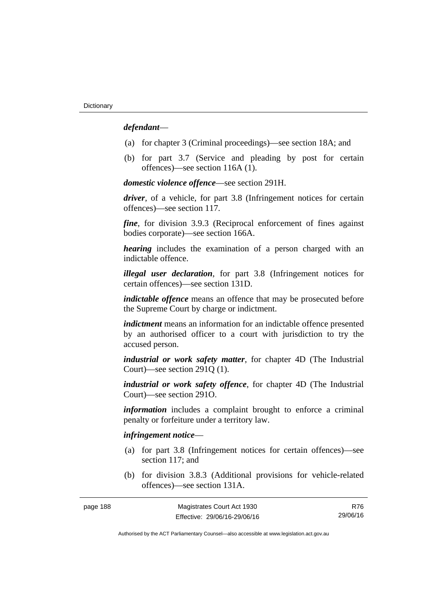## *defendant*—

- (a) for chapter 3 (Criminal proceedings)—see section 18A; and
- (b) for part 3.7 (Service and pleading by post for certain offences)—see section 116A (1).

*domestic violence offence*—see section 291H.

*driver*, of a vehicle, for part 3.8 (Infringement notices for certain offences)—see section 117.

*fine*, for division 3.9.3 (Reciprocal enforcement of fines against bodies corporate)—see section 166A.

*hearing* includes the examination of a person charged with an indictable offence.

*illegal user declaration*, for part 3.8 (Infringement notices for certain offences)—see section 131D.

*indictable offence* means an offence that may be prosecuted before the Supreme Court by charge or indictment.

*indictment* means an information for an indictable offence presented by an authorised officer to a court with jurisdiction to try the accused person.

*industrial or work safety matter*, for chapter 4D (The Industrial Court)—see section 291Q (1).

*industrial or work safety offence*, for chapter 4D (The Industrial Court)—see section 291O.

*information* includes a complaint brought to enforce a criminal penalty or forfeiture under a territory law.

## *infringement notice*—

- (a) for part 3.8 (Infringement notices for certain offences)—see section 117; and
- (b) for division 3.8.3 (Additional provisions for vehicle-related offences)—see section 131A.

| page 188 | Magistrates Court Act 1930   | R76      |
|----------|------------------------------|----------|
|          | Effective: 29/06/16-29/06/16 | 29/06/16 |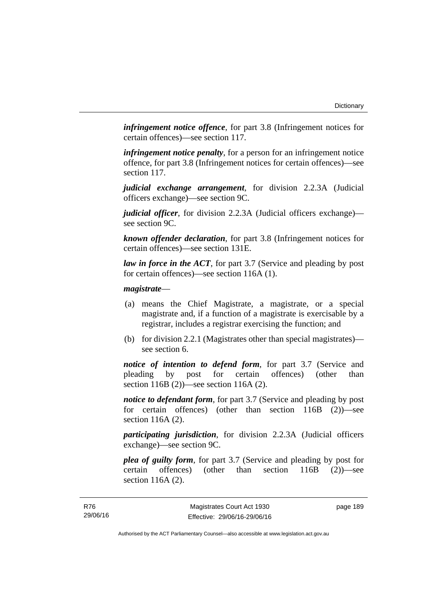*infringement notice offence*, for part 3.8 (Infringement notices for certain offences)—see section 117.

*infringement notice penalty*, for a person for an infringement notice offence, for part 3.8 (Infringement notices for certain offences)—see section 117.

*judicial exchange arrangement*, for division 2.2.3A (Judicial officers exchange)—see section 9C.

*judicial officer*, for division 2.2.3A (Judicial officers exchange) see section 9C.

*known offender declaration*, for part 3.8 (Infringement notices for certain offences)—see section 131E.

*law in force in the ACT*, for part 3.7 (Service and pleading by post for certain offences)—see section 116A (1).

### *magistrate*—

- (a) means the Chief Magistrate, a magistrate, or a special magistrate and, if a function of a magistrate is exercisable by a registrar, includes a registrar exercising the function; and
- (b) for division 2.2.1 (Magistrates other than special magistrates) see section 6.

*notice of intention to defend form*, for part 3.7 (Service and pleading by post for certain offences) (other than section 116B (2))—see section 116A (2).

*notice to defendant form*, for part 3.7 (Service and pleading by post for certain offences) (other than section 116B (2))—see section 116A (2).

*participating jurisdiction*, for division 2.2.3A (Judicial officers exchange)—see section 9C.

*plea of guilty form*, for part 3.7 (Service and pleading by post for certain offences) (other than section 116B (2))—see section 116A (2).

page 189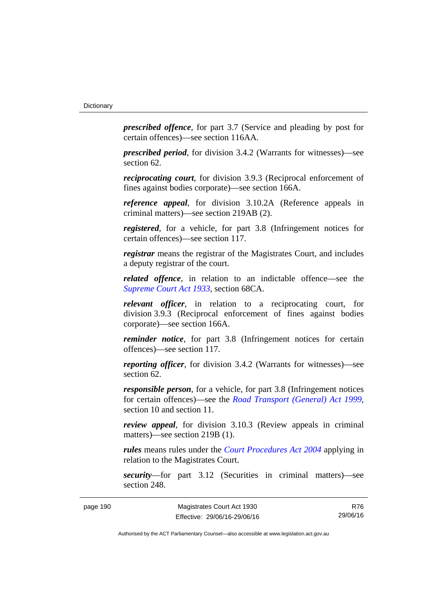*prescribed offence*, for part 3.7 (Service and pleading by post for certain offences)—see section 116AA.

*prescribed period*, for division 3.4.2 (Warrants for witnesses)—see section 62.

*reciprocating court*, for division 3.9.3 (Reciprocal enforcement of fines against bodies corporate)—see section 166A.

*reference appeal*, for division 3.10.2A (Reference appeals in criminal matters)—see section 219AB (2).

*registered*, for a vehicle, for part 3.8 (Infringement notices for certain offences)—see section 117.

*registrar* means the registrar of the Magistrates Court, and includes a deputy registrar of the court.

*related offence*, in relation to an indictable offence––see the *[Supreme Court Act 1933](http://www.legislation.act.gov.au/a/1933-34)*, section 68CA.

*relevant officer*, in relation to a reciprocating court, for division 3.9.3 (Reciprocal enforcement of fines against bodies corporate)—see section 166A.

*reminder notice*, for part 3.8 (Infringement notices for certain offences)—see section 117.

*reporting officer*, for division 3.4.2 (Warrants for witnesses)—see section 62.

*responsible person*, for a vehicle, for part 3.8 (Infringement notices for certain offences)—see the *[Road Transport \(General\) Act 1999](http://www.legislation.act.gov.au/a/1999-77)*, section 10 and section 11.

*review appeal*, for division 3.10.3 (Review appeals in criminal matters)—see section 219B (1).

*rules* means rules under the *[Court Procedures Act 2004](http://www.legislation.act.gov.au/a/2004-59)* applying in relation to the Magistrates Court.

*security*—for part 3.12 (Securities in criminal matters)—see section 248.

R76 29/06/16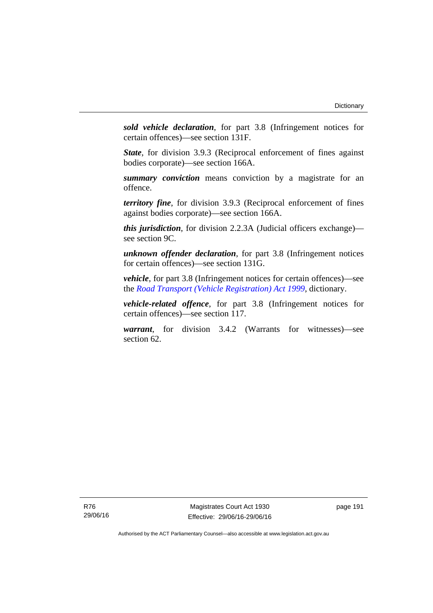*sold vehicle declaration*, for part 3.8 (Infringement notices for certain offences)—see section 131F.

*State*, for division 3.9.3 (Reciprocal enforcement of fines against bodies corporate)—see section 166A.

*summary conviction* means conviction by a magistrate for an offence.

*territory fine*, for division 3.9.3 (Reciprocal enforcement of fines against bodies corporate)—see section 166A.

*this jurisdiction*, for division 2.2.3A (Judicial officers exchange) see section 9C.

*unknown offender declaration*, for part 3.8 (Infringement notices for certain offences)—see section 131G.

*vehicle*, for part 3.8 (Infringement notices for certain offences)—see the *[Road Transport \(Vehicle Registration\) Act 1999](http://www.legislation.act.gov.au/a/1999-81)*, dictionary.

*vehicle-related offence*, for part 3.8 (Infringement notices for certain offences)—see section 117.

*warrant*, for division 3.4.2 (Warrants for witnesses)—see section 62.

Magistrates Court Act 1930 Effective: 29/06/16-29/06/16 page 191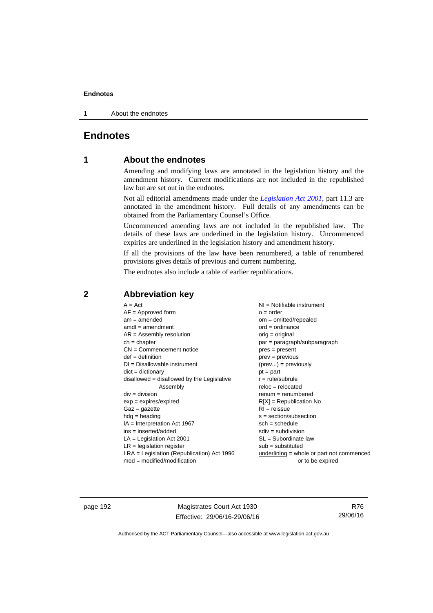1 About the endnotes

# **Endnotes**

## **1 About the endnotes**

Amending and modifying laws are annotated in the legislation history and the amendment history. Current modifications are not included in the republished law but are set out in the endnotes.

Not all editorial amendments made under the *[Legislation Act 2001](http://www.legislation.act.gov.au/a/2001-14)*, part 11.3 are annotated in the amendment history. Full details of any amendments can be obtained from the Parliamentary Counsel's Office.

Uncommenced amending laws are not included in the republished law. The details of these laws are underlined in the legislation history. Uncommenced expiries are underlined in the legislation history and amendment history.

If all the provisions of the law have been renumbered, a table of renumbered provisions gives details of previous and current numbering.

The endnotes also include a table of earlier republications.

| $A = Act$                                    | NI = Notifiable instrument                  |
|----------------------------------------------|---------------------------------------------|
| $AF =$ Approved form                         | $o = order$                                 |
| $am = amended$                               | $om = omitted/repealed$                     |
| $amdt = amendment$                           | $ord = ordinance$                           |
| $AR = Assembly resolution$                   | $orig = original$                           |
| $ch = chapter$                               | $par = paragraph/subparagraph$              |
| $CN =$ Commencement notice                   | $pres = present$                            |
| $def = definition$                           | $prev = previous$                           |
| $DI = Disallowable instrument$               | $(\text{prev}) = \text{previously}$         |
| $dict = dictionary$                          | $pt = part$                                 |
| $disallowed = disallowed by the Legislative$ | $r = rule/subrule$                          |
| Assembly                                     | $reloc = relocated$                         |
| $div = division$                             | $renum = renumbered$                        |
| $exp = expires/expired$                      | $R[X]$ = Republication No                   |
| $Gaz = gazette$                              | $RI = reissue$                              |
| $hdg = heading$                              | $s = section/subsection$                    |
| $IA = Interpretation Act 1967$               | $sch = schedule$                            |
| ins = inserted/added                         | $sdiv = subdivision$                        |
| $LA =$ Legislation Act 2001                  | $SL = Subordinate$ law                      |
| $LR =$ legislation register                  | $sub =$ substituted                         |
| LRA = Legislation (Republication) Act 1996   | underlining $=$ whole or part not commenced |
| $mod = modified/modification$                | or to be expired                            |

## **2 Abbreviation key**

page 192 Magistrates Court Act 1930 Effective: 29/06/16-29/06/16

R76 29/06/16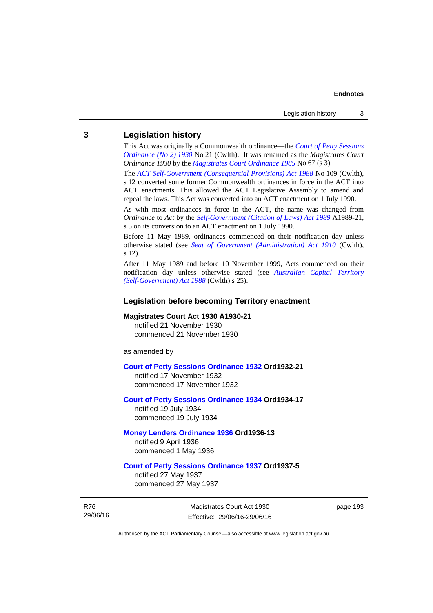## **3 Legislation history**

This Act was originally a Commonwealth ordinance—the *[Court of Petty Sessions](http://www.legislation.act.gov.au/a/1930-21)  [Ordinance \(No 2\) 1930](http://www.legislation.act.gov.au/a/1930-21)* No 21 (Cwlth). It was renamed as the *Magistrates Court Ordinance 1930* by the *[Magistrates Court Ordinance 1985](http://www.legislation.act.gov.au/a/1985-67)* No 67 (s 3).

The *[ACT Self-Government \(Consequential Provisions\) Act 1988](http://www.comlaw.gov.au/Details/C2004A03702)* No 109 (Cwlth), s 12 converted some former Commonwealth ordinances in force in the ACT into ACT enactments. This allowed the ACT Legislative Assembly to amend and repeal the laws. This Act was converted into an ACT enactment on 1 July 1990.

As with most ordinances in force in the ACT, the name was changed from *Ordinance* to *Act* by the *[Self-Government \(Citation of Laws\) Act 1989](http://www.legislation.act.gov.au/a/alt_ord1989-21/default.asp)* A1989-21, s 5 on its conversion to an ACT enactment on 1 July 1990.

Before 11 May 1989, ordinances commenced on their notification day unless otherwise stated (see *[Seat of Government \(Administration\) Act 1910](http://www.comlaw.gov.au/Current/C1910A00025)* (Cwlth), s 12).

After 11 May 1989 and before 10 November 1999, Acts commenced on their notification day unless otherwise stated (see *[Australian Capital Territory](http://www.comlaw.gov.au/Current/C2004A03699)  [\(Self-Government\) Act 1988](http://www.comlaw.gov.au/Current/C2004A03699)* (Cwlth) s 25).

#### **Legislation before becoming Territory enactment**

#### **Magistrates Court Act 1930 A1930-21**

notified 21 November 1930 commenced 21 November 1930

as amended by

#### **[Court of Petty Sessions Ordinance 1932](http://www.legislation.act.gov.au/a/1932-21) Ord1932-21**

notified 17 November 1932 commenced 17 November 1932

#### **[Court of Petty Sessions Ordinance 1934](http://www.legislation.act.gov.au/a/1934-17) Ord1934-17**  notified 19 July 1934

commenced 19 July 1934

## **[Money Lenders Ordinance 1936](http://www.legislation.act.gov.au/ord/1936-13) Ord1936-13**  notified 9 April 1936

commenced 1 May 1936

## **[Court of Petty Sessions Ordinance 1937](http://www.legislation.act.gov.au/a/1937-5) Ord1937-5**

notified 27 May 1937 commenced 27 May 1937

R76 29/06/16

Magistrates Court Act 1930 Effective: 29/06/16-29/06/16 page 193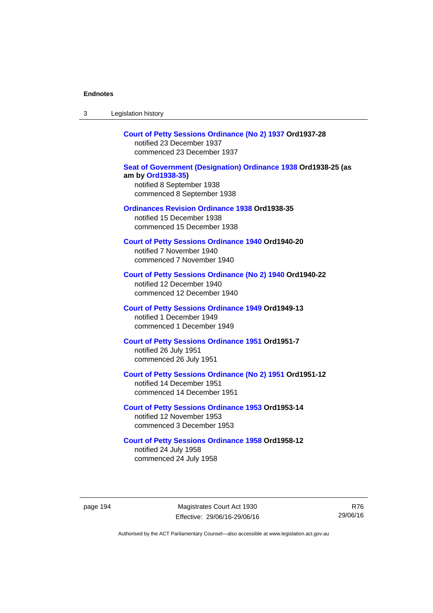| 3        | Legislation history                                                                                                                            |       |
|----------|------------------------------------------------------------------------------------------------------------------------------------------------|-------|
|          | Court of Petty Sessions Ordinance (No 2) 1937 Ord1937-28<br>notified 23 December 1937<br>commenced 23 December 1937                            |       |
|          | Seat of Government (Designation) Ordinance 1938 Ord1938-25 (as<br>am by Ord1938-35)<br>notified 8 September 1938<br>commenced 8 September 1938 |       |
|          | <b>Ordinances Revision Ordinance 1938 Ord1938-35</b><br>notified 15 December 1938<br>commenced 15 December 1938                                |       |
|          | <b>Court of Petty Sessions Ordinance 1940 Ord1940-20</b><br>notified 7 November 1940<br>commenced 7 November 1940                              |       |
|          | Court of Petty Sessions Ordinance (No 2) 1940 Ord1940-22<br>notified 12 December 1940<br>commenced 12 December 1940                            |       |
|          | <b>Court of Petty Sessions Ordinance 1949 Ord1949-13</b><br>notified 1 December 1949<br>commenced 1 December 1949                              |       |
|          | <b>Court of Petty Sessions Ordinance 1951 Ord1951-7</b><br>notified 26 July 1951<br>commenced 26 July 1951                                     |       |
|          | Court of Petty Sessions Ordinance (No 2) 1951 Ord1951-12<br>notified 14 December 1951<br>commenced 14 December 1951                            |       |
|          | <b>Court of Petty Sessions Ordinance 1953 Ord1953-14</b><br>notified 12 November 1953<br>commenced 3 December 1953                             |       |
|          | <b>Court of Petty Sessions Ordinance 1958 Ord1958-12</b><br>notified 24 July 1958<br>commenced 24 July 1958                                    |       |
| page 194 | Magistrates Court Act 1930<br>Effective: 29/06/16-29/06/16                                                                                     | 29/06 |

R76 29/06/16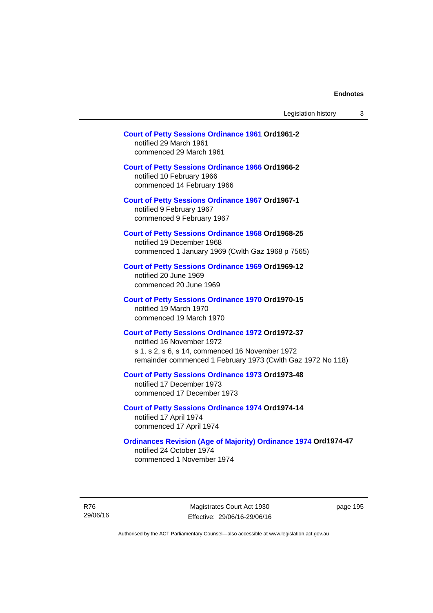# **[Court of Petty Sessions Ordinance 1961](http://www.legislation.act.gov.au/a/1961-2) Ord1961-2**  notified 29 March 1961

commenced 29 March 1961

## **[Court of Petty Sessions Ordinance 1966](http://www.legislation.act.gov.au/a/1966-2) Ord1966-2**

notified 10 February 1966 commenced 14 February 1966

**[Court of Petty Sessions Ordinance 1967](http://www.legislation.act.gov.au/a/1967-1) Ord1967-1** 

notified 9 February 1967 commenced 9 February 1967

### **[Court of Petty Sessions Ordinance 1968](http://www.legislation.act.gov.au/a/1968-25) Ord1968-25**  notified 19 December 1968

commenced 1 January 1969 (Cwlth Gaz 1968 p 7565)

### **[Court of Petty Sessions Ordinance 1969](http://www.legislation.act.gov.au/a/1969-12) Ord1969-12**  notified 20 June 1969 commenced 20 June 1969

## **[Court of Petty Sessions Ordinance 1970](http://www.legislation.act.gov.au/a/1970-15) Ord1970-15**  notified 19 March 1970 commenced 19 March 1970

#### **[Court of Petty Sessions Ordinance 1972](http://www.legislation.act.gov.au/a/1972-37) Ord1972-37**  notified 16 November 1972

s 1, s 2, s 6, s 14, commenced 16 November 1972 remainder commenced 1 February 1973 (Cwlth Gaz 1972 No 118)

#### **[Court of Petty Sessions Ordinance 1973](http://www.legislation.act.gov.au/a/1973-48) Ord1973-48**  notified 17 December 1973

commenced 17 December 1973

## **[Court of Petty Sessions Ordinance 1974](http://www.legislation.act.gov.au/a/1974-14) Ord1974-14**  notified 17 April 1974 commenced 17 April 1974

# **[Ordinances Revision \(Age of Majority\) Ordinance 1974](http://www.legislation.act.gov.au/a/1974-47) Ord1974-47**  notified 24 October 1974

commenced 1 November 1974

R76 29/06/16

Magistrates Court Act 1930 Effective: 29/06/16-29/06/16 page 195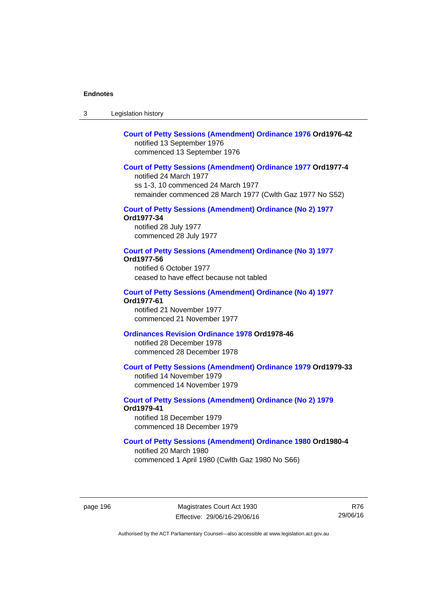3 Legislation history

## **[Court of Petty Sessions \(Amendment\) Ordinance 1976](http://www.legislation.act.gov.au/a/1976-42) Ord1976-42**  notified 13 September 1976 commenced 13 September 1976

### **[Court of Petty Sessions \(Amendment\) Ordinance 1977](http://www.legislation.act.gov.au/a/1977-4) Ord1977-4**

notified 24 March 1977 ss 1-3, 10 commenced 24 March 1977 remainder commenced 28 March 1977 (Cwlth Gaz 1977 No S52)

#### **[Court of Petty Sessions \(Amendment\) Ordinance \(No 2\) 1977](http://www.legislation.act.gov.au/a/1977-34)**

**Ord1977-34**  notified 28 July 1977 commenced 28 July 1977

#### **[Court of Petty Sessions \(Amendment\) Ordinance \(No 3\) 1977](http://www.legislation.act.gov.au/ord/1977-56)**

**Ord1977-56**  notified 6 October 1977

ceased to have effect because not tabled

#### **[Court of Petty Sessions \(Amendment\) Ordinance \(No 4\) 1977](http://www.legislation.act.gov.au/a/1977-61) Ord1977-61**

notified 21 November 1977 commenced 21 November 1977

## **[Ordinances Revision Ordinance 1978](http://www.legislation.act.gov.au/a/1978-46) Ord1978-46**

notified 28 December 1978 commenced 28 December 1978

## **[Court of Petty Sessions \(Amendment\) Ordinance 1979](http://www.legislation.act.gov.au/a/1979-33) Ord1979-33**

notified 14 November 1979 commenced 14 November 1979

## **[Court of Petty Sessions \(Amendment\) Ordinance \(No 2\) 1979](http://www.legislation.act.gov.au/a/1979-41) Ord1979-41**

notified 18 December 1979 commenced 18 December 1979

## **[Court of Petty Sessions \(Amendment\) Ordinance 1980](http://www.legislation.act.gov.au/a/1980-4) Ord1980-4**

notified 20 March 1980 commenced 1 April 1980 (Cwlth Gaz 1980 No S66)

page 196 Magistrates Court Act 1930 Effective: 29/06/16-29/06/16

R76 29/06/16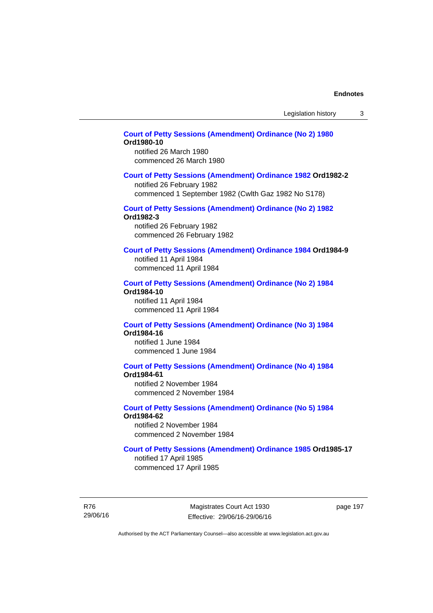## **[Court of Petty Sessions \(Amendment\) Ordinance \(No 2\) 1980](http://www.legislation.act.gov.au/a/1980-10) Ord1980-10**

notified 26 March 1980 commenced 26 March 1980

#### **[Court of Petty Sessions \(Amendment\) Ordinance 1982](http://www.legislation.act.gov.au/a/1982-2) Ord1982-2**

notified 26 February 1982 commenced 1 September 1982 (Cwlth Gaz 1982 No S178)

# **[Court of Petty Sessions \(Amendment\) Ordinance \(No 2\) 1982](http://www.legislation.act.gov.au/a/1982-3)**

**Ord1982-3** 

notified 26 February 1982 commenced 26 February 1982

## **[Court of Petty Sessions \(Amendment\) Ordinance 1984](http://www.legislation.act.gov.au/a/1984-9) Ord1984-9**

notified 11 April 1984 commenced 11 April 1984

#### **[Court of Petty Sessions \(Amendment\) Ordinance \(No 2\) 1984](http://www.legislation.act.gov.au/a/1984-10) Ord1984-10**

notified 11 April 1984 commenced 11 April 1984

#### **[Court of Petty Sessions \(Amendment\) Ordinance \(No 3\) 1984](http://www.legislation.act.gov.au/a/1984-16) Ord1984-16**

notified 1 June 1984 commenced 1 June 1984

# **[Court of Petty Sessions \(Amendment\) Ordinance \(No 4\) 1984](http://www.legislation.act.gov.au/a/1984-61)**

**Ord1984-61** 

notified 2 November 1984 commenced 2 November 1984

# **[Court of Petty Sessions \(Amendment\) Ordinance \(No 5\) 1984](http://www.legislation.act.gov.au/a/1984-62)**

**Ord1984-62**  notified 2 November 1984

commenced 2 November 1984

## **[Court of Petty Sessions \(Amendment\) Ordinance 1985](http://www.legislation.act.gov.au/a/1985-17) Ord1985-17**

notified 17 April 1985 commenced 17 April 1985

R76 29/06/16

Magistrates Court Act 1930 Effective: 29/06/16-29/06/16 page 197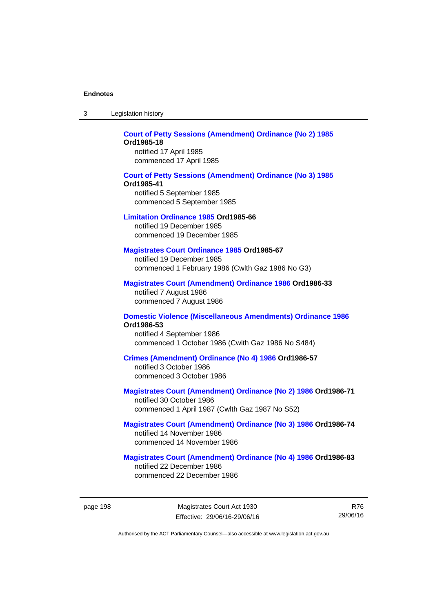| -3 | Legislation history |  |
|----|---------------------|--|
|----|---------------------|--|

### **[Court of Petty Sessions \(Amendment\) Ordinance \(No 2\) 1985](http://www.legislation.act.gov.au/a/1985-18) Ord1985-18**  notified 17 April 1985

commenced 17 April 1985

### **[Court of Petty Sessions \(Amendment\) Ordinance \(No 3\) 1985](http://www.legislation.act.gov.au/a/1985-41) Ord1985-41**  notified 5 September 1985 commenced 5 September 1985

#### **[Limitation Ordinance 1985](http://www.legislation.act.gov.au/a/1985-66) Ord1985-66**

notified 19 December 1985 commenced 19 December 1985

#### **[Magistrates Court Ordinance 1985](http://www.legislation.act.gov.au/a/1985-67) Ord1985-67**

notified 19 December 1985 commenced 1 February 1986 (Cwlth Gaz 1986 No G3)

## **[Magistrates Court \(Amendment\) Ordinance 1986](http://www.legislation.act.gov.au/a/1986-33) Ord1986-33**

notified 7 August 1986 commenced 7 August 1986

#### **[Domestic Violence \(Miscellaneous Amendments\) Ordinance 1986](http://www.legislation.act.gov.au/a/1986-53) Ord1986-53**

notified 4 September 1986 commenced 1 October 1986 (Cwlth Gaz 1986 No S484)

### **[Crimes \(Amendment\) Ordinance \(No 4\) 1986](http://www.legislation.act.gov.au/a/1986-57) Ord1986-57**

notified 3 October 1986 commenced 3 October 1986

### **[Magistrates Court \(Amendment\) Ordinance \(No 2\) 1986](http://www.legislation.act.gov.au/a/1986-71) Ord1986-71**

notified 30 October 1986 commenced 1 April 1987 (Cwlth Gaz 1987 No S52)

#### **[Magistrates Court \(Amendment\) Ordinance \(No 3\) 1986](http://www.legislation.act.gov.au/a/1986-74) Ord1986-74**  notified 14 November 1986 commenced 14 November 1986

# **[Magistrates Court \(Amendment\) Ordinance \(No 4\) 1986](http://www.legislation.act.gov.au/a/1986-83) Ord1986-83**

notified 22 December 1986 commenced 22 December 1986

R76 29/06/16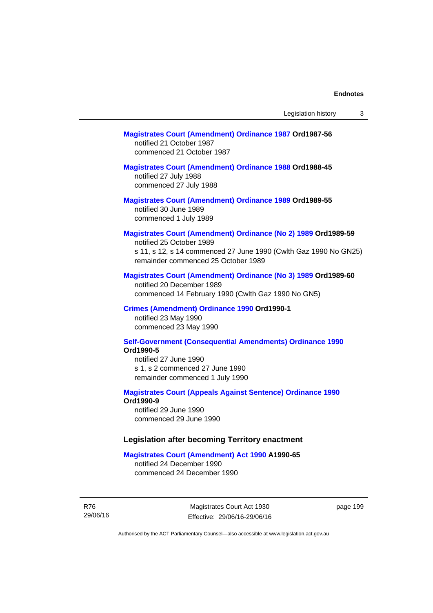## **[Magistrates Court \(Amendment\) Ordinance 1987](http://www.legislation.act.gov.au/a/1987-56) Ord1987-56**  notified 21 October 1987 commenced 21 October 1987

## **[Magistrates Court \(Amendment\) Ordinance 1988](http://www.legislation.act.gov.au/a/1988-45) Ord1988-45**

notified 27 July 1988 commenced 27 July 1988

### **[Magistrates Court \(Amendment\) Ordinance 1989](http://www.legislation.act.gov.au/a/1989-55) Ord1989-55**  notified 30 June 1989 commenced 1 July 1989

# **[Magistrates Court \(Amendment\) Ordinance \(No 2\) 1989](http://www.legislation.act.gov.au/a/1989-59) Ord1989-59**

notified 25 October 1989 s 11, s 12, s 14 commenced 27 June 1990 (Cwlth Gaz 1990 No GN25) remainder commenced 25 October 1989

#### **[Magistrates Court \(Amendment\) Ordinance \(No 3\) 1989](http://www.legislation.act.gov.au/a/1989-60) Ord1989-60**

notified 20 December 1989 commenced 14 February 1990 (Cwlth Gaz 1990 No GN5)

#### **[Crimes \(Amendment\) Ordinance 1990](http://www.legislation.act.gov.au/a/alt_ord1990-1) Ord1990-1**

notified 23 May 1990 commenced 23 May 1990

#### **[Self-Government \(Consequential Amendments\) Ordinance 1990](http://www.legislation.act.gov.au/a/alt_ord1990-5) Ord1990-5**

notified 27 June 1990 s 1, s 2 commenced 27 June 1990 remainder commenced 1 July 1990

#### **[Magistrates Court \(Appeals Against Sentence\) Ordinance 1990](http://www.legislation.act.gov.au/a/alt_ord1990-9) Ord1990-9**

notified 29 June 1990 commenced 29 June 1990

#### **Legislation after becoming Territory enactment**

#### **[Magistrates Court \(Amendment\) Act 1990](http://www.legislation.act.gov.au/a/1990-65) A1990-65**

notified 24 December 1990 commenced 24 December 1990

R76 29/06/16

Magistrates Court Act 1930 Effective: 29/06/16-29/06/16 page 199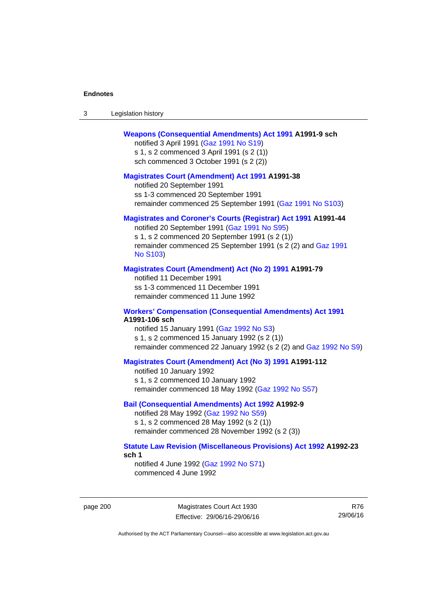| -3 | Legislation history |  |
|----|---------------------|--|
|----|---------------------|--|

## **[Weapons \(Consequential Amendments\) Act 1991](http://www.legislation.act.gov.au/a/1991-9) A1991-9 sch**

notified 3 April 1991 ([Gaz 1991 No S19](http://www.legislation.act.gov.au/gaz/1991-S19/default.asp)) s 1, s 2 commenced 3 April 1991 (s 2 (1)) sch commenced 3 October 1991 (s 2 (2))

#### **[Magistrates Court \(Amendment\) Act 1991](http://www.legislation.act.gov.au/a/1991-38) A1991-38**

notified 20 September 1991 ss 1-3 commenced 20 September 1991 remainder commenced 25 September 1991 [\(Gaz 1991 No S103](http://www.legislation.act.gov.au/gaz/1991-S103/default.asp))

### **[Magistrates and Coroner's Courts \(Registrar\) Act 1991](http://www.legislation.act.gov.au/a/1991-44) A1991-44**

notified 20 September 1991 [\(Gaz 1991 No S95\)](http://www.legislation.act.gov.au/gaz/1991-S95/default.asp) s 1, s 2 commenced 20 September 1991 (s 2 (1)) remainder commenced 25 September 1991 (s 2 (2) and [Gaz 1991](http://www.legislation.act.gov.au/gaz/1991-S103/default.asp)  [No S103\)](http://www.legislation.act.gov.au/gaz/1991-S103/default.asp)

#### **[Magistrates Court \(Amendment\) Act \(No 2\) 1991](http://www.legislation.act.gov.au/a/1991-79) A1991-79**

notified 11 December 1991 ss 1-3 commenced 11 December 1991 remainder commenced 11 June 1992

#### **[Workers' Compensation \(Consequential Amendments\) Act 1991](http://www.legislation.act.gov.au/a/1991-106) A1991-106 sch**

notified 15 January 1991 ([Gaz 1992 No S3\)](http://www.legislation.act.gov.au/gaz/1992-S3/default.asp) s 1, s 2 commenced 15 January 1992 (s 2 (1)) remainder commenced 22 January 1992 (s 2 (2) and [Gaz 1992 No S9](http://www.legislation.act.gov.au/gaz/1992-S9/default.asp))

## **[Magistrates Court \(Amendment\) Act \(No 3\) 1991](http://www.legislation.act.gov.au/a/1991-112) A1991-112**

notified 10 January 1992 s 1, s 2 commenced 10 January 1992 remainder commenced 18 May 1992 [\(Gaz 1992 No S57\)](http://www.legislation.act.gov.au/gaz/1992-S57/default.asp)

### **[Bail \(Consequential Amendments\) Act 1992](http://www.legislation.act.gov.au/a/1992-9) A1992-9**

notified 28 May 1992 ([Gaz 1992 No S59](http://www.legislation.act.gov.au/gaz/1992-S59/default.asp)) s 1, s 2 commenced 28 May 1992 (s 2 (1)) remainder commenced 28 November 1992 (s 2 (3))

### **[Statute Law Revision \(Miscellaneous Provisions\) Act 1992](http://www.legislation.act.gov.au/a/1992-23) A1992-23 sch 1**

notified 4 June 1992 [\(Gaz 1992 No S71\)](http://www.legislation.act.gov.au/gaz/1992-S71/default.asp) commenced 4 June 1992

page 200 Magistrates Court Act 1930 Effective: 29/06/16-29/06/16

R76 29/06/16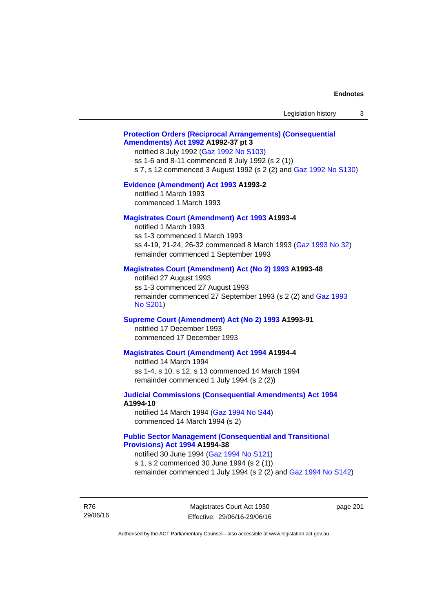# **[Protection Orders \(Reciprocal Arrangements\) \(Consequential](http://www.legislation.act.gov.au/a/1992-37)  [Amendments\) Act 1992](http://www.legislation.act.gov.au/a/1992-37) A1992-37 pt 3**

notified 8 July 1992 [\(Gaz 1992 No S103](http://www.legislation.act.gov.au/gaz/1992-S103/default.asp)) ss 1-6 and 8-11 commenced 8 July 1992 (s 2 (1)) s 7, s 12 commenced 3 August 1992 (s 2 (2) and [Gaz 1992 No S130](http://www.legislation.act.gov.au/gaz/1992-S130/default.asp))

#### **[Evidence \(Amendment\) Act 1993](http://www.legislation.act.gov.au/a/1993-2) A1993-2**

notified 1 March 1993 commenced 1 March 1993

## **[Magistrates Court \(Amendment\) Act 1993](http://www.legislation.act.gov.au/a/1993-4) A1993-4**

notified 1 March 1993 ss 1-3 commenced 1 March 1993 ss 4-19, 21-24, 26-32 commenced 8 March 1993 [\(Gaz 1993 No 32](http://www.legislation.act.gov.au/gaz/1993-32/default.asp)) remainder commenced 1 September 1993

## **[Magistrates Court \(Amendment\) Act \(No 2\) 1993](http://www.legislation.act.gov.au/a/1993-48) A1993-48**

notified 27 August 1993 ss 1-3 commenced 27 August 1993 remainder commenced 27 September 1993 (s 2 (2) and [Gaz 1993](http://www.legislation.act.gov.au/gaz/1993-S201/default.asp)  [No S201\)](http://www.legislation.act.gov.au/gaz/1993-S201/default.asp)

#### **[Supreme Court \(Amendment\) Act \(No 2\) 1993](http://www.legislation.act.gov.au/a/1993-91) A1993-91**

notified 17 December 1993 commenced 17 December 1993

#### **[Magistrates Court \(Amendment\) Act 1994](http://www.legislation.act.gov.au/a/1994-4) A1994-4**

notified 14 March 1994 ss 1-4, s 10, s 12, s 13 commenced 14 March 1994 remainder commenced 1 July 1994 (s 2 (2))

# **[Judicial Commissions \(Consequential Amendments\) Act 1994](http://www.legislation.act.gov.au/a/1994-10) A1994-10**

notified 14 March 1994 ([Gaz 1994 No S44](http://www.legislation.act.gov.au/gaz/1994-S44/default.asp)) commenced 14 March 1994 (s 2)

# **[Public Sector Management \(Consequential and Transitional](http://www.legislation.act.gov.au/a/1994-38)  [Provisions\) Act 1994](http://www.legislation.act.gov.au/a/1994-38) A1994-38**

notified 30 June 1994 ([Gaz 1994 No S121\)](http://www.legislation.act.gov.au/gaz/1994-S121/default.asp) s 1, s 2 commenced 30 June 1994 (s 2 (1))

remainder commenced 1 July 1994 (s 2 (2) and [Gaz 1994 No S142\)](http://www.legislation.act.gov.au/gaz/1994-S142/default.asp)

R76 29/06/16

Magistrates Court Act 1930 Effective: 29/06/16-29/06/16 page 201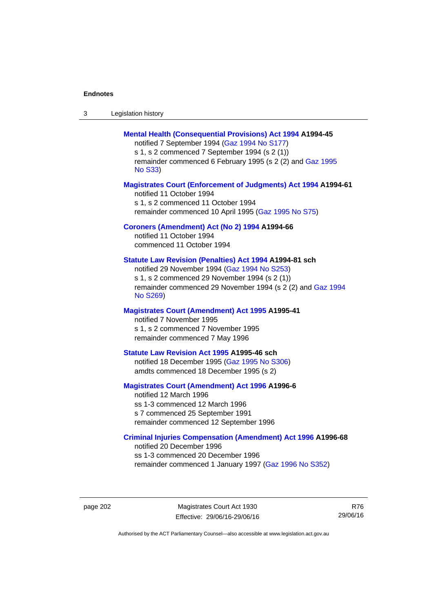| -3 | Legislation history |
|----|---------------------|
|----|---------------------|

## **[Mental Health \(Consequential Provisions\) Act 1994](http://www.legislation.act.gov.au/a/1994-45) A1994-45**

notified 7 September 1994 [\(Gaz 1994 No S177\)](http://www.legislation.act.gov.au/gaz/1994-S177/default.asp) s 1, s 2 commenced 7 September 1994 (s 2 (1)) remainder commenced 6 February 1995 (s 2 (2) and [Gaz 1995](http://www.legislation.act.gov.au/gaz/1995-S33/default.asp)  [No S33](http://www.legislation.act.gov.au/gaz/1995-S33/default.asp))

## **[Magistrates Court \(Enforcement of Judgments\) Act 1994](http://www.legislation.act.gov.au/a/1994-61) A1994-61**

notified 11 October 1994 s 1, s 2 commenced 11 October 1994 remainder commenced 10 April 1995 [\(Gaz 1995 No S75\)](http://www.legislation.act.gov.au/gaz/1995-S75/default.asp)

## **[Coroners \(Amendment\) Act \(No 2\) 1994](http://www.legislation.act.gov.au/a/1994-66) A1994-66**

notified 11 October 1994 commenced 11 October 1994

## **[Statute Law Revision \(Penalties\) Act 1994](http://www.legislation.act.gov.au/a/1994-81) A1994-81 sch**

notified 29 November 1994 [\(Gaz 1994 No S253](http://www.legislation.act.gov.au/gaz/1994-S253/default.asp)) s 1, s 2 commenced 29 November 1994 (s 2 (1)) remainder commenced 29 November 1994 (s 2 (2) and [Gaz 1994](http://www.legislation.act.gov.au/gaz/1994-S269/default.asp)  [No S269\)](http://www.legislation.act.gov.au/gaz/1994-S269/default.asp)

## **[Magistrates Court \(Amendment\) Act 1995](http://www.legislation.act.gov.au/a/1995-41) A1995-41**

notified 7 November 1995 s 1, s 2 commenced 7 November 1995 remainder commenced 7 May 1996

#### **[Statute Law Revision Act 1995](http://www.legislation.act.gov.au/a/1995-46) A1995-46 sch**

notified 18 December 1995 [\(Gaz 1995 No S306](http://www.legislation.act.gov.au/gaz/1995-S306/default.asp)) amdts commenced 18 December 1995 (s 2)

## **[Magistrates Court \(Amendment\) Act 1996](http://www.legislation.act.gov.au/a/1996-6) A1996-6**

notified 12 March 1996 ss 1-3 commenced 12 March 1996 s 7 commenced 25 September 1991 remainder commenced 12 September 1996

## **[Criminal Injuries Compensation \(Amendment\) Act 1996](http://www.legislation.act.gov.au/a/1996-68) A1996-68**

notified 20 December 1996 ss 1-3 commenced 20 December 1996 remainder commenced 1 January 1997 [\(Gaz 1996 No S352](http://www.legislation.act.gov.au/gaz/1996-S352/default.asp))

page 202 Magistrates Court Act 1930 Effective: 29/06/16-29/06/16

R76 29/06/16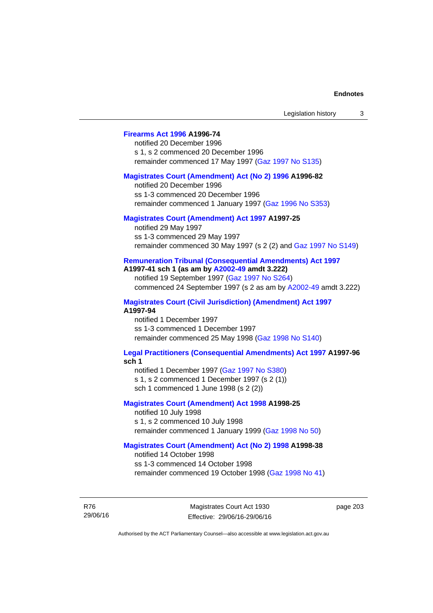# **[Firearms Act 1996](http://www.legislation.act.gov.au/a/1996-74) A1996-74**

notified 20 December 1996 s 1, s 2 commenced 20 December 1996 remainder commenced 17 May 1997 [\(Gaz 1997 No S135](http://www.legislation.act.gov.au/gaz/1997-S135/default.asp))

#### **[Magistrates Court \(Amendment\) Act \(No 2\) 1996](http://www.legislation.act.gov.au/a/1996-82) A1996-82**

notified 20 December 1996 ss 1-3 commenced 20 December 1996 remainder commenced 1 January 1997 [\(Gaz 1996 No S353](http://www.legislation.act.gov.au/gaz/1996-S353/default.asp))

## **[Magistrates Court \(Amendment\) Act 1997](http://www.legislation.act.gov.au/a/1997-25) A1997-25**

notified 29 May 1997 ss 1-3 commenced 29 May 1997 remainder commenced 30 May 1997 (s 2 (2) and [Gaz 1997 No S149\)](http://www.legislation.act.gov.au/gaz/1997-S149/default.asp)

#### **[Remuneration Tribunal \(Consequential Amendments\) Act 1997](http://www.legislation.act.gov.au/a/1997-41) A1997-41 sch 1 (as am by [A2002-49](http://www.legislation.act.gov.au/a/2002-49) amdt 3.222)**

notified 19 September 1997 [\(Gaz 1997 No S264](http://www.legislation.act.gov.au/gaz/1997-S264/default.asp)) commenced 24 September 1997 (s 2 as am by [A2002-49](http://www.legislation.act.gov.au/a/2002-49) amdt 3.222)

**[Magistrates Court \(Civil Jurisdiction\) \(Amendment\) Act 1997](http://www.legislation.act.gov.au/a/1997-94) A1997-94** 

notified 1 December 1997 ss 1-3 commenced 1 December 1997 remainder commenced 25 May 1998 [\(Gaz 1998 No S140](http://www.legislation.act.gov.au/gaz/1998-S140/default.asp))

#### **[Legal Practitioners \(Consequential Amendments\) Act 1997](http://www.legislation.act.gov.au/a/1997-96) A1997-96 sch 1**

notified 1 December 1997 ([Gaz 1997 No S380\)](http://www.legislation.act.gov.au/gaz/1997-S380/default.asp) s 1, s 2 commenced 1 December 1997 (s 2 (1)) sch 1 commenced 1 June 1998 (s 2 (2))

# **[Magistrates Court \(Amendment\) Act 1998](http://www.legislation.act.gov.au/a/1998-25) A1998-25**

notified 10 July 1998 s 1, s 2 commenced 10 July 1998 remainder commenced 1 January 1999 [\(Gaz 1998 No 50](http://www.legislation.act.gov.au/gaz/1998-50/default.asp))

# **[Magistrates Court \(Amendment\) Act \(No 2\) 1998](http://www.legislation.act.gov.au/a/1998-38) A1998-38**

notified 14 October 1998 ss 1-3 commenced 14 October 1998 remainder commenced 19 October 1998 ([Gaz 1998 No 41\)](http://www.legislation.act.gov.au/gaz/1998-41/default.asp)

R76 29/06/16

Magistrates Court Act 1930 Effective: 29/06/16-29/06/16 page 203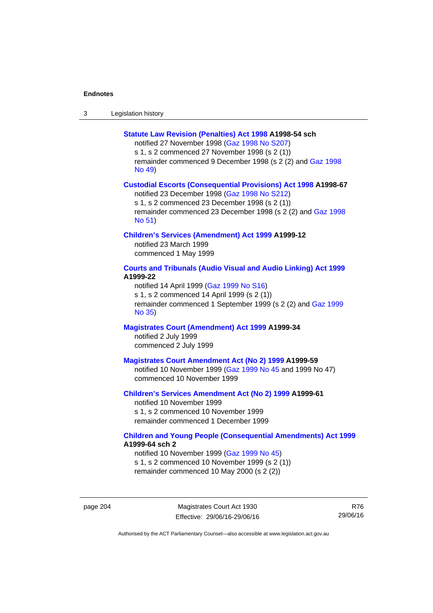| -3 | Legislation history |
|----|---------------------|
|----|---------------------|

#### **[Statute Law Revision \(Penalties\) Act 1998](http://www.legislation.act.gov.au/a/1998-54) A1998-54 sch**

notified 27 November 1998 [\(Gaz 1998 No S207](http://www.legislation.act.gov.au/gaz/1998-S207/default.asp)) s 1, s 2 commenced 27 November 1998 (s 2 (1)) remainder commenced 9 December 1998 (s 2 (2) and [Gaz 1998](http://www.legislation.act.gov.au/gaz/1998-49/default.asp) 

[No 49\)](http://www.legislation.act.gov.au/gaz/1998-49/default.asp)

#### **[Custodial Escorts \(Consequential Provisions\) Act 1998](http://www.legislation.act.gov.au/a/1998-67) A1998-67**

notified 23 December 1998 [\(Gaz 1998 No S212](http://www.legislation.act.gov.au/gaz/1998-S212/default.asp)) s 1, s 2 commenced 23 December 1998 (s 2 (1)) remainder commenced 23 December 1998 (s 2 (2) and [Gaz 1998](http://www.legislation.act.gov.au/gaz/1998-51/default.asp)  [No 51\)](http://www.legislation.act.gov.au/gaz/1998-51/default.asp)

#### **[Children's Services \(Amendment\) Act 1999](http://www.legislation.act.gov.au/a/1999-12) A1999-12**

notified 23 March 1999 commenced 1 May 1999

# **[Courts and Tribunals \(Audio Visual and Audio Linking\) Act 1999](http://www.legislation.act.gov.au/a/1999-22) A1999-22**

notified 14 April 1999 [\(Gaz 1999 No S16\)](http://www.legislation.act.gov.au/gaz/1999-S16/default.asp) s 1, s 2 commenced 14 April 1999 (s 2 (1)) remainder commenced 1 September 1999 (s 2 (2) and [Gaz 1999](http://www.legislation.act.gov.au/gaz/1999-35/default.asp)  [No 35\)](http://www.legislation.act.gov.au/gaz/1999-35/default.asp)

# **[Magistrates Court \(Amendment\) Act 1999](http://www.legislation.act.gov.au/a/1999-34) A1999-34**  notified 2 July 1999 commenced 2 July 1999

#### **[Magistrates Court Amendment Act \(No 2\) 1999](http://www.legislation.act.gov.au/a/1999-59) A1999-59**

notified 10 November 1999 [\(Gaz 1999 No 45 a](http://www.legislation.act.gov.au/gaz/1999-45/default.asp)nd 1999 No 47) commenced 10 November 1999

## **[Children's Services Amendment Act \(No 2\) 1999](http://www.legislation.act.gov.au/a/1999-61) A1999-61**  notified 10 November 1999 s 1, s 2 commenced 10 November 1999

remainder commenced 1 December 1999

## **[Children and Young People \(Consequential Amendments\) Act 1999](http://www.legislation.act.gov.au/a/1999-64) A1999-64 sch 2**

notified 10 November 1999 [\(Gaz 1999 No 45](http://www.legislation.act.gov.au/gaz/1999-45/default.asp)) s 1, s 2 commenced 10 November 1999 (s 2 (1)) remainder commenced 10 May 2000 (s 2 (2))

page 204 Magistrates Court Act 1930 Effective: 29/06/16-29/06/16

R76 29/06/16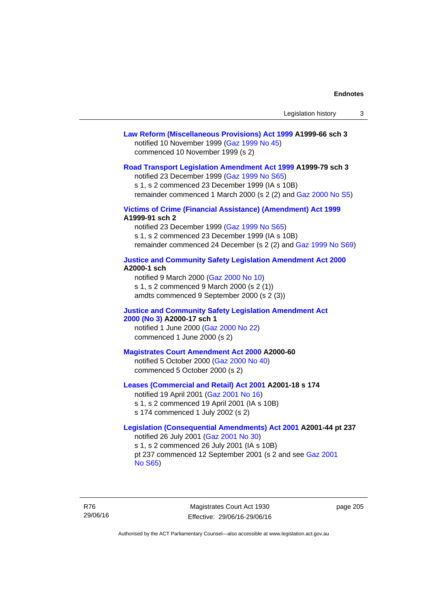# **[Law Reform \(Miscellaneous Provisions\) Act 1999](http://www.legislation.act.gov.au/a/1999-66) A1999-66 sch 3**  notified 10 November 1999 [\(Gaz 1999 No 45](http://www.legislation.act.gov.au/gaz/1999-45/default.asp)) commenced 10 November 1999 (s 2)

#### **[Road Transport Legislation Amendment Act 1999](http://www.legislation.act.gov.au/a/1999-79) A1999-79 sch 3**

notified 23 December 1999 [\(Gaz 1999 No S65\)](http://www.legislation.act.gov.au/gaz/1999-S65/default.asp) s 1, s 2 commenced 23 December 1999 (IA s 10B) remainder commenced 1 March 2000 (s 2 (2) and [Gaz 2000 No S5\)](http://www.legislation.act.gov.au/gaz/2000-S5/default.asp)

## **[Victims of Crime \(Financial Assistance\) \(Amendment\) Act 1999](http://www.legislation.act.gov.au/a/1999-91) A1999-91 sch 2**

notified 23 December 1999 [\(Gaz 1999 No S65\)](http://www.legislation.act.gov.au/gaz/1999-S65/default.asp) s 1, s 2 commenced 23 December 1999 (IA s 10B) remainder commenced 24 December (s 2 (2) and [Gaz 1999 No S69](http://www.legislation.act.gov.au/gaz/1999-S69/default.asp))

#### **[Justice and Community Safety Legislation Amendment Act 2000](http://www.legislation.act.gov.au/a/2000-1) A2000-1 sch**

notified 9 March 2000 [\(Gaz 2000 No 10](http://www.legislation.act.gov.au/gaz/2000-10/default.asp)) s 1, s 2 commenced 9 March 2000 (s 2 (1)) amdts commenced 9 September 2000 (s 2 (3))

## **[Justice and Community Safety Legislation Amendment Act](http://www.legislation.act.gov.au/a/2000-17)  [2000 \(No 3\)](http://www.legislation.act.gov.au/a/2000-17) A2000-17 sch 1**

notified 1 June 2000 [\(Gaz 2000 No 22](http://www.legislation.act.gov.au/gaz/2000-22/default.asp)) commenced 1 June 2000 (s 2)

#### **[Magistrates Court Amendment Act 2000](http://www.legislation.act.gov.au/a/2000-60) A2000-60**

notified 5 October 2000 [\(Gaz 2000 No 40\)](http://www.legislation.act.gov.au/gaz/2000-40/default.asp) commenced 5 October 2000 (s 2)

## **[Leases \(Commercial and Retail\) Act 2001](http://www.legislation.act.gov.au/a/2001-18) A2001-18 s 174**

notified 19 April 2001 [\(Gaz 2001 No 16\)](http://www.legislation.act.gov.au/gaz/2001-16/default.asp) s 1, s 2 commenced 19 April 2001 (IA s 10B) s 174 commenced 1 July 2002 (s 2)

# **[Legislation \(Consequential Amendments\) Act 2001](http://www.legislation.act.gov.au/a/2001-44) A2001-44 pt 237**  notified 26 July 2001 ([Gaz 2001 No 30\)](http://www.legislation.act.gov.au/gaz/2001-30/default.asp)

s 1, s 2 commenced 26 July 2001 (IA s 10B) pt 237 commenced 12 September 2001 (s 2 and see [Gaz 2001](http://www.legislation.act.gov.au/gaz/2001-S65/default.asp)  [No S65](http://www.legislation.act.gov.au/gaz/2001-S65/default.asp))

R76 29/06/16

Magistrates Court Act 1930 Effective: 29/06/16-29/06/16 page 205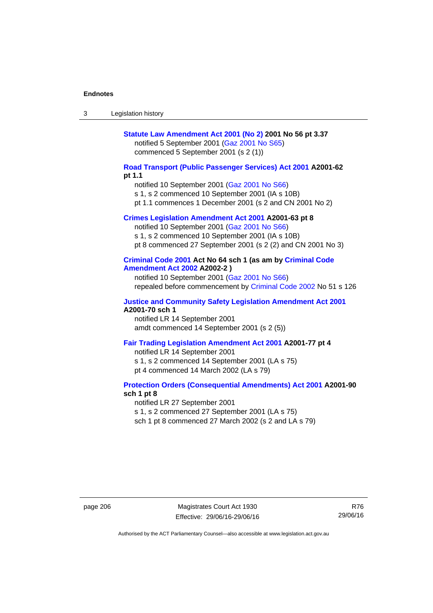| Legislation history<br>-3 |  |
|---------------------------|--|
|---------------------------|--|

# **[Statute Law Amendment Act 2001 \(No 2\)](http://www.legislation.act.gov.au/a/2001-56) 2001 No 56 pt 3.37**  notified 5 September 2001 [\(Gaz 2001 No S65\)](http://www.legislation.act.gov.au/gaz/2001-S65/default.asp) commenced 5 September 2001 (s 2 (1))

# **[Road Transport \(Public Passenger Services\) Act 2001](http://www.legislation.act.gov.au/a/2001-62) A2001-62 pt 1.1**

notified 10 September 2001 [\(Gaz 2001 No S66\)](http://www.legislation.act.gov.au/gaz/2001-S66/default.asp)

s 1, s 2 commenced 10 September 2001 (IA s 10B)

pt 1.1 commences 1 December 2001 (s 2 and CN 2001 No 2)

# **[Crimes Legislation Amendment Act 2001](http://www.legislation.act.gov.au/a/2001-63) A2001-63 pt 8**

notified 10 September 2001 [\(Gaz 2001 No S66\)](http://www.legislation.act.gov.au/gaz/2001-S66/default.asp) s 1, s 2 commenced 10 September 2001 (IA s 10B) pt 8 commenced 27 September 2001 (s 2 (2) and CN 2001 No 3)

# **[Criminal Code 2001](http://www.legislation.act.gov.au/a/2001-64) Act No 64 sch 1 (as am by [Criminal Code](http://www.legislation.act.gov.au/a/2002-2)  [Amendment Act 2002](http://www.legislation.act.gov.au/a/2002-2) A2002-2 )**

notified 10 September 2001 [\(Gaz 2001 No S66\)](http://www.legislation.act.gov.au/gaz/2001-S66/default.asp) repealed before commencement by [Criminal Code 2002](http://www.legislation.act.gov.au/a/2002-51) No 51 s 126

#### **[Justice and Community Safety Legislation Amendment Act 2001](http://www.legislation.act.gov.au/a/2001-70) A2001-70 sch 1**

notified LR 14 September 2001 amdt commenced 14 September 2001 (s 2 (5))

#### **[Fair Trading Legislation Amendment Act 2001](http://www.legislation.act.gov.au/a/2001-77) A2001-77 pt 4**

notified LR 14 September 2001 s 1, s 2 commenced 14 September 2001 (LA s 75) pt 4 commenced 14 March 2002 (LA s 79)

## **[Protection Orders \(Consequential Amendments\) Act 2001](http://www.legislation.act.gov.au/a/2001-90) A2001-90 sch 1 pt 8**

notified LR 27 September 2001

s 1, s 2 commenced 27 September 2001 (LA s 75)

sch 1 pt 8 commenced 27 March 2002 (s 2 and LA s 79)

page 206 Magistrates Court Act 1930 Effective: 29/06/16-29/06/16

R76 29/06/16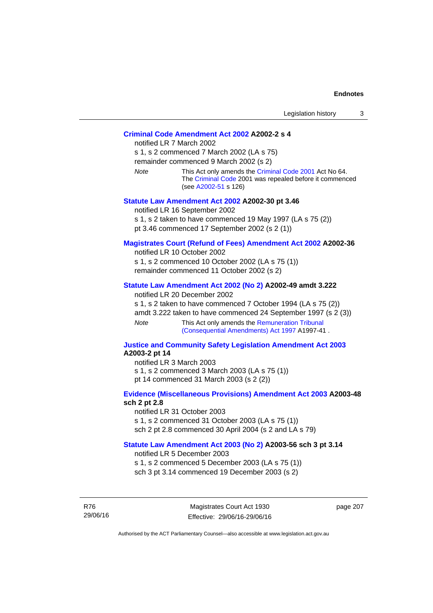## **[Criminal Code Amendment Act 2002](http://www.legislation.act.gov.au/a/2002-2) A2002-2 s 4**

notified LR 7 March 2002 s 1, s 2 commenced 7 March 2002 (LA s 75) remainder commenced 9 March 2002 (s 2) *Note* This Act only amends the [Criminal Code 2001](http://www.legislation.act.gov.au/a/2001-64) Act No 64. The [Criminal Code](http://www.legislation.act.gov.au/a/2002-51) 2001 was repealed before it commenced (see [A2002-51](http://www.legislation.act.gov.au/a/2002-51) s 126)

#### **[Statute Law Amendment Act 2002](http://www.legislation.act.gov.au/a/2002-30) A2002-30 pt 3.46**

notified LR 16 September 2002 s 1, s 2 taken to have commenced 19 May 1997 (LA s 75 (2)) pt 3.46 commenced 17 September 2002 (s 2 (1))

## **[Magistrates Court \(Refund of Fees\) Amendment Act 2002](http://www.legislation.act.gov.au/a/2002-36) A2002-36**

notified LR 10 October 2002 s 1, s 2 commenced 10 October 2002 (LA s 75 (1)) remainder commenced 11 October 2002 (s 2)

#### **[Statute Law Amendment Act 2002 \(No 2\)](http://www.legislation.act.gov.au/a/2002-49) A2002-49 amdt 3.222**

notified LR 20 December 2002

s 1, s 2 taken to have commenced 7 October 1994 (LA s 75 (2)) amdt 3.222 taken to have commenced 24 September 1997 (s 2 (3)) *Note* This Act only amends the [Remuneration Tribunal](http://www.legislation.act.gov.au/a/1997-41)  [\(Consequential Amendments\) Act 1997](http://www.legislation.act.gov.au/a/1997-41) A1997-41 .

#### **[Justice and Community Safety Legislation Amendment Act 2003](http://www.legislation.act.gov.au/a/2003-2) A2003-2 pt 14**

notified LR 3 March 2003 s 1, s 2 commenced 3 March 2003 (LA s 75 (1)) pt 14 commenced 31 March 2003 (s 2 (2))

## **[Evidence \(Miscellaneous Provisions\) Amendment Act 2003](http://www.legislation.act.gov.au/a/2003-48) A2003-48 sch 2 pt 2.8**

notified LR 31 October 2003 s 1, s 2 commenced 31 October 2003 (LA s 75 (1)) sch 2 pt 2.8 commenced 30 April 2004 (s 2 and LA s 79)

## **[Statute Law Amendment Act 2003 \(No 2\)](http://www.legislation.act.gov.au/a/2003-56) A2003-56 sch 3 pt 3.14**

notified LR 5 December 2003 s 1, s 2 commenced 5 December 2003 (LA s 75 (1)) sch 3 pt 3.14 commenced 19 December 2003 (s 2)

R76 29/06/16

Magistrates Court Act 1930 Effective: 29/06/16-29/06/16 page 207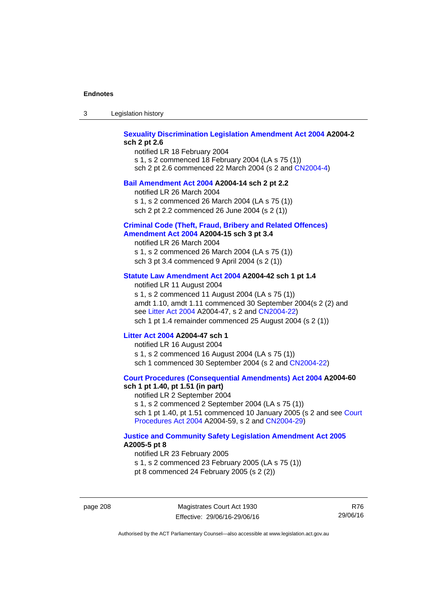| -3 | Legislation history |  |
|----|---------------------|--|
|----|---------------------|--|

# **[Sexuality Discrimination Legislation Amendment Act 2004](http://www.legislation.act.gov.au/a/2004-2) A2004-2 sch 2 pt 2.6**

notified LR 18 February 2004 s 1, s 2 commenced 18 February 2004 (LA s 75 (1)) sch 2 pt 2.6 commenced 22 March 2004 (s 2 and [CN2004-4\)](http://www.legislation.act.gov.au/cn/2004-4/default.asp)

## **[Bail Amendment Act 2004](http://www.legislation.act.gov.au/a/2004-14) A2004-14 sch 2 pt 2.2**

notified LR 26 March 2004

s 1, s 2 commenced 26 March 2004 (LA s 75 (1))

sch 2 pt 2.2 commenced 26 June 2004 (s 2 (1))

## **[Criminal Code \(Theft, Fraud, Bribery and Related Offences\)](http://www.legislation.act.gov.au/a/2004-15)  [Amendment Act 2004](http://www.legislation.act.gov.au/a/2004-15) A2004-15 sch 3 pt 3.4**

notified LR 26 March 2004 s 1, s 2 commenced 26 March 2004 (LA s 75 (1)) sch 3 pt 3.4 commenced 9 April 2004 (s 2 (1))

## **[Statute Law Amendment Act 2004](http://www.legislation.act.gov.au/a/2004-42) A2004-42 sch 1 pt 1.4**

notified LR 11 August 2004 s 1, s 2 commenced 11 August 2004 (LA s 75 (1)) amdt 1.10, amdt 1.11 commenced 30 September 2004(s 2 (2) and see [Litter Act 2004](http://www.legislation.act.gov.au/a/2004-47) A2004-47, s 2 and [CN2004-22\)](http://www.legislation.act.gov.au/cn/2004-22/default.asp) sch 1 pt 1.4 remainder commenced 25 August 2004 (s 2 (1))

## **[Litter Act 2004](http://www.legislation.act.gov.au/a/2004-47) A2004-47 sch 1**

notified LR 16 August 2004 s 1, s 2 commenced 16 August 2004 (LA s 75 (1)) sch 1 commenced 30 September 2004 (s 2 and [CN2004-22\)](http://www.legislation.act.gov.au/cn/2004-22/default.asp)

#### **[Court Procedures \(Consequential Amendments\) Act 2004](http://www.legislation.act.gov.au/a/2004-60) A2004-60 sch 1 pt 1.40, pt 1.51 (in part)**

notified LR 2 September 2004 s 1, s 2 commenced 2 September 2004 (LA s 75 (1)) sch 1 pt 1.40, pt 1.51 commenced 10 January 2005 (s 2 and see [Court](http://www.legislation.act.gov.au/a/2004-59)  [Procedures Act 2004](http://www.legislation.act.gov.au/a/2004-59) A2004-59, s 2 and [CN2004-29\)](http://www.legislation.act.gov.au/cn/2004-29/default.asp)

#### **[Justice and Community Safety Legislation Amendment Act 2005](http://www.legislation.act.gov.au/a/2005-5) A2005-5 pt 8**

notified LR 23 February 2005 s 1, s 2 commenced 23 February 2005 (LA s 75 (1)) pt 8 commenced 24 February 2005 (s 2 (2))

page 208 Magistrates Court Act 1930 Effective: 29/06/16-29/06/16

R76 29/06/16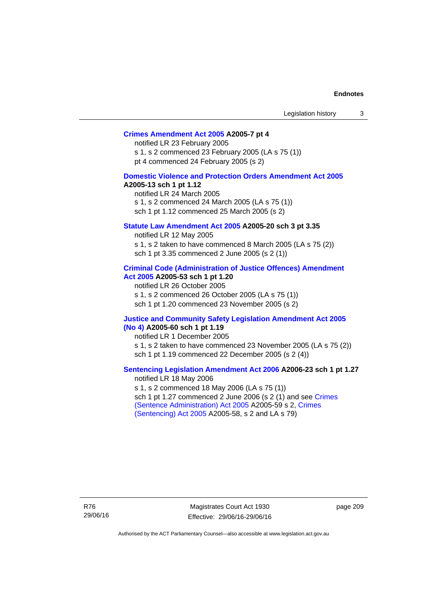## **[Crimes Amendment Act 2005](http://www.legislation.act.gov.au/a/2005-7) A2005-7 pt 4**

notified LR 23 February 2005 s 1, s 2 commenced 23 February 2005 (LA s 75 (1)) pt 4 commenced 24 February 2005 (s 2)

#### **[Domestic Violence and Protection Orders Amendment Act 2005](http://www.legislation.act.gov.au/a/2005-13) A2005-13 sch 1 pt 1.12**

notified LR 24 March 2005 s 1, s 2 commenced 24 March 2005 (LA s 75 (1)) sch 1 pt 1.12 commenced 25 March 2005 (s 2)

## **[Statute Law Amendment Act 2005](http://www.legislation.act.gov.au/a/2005-20) A2005-20 sch 3 pt 3.35**

notified LR 12 May 2005 s 1, s 2 taken to have commenced 8 March 2005 (LA s 75 (2)) sch 1 pt 3.35 commenced 2 June 2005 (s 2 (1))

#### **[Criminal Code \(Administration of Justice Offences\) Amendment](http://www.legislation.act.gov.au/a/2005-53)  [Act 2005](http://www.legislation.act.gov.au/a/2005-53) A2005-53 sch 1 pt 1.20**

notified LR 26 October 2005 s 1, s 2 commenced 26 October 2005 (LA s 75 (1)) sch 1 pt 1.20 commenced 23 November 2005 (s 2)

#### **[Justice and Community Safety Legislation Amendment Act 2005](http://www.legislation.act.gov.au/a/2005-60)  [\(No 4\)](http://www.legislation.act.gov.au/a/2005-60) A2005-60 sch 1 pt 1.19**

notified LR 1 December 2005 s 1, s 2 taken to have commenced 23 November 2005 (LA s 75 (2)) sch 1 pt 1.19 commenced 22 December 2005 (s 2 (4))

## **[Sentencing Legislation Amendment Act 2006](http://www.legislation.act.gov.au/a/2006-23) A2006-23 sch 1 pt 1.27**  notified LR 18 May 2006

s 1, s 2 commenced 18 May 2006 (LA s 75 (1)) sch 1 pt 1.27 commenced 2 June 2006 (s 2 (1) and see [Crimes](http://www.legislation.act.gov.au/a/2005-59)  [\(Sentence Administration\) Act 2005](http://www.legislation.act.gov.au/a/2005-59) A2005-59 s 2, [Crimes](http://www.legislation.act.gov.au/a/2005-58)  [\(Sentencing\) Act 2005](http://www.legislation.act.gov.au/a/2005-58) A2005-58, s 2 and LA s 79)

R76 29/06/16

Magistrates Court Act 1930 Effective: 29/06/16-29/06/16 page 209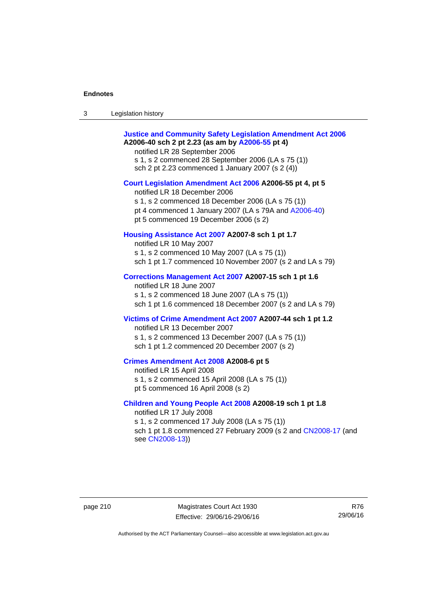| Legislation history<br>3 |  |
|--------------------------|--|
|--------------------------|--|

| <b>Justice and Community Safety Legislation Amendment Act 2006</b><br>A2006-40 sch 2 pt 2.23 (as am by A2006-55 pt 4)<br>notified LR 28 September 2006<br>s 1, s 2 commenced 28 September 2006 (LA s 75 (1))<br>sch 2 pt 2.23 commenced 1 January 2007 (s 2 (4)) |
|------------------------------------------------------------------------------------------------------------------------------------------------------------------------------------------------------------------------------------------------------------------|
| Court Legislation Amendment Act 2006 A2006-55 pt 4, pt 5<br>notified LR 18 December 2006<br>s 1, s 2 commenced 18 December 2006 (LA s 75 (1))<br>pt 4 commenced 1 January 2007 (LA s 79A and A2006-40)<br>pt 5 commenced 19 December 2006 (s 2)                  |
| Housing Assistance Act 2007 A2007-8 sch 1 pt 1.7<br>notified LR 10 May 2007<br>s 1, s 2 commenced 10 May 2007 (LA s 75 (1))<br>sch 1 pt 1.7 commenced 10 November 2007 (s 2 and LA s 79)                                                                         |
| Corrections Management Act 2007 A2007-15 sch 1 pt 1.6<br>notified LR 18 June 2007<br>s 1, s 2 commenced 18 June 2007 (LA s 75 (1))<br>sch 1 pt 1.6 commenced 18 December 2007 (s 2 and LA s 79)                                                                  |
| Victims of Crime Amendment Act 2007 A2007-44 sch 1 pt 1.2<br>notified LR 13 December 2007<br>s 1, s 2 commenced 13 December 2007 (LA s 75 (1))<br>sch 1 pt 1.2 commenced 20 December 2007 (s 2)                                                                  |
| Crimes Amendment Act 2008 A2008-6 pt 5<br>notified LR 15 April 2008<br>s 1, s 2 commenced 15 April 2008 (LA s 75 (1))<br>pt 5 commenced 16 April 2008 (s 2)                                                                                                      |
| Children and Young People Act 2008 A2008-19 sch 1 pt 1.8<br>notified LR 17 July 2008<br>s 1, s 2 commenced 17 July 2008 (LA s 75 (1))<br>sch 1 pt 1.8 commenced 27 February 2009 (s 2 and CN2008-17 (and<br>see CN2008-13))                                      |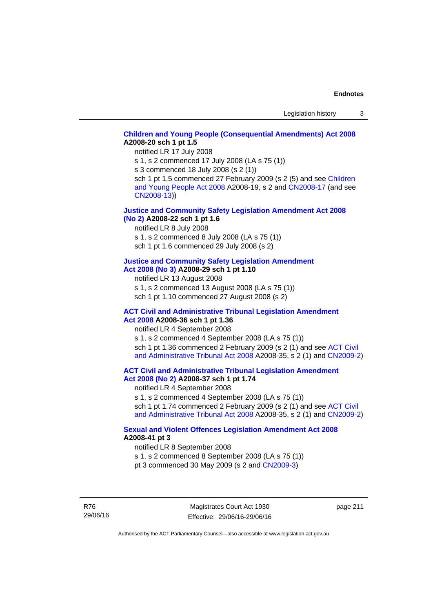# **[Children and Young People \(Consequential Amendments\) Act 2008](http://www.legislation.act.gov.au/a/2008-20) A2008-20 sch 1 pt 1.5**

notified LR 17 July 2008

s 1, s 2 commenced 17 July 2008 (LA s 75 (1))

s 3 commenced 18 July 2008 (s 2 (1))

sch 1 pt 1.5 commenced 27 February 2009 (s 2 (5) and see Children [and Young People Act 2008](http://www.legislation.act.gov.au/a/2008-19) A2008-19, s 2 and [CN2008-17 \(](http://www.legislation.act.gov.au/cn/2008-17/default.asp)and see [CN2008-13](http://www.legislation.act.gov.au/cn/2008-13/default.asp)))

## **[Justice and Community Safety Legislation Amendment Act 2008](http://www.legislation.act.gov.au/a/2008-22)  [\(No 2\)](http://www.legislation.act.gov.au/a/2008-22) A2008-22 sch 1 pt 1.6**

notified LR 8 July 2008

s 1, s 2 commenced 8 July 2008 (LA s 75 (1))

sch 1 pt 1.6 commenced 29 July 2008 (s 2)

# **[Justice and Community Safety Legislation Amendment](http://www.legislation.act.gov.au/a/2008-29)**

**[Act 2008 \(No 3\)](http://www.legislation.act.gov.au/a/2008-29) A2008-29 sch 1 pt 1.10** 

notified LR 13 August 2008

s 1, s 2 commenced 13 August 2008 (LA s 75 (1)) sch 1 pt 1.10 commenced 27 August 2008 (s 2)

#### **[ACT Civil and Administrative Tribunal Legislation Amendment](http://www.legislation.act.gov.au/a/2008-36)  [Act 2008](http://www.legislation.act.gov.au/a/2008-36) A2008-36 sch 1 pt 1.36**

notified LR 4 September 2008

s 1, s 2 commenced 4 September 2008 (LA s 75 (1)) sch 1 pt 1.36 commenced 2 February 2009 (s 2 (1) and see ACT Civil [and Administrative Tribunal Act 2008](http://www.legislation.act.gov.au/a/2008-35) A2008-35, s 2 (1) and [CN2009-2](http://www.legislation.act.gov.au/cn/2009-2/default.asp))

## **[ACT Civil and Administrative Tribunal Legislation Amendment](http://www.legislation.act.gov.au/a/2008-37)  [Act 2008 \(No 2\)](http://www.legislation.act.gov.au/a/2008-37) A2008-37 sch 1 pt 1.74**

notified LR 4 September 2008

s 1, s 2 commenced 4 September 2008 (LA s 75 (1)) sch 1 pt 1.74 commenced 2 February 2009 (s 2 (1) and see ACT Civil [and Administrative Tribunal Act 2008](http://www.legislation.act.gov.au/a/2008-35) A2008-35, s 2 (1) and [CN2009-2](http://www.legislation.act.gov.au/cn/2009-2/default.asp))

# **[Sexual and Violent Offences Legislation Amendment Act 2008](http://www.legislation.act.gov.au/a/2008-41) A2008-41 pt 3**

notified LR 8 September 2008

s 1, s 2 commenced 8 September 2008 (LA s 75 (1))

pt 3 commenced 30 May 2009 (s 2 and [CN2009-3\)](http://www.legislation.act.gov.au/cn/2009-3/default.asp)

R76 29/06/16

Magistrates Court Act 1930 Effective: 29/06/16-29/06/16 page 211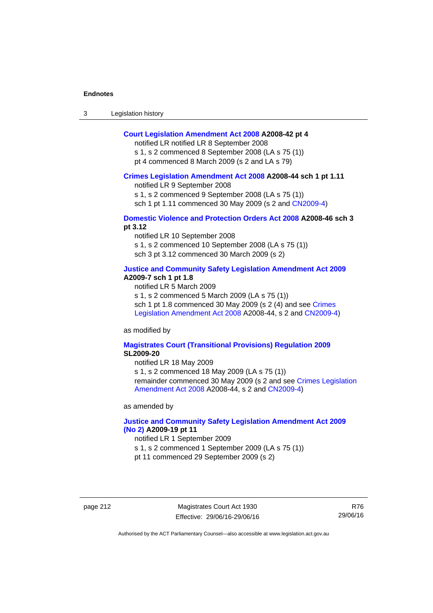| $\sqrt{2}$<br>- 3 | Legislation history |  |
|-------------------|---------------------|--|
|-------------------|---------------------|--|

## **[Court Legislation Amendment Act 2008](http://www.legislation.act.gov.au/a/2008-42) A2008-42 pt 4**

notified LR notified LR 8 September 2008

s 1, s 2 commenced 8 September 2008 (LA s 75 (1)) pt 4 commenced 8 March 2009 (s 2 and LA s 79)

#### **[Crimes Legislation Amendment Act 2008](http://www.legislation.act.gov.au/a/2008-44) A2008-44 sch 1 pt 1.11**

notified LR 9 September 2008

s 1, s 2 commenced 9 September 2008 (LA s 75 (1))

sch 1 pt 1.11 commenced 30 May 2009 (s 2 and [CN2009-4](http://www.legislation.act.gov.au/cn/2009-4/default.asp))

## **[Domestic Violence and Protection Orders Act 2008](http://www.legislation.act.gov.au/a/2008-46) A2008-46 sch 3 pt 3.12**

notified LR 10 September 2008 s 1, s 2 commenced 10 September 2008 (LA s 75 (1)) sch 3 pt 3.12 commenced 30 March 2009 (s 2)

## **[Justice and Community Safety Legislation Amendment Act 2009](http://www.legislation.act.gov.au/a/2009-7) A2009-7 sch 1 pt 1.8**

notified LR 5 March 2009

s 1, s 2 commenced 5 March 2009 (LA s 75 (1))

sch 1 pt 1.8 commenced 30 May 2009 (s 2 (4) and see [Crimes](http://www.legislation.act.gov.au/a/2008-44)  [Legislation Amendment Act 2008](http://www.legislation.act.gov.au/a/2008-44) A2008-44, s 2 and [CN2009-4\)](http://www.legislation.act.gov.au/cn/2009-4/default.asp)

as modified by

#### **[Magistrates Court \(Transitional Provisions\) Regulation 2009](http://www.legislation.act.gov.au/sl/2009-20) SL2009-20**

notified LR 18 May 2009

s 1, s 2 commenced 18 May 2009 (LA s 75 (1)) remainder commenced 30 May 2009 (s 2 and see [Crimes Legislation](http://www.legislation.act.gov.au/a/2008-44)  [Amendment Act 2008](http://www.legislation.act.gov.au/a/2008-44) A2008-44, s 2 and [CN2009-4](http://www.legislation.act.gov.au/cn/2009-4/default.asp))

as amended by

# **[Justice and Community Safety Legislation Amendment Act 2009](http://www.legislation.act.gov.au/a/2009-19)  [\(No 2\)](http://www.legislation.act.gov.au/a/2009-19) A2009-19 pt 11**

notified LR 1 September 2009

s 1, s 2 commenced 1 September 2009 (LA s 75 (1))

pt 11 commenced 29 September 2009 (s 2)

page 212 Magistrates Court Act 1930 Effective: 29/06/16-29/06/16

R76 29/06/16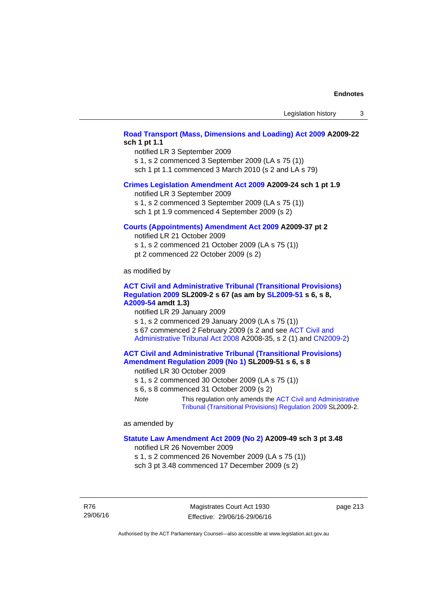# **[Road Transport \(Mass, Dimensions and Loading\) Act 2009](http://www.legislation.act.gov.au/a/2009-22) A2009-22 sch 1 pt 1.1**

notified LR 3 September 2009

s 1, s 2 commenced 3 September 2009 (LA s 75 (1))

sch 1 pt 1.1 commenced 3 March 2010 (s 2 and LA s 79)

## **[Crimes Legislation Amendment Act 2009](http://www.legislation.act.gov.au/a/2009-24) A2009-24 sch 1 pt 1.9**

notified LR 3 September 2009

s 1, s 2 commenced 3 September 2009 (LA s 75 (1))

sch 1 pt 1.9 commenced 4 September 2009 (s 2)

## **[Courts \(Appointments\) Amendment Act 2009](http://www.legislation.act.gov.au/a/2009-37) A2009-37 pt 2**

notified LR 21 October 2009 s 1, s 2 commenced 21 October 2009 (LA s 75 (1))

pt 2 commenced 22 October 2009 (s 2)

as modified by

## **[ACT Civil and Administrative Tribunal \(Transitional Provisions\)](http://www.legislation.act.gov.au/sl/2009-2)  [Regulation 2009](http://www.legislation.act.gov.au/sl/2009-2) SL2009-2 s 67 (as am by [SL2009-51](http://www.legislation.act.gov.au/sl/2009-51) s 6, s 8, [A2009-54](http://www.legislation.act.gov.au/a/2009-54) amdt 1.3)**

notified LR 29 January 2009

s 1, s 2 commenced 29 January 2009 (LA s 75 (1)) s 67 commenced 2 February 2009 (s 2 and see [ACT Civil and](http://www.legislation.act.gov.au/a/2008-35) 

[Administrative Tribunal Act 2008](http://www.legislation.act.gov.au/a/2008-35) A2008-35, s 2 (1) and [CN2009-2\)](http://www.legislation.act.gov.au/cn/2009-2/default.asp)

## **[ACT Civil and Administrative Tribunal \(Transitional Provisions\)](http://www.legislation.act.gov.au/sl/2009-51)  [Amendment Regulation 2009 \(No 1\)](http://www.legislation.act.gov.au/sl/2009-51) SL2009-51 s 6, s 8**

notified LR 30 October 2009

s 1, s 2 commenced 30 October 2009 (LA s 75 (1))

s 6, s 8 commenced 31 October 2009 (s 2)

*Note* This regulation only amends the [ACT Civil and Administrative](http://www.legislation.act.gov.au/sl/2009-2)  [Tribunal \(Transitional Provisions\) Regulation 2009](http://www.legislation.act.gov.au/sl/2009-2) SL2009-2.

as amended by

#### **[Statute Law Amendment Act 2009 \(No 2\)](http://www.legislation.act.gov.au/a/2009-49) A2009-49 sch 3 pt 3.48**

notified LR 26 November 2009

s 1, s 2 commenced 26 November 2009 (LA s 75 (1)) sch 3 pt 3.48 commenced 17 December 2009 (s 2)

R76 29/06/16

Magistrates Court Act 1930 Effective: 29/06/16-29/06/16 page 213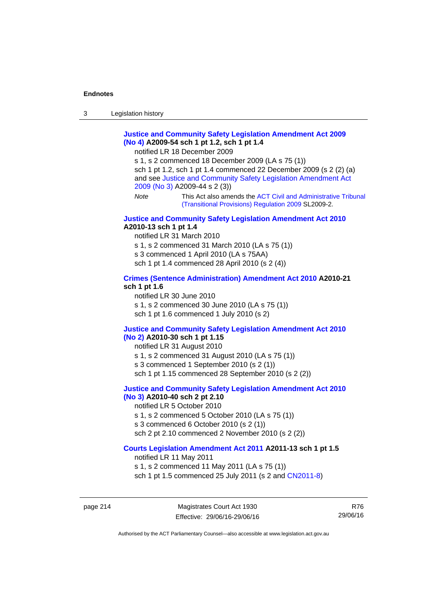# **[Justice and Community Safety Legislation Amendment Act 2009](http://www.legislation.act.gov.au/a/2009-54)  [\(No 4\)](http://www.legislation.act.gov.au/a/2009-54) A2009-54 sch 1 pt 1.2, sch 1 pt 1.4**

notified LR 18 December 2009

s 1, s 2 commenced 18 December 2009 (LA s 75 (1)) sch 1 pt 1.2, sch 1 pt 1.4 commenced 22 December 2009 (s 2 (2) (a) and see [Justice and Community Safety Legislation Amendment Act](http://www.legislation.act.gov.au/a/2009-44)  [2009 \(No 3\)](http://www.legislation.act.gov.au/a/2009-44) A2009-44 s 2 (3)) *Note* This Act also amends the [ACT Civil and Administrative Tribunal](http://www.legislation.act.gov.au/sl/2009-2) 

[\(Transitional Provisions\) Regulation 2009](http://www.legislation.act.gov.au/sl/2009-2) SL2009-2.

#### **[Justice and Community Safety Legislation Amendment Act 2010](http://www.legislation.act.gov.au/a/2010-13) A2010-13 sch 1 pt 1.4**

notified LR 31 March 2010 s 1, s 2 commenced 31 March 2010 (LA s 75 (1)) s 3 commenced 1 April 2010 (LA s 75AA) sch 1 pt 1.4 commenced 28 April 2010 (s 2 (4))

#### **[Crimes \(Sentence Administration\) Amendment Act 2010](http://www.legislation.act.gov.au/a/2010-21) A2010-21 sch 1 pt 1.6**

notified LR 30 June 2010 s 1, s 2 commenced 30 June 2010 (LA s 75 (1)) sch 1 pt 1.6 commenced 1 July 2010 (s 2)

## **[Justice and Community Safety Legislation Amendment Act 2010](http://www.legislation.act.gov.au/a/2010-30)**

## **[\(No 2\)](http://www.legislation.act.gov.au/a/2010-30) A2010-30 sch 1 pt 1.15**

notified LR 31 August 2010

s 1, s 2 commenced 31 August 2010 (LA s 75 (1))

s 3 commenced 1 September 2010 (s 2 (1))

sch 1 pt 1.15 commenced 28 September 2010 (s 2 (2))

# **[Justice and Community Safety Legislation Amendment Act 2010](http://www.legislation.act.gov.au/a/2010-40)**

# **[\(No 3\)](http://www.legislation.act.gov.au/a/2010-40) A2010-40 sch 2 pt 2.10**

notified LR 5 October 2010 s 1, s 2 commenced 5 October 2010 (LA s 75 (1)) s 3 commenced 6 October 2010 (s 2 (1)) sch 2 pt 2.10 commenced 2 November 2010 (s 2 (2))

## **[Courts Legislation Amendment Act 2011](http://www.legislation.act.gov.au/a/2011-13) A2011-13 sch 1 pt 1.5**

notified LR 11 May 2011 s 1, s 2 commenced 11 May 2011 (LA s 75 (1)) sch 1 pt 1.5 commenced 25 July 2011 (s 2 and [CN2011-8\)](http://www.legislation.act.gov.au/cn/2011-8/default.asp)

page 214 Magistrates Court Act 1930 Effective: 29/06/16-29/06/16

R76 29/06/16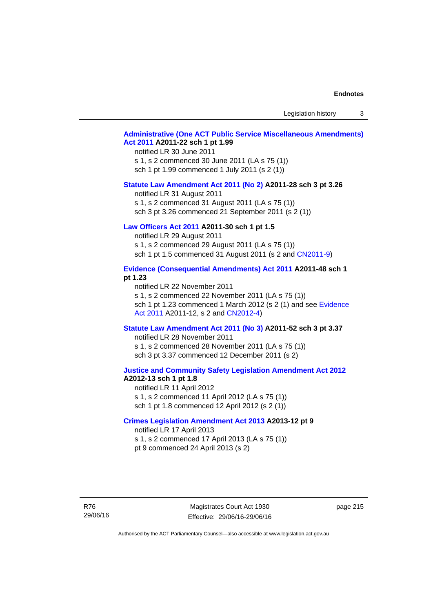Legislation history 3

## **[Administrative \(One ACT Public Service Miscellaneous Amendments\)](http://www.legislation.act.gov.au/a/2011-22)  [Act 2011](http://www.legislation.act.gov.au/a/2011-22) A2011-22 sch 1 pt 1.99**

notified LR 30 June 2011 s 1, s 2 commenced 30 June 2011 (LA s 75 (1)) sch 1 pt 1.99 commenced 1 July 2011 (s 2 (1))

#### **[Statute Law Amendment Act 2011 \(No 2\)](http://www.legislation.act.gov.au/a/2011-28) A2011-28 sch 3 pt 3.26**

notified LR 31 August 2011 s 1, s 2 commenced 31 August 2011 (LA s 75 (1)) sch 3 pt 3.26 commenced 21 September 2011 (s 2 (1))

# **[Law Officers Act 2011](http://www.legislation.act.gov.au/a/2011-30) A2011-30 sch 1 pt 1.5**

notified LR 29 August 2011 s 1, s 2 commenced 29 August 2011 (LA s 75 (1)) sch 1 pt 1.5 commenced 31 August 2011 (s 2 and [CN2011-9](http://www.legislation.act.gov.au/cn/2011-9/default.asp))

## **[Evidence \(Consequential Amendments\) Act 2011](http://www.legislation.act.gov.au/a/2011-48) A2011-48 sch 1 pt 1.23**

notified LR 22 November 2011 s 1, s 2 commenced 22 November 2011 (LA s 75 (1)) sch 1 pt 1.23 commenced 1 March 2012 (s 2 (1) and see [Evidence](http://www.legislation.act.gov.au/a/2011-12)  [Act 2011](http://www.legislation.act.gov.au/a/2011-12) A2011-12, s 2 and [CN2012-4](http://www.legislation.act.gov.au/cn/2012-4/default.asp))

#### **[Statute Law Amendment Act 2011 \(No 3\)](http://www.legislation.act.gov.au/a/2011-52) A2011-52 sch 3 pt 3.37**

notified LR 28 November 2011 s 1, s 2 commenced 28 November 2011 (LA s 75 (1)) sch 3 pt 3.37 commenced 12 December 2011 (s 2)

#### **[Justice and Community Safety Legislation Amendment Act 2012](http://www.legislation.act.gov.au/a/2012-13) A2012-13 sch 1 pt 1.8**

notified LR 11 April 2012 s 1, s 2 commenced 11 April 2012 (LA s 75 (1)) sch 1 pt 1.8 commenced 12 April 2012 (s 2 (1))

## **[Crimes Legislation Amendment Act 2013](http://www.legislation.act.gov.au/a/2013-12) A2013-12 pt 9**  notified LR 17 April 2013

s 1, s 2 commenced 17 April 2013 (LA s 75 (1)) pt 9 commenced 24 April 2013 (s 2)

R76 29/06/16

Magistrates Court Act 1930 Effective: 29/06/16-29/06/16 page 215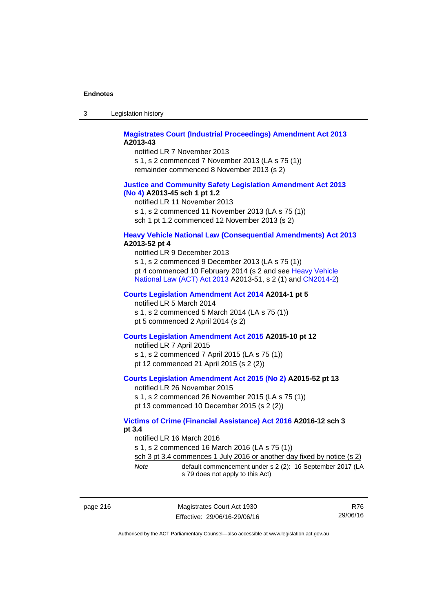| -3 | Legislation history |  |
|----|---------------------|--|
|----|---------------------|--|

# **[Magistrates Court \(Industrial Proceedings\) Amendment Act 2013](http://www.legislation.act.gov.au/a/2013-43) A2013-43**

notified LR 7 November 2013 s 1, s 2 commenced 7 November 2013 (LA s 75 (1)) remainder commenced 8 November 2013 (s 2)

## **[Justice and Community Safety Legislation Amendment Act 2013](http://www.legislation.act.gov.au/a/2013-45)  [\(No](http://www.legislation.act.gov.au/a/2013-45) 4) A2013-45 sch 1 pt 1.2**

notified LR 11 November 2013 s 1, s 2 commenced 11 November 2013 (LA s 75 (1)) sch 1 pt 1.2 commenced 12 November 2013 (s 2)

## **[Heavy Vehicle National Law \(Consequential Amendments\) Act 2013](http://www.legislation.act.gov.au/a/2013-52) A2013-52 pt 4**

notified LR 9 December 2013 s 1, s 2 commenced 9 December 2013 (LA s 75 (1)) pt 4 commenced 10 February 2014 (s 2 and see [Heavy Vehicle](http://www.legislation.act.gov.au/a/2013-51/default.asp)  [National Law \(ACT\) Act 2013](http://www.legislation.act.gov.au/a/2013-51/default.asp) A2013-51, s 2 (1) and [CN2014-2](http://www.legislation.act.gov.au/cn/2014-2/default.asp))

# **[Courts Legislation Amendment Act 2014](http://www.legislation.act.gov.au/a/2014-1) A2014-1 pt 5**

notified LR 5 March 2014

s 1, s 2 commenced 5 March 2014 (LA s 75 (1)) pt 5 commenced 2 April 2014 (s 2)

## **[Courts Legislation Amendment Act 2015](http://www.legislation.act.gov.au/a/2015-10) A2015-10 pt 12**

notified LR 7 April 2015 s 1, s 2 commenced 7 April 2015 (LA s 75 (1)) pt 12 commenced 21 April 2015 (s 2 (2))

## **[Courts Legislation Amendment Act 2015 \(No 2\)](http://www.legislation.act.gov.au/a/2015-52/default.asp) A2015-52 pt 13**

notified LR 26 November 2015 s 1, s 2 commenced 26 November 2015 (LA s 75 (1)) pt 13 commenced 10 December 2015 (s 2 (2))

## **[Victims of Crime \(Financial Assistance\) Act 2016](http://www.legislation.act.gov.au/a/2016-12/default.asp) A2016-12 sch 3 pt 3.4**

notified LR 16 March 2016

s 1, s 2 commenced 16 March 2016 (LA s 75 (1))

sch 3 pt 3.4 commences 1 July 2016 or another day fixed by notice (s 2)

| Note | default commencement under s 2 (2): 16 September 2017 (LA |  |
|------|-----------------------------------------------------------|--|
|      | s 79 does not apply to this Act)                          |  |

| page 216 |
|----------|
|----------|

page 216 Magistrates Court Act 1930 Effective: 29/06/16-29/06/16

R76 29/06/16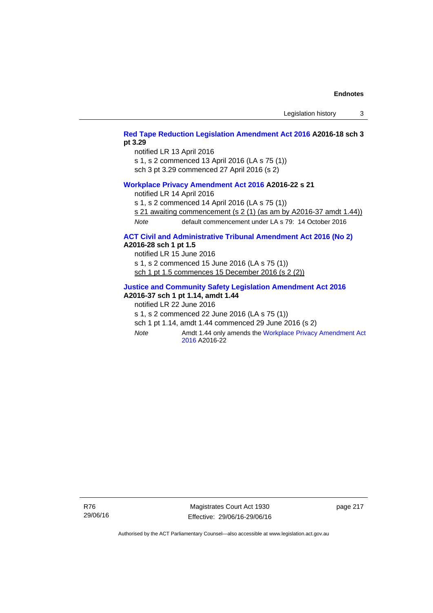Legislation history 3

# **[Red Tape Reduction Legislation Amendment Act 2016](http://www.legislation.act.gov.au/a/2016-18) A2016-18 sch 3 pt 3.29**

notified LR 13 April 2016

s 1, s 2 commenced 13 April 2016 (LA s 75 (1))

sch 3 pt 3.29 commenced 27 April 2016 (s 2)

## **[Workplace Privacy Amendment Act 2016](http://www.legislation.act.gov.au/a/2016-22/default.asp) A2016-22 s 21**

notified LR 14 April 2016

s 1, s 2 commenced 14 April 2016 (LA s 75 (1))

s 21 awaiting commencement (s 2 (1) (as am by A2016-37 amdt 1.44))

*Note* default commencement under LA s 79: 14 October 2016

# **[ACT Civil and Administrative Tribunal Amendment Act 2016 \(No 2\)](http://www.legislation.act.gov.au/a/2016-28/default.asp) A2016-28 sch 1 pt 1.5**

notified LR 15 June 2016 s 1, s 2 commenced 15 June 2016 (LA s 75 (1))

sch 1 pt 1.5 commences 15 December 2016 (s 2 (2))

# **[Justice and Community Safety Legislation Amendment Act 2016](http://www.legislation.act.gov.au/a/2016-37)**

**A2016-37 sch 1 pt 1.14, amdt 1.44** 

notified LR 22 June 2016

s 1, s 2 commenced 22 June 2016 (LA s 75 (1))

sch 1 pt 1.14, amdt 1.44 commenced 29 June 2016 (s 2)

*Note* **Amdt 1.44 only amends the Workplace Privacy Amendment Act** [2016](http://www.legislation.act.gov.au/a/2016-22/default.asp) A2016-22

Magistrates Court Act 1930 Effective: 29/06/16-29/06/16 page 217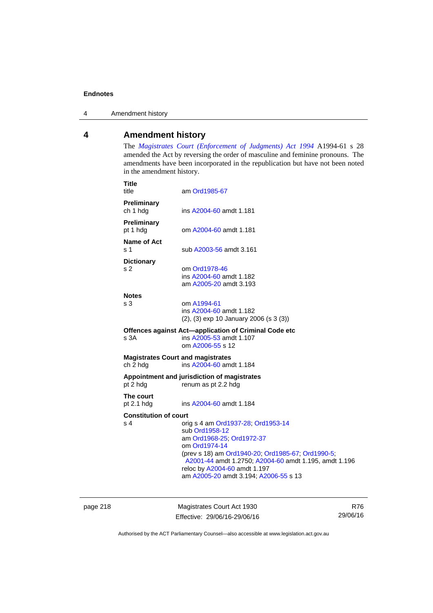4 Amendment history

# **4 Amendment history**

The *[Magistrates Court \(Enforcement of Judgments\) Act 1994](http://www.legislation.act.gov.au/a/1994-61/default.asp)* A1994-61 s 28 amended the Act by reversing the order of masculine and feminine pronouns. The amendments have been incorporated in the republication but have not been noted in the amendment history.

| Preliminary<br>ch 1 hdg<br>ins A2004-60 amdt 1.181<br><b>Preliminary</b><br>pt 1 hdg<br>om A2004-60 amdt 1.181<br>Name of Act<br>s 1<br>sub A2003-56 amdt 3.161<br><b>Dictionary</b><br>s 2<br>om Ord1978-46<br>ins A2004-60 amdt 1.182<br>am A2005-20 amdt 3.193<br><b>Notes</b><br>s <sub>3</sub><br>om A1994-61<br>ins A2004-60 amdt 1.182<br>$(2)$ , $(3)$ exp 10 January 2006 (s 3 $(3)$ )<br>Offences against Act-application of Criminal Code etc<br>s <sub>3A</sub><br>ins A2005-53 amdt 1.107<br>om A2006-55 s 12<br><b>Magistrates Court and magistrates</b><br>ch 2 hdg<br>ins A2004-60 amdt 1.184<br>Appointment and jurisdiction of magistrates<br>pt 2 hdg<br>renum as pt 2.2 hdg<br>The court<br>pt $2.1$ hdg<br>ins A2004-60 amdt 1.184<br><b>Constitution of court</b><br>s <sub>4</sub><br>orig s 4 am Ord1937-28, Ord1953-14<br>sub Ord1958-12<br>am Ord1968-25; Ord1972-37<br>om Ord1974-14<br>(prev s 18) am Ord1940-20; Ord1985-67; Ord1990-5;<br>A2001-44 amdt 1.2750; A2004-60 amdt 1.195, amdt 1.196<br>reloc by A2004-60 amdt 1.197<br>am A2005-20 amdt 3.194; A2006-55 s 13 | <b>Title</b><br>title | am Ord1985-67 |
|--------------------------------------------------------------------------------------------------------------------------------------------------------------------------------------------------------------------------------------------------------------------------------------------------------------------------------------------------------------------------------------------------------------------------------------------------------------------------------------------------------------------------------------------------------------------------------------------------------------------------------------------------------------------------------------------------------------------------------------------------------------------------------------------------------------------------------------------------------------------------------------------------------------------------------------------------------------------------------------------------------------------------------------------------------------------------------------------------------|-----------------------|---------------|
|                                                                                                                                                                                                                                                                                                                                                                                                                                                                                                                                                                                                                                                                                                                                                                                                                                                                                                                                                                                                                                                                                                        |                       |               |
|                                                                                                                                                                                                                                                                                                                                                                                                                                                                                                                                                                                                                                                                                                                                                                                                                                                                                                                                                                                                                                                                                                        |                       |               |
|                                                                                                                                                                                                                                                                                                                                                                                                                                                                                                                                                                                                                                                                                                                                                                                                                                                                                                                                                                                                                                                                                                        |                       |               |
|                                                                                                                                                                                                                                                                                                                                                                                                                                                                                                                                                                                                                                                                                                                                                                                                                                                                                                                                                                                                                                                                                                        |                       |               |
|                                                                                                                                                                                                                                                                                                                                                                                                                                                                                                                                                                                                                                                                                                                                                                                                                                                                                                                                                                                                                                                                                                        |                       |               |
|                                                                                                                                                                                                                                                                                                                                                                                                                                                                                                                                                                                                                                                                                                                                                                                                                                                                                                                                                                                                                                                                                                        |                       |               |
|                                                                                                                                                                                                                                                                                                                                                                                                                                                                                                                                                                                                                                                                                                                                                                                                                                                                                                                                                                                                                                                                                                        |                       |               |
|                                                                                                                                                                                                                                                                                                                                                                                                                                                                                                                                                                                                                                                                                                                                                                                                                                                                                                                                                                                                                                                                                                        |                       |               |
|                                                                                                                                                                                                                                                                                                                                                                                                                                                                                                                                                                                                                                                                                                                                                                                                                                                                                                                                                                                                                                                                                                        |                       |               |
|                                                                                                                                                                                                                                                                                                                                                                                                                                                                                                                                                                                                                                                                                                                                                                                                                                                                                                                                                                                                                                                                                                        |                       |               |
|                                                                                                                                                                                                                                                                                                                                                                                                                                                                                                                                                                                                                                                                                                                                                                                                                                                                                                                                                                                                                                                                                                        |                       |               |

page 218 Magistrates Court Act 1930 Effective: 29/06/16-29/06/16

R76 29/06/16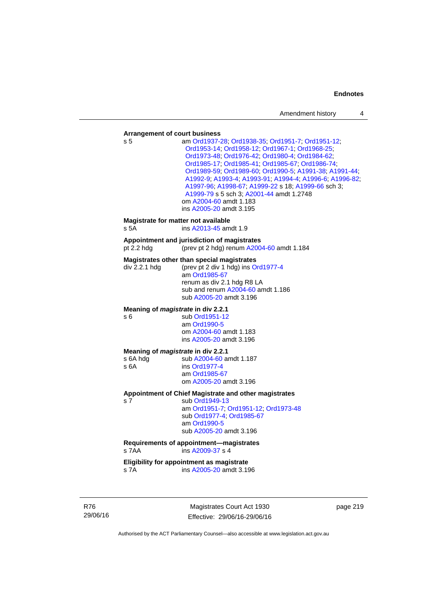#### **Arrangement of court business**

| Arrangement or court business                                 |                                                                                                                                                                                                                                                                                                                                                                                                                                                                                      |
|---------------------------------------------------------------|--------------------------------------------------------------------------------------------------------------------------------------------------------------------------------------------------------------------------------------------------------------------------------------------------------------------------------------------------------------------------------------------------------------------------------------------------------------------------------------|
| s 5                                                           | am Ord1937-28, Ord1938-35, Ord1951-7, Ord1951-12,<br>Ord1953-14; Ord1958-12; Ord1967-1; Ord1968-25;<br>Ord1973-48; Ord1976-42; Ord1980-4; Ord1984-62;<br>Ord1985-17, Ord1985-41, Ord1985-67, Ord1986-74,<br>Ord1989-59; Ord1989-60; Ord1990-5; A1991-38; A1991-44;<br>A1992-9; A1993-4; A1993-91; A1994-4; A1996-6; A1996-82;<br>A1997-96; A1998-67; A1999-22 s 18; A1999-66 sch 3;<br>A1999-79 s 5 sch 3; A2001-44 amdt 1.2748<br>om A2004-60 amdt 1.183<br>ins A2005-20 amdt 3.195 |
| Magistrate for matter not available<br>s 5A                   | ins A2013-45 amdt 1.9                                                                                                                                                                                                                                                                                                                                                                                                                                                                |
| pt $2.2$ hdg                                                  | Appointment and jurisdiction of magistrates<br>(prev pt 2 hdg) renum A2004-60 amdt 1.184                                                                                                                                                                                                                                                                                                                                                                                             |
| div 2.2.1 hdg                                                 | Magistrates other than special magistrates<br>(prev pt 2 div 1 hdg) ins Ord1977-4<br>am Ord1985-67<br>renum as div 2.1 hdg R8 LA<br>sub and renum A2004-60 amdt 1.186<br>sub A2005-20 amdt 3.196                                                                                                                                                                                                                                                                                     |
| Meaning of <i>magistrate</i> in div 2.2.1<br>s 6              | sub Ord1951-12<br>am Ord1990-5<br>om A2004-60 amdt 1.183<br>ins A2005-20 amdt 3.196                                                                                                                                                                                                                                                                                                                                                                                                  |
| Meaning of <i>magistrate</i> in div 2.2.1<br>s 6A hdg<br>s 6A | sub A2004-60 amdt 1.187<br>ins Ord1977-4<br>am Ord1985-67<br>om A2005-20 amdt 3.196                                                                                                                                                                                                                                                                                                                                                                                                  |
| s <sub>7</sub>                                                | Appointment of Chief Magistrate and other magistrates<br>sub Ord1949-13<br>am Ord1951-7; Ord1951-12; Ord1973-48<br>sub Ord1977-4, Ord1985-67<br>am Ord1990-5<br>sub A2005-20 amdt 3.196                                                                                                                                                                                                                                                                                              |
| s 7AA                                                         | Requirements of appointment-magistrates<br>ins A2009-37 s 4                                                                                                                                                                                                                                                                                                                                                                                                                          |
|                                                               | Eligibility for appointment as magistrate                                                                                                                                                                                                                                                                                                                                                                                                                                            |

s 7A ins [A2005-20](http://www.legislation.act.gov.au/a/2005-20) amdt 3.196

R76 29/06/16

Magistrates Court Act 1930 Effective: 29/06/16-29/06/16 page 219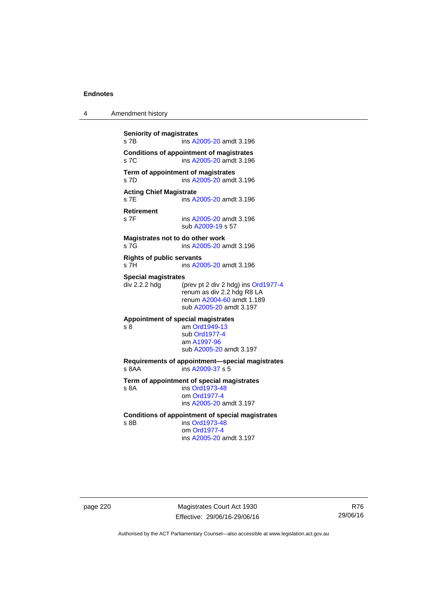| 4 | Amendment history |
|---|-------------------|
|---|-------------------|

**Seniority of magistrates**  s 7B ins [A2005-20](http://www.legislation.act.gov.au/a/2005-20) amdt 3.196 **Conditions of appointment of magistrates**  s 7C ins [A2005-20](http://www.legislation.act.gov.au/a/2005-20) amdt 3.196 **Term of appointment of magistrates**  s 7D ins [A2005-20](http://www.legislation.act.gov.au/a/2005-20) amdt 3.196 **Acting Chief Magistrate**  s 7E ins [A2005-20](http://www.legislation.act.gov.au/a/2005-20) amdt 3.196 **Retirement**  ins [A2005-20](http://www.legislation.act.gov.au/a/2005-20) amdt 3.196 sub [A2009-19](http://www.legislation.act.gov.au/a/2009-19) s 57 **Magistrates not to do other work**  s 7G ins [A2005-20](http://www.legislation.act.gov.au/a/2005-20) amdt 3.196 **Rights of public servants**  s 7H ins [A2005-20](http://www.legislation.act.gov.au/a/2005-20) amdt 3.196 **Special magistrates**<br>div 2.2.2 hdg (p (prev pt 2 div 2 hdg) ins [Ord1977-4](http://www.legislation.act.gov.au/a/1977-4) renum as div 2.2 hdg R8 LA renum [A2004-60](http://www.legislation.act.gov.au/a/2004-60) amdt 1.189 sub [A2005-20](http://www.legislation.act.gov.au/a/2005-20) amdt 3.197 **Appointment of special magistrates**  s 8 am [Ord1949-13](http://www.legislation.act.gov.au/a/1949-13) sub [Ord1977-4](http://www.legislation.act.gov.au/a/1977-4) am [A1997-96](http://www.legislation.act.gov.au/a/1997-96) sub [A2005-20](http://www.legislation.act.gov.au/a/2005-20) amdt 3.197 **Requirements of appointment—special magistrates**  s 8AA ins [A2009-37](http://www.legislation.act.gov.au/a/2009-37) s 5 **Term of appointment of special magistrates**  s 8A ins [Ord1973-48](http://www.legislation.act.gov.au/a/1973-48) om [Ord1977-4](http://www.legislation.act.gov.au/a/1977-4) ins [A2005-20](http://www.legislation.act.gov.au/a/2005-20) amdt 3.197 **Conditions of appointment of special magistrates**  s 8B ins [Ord1973-48](http://www.legislation.act.gov.au/a/1973-48) om [Ord1977-4](http://www.legislation.act.gov.au/a/1977-4) ins [A2005-20](http://www.legislation.act.gov.au/a/2005-20) amdt 3.197

page 220 Magistrates Court Act 1930 Effective: 29/06/16-29/06/16

R76 29/06/16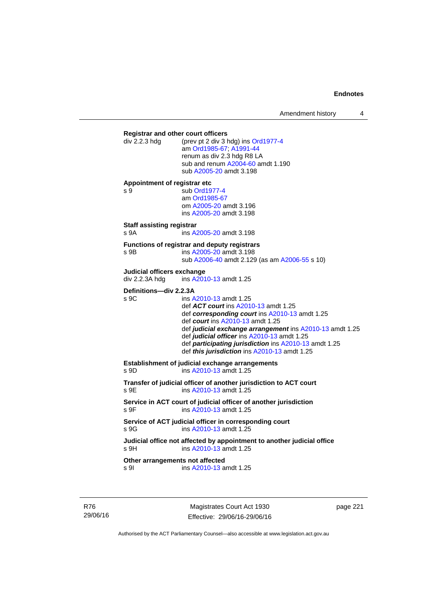Amendment history 4

**Registrar and other court officers**<br>div 2.2.3 hdg (prev pt 2 div 3 l (prev pt 2 div 3 hdg) ins [Ord1977-4](http://www.legislation.act.gov.au/a/1977-4) am [Ord1985-67](http://www.legislation.act.gov.au/a/1985-67); [A1991-44](http://www.legislation.act.gov.au/a/1991-44) renum as div 2.3 hdg R8 LA sub and renum [A2004-60](http://www.legislation.act.gov.au/a/2004-60) amdt 1.190 sub [A2005-20](http://www.legislation.act.gov.au/a/2005-20) amdt 3.198 **Appointment of registrar etc**  s 9 sub [Ord1977-4](http://www.legislation.act.gov.au/a/1977-4) am [Ord1985-67](http://www.legislation.act.gov.au/a/1985-67) om [A2005-20](http://www.legislation.act.gov.au/a/2005-20) amdt 3.196 ins [A2005-20](http://www.legislation.act.gov.au/a/2005-20) amdt 3.198 **Staff assisting registrar**  s 9A ins [A2005-20](http://www.legislation.act.gov.au/a/2005-20) amdt 3.198 **Functions of registrar and deputy registrars**  s 9B ins [A2005-20](http://www.legislation.act.gov.au/a/2005-20) amdt 3.198 sub [A2006-40](http://www.legislation.act.gov.au/a/2006-40) amdt 2.129 (as am [A2006-55](http://www.legislation.act.gov.au/a/2006-55) s 10) **Judicial officers exchange**  div 2.2.3A hdg ins [A2010-13](http://www.legislation.act.gov.au/a/2010-13) amdt 1.25 **Definitions—div 2.2.3A**<br>s 9C ins A ins [A2010-13](http://www.legislation.act.gov.au/a/2010-13) amdt 1.25 def *ACT court* ins [A2010-13](http://www.legislation.act.gov.au/a/2010-13) amdt 1.25 def *corresponding court* ins [A2010-13](http://www.legislation.act.gov.au/a/2010-13) amdt 1.25 def *court* ins [A2010-13](http://www.legislation.act.gov.au/a/2010-13) amdt 1.25 def *judicial exchange arrangement* ins [A2010-13](http://www.legislation.act.gov.au/a/2010-13) amdt 1.25 def *judicial officer* ins [A2010-13](http://www.legislation.act.gov.au/a/2010-13) amdt 1.25 def *participating jurisdiction* ins [A2010-13](http://www.legislation.act.gov.au/a/2010-13) amdt 1.25 def *this jurisdiction* ins [A2010-13](http://www.legislation.act.gov.au/a/2010-13) amdt 1.25 **Establishment of judicial exchange arrangements**  s 9D ins [A2010-13](http://www.legislation.act.gov.au/a/2010-13) amdt 1.25 **Transfer of judicial officer of another jurisdiction to ACT court**  s 9E ins [A2010-13](http://www.legislation.act.gov.au/a/2010-13) amdt 1.25 **Service in ACT court of judicial officer of another jurisdiction**  s 9F ins [A2010-13](http://www.legislation.act.gov.au/a/2010-13) amdt 1.25 **Service of ACT judicial officer in corresponding court**  s 9G ins [A2010-13](http://www.legislation.act.gov.au/a/2010-13) amdt 1.25 **Judicial office not affected by appointment to another judicial office**  s 9H ins [A2010-13](http://www.legislation.act.gov.au/a/2010-13) amdt 1.25 **Other arrangements not affected**  s 9I ins [A2010-13](http://www.legislation.act.gov.au/a/2010-13) amdt 1.25

R76 29/06/16

Magistrates Court Act 1930 Effective: 29/06/16-29/06/16 page 221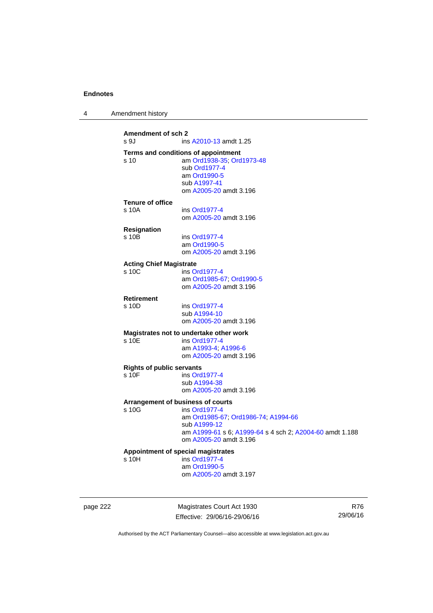| Amendment history |  |
|-------------------|--|
|-------------------|--|

| Amendment of sch 2<br>s 9J                | ins A2010-13 amdt 1.25                                                                                                                                                                          |
|-------------------------------------------|-------------------------------------------------------------------------------------------------------------------------------------------------------------------------------------------------|
| s <sub>10</sub>                           | Terms and conditions of appointment<br>am Ord1938-35; Ord1973-48<br>sub Ord1977-4<br>am Ord1990-5<br>sub A1997-41<br>om A2005-20 amdt 3.196                                                     |
| <b>Tenure of office</b><br>s 10A          | ins Ord1977-4<br>om A2005-20 amdt 3.196                                                                                                                                                         |
| <b>Resignation</b><br>s 10 <sub>B</sub>   | ins Ord1977-4<br>am Ord1990-5<br>om A2005-20 amdt 3.196                                                                                                                                         |
| <b>Acting Chief Magistrate</b><br>s 10C   | ins Ord1977-4<br>am Ord1985-67; Ord1990-5<br>om A2005-20 amdt 3.196                                                                                                                             |
| <b>Retirement</b><br>s 10D                | ins Ord1977-4<br>sub A1994-10<br>om A2005-20 amdt 3.196                                                                                                                                         |
| s 10E                                     | Magistrates not to undertake other work<br>ins Ord1977-4<br>am A1993-4; A1996-6<br>om A2005-20 amdt 3.196                                                                                       |
| <b>Rights of public servants</b><br>s 10F | ins Ord1977-4<br>sub A1994-38<br>om A2005-20 amdt 3.196                                                                                                                                         |
| s 10G                                     | Arrangement of business of courts<br>ins Ord1977-4<br>am Ord1985-67; Ord1986-74; A1994-66<br>sub A1999-12<br>am A1999-61 s 6; A1999-64 s 4 sch 2; A2004-60 amdt 1.188<br>om A2005-20 amdt 3.196 |
| s <sub>10H</sub>                          | Appointment of special magistrates<br>ins Ord1977-4<br>am Ord1990-5<br>om A2005-20 amdt 3.197                                                                                                   |
|                                           |                                                                                                                                                                                                 |

page 222 Magistrates Court Act 1930 Effective: 29/06/16-29/06/16

R76 29/06/16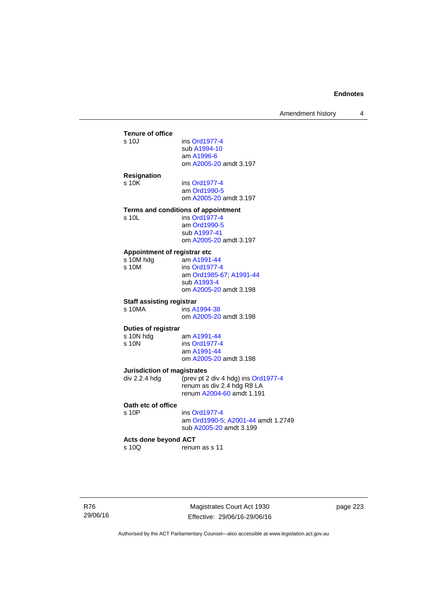Amendment history 4

## **Tenure of office**  ins [Ord1977-4](http://www.legislation.act.gov.au/a/1977-4) sub [A1994-10](http://www.legislation.act.gov.au/a/1994-10) am [A1996-6](http://www.legislation.act.gov.au/a/1996-6) om [A2005-20](http://www.legislation.act.gov.au/a/2005-20) amdt 3.197 **Resignation**  s 10K ins [Ord1977-4](http://www.legislation.act.gov.au/a/1977-4) am [Ord1990-5](http://www.legislation.act.gov.au/a/alt_ord1990-5) om [A2005-20](http://www.legislation.act.gov.au/a/2005-20) amdt 3.197 **Terms and conditions of appointment**  s 10L ins [Ord1977-4](http://www.legislation.act.gov.au/a/1977-4) am [Ord1990-5](http://www.legislation.act.gov.au/a/alt_ord1990-5) sub [A1997-41](http://www.legislation.act.gov.au/a/1997-41) om [A2005-20](http://www.legislation.act.gov.au/a/2005-20) amdt 3.197 **Appointment of registrar etc**<br>s 10M hdg am A1991 s 10M hdg am [A1991-44](http://www.legislation.act.gov.au/a/1991-44)<br>s 10M ins Ord1977-4 ins [Ord1977-4](http://www.legislation.act.gov.au/a/1977-4) am [Ord1985-67](http://www.legislation.act.gov.au/a/1985-67); [A1991-44](http://www.legislation.act.gov.au/a/1991-44) sub [A1993-4](http://www.legislation.act.gov.au/a/1993-4) om [A2005-20](http://www.legislation.act.gov.au/a/2005-20) amdt 3.198 **Staff assisting registrar s** 10MA **ins A**<sup>2</sup> ins [A1994-38](http://www.legislation.act.gov.au/a/1994-38) om [A2005-20](http://www.legislation.act.gov.au/a/2005-20) amdt 3.198 **Duties of registrar**  s 10N hdg am [A1991-44](http://www.legislation.act.gov.au/a/1991-44)<br>s 10N ins Ord1977-4 ins [Ord1977-4](http://www.legislation.act.gov.au/a/1977-4) am [A1991-44](http://www.legislation.act.gov.au/a/1991-44) om [A2005-20](http://www.legislation.act.gov.au/a/2005-20) amdt 3.198 **Jurisdiction of magistrates**<br>div 2.2.4 hdg (prev pt 2 (prev pt 2 div 4 hdg) ins [Ord1977-4](http://www.legislation.act.gov.au/a/1977-4) renum as div 2.4 hdg R8 LA renum [A2004-60](http://www.legislation.act.gov.au/a/2004-60) amdt 1.191 **Oath etc of office**  s 10P ins [Ord1977-4](http://www.legislation.act.gov.au/a/1977-4) am [Ord1990-5;](http://www.legislation.act.gov.au/a/alt_ord1990-5) [A2001-44](http://www.legislation.act.gov.au/a/2001-44) amdt 1.2749 sub [A2005-20](http://www.legislation.act.gov.au/a/2005-20) amdt 3.199 **Acts done beyond ACT**  s 10Q renum as s 11

R76 29/06/16

Magistrates Court Act 1930 Effective: 29/06/16-29/06/16 page 223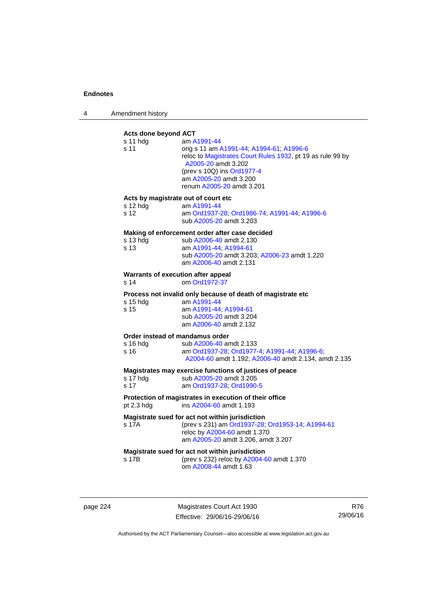4 Amendment history

# **Acts done beyond ACT**

| s 11 hdg<br>s 11                                | am A1991-44<br>orig s 11 am A1991-44, A1994-61, A1996-6<br>reloc to Magistrates Court Rules 1932, pt 19 as rule 99 by<br>A2005-20 amdt 3.202<br>(prev s 10Q) ins Ord1977-4<br>am A2005-20 amdt 3.200<br>renum A2005-20 amdt 3.201 |  |
|-------------------------------------------------|-----------------------------------------------------------------------------------------------------------------------------------------------------------------------------------------------------------------------------------|--|
| Acts by magistrate out of court etc             |                                                                                                                                                                                                                                   |  |
| s 12 hdg<br>s 12                                | am A1991-44<br>am Ord1937-28; Ord1986-74; A1991-44; A1996-6<br>sub A2005-20 amdt 3.203                                                                                                                                            |  |
|                                                 | Making of enforcement order after case decided                                                                                                                                                                                    |  |
| s 13 hdg<br>s 13                                | sub A2006-40 amdt 2.130<br>am A1991-44; A1994-61                                                                                                                                                                                  |  |
|                                                 | sub A2005-20 amdt 3.203; A2006-23 amdt 1.220<br>am A2006-40 amdt 2.131                                                                                                                                                            |  |
| Warrants of execution after appeal              |                                                                                                                                                                                                                                   |  |
| s 14                                            | om Ord1972-37                                                                                                                                                                                                                     |  |
|                                                 | Process not invalid only because of death of magistrate etc                                                                                                                                                                       |  |
| s 15 hdg<br>s 15                                | am A1991-44<br>am A1991-44; A1994-61                                                                                                                                                                                              |  |
|                                                 | sub A2005-20 amdt 3.204<br>am A2006-40 amdt 2.132                                                                                                                                                                                 |  |
| Order instead of mandamus order                 |                                                                                                                                                                                                                                   |  |
| s 16 hdg                                        | sub A2006-40 amdt 2.133                                                                                                                                                                                                           |  |
| s 16                                            | am Ord1937-28; Ord1977-4; A1991-44; A1996-6;<br>A2004-60 amdt 1.192; A2006-40 amdt 2.134, amdt 2.135                                                                                                                              |  |
|                                                 | Magistrates may exercise functions of justices of peace                                                                                                                                                                           |  |
| s 17 hdg<br>s 17                                | sub A2005-20 amdt 3.205<br>am Ord1937-28, Ord1990-5                                                                                                                                                                               |  |
|                                                 |                                                                                                                                                                                                                                   |  |
| pt 2.3 hdg                                      | Protection of magistrates in execution of their office<br>ins A2004-60 amdt 1.193                                                                                                                                                 |  |
|                                                 | Magistrate sued for act not within jurisdiction                                                                                                                                                                                   |  |
| s 17A                                           | (prev s 231) am Ord1937-28; Ord1953-14; A1994-61<br>reloc by A2004-60 amdt 1.370                                                                                                                                                  |  |
|                                                 | am A2005-20 amdt 3.206, amdt 3.207                                                                                                                                                                                                |  |
| Magistrate sued for act not within jurisdiction |                                                                                                                                                                                                                                   |  |
| s 17B                                           | (prev s 232) reloc by A2004-60 amdt 1.370                                                                                                                                                                                         |  |
|                                                 | om A2008-44 amdt 1.63                                                                                                                                                                                                             |  |
|                                                 |                                                                                                                                                                                                                                   |  |
|                                                 |                                                                                                                                                                                                                                   |  |

page 224 Magistrates Court Act 1930 Effective: 29/06/16-29/06/16

R76 29/06/16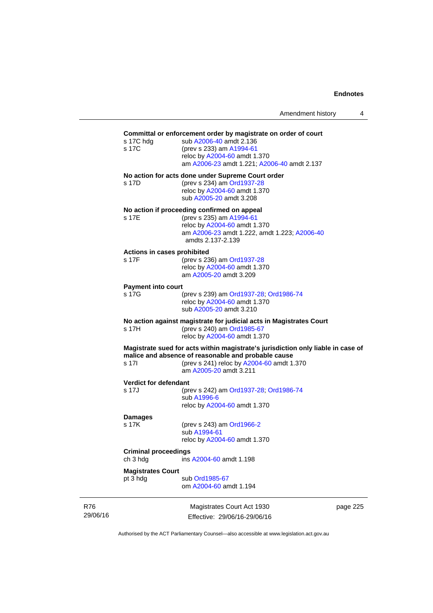| Amendment history |  |
|-------------------|--|
|-------------------|--|

| s 17C hdg<br>s 17C                      | Committal or enforcement order by magistrate on order of court<br>sub A2006-40 amdt 2.136<br>(prev s 233) am A1994-61<br>reloc by A2004-60 amdt 1.370<br>am A2006-23 amdt 1.221; A2006-40 amdt 2.137           |
|-----------------------------------------|----------------------------------------------------------------------------------------------------------------------------------------------------------------------------------------------------------------|
| s 17D                                   | No action for acts done under Supreme Court order<br>(prev s 234) am Ord1937-28<br>reloc by A2004-60 amdt 1.370<br>sub A2005-20 amdt 3.208                                                                     |
| s 17E                                   | No action if proceeding confirmed on appeal<br>(prev s 235) am A1994-61<br>reloc by A2004-60 amdt 1.370<br>am A2006-23 amdt 1.222, amdt 1.223; A2006-40<br>amdts 2.137-2.139                                   |
| Actions in cases prohibited<br>s 17F    | (prev s 236) am Ord1937-28<br>reloc by A2004-60 amdt 1.370<br>am A2005-20 amdt 3.209                                                                                                                           |
| <b>Payment into court</b>               |                                                                                                                                                                                                                |
| s 17G                                   | (prev s 239) am Ord1937-28; Ord1986-74<br>reloc by A2004-60 amdt 1.370<br>sub A2005-20 amdt 3.210                                                                                                              |
| s 17H                                   | No action against magistrate for judicial acts in Magistrates Court<br>(prev s 240) am Ord1985-67<br>reloc by A2004-60 amdt 1.370                                                                              |
| s 17l                                   | Magistrate sued for acts within magistrate's jurisdiction only liable in case of<br>malice and absence of reasonable and probable cause<br>(prev s 241) reloc by A2004-60 amdt 1.370<br>am A2005-20 amdt 3.211 |
| <b>Verdict for defendant</b>            |                                                                                                                                                                                                                |
| s 17J                                   | (prev s 242) am Ord1937-28; Ord1986-74<br>sub A1996-6<br>reloc by A2004-60 amdt 1.370                                                                                                                          |
| Damages                                 |                                                                                                                                                                                                                |
| s 17K                                   | (prev s 243) am Ord1966-2<br>sub A1994-61<br>reloc by A2004-60 amdt 1.370                                                                                                                                      |
| <b>Criminal proceedings</b><br>ch 3 hdg | ins A2004-60 amdt 1.198                                                                                                                                                                                        |
| <b>Magistrates Court</b>                |                                                                                                                                                                                                                |
| pt 3 hdg                                | sub Ord1985-67<br>om A2004-60 amdt 1.194                                                                                                                                                                       |
|                                         | $M =$ $M + 1$<br>oor                                                                                                                                                                                           |

R76 29/06/16

Magistrates Court Act 1930 Effective: 29/06/16-29/06/16 page 225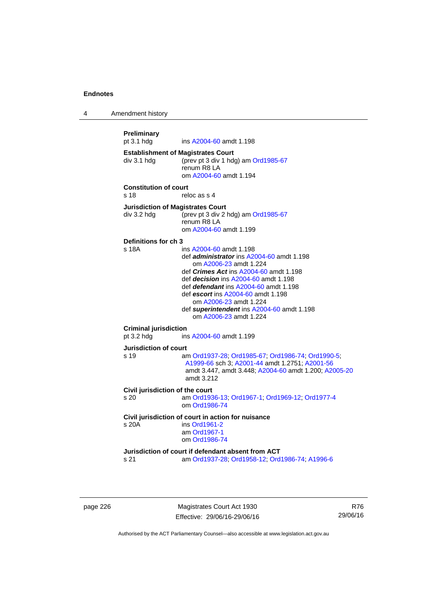4 Amendment history

```
Preliminary 
                 A2004-60 amdt 1.198
Establishment of Magistrates Court 
div 3.1 hdg (prev pt 3 div 1 hdg) am Ord1985-67
                 renum R8 LA 
                  om A2004-60 amdt 1.194
Constitution of court 
s 18 reloc as s 4
Jurisdiction of Magistrates Court 
div 3.2 hdg (prev pt 3 div 2 hdg) am Ord1985-67
                 renum R8 LA 
                  om A2004-60 amdt 1.199
Definitions for ch 3 
s 18A ins A2004-60 amdt 1.198 
                  def administrator ins A2004-60 amdt 1.198 
                     om A2006-23 amdt 1.224
                  def Crimes Act ins A2004-60 amdt 1.198
                  def decision ins A2004-60 amdt 1.198 
                  def defendant ins A2004-60 amdt 1.198 
                  def escort ins A2004-60 amdt 1.198 
                     om A2006-23 amdt 1.224
                  def superintendent ins A2004-60 amdt 1.198 
                     om A2006-23 amdt 1.224
Criminal jurisdiction 
A2004-60 amdt 1.199
Jurisdiction of court 
s 19 am Ord1937-28; Ord1985-67; Ord1986-74; Ord1990-5; 
                  A1999-66 sch 3; A2001-44 amdt 1.2751; A2001-56
                  amdt 3.447, amdt 3.448; A2004-60 amdt 1.200; A2005-20
                  amdt 3.212
Civil jurisdiction of the court 
s 20 am Ord1936-13; Ord1967-1; Ord1969-12; Ord1977-4
                  om Ord1986-74
Civil jurisdiction of court in action for nuisance 
s 20A ins Ord1961-2
                  am Ord1967-1
                  om Ord1986-74
Jurisdiction of court if defendant absent from ACT 
s 21 am Ord1937-28; Ord1958-12; Ord1986-74; A1996-6
```
page 226 Magistrates Court Act 1930 Effective: 29/06/16-29/06/16

R76 29/06/16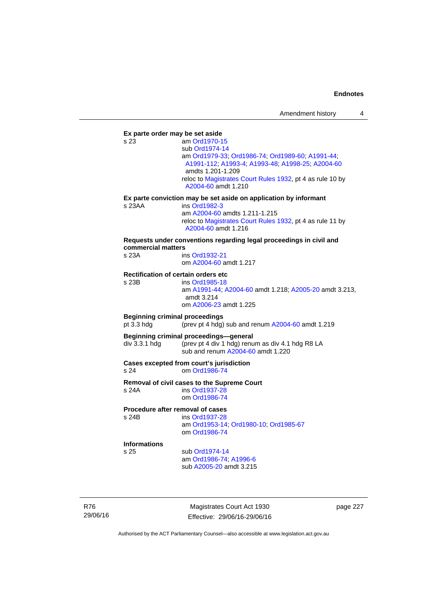**Ex parte order may be set aside**  s 23 am [Ord1970-15](http://www.legislation.act.gov.au/a/1970-15) sub [Ord1974-14](http://www.legislation.act.gov.au/a/1974-14) am [Ord1979-33](http://www.legislation.act.gov.au/a/1979-33); [Ord1986-74;](http://www.legislation.act.gov.au/a/1986-74) [Ord1989-60](http://www.legislation.act.gov.au/a/1989-60); [A1991-44](http://www.legislation.act.gov.au/a/1991-44); [A1991-112;](http://www.legislation.act.gov.au/a/1991-112) [A1993-4](http://www.legislation.act.gov.au/a/1993-4); [A1993-48](http://www.legislation.act.gov.au/a/1993-48); [A1998-25](http://www.legislation.act.gov.au/a/1998-25); [A2004-60](http://www.legislation.act.gov.au/a/2004-60) amdts 1.201-1.209 reloc to [Magistrates Court Rules 1932](http://www.legislation.act.gov.au/sl/1932-4/default.asp), pt 4 as rule 10 by [A2004-60](http://www.legislation.act.gov.au/a/2004-60) amdt 1.210 **Ex parte conviction may be set aside on application by informant**  s 23AA ins [Ord1982-3](http://www.legislation.act.gov.au/a/1982-3) am [A2004-60](http://www.legislation.act.gov.au/a/2004-60) amdts 1.211-1.215 reloc to [Magistrates Court Rules 1932](http://www.legislation.act.gov.au/sl/1932-4/default.asp), pt 4 as rule 11 by [A2004-60](http://www.legislation.act.gov.au/a/2004-60) amdt 1.216 **Requests under conventions regarding legal proceedings in civil and commercial matters**  s 23A ins [Ord1932-21](http://www.legislation.act.gov.au/a/1932-21) om [A2004-60](http://www.legislation.act.gov.au/a/2004-60) amdt 1.217 **Rectification of certain orders etc**<br>s 23B ins Ord1985-18 ins [Ord1985-18](http://www.legislation.act.gov.au/a/1985-18) am [A1991-44](http://www.legislation.act.gov.au/a/1991-44); [A2004-60](http://www.legislation.act.gov.au/a/2004-60) amdt 1.218; [A2005-20](http://www.legislation.act.gov.au/a/2005-20) amdt 3.213, amdt 3.214 om [A2006-23](http://www.legislation.act.gov.au/a/2006-23) amdt 1.225 **Beginning criminal proceedings**  pt 3.3 hdg (prev pt 4 hdg) sub and renum [A2004-60](http://www.legislation.act.gov.au/a/2004-60) amdt 1.219 **Beginning criminal proceedings—general**  div 3.3.1 hdg (prev pt 4 div 1 hdg) renum as div 4.1 hdg R8 LA sub and renum [A2004-60](http://www.legislation.act.gov.au/a/2004-60) amdt 1.220 **Cases excepted from court's jurisdiction**  s 24 om [Ord1986-74](http://www.legislation.act.gov.au/a/1986-74) **Removal of civil cases to the Supreme Court**  s 24A ins [Ord1937-28](http://www.legislation.act.gov.au/a/1937-28) om [Ord1986-74](http://www.legislation.act.gov.au/a/1986-74) **Procedure after removal of cases**  s 24B ins [Ord1937-28](http://www.legislation.act.gov.au/a/1937-28) am [Ord1953-14](http://www.legislation.act.gov.au/a/1953-14); [Ord1980-10;](http://www.legislation.act.gov.au/a/1980-10) [Ord1985-67](http://www.legislation.act.gov.au/a/1985-67) om [Ord1986-74](http://www.legislation.act.gov.au/a/1986-74) **Informations** sub [Ord1974-14](http://www.legislation.act.gov.au/a/1974-14) am [Ord1986-74](http://www.legislation.act.gov.au/a/1986-74); [A1996-6](http://www.legislation.act.gov.au/a/1996-6) sub [A2005-20](http://www.legislation.act.gov.au/a/2005-20) amdt 3.215

R76 29/06/16

Magistrates Court Act 1930 Effective: 29/06/16-29/06/16 page 227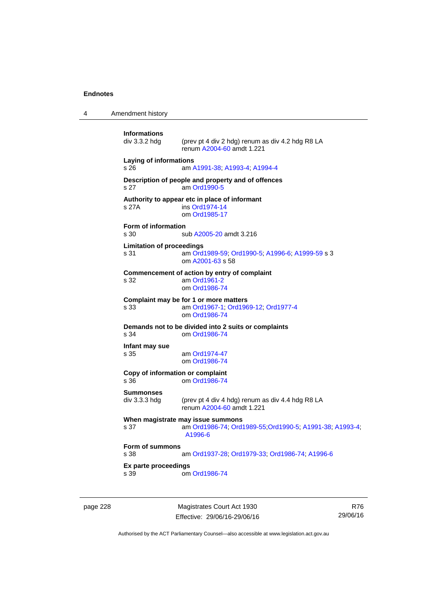4 Amendment history

```
Informations 
                 (prev pt 4 div 2 hdg) renum as div 4.2 hdg R8 LA
                  renum A2004-60 amdt 1.221 
Laying of informations 
s 26 am A1991-38; A1993-4; A1994-4
Description of people and property and of offences 
s 27 am Ord1990-5
Authority to appear etc in place of informant 
s 27A ins Ord1974-14
                  om Ord1985-17
Form of information 
s 30 sub A2005-20 amdt 3.216 
Limitation of proceedings 
s 31 am Ord1989-59; Ord1990-5; A1996-6; A1999-59 s 3 
                  om A2001-63 s 58 
Commencement of action by entry of complaint 
s 32 am Ord1961-2
                  om Ord1986-74
Complaint may be for 1 or more matters<br>
s 33 am Ord1967-1; Ord196
                  Ord1967-1; Ord1969-12 Ord1977-4
                  om Ord1986-74
Demands not to be divided into 2 suits or complaints 
s 34 om Ord1986-74
Infant may sue 
                  Ord1974-47
                  om Ord1986-74
Copy of information or complaint 
s 36 om Ord1986-74
Summonses 
div 3.3.3 hdg (prev pt 4 div 4 hdg) renum as div 4.4 hdg R8 LA 
                  renum A2004-60 amdt 1.221 
When magistrate may issue summons<br>s 37 am Ord1986-74: Ord1
                 s 37 am Ord1986-74; Ord1989-55;Ord1990-5; A1991-38; A1993-4; 
                  A1996-6
Form of summons 
s 38 am Ord1937-28; Ord1979-33; Ord1986-74; A1996-6
Ex parte proceedings 
s 39 om Ord1986-74
```
page 228 Magistrates Court Act 1930 Effective: 29/06/16-29/06/16

R76 29/06/16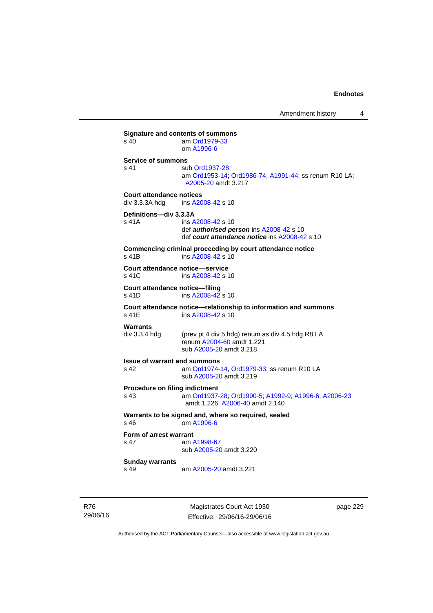**Signature and contents of summons**<br>s 40 am Ord1979-33 am [Ord1979-33](http://www.legislation.act.gov.au/a/1979-33) om [A1996-6](http://www.legislation.act.gov.au/a/1996-6) **Service of summons**  s 41 sub [Ord1937-28](http://www.legislation.act.gov.au/a/1937-28) am [Ord1953-14](http://www.legislation.act.gov.au/a/1953-14); [Ord1986-74](http://www.legislation.act.gov.au/a/1986-74); [A1991-44](http://www.legislation.act.gov.au/a/1991-44); ss renum R10 LA; [A2005-20](http://www.legislation.act.gov.au/a/2005-20) amdt 3.217 **Court attendance notices**<br>div 3.3.3A hdq ins A20 ins [A2008-42](http://www.legislation.act.gov.au/a/2008-42) s 10 **Definitions—div 3.3.3A**  s 41A ins [A2008-42](http://www.legislation.act.gov.au/a/2008-42) s 10 def *authorised person* ins [A2008-42](http://www.legislation.act.gov.au/a/2008-42) s 10 def *court attendance notice* ins [A2008-42](http://www.legislation.act.gov.au/a/2008-42) s 10 **Commencing criminal proceeding by court attendance notice**  s 41B ins [A2008-42](http://www.legislation.act.gov.au/a/2008-42) s 10 **Court attendance notice—service**<br>s 41C ins A2008-42 s ins [A2008-42](http://www.legislation.act.gov.au/a/2008-42) s 10 **Court attendance notice—filing**  s 41D ins [A2008-42](http://www.legislation.act.gov.au/a/2008-42) s 10 **Court attendance notice—relationship to information and summons**  ins [A2008-42](http://www.legislation.act.gov.au/a/2008-42) s 10 **Warrants**  div 3.3.4 hdg (prev pt 4 div 5 hdg) renum as div 4.5 hdg R8 LA renum [A2004-60](http://www.legislation.act.gov.au/a/2004-60) amdt 1.221 sub [A2005-20](http://www.legislation.act.gov.au/a/2005-20) amdt 3.218 **Issue of warrant and summons**  s 42 am [Ord1974-14](http://www.legislation.act.gov.au/a/1974-14), [Ord1979-33](http://www.legislation.act.gov.au/a/1979-33); ss renum R10 LA sub [A2005-20](http://www.legislation.act.gov.au/a/2005-20) amdt 3.219 **Procedure on filing indictment**  s 43 am [Ord1937-28](http://www.legislation.act.gov.au/a/1937-28); [Ord1990-5](http://www.legislation.act.gov.au/a/alt_ord1990-5); [A1992-9](http://www.legislation.act.gov.au/a/1992-9); [A1996-6](http://www.legislation.act.gov.au/a/1996-6); [A2006-23](http://www.legislation.act.gov.au/a/2006-23) amdt 1.226; [A2006-40](http://www.legislation.act.gov.au/a/2006-40) amdt 2.140 **Warrants to be signed and, where so required, sealed**  s 46 om [A1996-6](http://www.legislation.act.gov.au/a/1996-6) **Form of arrest warrant**<br>**s** 47 am / am [A1998-67](http://www.legislation.act.gov.au/a/1998-67) sub [A2005-20](http://www.legislation.act.gov.au/a/2005-20) amdt 3.220 **Sunday warrants**  s 49 am [A2005-20](http://www.legislation.act.gov.au/a/2005-20) amdt 3.221

R76 29/06/16

Magistrates Court Act 1930 Effective: 29/06/16-29/06/16 page 229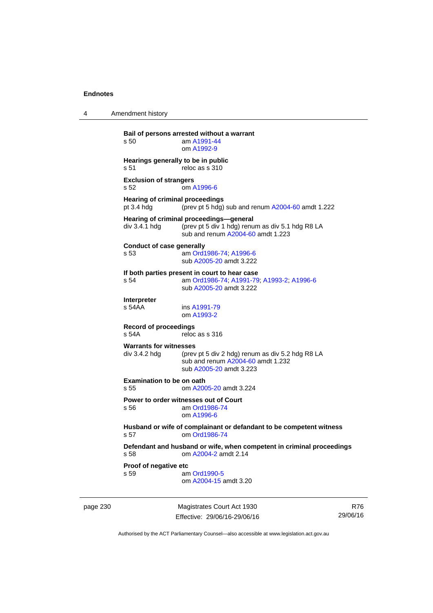4 Amendment history

page 230 Magistrates Court Act 1930 **Bail of persons arrested without a warrant**  s 50 am [A1991-44](http://www.legislation.act.gov.au/a/1991-44) om [A1992-9](http://www.legislation.act.gov.au/a/1992-9) **Hearings generally to be in public**  s 51 reloc as s 310 **Exclusion of strangers**  s 52 om [A1996-6](http://www.legislation.act.gov.au/a/1996-6) **Hearing of criminal proceedings**  pt 3.4 hdg (prev pt 5 hdg) sub and renum [A2004-60](http://www.legislation.act.gov.au/a/2004-60) amdt 1.222 **Hearing of criminal proceedings—general**  div 3.4.1 hdg (prev pt 5 div 1 hdg) renum as div 5.1 hdg R8 LA sub and renum [A2004-60](http://www.legislation.act.gov.au/a/2004-60) amdt 1.223 **Conduct of case generally**  s 53 am [Ord1986-74](http://www.legislation.act.gov.au/a/1986-74); [A1996-6](http://www.legislation.act.gov.au/a/1996-6) sub [A2005-20](http://www.legislation.act.gov.au/a/2005-20) amdt 3.222 **If both parties present in court to hear case**  s 54 am [Ord1986-74](http://www.legislation.act.gov.au/a/1986-74); [A1991-79](http://www.legislation.act.gov.au/a/1991-79); [A1993-2](http://www.legislation.act.gov.au/a/1993-2); [A1996-6](http://www.legislation.act.gov.au/a/1996-6) sub [A2005-20](http://www.legislation.act.gov.au/a/2005-20) amdt 3.222 **Interpreter**  ins [A1991-79](http://www.legislation.act.gov.au/a/1991-79) om [A1993-2](http://www.legislation.act.gov.au/a/1993-2) **Record of proceedings**  s 54A reloc as s 316 **Warrants for witnesses**<br>div 3.4.2 hda (prev (prev pt 5 div 2 hdg) renum as div 5.2 hdg R8 LA sub and renum [A2004-60](http://www.legislation.act.gov.au/a/2004-60) amdt 1.232 sub [A2005-20](http://www.legislation.act.gov.au/a/2005-20) amdt 3.223 **Examination to be on oath**  s 55 om [A2005-20](http://www.legislation.act.gov.au/a/2005-20) amdt 3.224 **Power to order witnesses out of Court**  s 56 am [Ord1986-74](http://www.legislation.act.gov.au/a/1986-74) om [A1996-6](http://www.legislation.act.gov.au/a/1996-6) **Husband or wife of complainant or defandant to be competent witness**  s 57 om [Ord1986-74](http://www.legislation.act.gov.au/a/1986-74) **Defendant and husband or wife, when competent in criminal proceedings**  s 58 om [A2004-2](http://www.legislation.act.gov.au/a/2004-2) amdt 2.14 **Proof of negative etc**  s 59 am [Ord1990-5](http://www.legislation.act.gov.au/a/alt_ord1990-5) om [A2004-15](http://www.legislation.act.gov.au/a/2004-15) amdt 3.20

Effective: 29/06/16-29/06/16

R76 29/06/16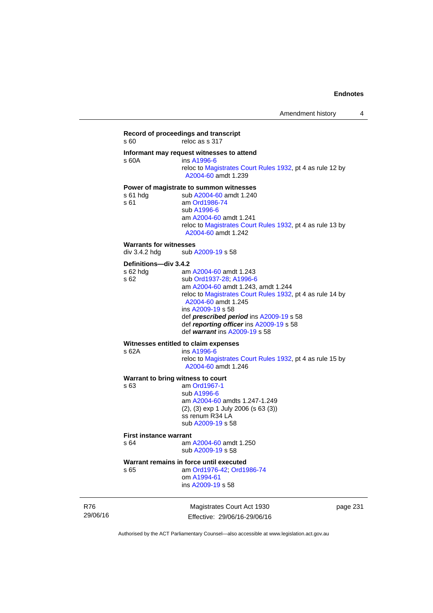## **Record of proceedings and transcript**  s 60 reloc as s 317 **Informant may request witnesses to attend**  ins [A1996-6](http://www.legislation.act.gov.au/a/1996-6) reloc to [Magistrates Court Rules 1932](http://www.legislation.act.gov.au/sl/1932-4/default.asp), pt 4 as rule 12 by [A2004-60](http://www.legislation.act.gov.au/a/2004-60) amdt 1.239 **Power of magistrate to summon witnesses**  s 61 hdg sub [A2004-60](http://www.legislation.act.gov.au/a/2004-60) amdt 1.240<br>s 61 am Ord1986-74 am [Ord1986-74](http://www.legislation.act.gov.au/a/1986-74) sub [A1996-6](http://www.legislation.act.gov.au/a/1996-6) am [A2004-60](http://www.legislation.act.gov.au/a/2004-60) amdt 1.241 reloc to [Magistrates Court Rules 1932](http://www.legislation.act.gov.au/sl/1932-4/default.asp), pt 4 as rule 13 by [A2004-60](http://www.legislation.act.gov.au/a/2004-60) amdt 1.242 **Warrants for witnesses**<br>div 3.4.2 hdg sub / sub [A2009-19](http://www.legislation.act.gov.au/a/2009-19) s 58 **Definitions—div 3.4.2**  s 62 hdg am [A2004-60](http://www.legislation.act.gov.au/a/2004-60) amdt 1.243 s 62 sub [Ord1937-28](http://www.legislation.act.gov.au/a/1937-28); [A1996-6](http://www.legislation.act.gov.au/a/1996-6) am [A2004-60](http://www.legislation.act.gov.au/a/2004-60) amdt 1.243, amdt 1.244 reloc to [Magistrates Court Rules 1932](http://www.legislation.act.gov.au/sl/1932-4/default.asp), pt 4 as rule 14 by [A2004-60](http://www.legislation.act.gov.au/a/2004-60) amdt 1.245 ins [A2009-19](http://www.legislation.act.gov.au/a/2009-19) s 58 def *prescribed period* ins [A2009-19](http://www.legislation.act.gov.au/a/2009-19) s 58 def *reporting officer* ins [A2009-19](http://www.legislation.act.gov.au/a/2009-19) s 58 def *warrant* ins [A2009-19](http://www.legislation.act.gov.au/a/2009-19) s 58 **Witnesses entitled to claim expenses**  s 62A ins [A1996-6](http://www.legislation.act.gov.au/a/1996-6) reloc to [Magistrates Court Rules 1932](http://www.legislation.act.gov.au/sl/1932-4/default.asp), pt 4 as rule 15 by [A2004-60](http://www.legislation.act.gov.au/a/2004-60) amdt 1.246 **Warrant to bring witness to court**  s 63 am [Ord1967-1](http://www.legislation.act.gov.au/a/1967-1) sub [A1996-6](http://www.legislation.act.gov.au/a/1996-6) am [A2004-60](http://www.legislation.act.gov.au/a/2004-60) amdts 1.247-1.249 (2), (3) exp 1 July 2006 (s 63 (3)) ss renum R34 LA sub [A2009-19](http://www.legislation.act.gov.au/a/2009-19) s 58 **First instance warrant**  s 64 am [A2004-60](http://www.legislation.act.gov.au/a/2004-60) amdt 1.250

sub [A2009-19](http://www.legislation.act.gov.au/a/2009-19) s 58

#### **Warrant remains in force until executed**

s 65 am [Ord1976-42](http://www.legislation.act.gov.au/a/1976-42); [Ord1986-74](http://www.legislation.act.gov.au/a/1986-74) om [A1994-61](http://www.legislation.act.gov.au/a/1994-61) ins [A2009-19](http://www.legislation.act.gov.au/a/2009-19) s 58

R76 29/06/16

Magistrates Court Act 1930 Effective: 29/06/16-29/06/16 page 231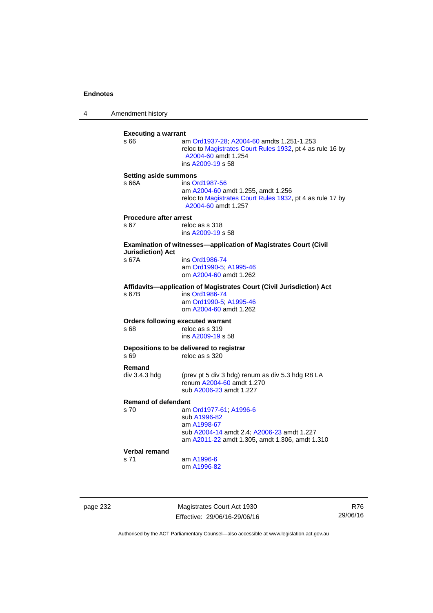4 Amendment history

| s 66                          | am Ord1937-28; A2004-60 amdts 1.251-1.253<br>reloc to Magistrates Court Rules 1932, pt 4 as rule 16 by<br>A2004-60 amdt 1.254<br>ins A2009-19 s 58 |
|-------------------------------|----------------------------------------------------------------------------------------------------------------------------------------------------|
| <b>Setting aside summons</b>  |                                                                                                                                                    |
| s 66A                         | ins Ord1987-56<br>am A2004-60 amdt 1.255, amdt 1.256<br>reloc to Magistrates Court Rules 1932, pt 4 as rule 17 by<br>A2004-60 amdt 1.257           |
| <b>Procedure after arrest</b> |                                                                                                                                                    |
| s 67                          | reloc as s 318<br>ins A2009-19 s 58                                                                                                                |
| <b>Jurisdiction) Act</b>      | <b>Examination of witnesses-application of Magistrates Court (Civil</b>                                                                            |
| s 67A                         | ins Ord1986-74<br>am Ord1990-5, A1995-46<br>om A2004-60 amdt 1.262                                                                                 |
| s 67B                         | Affidavits-application of Magistrates Court (Civil Jurisdiction) Act<br>ins Ord1986-74<br>am Ord1990-5; A1995-46<br>om A2004-60 amdt 1.262         |
| s 68                          | <b>Orders following executed warrant</b><br>reloc as s 319<br>ins A2009-19 s 58                                                                    |
| s 69                          | Depositions to be delivered to registrar<br>reloc as s 320                                                                                         |
| Remand<br>div 3.4.3 hdg       | (prev pt 5 div 3 hdg) renum as div 5.3 hdg R8 LA<br>renum A2004-60 amdt 1.270                                                                      |
|                               | sub A2006-23 amdt 1.227                                                                                                                            |
| <b>Remand of defendant</b>    |                                                                                                                                                    |
| s 70                          | am Ord1977-61, A1996-6<br>sub A1996-82                                                                                                             |
|                               | am A1998-67<br>sub A2004-14 amdt 2.4; A2006-23 amdt 1.227<br>am A2011-22 amdt 1.305, amdt 1.306, amdt 1.310                                        |
| Verbal remand                 |                                                                                                                                                    |
| s 71                          | am A1996-6                                                                                                                                         |
|                               | om A1996-82                                                                                                                                        |

page 232 Magistrates Court Act 1930 Effective: 29/06/16-29/06/16

R76 29/06/16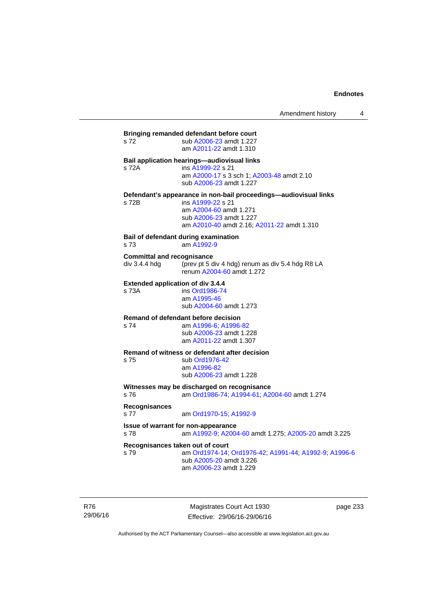# **Bringing remanded defendant before court**  s 72 sub [A2006-23](http://www.legislation.act.gov.au/a/2006-23) amdt 1.227 am [A2011-22](http://www.legislation.act.gov.au/a/2011-22) amdt 1.310 **Bail application hearings—audiovisual links**  s 72A ins [A1999-22](http://www.legislation.act.gov.au/a/1999-22) s 21 am [A2000-17](http://www.legislation.act.gov.au/a/2000-17) s 3 sch 1; [A2003-48](http://www.legislation.act.gov.au/a/2003-48) amdt 2.10 sub [A2006-23](http://www.legislation.act.gov.au/a/2006-23) amdt 1.227 **Defendant's appearance in non-bail proceedings—audiovisual links**  s 72B ins [A1999-22](http://www.legislation.act.gov.au/a/1999-22) s 21 am [A2004-60](http://www.legislation.act.gov.au/a/2004-60) amdt 1.271 sub [A2006-23](http://www.legislation.act.gov.au/a/2006-23) amdt 1.227 am [A2010-40](http://www.legislation.act.gov.au/a/2010-40) amdt 2.16; [A2011-22](http://www.legislation.act.gov.au/a/2011-22) amdt 1.310 **Bail of defendant during examination**  s 73 am [A1992-9](http://www.legislation.act.gov.au/a/1992-9) **Committal and recognisance**  div 3.4.4 hdg (prev pt 5 div 4 hdg) renum as div 5.4 hdg R8 LA renum [A2004-60](http://www.legislation.act.gov.au/a/2004-60) amdt 1.272 **Extended application of div 3.4.4**<br>s 73A **ins Ord1986-74** ins [Ord1986-74](http://www.legislation.act.gov.au/a/1986-74) am [A1995-46](http://www.legislation.act.gov.au/a/1995-46) sub [A2004-60](http://www.legislation.act.gov.au/a/2004-60) amdt 1.273 **Remand of defendant before decision**  s 74 am [A1996-6;](http://www.legislation.act.gov.au/a/1996-6) [A1996-82](http://www.legislation.act.gov.au/a/1996-82) sub [A2006-23](http://www.legislation.act.gov.au/a/2006-23) amdt 1.228 am [A2011-22](http://www.legislation.act.gov.au/a/2011-22) amdt 1.307 **Remand of witness or defendant after decision**  s 75 sub [Ord1976-42](http://www.legislation.act.gov.au/a/1976-42) am [A1996-82](http://www.legislation.act.gov.au/a/1996-82) sub [A2006-23](http://www.legislation.act.gov.au/a/2006-23) amdt 1.228 **Witnesses may be discharged on recognisance**<br>s 76 am Ord1986-74: A1994-61: A2 s 76 am [Ord1986-74](http://www.legislation.act.gov.au/a/1986-74); [A1994-61](http://www.legislation.act.gov.au/a/1994-61); [A2004-60](http://www.legislation.act.gov.au/a/2004-60) amdt 1.274 **Recognisances**  s 77 am [Ord1970-15](http://www.legislation.act.gov.au/a/1970-15); [A1992-9](http://www.legislation.act.gov.au/a/1992-9) **Issue of warrant for non-appearance**  s 78 am [A1992-9;](http://www.legislation.act.gov.au/a/1992-9) [A2004-60](http://www.legislation.act.gov.au/a/2004-60) amdt 1.275; [A2005-20](http://www.legislation.act.gov.au/a/2005-20) amdt 3.225 **Recognisances taken out of court**  s 79 am [Ord1974-14](http://www.legislation.act.gov.au/a/1974-14); [Ord1976-42](http://www.legislation.act.gov.au/a/1976-42); [A1991-44](http://www.legislation.act.gov.au/a/1991-44); [A1992-9](http://www.legislation.act.gov.au/a/1992-9); [A1996-6](http://www.legislation.act.gov.au/a/1996-6) sub [A2005-20](http://www.legislation.act.gov.au/a/2005-20) amdt 3.226 am [A2006-23](http://www.legislation.act.gov.au/a/2006-23) amdt 1.229

R76 29/06/16

Magistrates Court Act 1930 Effective: 29/06/16-29/06/16 page 233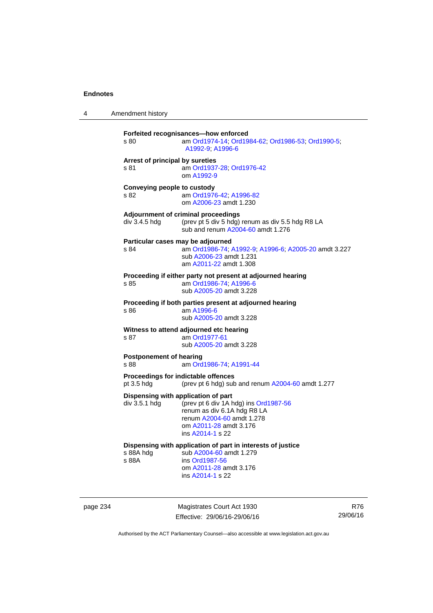4 Amendment history

| s 80                                                                                                     | Forfeited recognisances-how enforced<br>am Ord1974-14; Ord1984-62; Ord1986-53; Ord1990-5;<br>A1992-9, A1996-6                                                                          |  |
|----------------------------------------------------------------------------------------------------------|----------------------------------------------------------------------------------------------------------------------------------------------------------------------------------------|--|
| Arrest of principal by sureties<br>s 81                                                                  | am Ord1937-28; Ord1976-42<br>om A1992-9                                                                                                                                                |  |
| Conveying people to custody<br>s 82                                                                      | am Ord1976-42; A1996-82<br>om A2006-23 amdt 1.230                                                                                                                                      |  |
| div 3.4.5 hdg                                                                                            | Adjournment of criminal proceedings<br>(prev pt 5 div 5 hdg) renum as div 5.5 hdg R8 LA<br>sub and renum A2004-60 amdt 1.276                                                           |  |
| s 84                                                                                                     | Particular cases may be adjourned<br>am Ord1986-74; A1992-9; A1996-6; A2005-20 amdt 3.227<br>sub A2006-23 amdt 1.231<br>am A2011-22 amdt 1.308                                         |  |
| s 85                                                                                                     | Proceeding if either party not present at adjourned hearing<br>am Ord1986-74; A1996-6<br>sub A2005-20 amdt 3.228                                                                       |  |
| Proceeding if both parties present at adjourned hearing<br>am A1996-6<br>s 86<br>sub A2005-20 amdt 3.228 |                                                                                                                                                                                        |  |
| s 87                                                                                                     | Witness to attend adjourned etc hearing<br>am Ord1977-61<br>sub A2005-20 amdt 3.228                                                                                                    |  |
| <b>Postponement of hearing</b><br>s 88                                                                   | am Ord1986-74; A1991-44                                                                                                                                                                |  |
| pt 3.5 hdg                                                                                               | Proceedings for indictable offences<br>(prev pt 6 hdg) sub and renum A2004-60 amdt 1.277                                                                                               |  |
| div 3.5.1 hdg                                                                                            | Dispensing with application of part<br>(prev pt 6 div 1A hdg) ins Ord1987-56<br>renum as div 6.1A hdg R8 LA<br>renum A2004-60 amdt 1.278<br>om A2011-28 amdt 3.176<br>ins A2014-1 s 22 |  |
| s 88A hdg<br>s 88A                                                                                       | Dispensing with application of part in interests of justice<br>sub A2004-60 amdt 1.279<br>ins Ord1987-56<br>om A2011-28 amdt 3.176<br>ins A2014-1 s 22                                 |  |

page 234 Magistrates Court Act 1930 Effective: 29/06/16-29/06/16

R76 29/06/16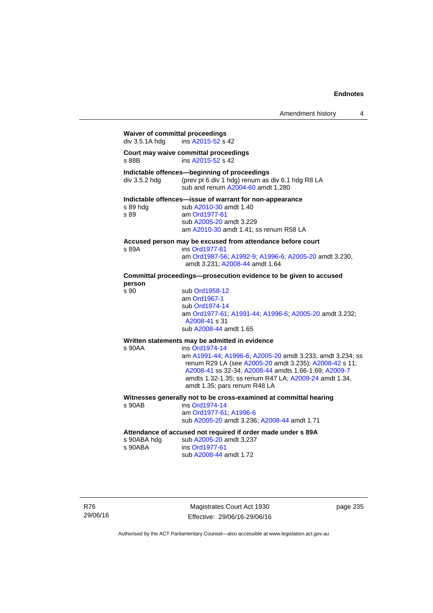# **Waiver of committal proceedings**  div 3.5.1A hdg ins [A2015-52](http://www.legislation.act.gov.au/a/2015-52/default.asp) s 42 **Court may waive committal proceedings**  ins [A2015-52](http://www.legislation.act.gov.au/a/2015-52/default.asp) s 42 **Indictable offences—beginning of proceedings**  div 3.5.2 hdg (prev pt 6 div 1 hdg) renum as div 6.1 hdg R8 LA sub and renum [A2004-60](http://www.legislation.act.gov.au/a/2004-60) amdt 1.280 **Indictable offences—issue of warrant for non-appearance**  sub [A2010-30](http://www.legislation.act.gov.au/a/2010-30) amdt 1.40 s 89 am [Ord1977-61](http://www.legislation.act.gov.au/a/1977-61) sub [A2005-20](http://www.legislation.act.gov.au/a/2005-20) amdt 3.229 am [A2010-30](http://www.legislation.act.gov.au/a/2010-30) amdt 1.41; ss renum R58 LA **Accused person may be excused from attendance before court**  s 89A ins [Ord1977-61](http://www.legislation.act.gov.au/a/1977-61) am [Ord1987-56](http://www.legislation.act.gov.au/a/1987-56); [A1992-9](http://www.legislation.act.gov.au/a/1992-9); [A1996-6](http://www.legislation.act.gov.au/a/1996-6); [A2005-20](http://www.legislation.act.gov.au/a/2005-20) amdt 3.230, amdt 3.231; [A2008-44](http://www.legislation.act.gov.au/a/2008-44) amdt 1.64 **Committal proceedings—prosecution evidence to be given to accused person**  sub [Ord1958-12](http://www.legislation.act.gov.au/a/1958-12) am [Ord1967-1](http://www.legislation.act.gov.au/a/1967-1) sub [Ord1974-14](http://www.legislation.act.gov.au/a/1974-14) am [Ord1977-61](http://www.legislation.act.gov.au/a/1977-61); [A1991-44](http://www.legislation.act.gov.au/a/1991-44); [A1996-6](http://www.legislation.act.gov.au/a/1996-6); [A2005-20](http://www.legislation.act.gov.au/a/2005-20) amdt 3.232; [A2008-41](http://www.legislation.act.gov.au/a/2008-41) s 31 sub [A2008-44](http://www.legislation.act.gov.au/a/2008-44) amdt 1.65 **Written statements may be admitted in evidence**  ins [Ord1974-14](http://www.legislation.act.gov.au/a/1974-14) am [A1991-44](http://www.legislation.act.gov.au/a/1991-44); [A1996-6](http://www.legislation.act.gov.au/a/1996-6); [A2005-20](http://www.legislation.act.gov.au/a/2005-20) amdt 3.233, amdt 3.234; ss renum R29 LA (see [A2005-20](http://www.legislation.act.gov.au/a/2005-20) amdt 3.235); [A2008-42](http://www.legislation.act.gov.au/a/2008-42) s 11; [A2008-41](http://www.legislation.act.gov.au/a/2008-41) ss 32-34; [A2008-44](http://www.legislation.act.gov.au/a/2008-44) amdts 1.66-1.69; [A2009-7](http://www.legislation.act.gov.au/a/2009-7) amdts 1.32-1.35; ss renum R47 LA; [A2009-24](http://www.legislation.act.gov.au/a/2009-24) amdt 1.34, amdt 1.35; pars renum R48 LA **Witnesses generally not to be cross-examined at committal hearing**  ins [Ord1974-14](http://www.legislation.act.gov.au/a/1974-14) am [Ord1977-61](http://www.legislation.act.gov.au/a/1977-61); [A1996-6](http://www.legislation.act.gov.au/a/1996-6) sub [A2005-20](http://www.legislation.act.gov.au/a/2005-20) amdt 3.236; [A2008-44](http://www.legislation.act.gov.au/a/2008-44) amdt 1.71

# **Attendance of accused not required if order made under s 89A**

| s 90ABA hdg | sub A2005-20 amdt 3.237 |
|-------------|-------------------------|
| s 90ABA     | ins Ord1977-61          |
|             | sub A2008-44 amdt 1.72  |

R76 29/06/16

Magistrates Court Act 1930 Effective: 29/06/16-29/06/16 page 235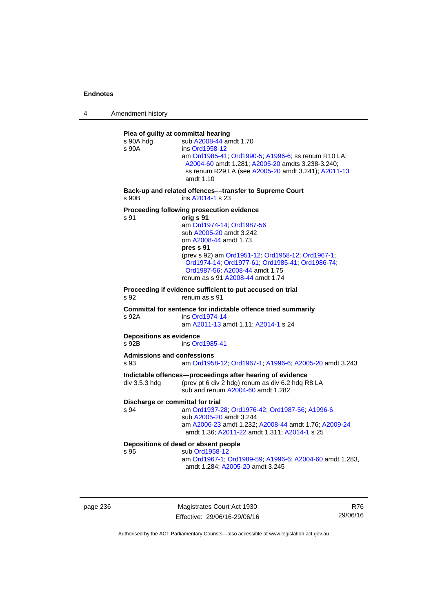4 Amendment history



page 236 Magistrates Court Act 1930 Effective: 29/06/16-29/06/16

R76 29/06/16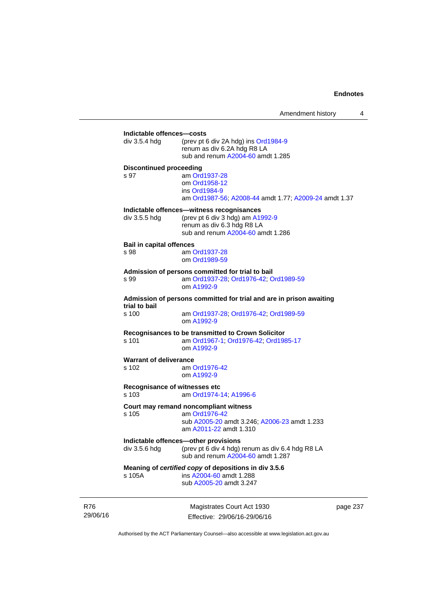| div 3.5.4 hdg                   | (prev pt 6 div 2A hdg) ins Ord1984-9                                                                     |
|---------------------------------|----------------------------------------------------------------------------------------------------------|
|                                 | renum as div 6.2A hdg R8 LA<br>sub and renum A2004-60 amdt 1.285                                         |
| <b>Discontinued proceeding</b>  |                                                                                                          |
| s 97                            | am Ord1937-28<br>om Ord1958-12<br>ins Ord1984-9<br>am Ord1987-56; A2008-44 amdt 1.77; A2009-24 amdt 1.37 |
|                                 | Indictable offences—witness recognisances                                                                |
| div 3.5.5 hdg                   | (prev pt 6 div 3 hdg) am A1992-9<br>renum as div 6.3 hdg R8 LA<br>sub and renum A2004-60 amdt 1.286      |
| <b>Bail in capital offences</b> |                                                                                                          |
| s 98                            | am Ord1937-28<br>om Ord1989-59                                                                           |
|                                 | Admission of persons committed for trial to bail                                                         |
| s 99                            | am Ord1937-28; Ord1976-42; Ord1989-59<br>om A1992-9                                                      |
| trial to bail                   | Admission of persons committed for trial and are in prison awaiting                                      |
| s 100                           | am Ord1937-28; Ord1976-42; Ord1989-59<br>om A1992-9                                                      |
|                                 | Recognisances to be transmitted to Crown Solicitor                                                       |
| s 101                           | am Ord1967-1; Ord1976-42; Ord1985-17<br>om A1992-9                                                       |
| <b>Warrant of deliverance</b>   |                                                                                                          |
| s 102                           | am Ord1976-42<br>om A1992-9                                                                              |
| s 103                           | Recognisance of witnesses etc<br>am Ord1974-14; A1996-6                                                  |
|                                 | Court may remand noncompliant witness                                                                    |
| s 105                           | am Ord1976-42                                                                                            |
|                                 | sub A2005-20 amdt 3.246; A2006-23 amdt 1.233<br>am A2011-22 amdt 1.310                                   |
|                                 | Indictable offences-other provisions                                                                     |
| div 3.5.6 hdg                   | (prev pt 6 div 4 hdg) renum as div 6.4 hdg R8 LA<br>sub and renum A2004-60 amdt 1.287                    |
|                                 |                                                                                                          |
| s 105A                          | Meaning of certified copy of depositions in div 3.5.6<br>ins A2004-60 amdt 1.288                         |

R76 29/06/16

Magistrates Court Act 1930 Effective: 29/06/16-29/06/16 page 237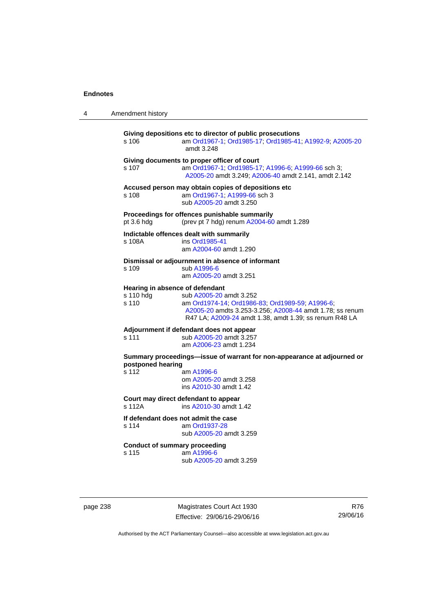| 4                                    | Amendment history                                                                                      |                                                                                                                                                                                                                                     |  |
|--------------------------------------|--------------------------------------------------------------------------------------------------------|-------------------------------------------------------------------------------------------------------------------------------------------------------------------------------------------------------------------------------------|--|
|                                      | s 106                                                                                                  | Giving depositions etc to director of public prosecutions<br>am Ord1967-1; Ord1985-17; Ord1985-41; A1992-9; A2005-20<br>amdt 3.248                                                                                                  |  |
|                                      | s 107                                                                                                  | Giving documents to proper officer of court<br>am Ord1967-1; Ord1985-17, A1996-6; A1999-66 sch 3;<br>A2005-20 amdt 3.249; A2006-40 amdt 2.141, amdt 2.142                                                                           |  |
|                                      | s 108                                                                                                  | Accused person may obtain copies of depositions etc<br>am Ord1967-1; A1999-66 sch 3<br>sub A2005-20 amdt 3.250                                                                                                                      |  |
|                                      | pt 3.6 hdg                                                                                             | Proceedings for offences punishable summarily<br>(prev pt 7 hdg) renum A2004-60 amdt 1.289                                                                                                                                          |  |
|                                      | s 108A                                                                                                 | Indictable offences dealt with summarily<br>ins Ord1985-41<br>am A2004-60 amdt 1.290                                                                                                                                                |  |
|                                      | s 109                                                                                                  | Dismissal or adjournment in absence of informant<br>sub A1996-6<br>am A2005-20 amdt 3.251                                                                                                                                           |  |
|                                      | s 110 hdg<br>s 110                                                                                     | Hearing in absence of defendant<br>sub A2005-20 amdt 3.252<br>am Ord1974-14; Ord1986-83; Ord1989-59; A1996-6;<br>A2005-20 amdts 3.253-3.256; A2008-44 amdt 1.78; ss renum<br>R47 LA; A2009-24 amdt 1.38, amdt 1.39; ss renum R48 LA |  |
|                                      | Adjournment if defendant does not appear<br>s 111<br>sub A2005-20 amdt 3.257<br>am A2006-23 amdt 1.234 |                                                                                                                                                                                                                                     |  |
|                                      | postponed hearing<br>s 112                                                                             | Summary proceedings—issue of warrant for non-appearance at adjourned or<br>am A1996-6<br>om A2005-20 amdt 3.258<br>ins A2010-30 amdt 1.42                                                                                           |  |
|                                      | s 112A                                                                                                 | Court may direct defendant to appear<br>ins A2010-30 amdt 1.42                                                                                                                                                                      |  |
|                                      | s 114                                                                                                  | If defendant does not admit the case<br>am Ord1937-28<br>sub A2005-20 amdt 3.259                                                                                                                                                    |  |
| <b>Conduct of summary proceeding</b> |                                                                                                        |                                                                                                                                                                                                                                     |  |

s 115 am [A1996-6](http://www.legislation.act.gov.au/a/1996-6) sub [A2005-20](http://www.legislation.act.gov.au/a/2005-20) amdt 3.259

page 238 Magistrates Court Act 1930 Effective: 29/06/16-29/06/16

R76 29/06/16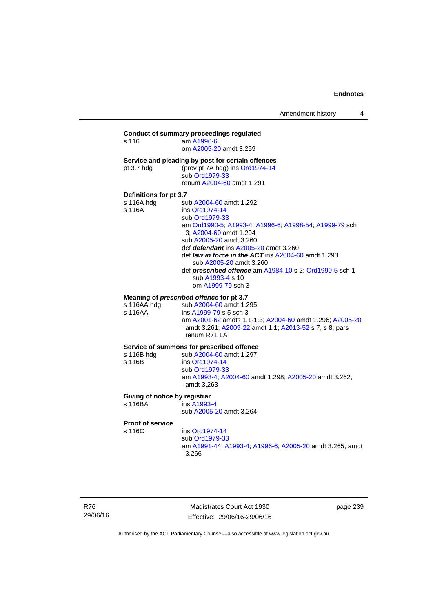## **Conduct of summary proceedings regulated**  s 116 am [A1996-6](http://www.legislation.act.gov.au/a/1996-6) om [A2005-20](http://www.legislation.act.gov.au/a/2005-20) amdt 3.259 **Service and pleading by post for certain offences**  pt 3.7 hdg (prev pt 7A hdg) ins [Ord1974-14](http://www.legislation.act.gov.au/a/1974-14) sub [Ord1979-33](http://www.legislation.act.gov.au/a/1979-33) renum [A2004-60](http://www.legislation.act.gov.au/a/2004-60) amdt 1.291 **Definitions for pt 3.7**  sub [A2004-60](http://www.legislation.act.gov.au/a/2004-60) amdt 1.292 s 116A ins [Ord1974-14](http://www.legislation.act.gov.au/a/1974-14) sub [Ord1979-33](http://www.legislation.act.gov.au/a/1979-33) am [Ord1990-5;](http://www.legislation.act.gov.au/a/alt_ord1990-5) [A1993-4](http://www.legislation.act.gov.au/a/1993-4); [A1996-6](http://www.legislation.act.gov.au/a/1996-6); [A1998-54](http://www.legislation.act.gov.au/a/1998-54); [A1999-79](http://www.legislation.act.gov.au/a/1999-79) sch 3; [A2004-60](http://www.legislation.act.gov.au/a/2004-60) amdt 1.294 sub [A2005-20](http://www.legislation.act.gov.au/a/2005-20) amdt 3.260 def *defendant* ins [A2005-20](http://www.legislation.act.gov.au/a/2005-20) amdt 3.260 def *law in force in the ACT* ins [A2004-60](http://www.legislation.act.gov.au/a/2004-60) amdt 1.293 sub [A2005-20](http://www.legislation.act.gov.au/a/2005-20) amdt 3.260 def *prescribed offence* am [A1984-10](http://www.legislation.act.gov.au/a/1984-10) s 2; [Ord1990-5](http://www.legislation.act.gov.au/a/alt_ord1990-5) sch 1 sub [A1993-4](http://www.legislation.act.gov.au/a/1993-4) s 10 om [A1999-79](http://www.legislation.act.gov.au/a/1999-79) sch 3 **Meaning of** *prescribed offence* **for pt 3.7 s** 116AA hdg sub A2004-60 amdt 1.2 sub [A2004-60](http://www.legislation.act.gov.au/a/2004-60) amdt 1.295 s 116AA ins [A1999-79](http://www.legislation.act.gov.au/a/1999-79) s 5 sch 3 am [A2001-62](http://www.legislation.act.gov.au/a/2001-62) amdts 1.1-1.3; [A2004-60](http://www.legislation.act.gov.au/a/2004-60) amdt 1.296; [A2005-20](http://www.legislation.act.gov.au/a/2005-20) amdt 3.261; [A2009-22](http://www.legislation.act.gov.au/a/2009-22) amdt 1.1; [A2013-52](http://www.legislation.act.gov.au/a/2013-52) s 7, s 8; pars renum R71 LA **Service of summons for prescribed offence**  s 116B hdg sub [A2004-60](http://www.legislation.act.gov.au/a/2004-60) amdt 1.297<br>s 116B ins Ord1974-14 ins [Ord1974-14](http://www.legislation.act.gov.au/a/1974-14) sub [Ord1979-33](http://www.legislation.act.gov.au/a/1979-33) am [A1993-4;](http://www.legislation.act.gov.au/a/1993-4) [A2004-60](http://www.legislation.act.gov.au/a/2004-60) amdt 1.298; [A2005-20](http://www.legislation.act.gov.au/a/2005-20) amdt 3.262, amdt 3.263 **Giving of notice by registrar**  s 116BA ins [A1993-4](http://www.legislation.act.gov.au/a/1993-4) sub [A2005-20](http://www.legislation.act.gov.au/a/2005-20) amdt 3.264 **Proof of service**  s 116C ins [Ord1974-14](http://www.legislation.act.gov.au/a/1974-14) sub [Ord1979-33](http://www.legislation.act.gov.au/a/1979-33) am [A1991-44](http://www.legislation.act.gov.au/a/1991-44); [A1993-4](http://www.legislation.act.gov.au/a/1993-4); [A1996-6](http://www.legislation.act.gov.au/a/1996-6); [A2005-20](http://www.legislation.act.gov.au/a/2005-20) amdt 3.265, amdt 3.266

R76 29/06/16

Magistrates Court Act 1930 Effective: 29/06/16-29/06/16 page 239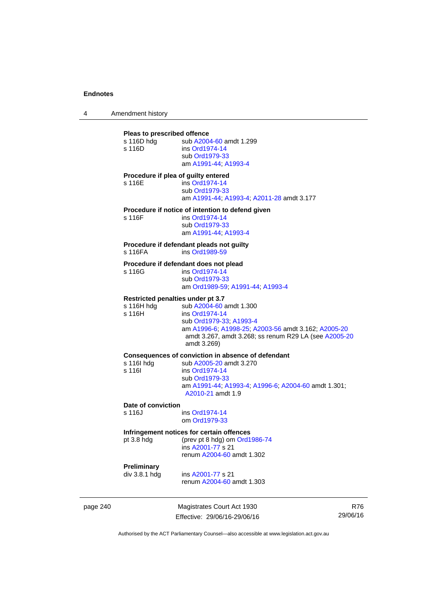4 Amendment history

## page 240 Magistrates Court Act 1930 Effective: 29/06/16-29/06/16 **Pleas to prescribed offence**  s 116D hdg sub [A2004-60](http://www.legislation.act.gov.au/a/2004-60) amdt 1.299 s 116D ins [Ord1974-14](http://www.legislation.act.gov.au/a/1974-14) sub [Ord1979-33](http://www.legislation.act.gov.au/a/1979-33) am [A1991-44](http://www.legislation.act.gov.au/a/1991-44); [A1993-4](http://www.legislation.act.gov.au/a/1993-4) **Procedure if plea of guilty entered**  s 116E ins [Ord1974-14](http://www.legislation.act.gov.au/a/1974-14) sub [Ord1979-33](http://www.legislation.act.gov.au/a/1979-33) am [A1991-44](http://www.legislation.act.gov.au/a/1991-44); [A1993-4](http://www.legislation.act.gov.au/a/1993-4); [A2011-28](http://www.legislation.act.gov.au/a/2011-28) amdt 3.177 **Procedure if notice of intention to defend given**  s 116F ins [Ord1974-14](http://www.legislation.act.gov.au/a/1974-14) sub [Ord1979-33](http://www.legislation.act.gov.au/a/1979-33) am [A1991-44](http://www.legislation.act.gov.au/a/1991-44); [A1993-4](http://www.legislation.act.gov.au/a/1993-4) **Procedure if defendant pleads not guilty**  ins [Ord1989-59](http://www.legislation.act.gov.au/a/1989-59) **Procedure if defendant does not plead**  s 116G ins [Ord1974-14](http://www.legislation.act.gov.au/a/1974-14) sub [Ord1979-33](http://www.legislation.act.gov.au/a/1979-33) am [Ord1989-59](http://www.legislation.act.gov.au/a/1989-59); [A1991-44;](http://www.legislation.act.gov.au/a/1991-44) [A1993-4](http://www.legislation.act.gov.au/a/1993-4) **Restricted penalties under pt 3.7**  s 116H hdg sub [A2004-60](http://www.legislation.act.gov.au/a/2004-60) amdt 1.300<br>s 116H ins Ord1974-14 ins [Ord1974-14](http://www.legislation.act.gov.au/a/1974-14) sub [Ord1979-33](http://www.legislation.act.gov.au/a/1979-33); [A1993-4](http://www.legislation.act.gov.au/a/1993-4) am [A1996-6;](http://www.legislation.act.gov.au/a/1996-6) [A1998-25](http://www.legislation.act.gov.au/a/1998-25); [A2003-56](http://www.legislation.act.gov.au/a/2003-56) amdt 3.162; [A2005-20](http://www.legislation.act.gov.au/a/2005-20) amdt 3.267, amdt 3.268; ss renum R29 LA (see [A2005-20](http://www.legislation.act.gov.au/a/2005-20) amdt 3.269) **Consequences of conviction in absence of defendant**  s 116I hdg sub [A2005-20](http://www.legislation.act.gov.au/a/2005-20) amdt 3.270<br>s 116I ins Ord1974-14 ins [Ord1974-14](http://www.legislation.act.gov.au/a/1974-14) sub [Ord1979-33](http://www.legislation.act.gov.au/a/1979-33) am [A1991-44](http://www.legislation.act.gov.au/a/1991-44); [A1993-4](http://www.legislation.act.gov.au/a/1993-4); [A1996-6](http://www.legislation.act.gov.au/a/1996-6); [A2004-60](http://www.legislation.act.gov.au/a/2004-60) amdt 1.301; [A2010-21](http://www.legislation.act.gov.au/a/2010-21) amdt 1.9 **Date of conviction**  s 116J ins [Ord1974-14](http://www.legislation.act.gov.au/a/1974-14) om [Ord1979-33](http://www.legislation.act.gov.au/a/1979-33) **Infringement notices for certain offences**  pt 3.8 hdg (prev pt 8 hdg) om [Ord1986-74](http://www.legislation.act.gov.au/a/1986-74) ins [A2001-77](http://www.legislation.act.gov.au/a/2001-77) s 21 renum [A2004-60](http://www.legislation.act.gov.au/a/2004-60) amdt 1.302 **Preliminary**  ins [A2001-77](http://www.legislation.act.gov.au/a/2001-77) s 21 renum [A2004-60](http://www.legislation.act.gov.au/a/2004-60) amdt 1.303

Authorised by the ACT Parliamentary Counsel—also accessible at www.legislation.act.gov.au

R76 29/06/16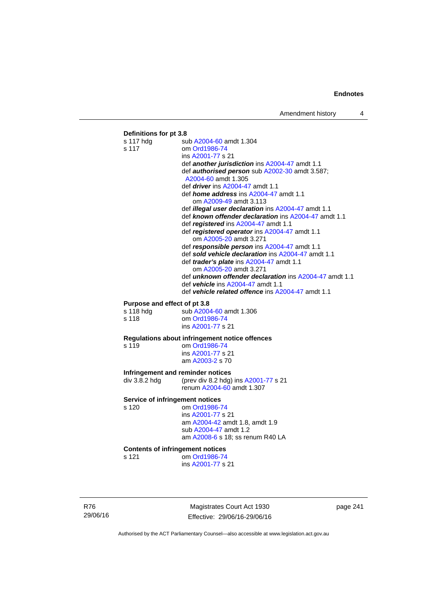## **Definitions for pt 3.8**  s 117 hdg sub [A2004-60](http://www.legislation.act.gov.au/a/2004-60) amdt 1.304 s 117 om [Ord1986-74](http://www.legislation.act.gov.au/a/1986-74) ins [A2001-77](http://www.legislation.act.gov.au/a/2001-77) s 21 def *another jurisdiction* ins [A2004-47](http://www.legislation.act.gov.au/a/2004-47) amdt 1.1 def *authorised person* sub [A2002-30](http://www.legislation.act.gov.au/a/2002-30) amdt 3.587; [A2004-60](http://www.legislation.act.gov.au/a/2004-60) amdt 1.305 def *driver* ins [A2004-47](http://www.legislation.act.gov.au/a/2004-47) amdt 1.1 def *home address* ins [A2004-47](http://www.legislation.act.gov.au/a/2004-47) amdt 1.1 om [A2009-49](http://www.legislation.act.gov.au/a/2009-49) amdt 3.113 def *illegal user declaration* ins [A2004-47](http://www.legislation.act.gov.au/a/2004-47) amdt 1.1 def *known offender declaration* ins [A2004-47](http://www.legislation.act.gov.au/a/2004-47) amdt 1.1 def *registered* ins [A2004-47](http://www.legislation.act.gov.au/a/2004-47) amdt 1.1 def *registered operator* ins [A2004-47](http://www.legislation.act.gov.au/a/2004-47) amdt 1.1 om [A2005-20](http://www.legislation.act.gov.au/a/2005-20) amdt 3.271 def *responsible person* ins [A2004-47](http://www.legislation.act.gov.au/a/2004-47) amdt 1.1 def *sold vehicle declaration* ins [A2004-47](http://www.legislation.act.gov.au/a/2004-47) amdt 1.1 def *trader's plate* ins [A2004-47](http://www.legislation.act.gov.au/a/2004-47) amdt 1.1 om [A2005-20](http://www.legislation.act.gov.au/a/2005-20) amdt 3.271 def *unknown offender declaration* ins [A2004-47](http://www.legislation.act.gov.au/a/2004-47) amdt 1.1 def *vehicle* ins [A2004-47](http://www.legislation.act.gov.au/a/2004-47) amdt 1.1 def *vehicle related offence* ins [A2004-47](http://www.legislation.act.gov.au/a/2004-47) amdt 1.1 **Purpose and effect of pt 3.8**<br>s 118 hdg sub A2004 sub [A2004-60](http://www.legislation.act.gov.au/a/2004-60) amdt 1.306 s 118 om [Ord1986-74](http://www.legislation.act.gov.au/a/1986-74) ins [A2001-77](http://www.legislation.act.gov.au/a/2001-77) s 21 **Regulations about infringement notice offences**  om [Ord1986-74](http://www.legislation.act.gov.au/a/1986-74) ins [A2001-77](http://www.legislation.act.gov.au/a/2001-77) s 21 am [A2003-2](http://www.legislation.act.gov.au/a/2003-2) s 70 **Infringement and reminder notices**<br>div 3.8.2 hdg (prev div 8.2 hdg) (prev div 8.2 hdg) ins  $A2001-77$  s 21 renum [A2004-60](http://www.legislation.act.gov.au/a/2004-60) amdt 1.307 **Service of infringement notices**  s 120 om [Ord1986-74](http://www.legislation.act.gov.au/a/1986-74) ins [A2001-77](http://www.legislation.act.gov.au/a/2001-77) s 21 am [A2004-42](http://www.legislation.act.gov.au/a/2004-42) amdt 1.8, amdt 1.9 sub [A2004-47](http://www.legislation.act.gov.au/a/2004-47) amdt 1.2 am [A2008-6](http://www.legislation.act.gov.au/a/2008-6) s 18; ss renum R40 LA **Contents of infringement notices**  s 121 om [Ord1986-74](http://www.legislation.act.gov.au/a/1986-74) ins [A2001-77](http://www.legislation.act.gov.au/a/2001-77) s 21

R76 29/06/16

Magistrates Court Act 1930 Effective: 29/06/16-29/06/16 page 241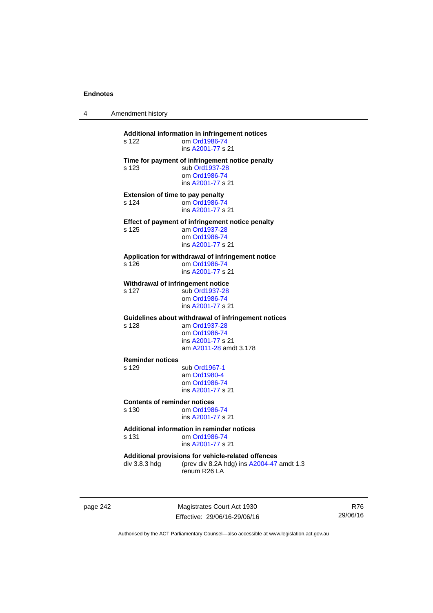4 Amendment history

| s 122                                            | Additional information in infringement notices<br>om Ord1986-74<br>ins A2001-77 s 21                                                 |
|--------------------------------------------------|--------------------------------------------------------------------------------------------------------------------------------------|
| s 123                                            | Time for payment of infringement notice penalty<br>sub Ord1937-28<br>om Ord1986-74<br>ins A2001-77 s 21                              |
| <b>Extension of time to pay penalty</b><br>s 124 | om Ord1986-74<br>ins A2001-77 s 21                                                                                                   |
| s 125                                            | Effect of payment of infringement notice penalty<br>am Ord1937-28<br>om Ord1986-74<br>ins A2001-77 s 21                              |
| s 126                                            | Application for withdrawal of infringement notice<br>om Ord1986-74<br>ins A2001-77 s 21                                              |
| Withdrawal of infringement notice<br>s 127       | sub Ord1937-28<br>om Ord1986-74<br>ins A2001-77 s 21                                                                                 |
| s 128                                            | Guidelines about withdrawal of infringement notices<br>am Ord1937-28<br>om Ord1986-74<br>ins A2001-77 s 21<br>am A2011-28 amdt 3.178 |
| <b>Reminder notices</b><br>s 129                 | sub Ord1967-1<br>am Ord1980-4<br>om Ord1986-74<br>ins A2001-77 s 21                                                                  |
| <b>Contents of reminder notices</b><br>s 130     | om Ord1986-74<br>ins A2001-77 s 21                                                                                                   |
| s 131                                            | Additional information in reminder notices<br>om Ord1986-74<br>ins A2001-77 s 21                                                     |
| div 3.8.3 hdg                                    | Additional provisions for vehicle-related offences<br>(prev div 8.2A hdg) ins A2004-47 amdt 1.3<br>renum R26 LA                      |
|                                                  |                                                                                                                                      |

page 242 Magistrates Court Act 1930 Effective: 29/06/16-29/06/16

R76 29/06/16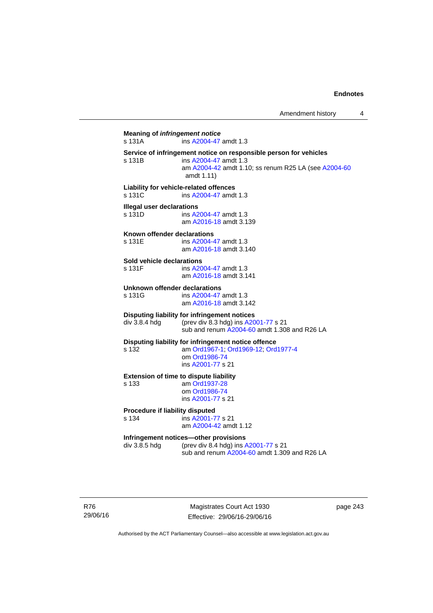**Meaning of** *infringement notice* s 131A ins [A2004-47](http://www.legislation.act.gov.au/a/2004-47) amdt 1.3 **Service of infringement notice on responsible person for vehicles**  ins [A2004-47](http://www.legislation.act.gov.au/a/2004-47) amdt 1.3 am [A2004-42](http://www.legislation.act.gov.au/a/2004-42) amdt 1.10; ss renum R25 LA (see [A2004-60](http://www.legislation.act.gov.au/a/2004-60) amdt 1.11) **Liability for vehicle-related offences**  s 131C ins [A2004-47](http://www.legislation.act.gov.au/a/2004-47) amdt 1.3 **Illegal user declarations**  s 131D ins [A2004-47](http://www.legislation.act.gov.au/a/2004-47) amdt 1.3 am [A2016-18](http://www.legislation.act.gov.au/a/2016-18/default.asp) amdt 3.139 **Known offender declarations**  s 131E ins [A2004-47](http://www.legislation.act.gov.au/a/2004-47) amdt 1.3 am [A2016-18](http://www.legislation.act.gov.au/a/2016-18/default.asp) amdt 3.140 **Sold vehicle declarations**  ins [A2004-47](http://www.legislation.act.gov.au/a/2004-47) amdt 1.3 am [A2016-18](http://www.legislation.act.gov.au/a/2016-18/default.asp) amdt 3.141 **Unknown offender declarations**  s 131G ins [A2004-47](http://www.legislation.act.gov.au/a/2004-47) amdt 1.3 am [A2016-18](http://www.legislation.act.gov.au/a/2016-18/default.asp) amdt 3.142 **Disputing liability for infringement notices**  div 3.8.4 hdg (prev div 8.3 hdg) ins [A2001-77](http://www.legislation.act.gov.au/a/2001-77) s 21 sub and renum [A2004-60](http://www.legislation.act.gov.au/a/2004-60) amdt 1.308 and R26 LA **Disputing liability for infringement notice offence**  s 132 am [Ord1967-1;](http://www.legislation.act.gov.au/a/1967-1) [Ord1969-12](http://www.legislation.act.gov.au/a/1969-12); [Ord1977-4](http://www.legislation.act.gov.au/a/1977-4) om [Ord1986-74](http://www.legislation.act.gov.au/a/1986-74) ins [A2001-77](http://www.legislation.act.gov.au/a/2001-77) s 21 **Extension of time to dispute liability**  s 133 am [Ord1937-28](http://www.legislation.act.gov.au/a/1937-28) om [Ord1986-74](http://www.legislation.act.gov.au/a/1986-74) ins [A2001-77](http://www.legislation.act.gov.au/a/2001-77) s 21 **Procedure if liability disputed**  s 134 ins [A2001-77](http://www.legislation.act.gov.au/a/2001-77) s 21 am [A2004-42](http://www.legislation.act.gov.au/a/2004-42) amdt 1.12 **Infringement notices—other provisions**  div 3.8.5 hdg (prev div 8.4 hdg) ins [A2001-77](http://www.legislation.act.gov.au/a/2001-77) s 21 sub and renum [A2004-60](http://www.legislation.act.gov.au/a/2004-60) amdt 1.309 and R26 LA

R76 29/06/16

Magistrates Court Act 1930 Effective: 29/06/16-29/06/16 page 243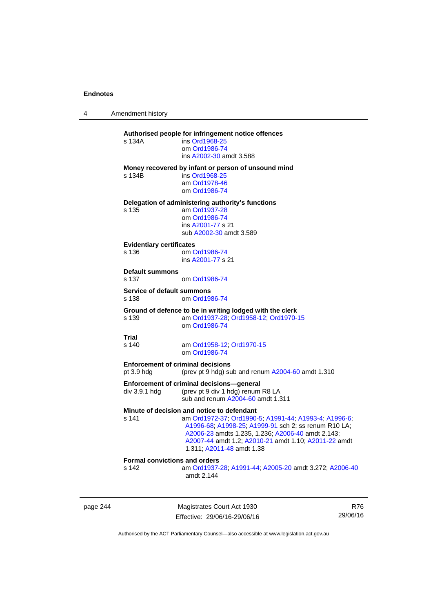4 Amendment history

## **Authorised people for infringement notice offences**  s 134A ins [Ord1968-25](http://www.legislation.act.gov.au/a/1968-25) om [Ord1986-74](http://www.legislation.act.gov.au/a/1986-74) ins [A2002-30](http://www.legislation.act.gov.au/a/2002-30) amdt 3.588 **Money recovered by infant or person of unsound mind**  s 134B ins [Ord1968-25](http://www.legislation.act.gov.au/a/1968-25) am [Ord1978-46](http://www.legislation.act.gov.au/a/1978-46) om [Ord1986-74](http://www.legislation.act.gov.au/a/1986-74) **Delegation of administering authority's functions**  s 135 am [Ord1937-28](http://www.legislation.act.gov.au/a/1937-28) om [Ord1986-74](http://www.legislation.act.gov.au/a/1986-74) ins [A2001-77](http://www.legislation.act.gov.au/a/2001-77) s 21 sub [A2002-30](http://www.legislation.act.gov.au/a/2002-30) amdt 3.589 **Evidentiary certificates**  om [Ord1986-74](http://www.legislation.act.gov.au/a/1986-74) ins [A2001-77](http://www.legislation.act.gov.au/a/2001-77) s 21 **Default summons**  s 137 om [Ord1986-74](http://www.legislation.act.gov.au/a/1986-74) **Service of default summons**<br>s 138 **cm** Ord198 om [Ord1986-74](http://www.legislation.act.gov.au/a/1986-74) **Ground of defence to be in writing lodged with the clerk**  s 139 am [Ord1937-28](http://www.legislation.act.gov.au/a/1937-28); [Ord1958-12;](http://www.legislation.act.gov.au/a/1958-12) [Ord1970-15](http://www.legislation.act.gov.au/a/1970-15) om [Ord1986-74](http://www.legislation.act.gov.au/a/1986-74) **Trial**  s 140 am [Ord1958-12](http://www.legislation.act.gov.au/a/1958-12); [Ord1970-15](http://www.legislation.act.gov.au/a/1970-15) om [Ord1986-74](http://www.legislation.act.gov.au/a/1986-74) **Enforcement of criminal decisions**  pt 3.9 hdg (prev pt 9 hdg) sub and renum [A2004-60](http://www.legislation.act.gov.au/a/2004-60) amdt 1.310 **Enforcement of criminal decisions—general**  div 3.9.1 hdg (prev pt 9 div 1 hdg) renum R8 LA sub and renum [A2004-60](http://www.legislation.act.gov.au/a/2004-60) amdt 1.311 **Minute of decision and notice to defendant**  s 141 am [Ord1972-37](http://www.legislation.act.gov.au/a/1972-37); [Ord1990-5](http://www.legislation.act.gov.au/a/alt_ord1990-5); [A1991-44](http://www.legislation.act.gov.au/a/1991-44); [A1993-4](http://www.legislation.act.gov.au/a/1993-4); [A1996-6](http://www.legislation.act.gov.au/a/1996-6); [A1996-68;](http://www.legislation.act.gov.au/a/1996-68) [A1998-25](http://www.legislation.act.gov.au/a/1998-25); [A1999-91](http://www.legislation.act.gov.au/a/1999-91) sch 2; ss renum R10 LA; [A2006-23](http://www.legislation.act.gov.au/a/2006-23) amdts 1.235, 1.236; [A2006-40](http://www.legislation.act.gov.au/a/2006-40) amdt 2.143; [A2007-44](http://www.legislation.act.gov.au/a/2007-44) amdt 1.2; [A2010-21](http://www.legislation.act.gov.au/a/2010-21) amdt 1.10; [A2011-22](http://www.legislation.act.gov.au/a/2011-22) amdt 1.311; [A2011-48](http://www.legislation.act.gov.au/a/2011-48) amdt 1.38 **Formal convictions and orders**  s 142 am [Ord1937-28](http://www.legislation.act.gov.au/a/1937-28); [A1991-44;](http://www.legislation.act.gov.au/a/1991-44) [A2005-20](http://www.legislation.act.gov.au/a/2005-20) amdt 3.272; [A2006-40](http://www.legislation.act.gov.au/a/2006-40) amdt 2.144

page 244 Magistrates Court Act 1930 Effective: 29/06/16-29/06/16

R76 29/06/16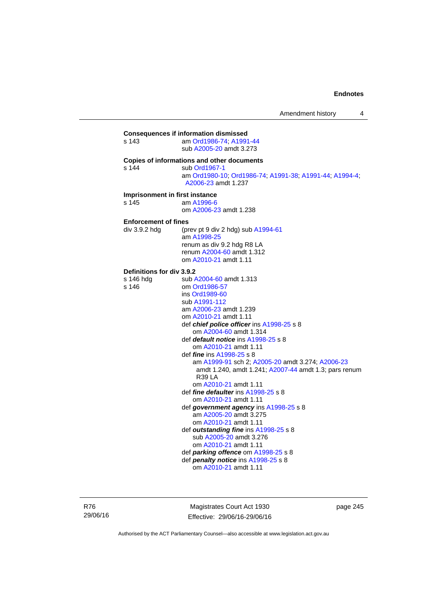## **Consequences if information dismissed**  s 143 am [Ord1986-74](http://www.legislation.act.gov.au/a/1986-74); [A1991-44](http://www.legislation.act.gov.au/a/1991-44) sub [A2005-20](http://www.legislation.act.gov.au/a/2005-20) amdt 3.273 **Copies of informations and other documents**  s 144 sub [Ord1967-1](http://www.legislation.act.gov.au/a/1967-1) am [Ord1980-10](http://www.legislation.act.gov.au/a/1980-10); [Ord1986-74;](http://www.legislation.act.gov.au/a/1986-74) [A1991-38](http://www.legislation.act.gov.au/a/1991-38); [A1991-44](http://www.legislation.act.gov.au/a/1991-44); [A1994-4](http://www.legislation.act.gov.au/a/1994-4); [A2006-23](http://www.legislation.act.gov.au/a/2006-23) amdt 1.237 **Imprisonment in first instance**<br>s 145 am A1996-6 am [A1996-6](http://www.legislation.act.gov.au/a/1996-6) om [A2006-23](http://www.legislation.act.gov.au/a/2006-23) amdt 1.238 **Enforcement of fines**  div 3.9.2 hdg (prev pt 9 div 2 hdg) sub [A1994-61](http://www.legislation.act.gov.au/a/1994-61) am [A1998-25](http://www.legislation.act.gov.au/a/1998-25) renum as div 9.2 hdg R8 LA renum [A2004-60](http://www.legislation.act.gov.au/a/2004-60) amdt 1.312 om [A2010-21](http://www.legislation.act.gov.au/a/2010-21) amdt 1.11 **Definitions for div 3.9.2**  s 146 hdg sub [A2004-60](http://www.legislation.act.gov.au/a/2004-60) amdt 1.313<br>s 146 om Ord1986-57 om [Ord1986-57](http://www.legislation.act.gov.au/a/1986-57) ins [Ord1989-60](http://www.legislation.act.gov.au/a/1989-60) sub [A1991-112](http://www.legislation.act.gov.au/a/1991-112) am [A2006-23](http://www.legislation.act.gov.au/a/2006-23) amdt 1.239 om [A2010-21](http://www.legislation.act.gov.au/a/2010-21) amdt 1.11 def *chief police officer* ins [A1998-25](http://www.legislation.act.gov.au/a/1998-25) s 8 om [A2004-60](http://www.legislation.act.gov.au/a/2004-60) amdt 1.314 def *default notice* ins [A1998-25](http://www.legislation.act.gov.au/a/1998-25) s 8 om [A2010-21](http://www.legislation.act.gov.au/a/2010-21) amdt 1.11 def *fine* ins [A1998-25](http://www.legislation.act.gov.au/a/1998-25) s 8 am [A1999-91](http://www.legislation.act.gov.au/a/1999-91) sch 2; [A2005-20](http://www.legislation.act.gov.au/a/2005-20) amdt 3.274; [A2006-23](http://www.legislation.act.gov.au/a/2006-23) amdt 1.240, amdt 1.241; [A2007-44](http://www.legislation.act.gov.au/a/2007-44) amdt 1.3; pars renum R39 LA om [A2010-21](http://www.legislation.act.gov.au/a/2010-21) amdt 1.11 def *fine defaulter* ins [A1998-25](http://www.legislation.act.gov.au/a/1998-25) s 8 om [A2010-21](http://www.legislation.act.gov.au/a/2010-21) amdt 1.11 def *government agency* ins [A1998-25](http://www.legislation.act.gov.au/a/1998-25) s 8 am [A2005-20](http://www.legislation.act.gov.au/a/2005-20) amdt 3.275 om [A2010-21](http://www.legislation.act.gov.au/a/2010-21) amdt 1.11 def *outstanding fine* ins [A1998-25](http://www.legislation.act.gov.au/a/1998-25) s 8 sub [A2005-20](http://www.legislation.act.gov.au/a/2005-20) amdt 3.276 om [A2010-21](http://www.legislation.act.gov.au/a/2010-21) amdt 1.11 def *parking offence* om [A1998-25](http://www.legislation.act.gov.au/a/1998-25) s 8 def *penalty notice* ins [A1998-25](http://www.legislation.act.gov.au/a/1998-25) s 8 om [A2010-21](http://www.legislation.act.gov.au/a/2010-21) amdt 1.11

R76 29/06/16

Magistrates Court Act 1930 Effective: 29/06/16-29/06/16 page 245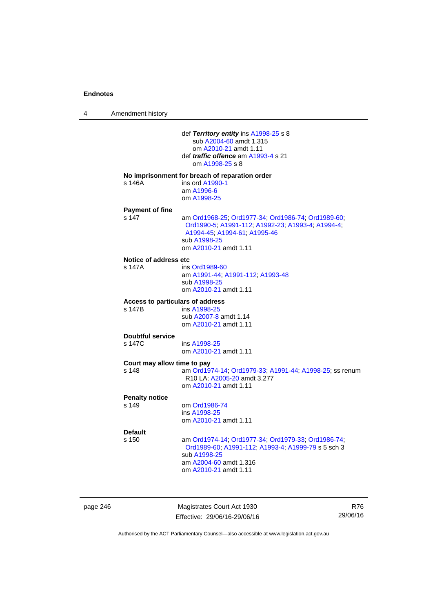4 Amendment history

 def *Territory entity* ins [A1998-25](http://www.legislation.act.gov.au/a/1998-25) s 8 sub [A2004-60](http://www.legislation.act.gov.au/a/2004-60) amdt 1.315 om [A2010-21](http://www.legislation.act.gov.au/a/2010-21) amdt 1.11 def *traffic offence* am [A1993-4](http://www.legislation.act.gov.au/a/1993-4) s 21 om [A1998-25](http://www.legislation.act.gov.au/a/1998-25) s 8 **No imprisonment for breach of reparation order**  s 146A ins ord [A1990-1](http://www.legislation.act.gov.au/a/alt_ord1990-1) am [A1996-6](http://www.legislation.act.gov.au/a/1996-6) om [A1998-25](http://www.legislation.act.gov.au/a/1998-25) **Payment of fine**  s 147 am [Ord1968-25](http://www.legislation.act.gov.au/a/1968-25); [Ord1977-34](http://www.legislation.act.gov.au/a/1977-34); [Ord1986-74](http://www.legislation.act.gov.au/a/1986-74); [Ord1989-60](http://www.legislation.act.gov.au/a/1989-60); [Ord1990-5;](http://www.legislation.act.gov.au/a/alt_ord1990-5) [A1991-112;](http://www.legislation.act.gov.au/a/1991-112) [A1992-23](http://www.legislation.act.gov.au/a/1992-23); [A1993-4](http://www.legislation.act.gov.au/a/1993-4); [A1994-4](http://www.legislation.act.gov.au/a/1994-4); [A1994-45;](http://www.legislation.act.gov.au/a/1994-45) [A1994-61](http://www.legislation.act.gov.au/a/1994-61); [A1995-46](http://www.legislation.act.gov.au/a/1995-46) sub [A1998-25](http://www.legislation.act.gov.au/a/1998-25) om [A2010-21](http://www.legislation.act.gov.au/a/2010-21) amdt 1.11 **Notice of address etc**  s 147A ins [Ord1989-60](http://www.legislation.act.gov.au/a/1989-60) am [A1991-44](http://www.legislation.act.gov.au/a/1991-44); [A1991-112](http://www.legislation.act.gov.au/a/1991-112); [A1993-48](http://www.legislation.act.gov.au/a/1993-48) sub [A1998-25](http://www.legislation.act.gov.au/a/1998-25) om [A2010-21](http://www.legislation.act.gov.au/a/2010-21) amdt 1.11 **Access to particulars of address**  ins [A1998-25](http://www.legislation.act.gov.au/a/1998-25) sub [A2007-8](http://www.legislation.act.gov.au/a/2007-8) amdt 1.14 om [A2010-21](http://www.legislation.act.gov.au/a/2010-21) amdt 1.11 **Doubtful service**  s 147C ins [A1998-25](http://www.legislation.act.gov.au/a/1998-25) om [A2010-21](http://www.legislation.act.gov.au/a/2010-21) amdt 1.11 **Court may allow time to pay**  s 148 am [Ord1974-14](http://www.legislation.act.gov.au/a/1974-14); [Ord1979-33](http://www.legislation.act.gov.au/a/1979-33); [A1991-44](http://www.legislation.act.gov.au/a/1991-44); [A1998-25](http://www.legislation.act.gov.au/a/1998-25); ss renum R10 LA; [A2005-20](http://www.legislation.act.gov.au/a/2005-20) amdt 3.277 om [A2010-21](http://www.legislation.act.gov.au/a/2010-21) amdt 1.11 **Penalty notice**  om [Ord1986-74](http://www.legislation.act.gov.au/a/1986-74) ins [A1998-25](http://www.legislation.act.gov.au/a/1998-25) om [A2010-21](http://www.legislation.act.gov.au/a/2010-21) amdt 1.11 **Default**  s 150 am [Ord1974-14](http://www.legislation.act.gov.au/a/1974-14); [Ord1977-34](http://www.legislation.act.gov.au/a/1977-34); [Ord1979-33](http://www.legislation.act.gov.au/a/1979-33); [Ord1986-74](http://www.legislation.act.gov.au/a/1986-74); [Ord1989-60](http://www.legislation.act.gov.au/a/1989-60); [A1991-112](http://www.legislation.act.gov.au/a/1991-112); [A1993-4](http://www.legislation.act.gov.au/a/1993-4); [A1999-79](http://www.legislation.act.gov.au/a/1999-79) s 5 sch 3 sub [A1998-25](http://www.legislation.act.gov.au/a/1998-25) am [A2004-60](http://www.legislation.act.gov.au/a/2004-60) amdt 1.316 om [A2010-21](http://www.legislation.act.gov.au/a/2010-21) amdt 1.11

page 246 Magistrates Court Act 1930 Effective: 29/06/16-29/06/16

R76 29/06/16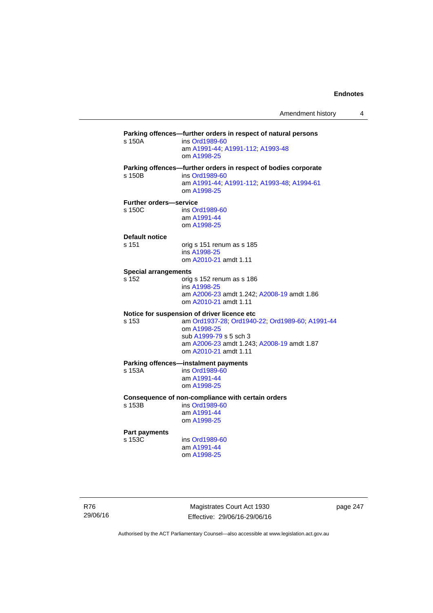**Parking offences—further orders in respect of natural persons**  s 150A ins [Ord1989-60](http://www.legislation.act.gov.au/a/1989-60) am [A1991-44](http://www.legislation.act.gov.au/a/1991-44); [A1991-112](http://www.legislation.act.gov.au/a/1991-112); [A1993-48](http://www.legislation.act.gov.au/a/1993-48) om [A1998-25](http://www.legislation.act.gov.au/a/1998-25) **Parking offences—further orders in respect of bodies corporate**  s 150B ins [Ord1989-60](http://www.legislation.act.gov.au/a/1989-60) am [A1991-44](http://www.legislation.act.gov.au/a/1991-44); [A1991-112](http://www.legislation.act.gov.au/a/1991-112); [A1993-48](http://www.legislation.act.gov.au/a/1993-48); [A1994-61](http://www.legislation.act.gov.au/a/1994-61) om [A1998-25](http://www.legislation.act.gov.au/a/1998-25) **Further orders—service**  s 150C ins [Ord1989-60](http://www.legislation.act.gov.au/a/1989-60) am [A1991-44](http://www.legislation.act.gov.au/a/1991-44) om [A1998-25](http://www.legislation.act.gov.au/a/1998-25) **Default notice**  s 151 orig s 151 renum as s 185 ins [A1998-25](http://www.legislation.act.gov.au/a/1998-25) om [A2010-21](http://www.legislation.act.gov.au/a/2010-21) amdt 1.11 **Special arrangements**  s 152 orig s 152 renum as s 186 ins [A1998-25](http://www.legislation.act.gov.au/a/1998-25) am [A2006-23](http://www.legislation.act.gov.au/a/2006-23) amdt 1.242; [A2008-19](http://www.legislation.act.gov.au/a/2008-19) amdt 1.86 om [A2010-21](http://www.legislation.act.gov.au/a/2010-21) amdt 1.11 **Notice for suspension of driver licence etc**  s 153 am [Ord1937-28](http://www.legislation.act.gov.au/a/1937-28); [Ord1940-22](http://www.legislation.act.gov.au/a/1940-22); [Ord1989-60](http://www.legislation.act.gov.au/a/1989-60); [A1991-44](http://www.legislation.act.gov.au/a/1991-44) om [A1998-25](http://www.legislation.act.gov.au/a/1998-25) sub [A1999-79](http://www.legislation.act.gov.au/a/1999-79) s 5 sch 3 am [A2006-23](http://www.legislation.act.gov.au/a/2006-23) amdt 1.243; [A2008-19](http://www.legislation.act.gov.au/a/2008-19) amdt 1.87 om [A2010-21](http://www.legislation.act.gov.au/a/2010-21) amdt 1.11 **Parking offences—instalment payments**<br>s 153A **ins Ord1989-60** ins [Ord1989-60](http://www.legislation.act.gov.au/a/1989-60) am [A1991-44](http://www.legislation.act.gov.au/a/1991-44) om [A1998-25](http://www.legislation.act.gov.au/a/1998-25) **Consequence of non-compliance with certain orders**  ins [Ord1989-60](http://www.legislation.act.gov.au/a/1989-60) am [A1991-44](http://www.legislation.act.gov.au/a/1991-44) om [A1998-25](http://www.legislation.act.gov.au/a/1998-25) **Part payments**  s 153C ins [Ord1989-60](http://www.legislation.act.gov.au/a/1989-60) am [A1991-44](http://www.legislation.act.gov.au/a/1991-44) om [A1998-25](http://www.legislation.act.gov.au/a/1998-25)

R76 29/06/16

Magistrates Court Act 1930 Effective: 29/06/16-29/06/16 page 247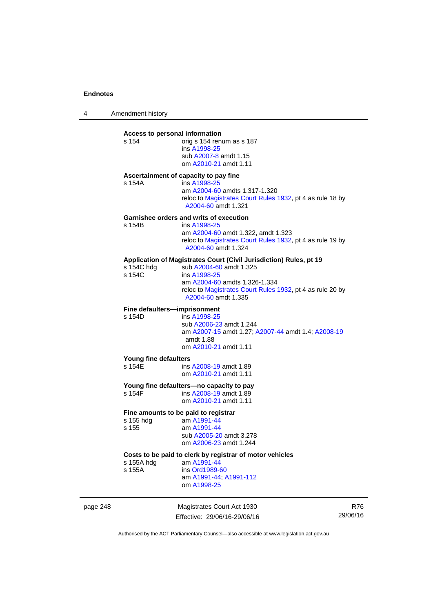4 Amendment history

| s 154                           | Access to personal information<br>orig s 154 renum as s 187<br>ins A1998-25<br>sub A2007-8 amdt 1.15<br>om A2010-21 amdt 1.11                                                                                                      |
|---------------------------------|------------------------------------------------------------------------------------------------------------------------------------------------------------------------------------------------------------------------------------|
| s 154A                          | Ascertainment of capacity to pay fine<br>ins A1998-25<br>am A2004-60 amdts 1.317-1.320<br>reloc to Magistrates Court Rules 1932, pt 4 as rule 18 by<br>A2004-60 amdt 1.321                                                         |
| s 154B                          | <b>Garnishee orders and writs of execution</b><br>ins A1998-25<br>am A2004-60 amdt 1.322, amdt 1.323<br>reloc to Magistrates Court Rules 1932, pt 4 as rule 19 by<br>A2004-60 amdt 1.324                                           |
| s 154C hdg<br>s 154C            | Application of Magistrates Court (Civil Jurisdiction) Rules, pt 19<br>sub A2004-60 amdt 1.325<br>ins A1998-25<br>am A2004-60 amdts 1.326-1.334<br>reloc to Magistrates Court Rules 1932, pt 4 as rule 20 by<br>A2004-60 amdt 1.335 |
| s 154D                          | Fine defaulters-imprisonment<br>ins A1998-25<br>sub A2006-23 amdt 1.244<br>am A2007-15 amdt 1.27; A2007-44 amdt 1.4; A2008-19<br>amdt 1.88<br>om A2010-21 amdt 1.11                                                                |
| Young fine defaulters<br>s 154E | ins A2008-19 amdt 1.89<br>om A2010-21 amdt 1.11                                                                                                                                                                                    |
| s 154F                          | Young fine defaulters-no capacity to pay<br>ins A2008-19 amdt 1.89<br>om A2010-21 amdt 1.11                                                                                                                                        |
| s 155 hdg<br>s 155              | Fine amounts to be paid to registrar<br>am A1991-44<br>am A1991-44<br>sub A2005-20 amdt 3.278<br>om A2006-23 amdt 1.244                                                                                                            |
| s 155A hdg<br>s 155A            | Costs to be paid to clerk by registrar of motor vehicles<br>am A1991-44<br>ins Ord1989-60<br>am A1991-44; A1991-112<br>om A1998-25                                                                                                 |

page 248 Magistrates Court Act 1930 Effective: 29/06/16-29/06/16

R76 29/06/16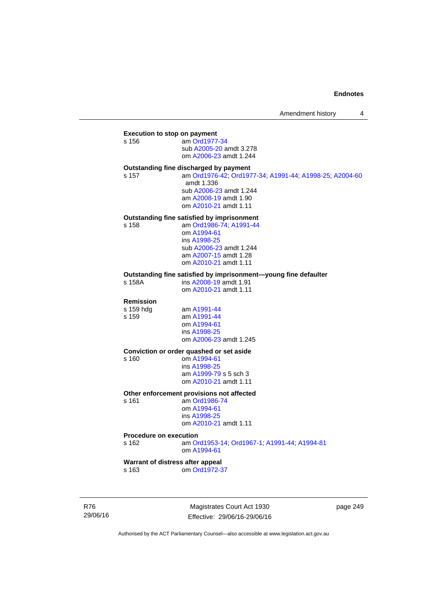## **Execution to stop on payment**

s 156 am [Ord1977-34](http://www.legislation.act.gov.au/a/1977-34) sub [A2005-20](http://www.legislation.act.gov.au/a/2005-20) amdt 3.278 om [A2006-23](http://www.legislation.act.gov.au/a/2006-23) amdt 1.244

## **Outstanding fine discharged by payment**

s 157 am [Ord1976-42](http://www.legislation.act.gov.au/a/1976-42); [Ord1977-34](http://www.legislation.act.gov.au/a/1977-34); [A1991-44](http://www.legislation.act.gov.au/a/1991-44); [A1998-25](http://www.legislation.act.gov.au/a/1998-25); [A2004-60](http://www.legislation.act.gov.au/a/2004-60) amdt 1.336 sub [A2006-23](http://www.legislation.act.gov.au/a/2006-23) amdt 1.244 am [A2008-19](http://www.legislation.act.gov.au/a/2008-19) amdt 1.90

om [A2010-21](http://www.legislation.act.gov.au/a/2010-21) amdt 1.11

## **Outstanding fine satisfied by imprisonment**

s 158 am [Ord1986-74](http://www.legislation.act.gov.au/a/1986-74); [A1991-44](http://www.legislation.act.gov.au/a/1991-44) om [A1994-61](http://www.legislation.act.gov.au/a/1994-61) ins [A1998-25](http://www.legislation.act.gov.au/a/1998-25) sub [A2006-23](http://www.legislation.act.gov.au/a/2006-23) amdt 1.244 am [A2007-15](http://www.legislation.act.gov.au/a/2007-15) amdt 1.28 om [A2010-21](http://www.legislation.act.gov.au/a/2010-21) amdt 1.11

## **Outstanding fine satisfied by imprisonment—young fine defaulter**

ins [A2008-19](http://www.legislation.act.gov.au/a/2008-19) amdt 1.91 om [A2010-21](http://www.legislation.act.gov.au/a/2010-21) amdt 1.11

#### **Remission**

s 159 hdg am [A1991-44](http://www.legislation.act.gov.au/a/1991-44) s 159 am [A1991-44](http://www.legislation.act.gov.au/a/1991-44) om [A1994-61](http://www.legislation.act.gov.au/a/1994-61) ins [A1998-25](http://www.legislation.act.gov.au/a/1998-25) om [A2006-23](http://www.legislation.act.gov.au/a/2006-23) amdt 1.245

#### **Conviction or order quashed or set aside**

s 160 om [A1994-61](http://www.legislation.act.gov.au/a/1994-61) ins [A1998-25](http://www.legislation.act.gov.au/a/1998-25) am [A1999-79](http://www.legislation.act.gov.au/a/1999-79) s 5 sch 3 om [A2010-21](http://www.legislation.act.gov.au/a/2010-21) amdt 1.11

## **Other enforcement provisions not affected**

s 161 am [Ord1986-74](http://www.legislation.act.gov.au/a/1986-74) om [A1994-61](http://www.legislation.act.gov.au/a/1994-61) ins [A1998-25](http://www.legislation.act.gov.au/a/1998-25) om [A2010-21](http://www.legislation.act.gov.au/a/2010-21) amdt 1.11

#### **Procedure on execution**

s 162 am [Ord1953-14](http://www.legislation.act.gov.au/a/1953-14); [Ord1967-1](http://www.legislation.act.gov.au/a/1967-1); [A1991-44](http://www.legislation.act.gov.au/a/1991-44); [A1994-81](http://www.legislation.act.gov.au/a/1994-81) om [A1994-61](http://www.legislation.act.gov.au/a/1994-61)

## **Warrant of distress after appeal**

s 163 om [Ord1972-37](http://www.legislation.act.gov.au/a/1972-37)

R76 29/06/16

Magistrates Court Act 1930 Effective: 29/06/16-29/06/16 page 249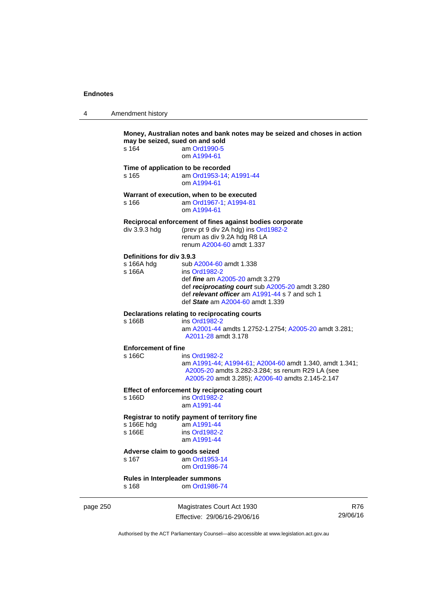| 4 | Amendment history                                 |                                                                                                                                                                                                                             |
|---|---------------------------------------------------|-----------------------------------------------------------------------------------------------------------------------------------------------------------------------------------------------------------------------------|
|   | may be seized, sued on and sold<br>s 164          | Money, Australian notes and bank notes may be seized and choses in action<br>am Ord1990-5<br>om A1994-61                                                                                                                    |
|   | s 165                                             | Time of application to be recorded<br>am Ord1953-14; A1991-44<br>om A1994-61                                                                                                                                                |
|   | s 166                                             | Warrant of execution, when to be executed<br>am Ord1967-1; A1994-81<br>om A1994-61                                                                                                                                          |
|   | div 3.9.3 hdg                                     | Reciprocal enforcement of fines against bodies corporate<br>(prev pt 9 div 2A hdg) ins Ord1982-2<br>renum as div 9.2A hdg R8 LA<br>renum A2004-60 amdt 1.337                                                                |
|   | Definitions for div 3.9.3<br>s 166A hdg<br>s 166A | sub A2004-60 amdt 1.338<br>ins Ord1982-2<br>def <i>fine</i> am A2005-20 amdt 3.279<br>def reciprocating court sub A2005-20 amdt 3.280<br>def relevant officer am A1991-44 s 7 and sch 1<br>def State am A2004-60 amdt 1.339 |
|   | s 166B                                            | Declarations relating to reciprocating courts<br>ins Ord1982-2<br>am A2001-44 amdts 1.2752-1.2754; A2005-20 amdt 3.281;<br>A2011-28 amdt 3.178                                                                              |
|   | <b>Enforcement of fine</b><br>s 166C              | ins Ord1982-2<br>am A1991-44; A1994-61; A2004-60 amdt 1.340, amdt 1.341;<br>A2005-20 amdts 3.282-3.284; ss renum R29 LA (see<br>A2005-20 amdt 3.285); A2006-40 amdts 2.145-2.147                                            |
|   | s 166D                                            | Effect of enforcement by reciprocating court<br>ins Ord1982-2<br>am A1991-44                                                                                                                                                |
|   | s 166E hdg<br>s 166E                              | Registrar to notify payment of territory fine<br>am A1991-44<br>ins Ord1982-2<br>am A1991-44                                                                                                                                |
|   | Advence elebrate pende estend                     |                                                                                                                                                                                                                             |

#### **Adverse claim to goods seized**  s 167 am [Ord1953-14](http://www.legislation.act.gov.au/a/1953-14)

om [Ord1986-74](http://www.legislation.act.gov.au/a/1986-74)

#### **Rules in Interpleader summons**  om [Ord1986-74](http://www.legislation.act.gov.au/a/1986-74)

page 250 Magistrates Court Act 1930 Effective: 29/06/16-29/06/16

R76 29/06/16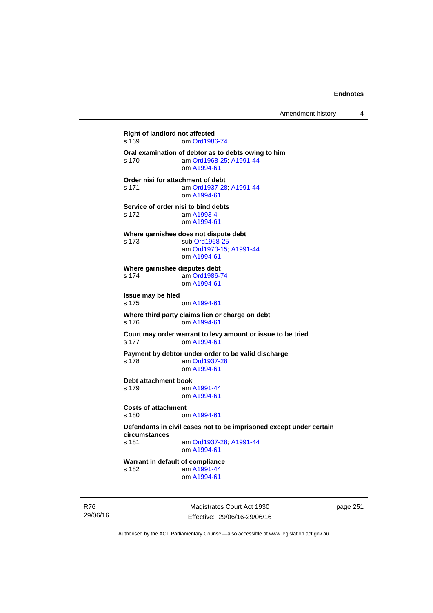**Right of landlord not affected**  s 169 om [Ord1986-74](http://www.legislation.act.gov.au/a/1986-74) **Oral examination of debtor as to debts owing to him**  s 170 am [Ord1968-25](http://www.legislation.act.gov.au/a/1968-25); [A1991-44](http://www.legislation.act.gov.au/a/1991-44) om [A1994-61](http://www.legislation.act.gov.au/a/1994-61) **Order nisi for attachment of debt**  s 171 am [Ord1937-28](http://www.legislation.act.gov.au/a/1937-28); [A1991-44](http://www.legislation.act.gov.au/a/1991-44) om [A1994-61](http://www.legislation.act.gov.au/a/1994-61) **Service of order nisi to bind debts**  s 172 am [A1993-4](http://www.legislation.act.gov.au/a/1993-4) om [A1994-61](http://www.legislation.act.gov.au/a/1994-61) **Where garnishee does not dispute debt**  s 173 sub [Ord1968-25](http://www.legislation.act.gov.au/a/1968-25) am [Ord1970-15](http://www.legislation.act.gov.au/a/1970-15); [A1991-44](http://www.legislation.act.gov.au/a/1991-44) om [A1994-61](http://www.legislation.act.gov.au/a/1994-61) **Where garnishee disputes debt**  s 174 am [Ord1986-74](http://www.legislation.act.gov.au/a/1986-74) om [A1994-61](http://www.legislation.act.gov.au/a/1994-61) **Issue may be filed**  s 175 om [A1994-61](http://www.legislation.act.gov.au/a/1994-61) **Where third party claims lien or charge on debt**  s 176 om [A1994-61](http://www.legislation.act.gov.au/a/1994-61) **Court may order warrant to levy amount or issue to be tried**  s 177 om [A1994-61](http://www.legislation.act.gov.au/a/1994-61) **Payment by debtor under order to be valid discharge**  s 178 am [Ord1937-28](http://www.legislation.act.gov.au/a/1937-28) om [A1994-61](http://www.legislation.act.gov.au/a/1994-61) **Debt attachment book**  s 179 am [A1991-44](http://www.legislation.act.gov.au/a/1991-44) om [A1994-61](http://www.legislation.act.gov.au/a/1994-61) **Costs of attachment**  s 180 om [A1994-61](http://www.legislation.act.gov.au/a/1994-61) **Defendants in civil cases not to be imprisoned except under certain circumstances**  am [Ord1937-28](http://www.legislation.act.gov.au/a/1937-28); [A1991-44](http://www.legislation.act.gov.au/a/1991-44) om [A1994-61](http://www.legislation.act.gov.au/a/1994-61) **Warrant in default of compliance**  s 182 am [A1991-44](http://www.legislation.act.gov.au/a/1991-44) om [A1994-61](http://www.legislation.act.gov.au/a/1994-61)

R76 29/06/16

Magistrates Court Act 1930 Effective: 29/06/16-29/06/16 page 251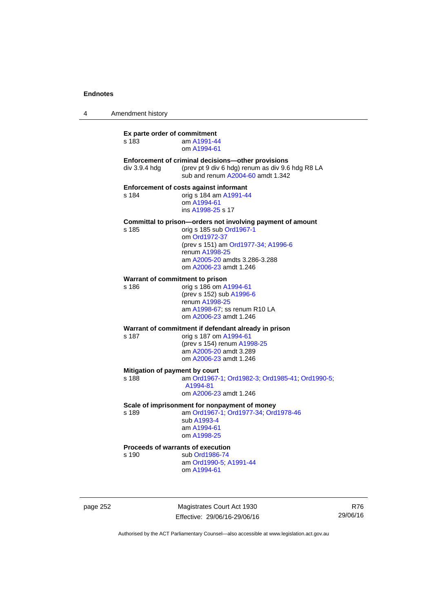| 4 | Amendment history                          |                                                                                                                                                                                                                             |
|---|--------------------------------------------|-----------------------------------------------------------------------------------------------------------------------------------------------------------------------------------------------------------------------------|
|   | Ex parte order of commitment<br>s 183      | am A1991-44<br>om A1994-61                                                                                                                                                                                                  |
|   | $div$ 3.9.4 $hdg$                          | Enforcement of criminal decisions-other provisions<br>(prev pt 9 div 6 hdg) renum as div 9.6 hdg R8 LA<br>sub and renum A2004-60 amdt 1.342                                                                                 |
|   | s 184                                      | <b>Enforcement of costs against informant</b><br>orig s 184 am A1991-44<br>om A1994-61<br>ins A1998-25 s 17                                                                                                                 |
|   | s 185                                      | Committal to prison-orders not involving payment of amount<br>orig s 185 sub Ord1967-1<br>om Ord1972-37<br>(prev s 151) am Ord1977-34; A1996-6<br>renum A1998-25<br>am A2005-20 amdts 3.286-3.288<br>om A2006-23 amdt 1.246 |
|   | Warrant of commitment to prison<br>s 186   | orig s 186 om A1994-61<br>(prev s 152) sub A1996-6<br>renum A1998-25<br>am A1998-67; ss renum R10 LA<br>om A2006-23 amdt 1.246                                                                                              |
|   | s 187                                      | Warrant of commitment if defendant already in prison<br>orig s 187 om A1994-61<br>(prev s 154) renum A1998-25<br>am A2005-20 amdt 3.289<br>om A2006-23 amdt 1.246                                                           |
|   | Mitigation of payment by court<br>s 188    | am Ord1967-1, Ord1982-3, Ord1985-41, Ord1990-5,<br>A1994-81<br>om A2006-23 amdt 1.246                                                                                                                                       |
|   | s 189                                      | Scale of imprisonment for nonpayment of money<br>am Ord1967-1; Ord1977-34; Ord1978-46<br>sub A1993-4<br>am A1994-61<br>om A1998-25                                                                                          |
|   | Proceeds of warrants of execution<br>s 190 | sub Ord1986-74<br>am Ord1990-5; A1991-44<br>om A1994-61                                                                                                                                                                     |

page 252 Magistrates Court Act 1930 Effective: 29/06/16-29/06/16

R76 29/06/16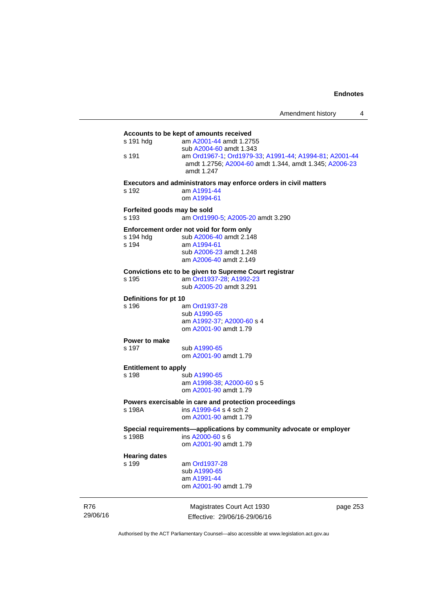|            | s 191 hdg                     | Accounts to be kept of amounts received<br>am A2001-44 amdt 1.2755                      |          |  |  |
|------------|-------------------------------|-----------------------------------------------------------------------------------------|----------|--|--|
|            |                               | sub A2004-60 amdt 1.343                                                                 |          |  |  |
|            | s 191                         | am Ord1967-1, Ord1979-33, A1991-44, A1994-81, A2001-44                                  |          |  |  |
|            |                               | amdt 1.2756; A2004-60 amdt 1.344, amdt 1.345; A2006-23                                  |          |  |  |
|            |                               | amdt 1.247                                                                              |          |  |  |
|            |                               | Executors and administrators may enforce orders in civil matters                        |          |  |  |
|            | s 192                         | am A1991-44                                                                             |          |  |  |
|            |                               | om A1994-61                                                                             |          |  |  |
|            | Forfeited goods may be sold   |                                                                                         |          |  |  |
|            | s 193                         | am Ord1990-5; A2005-20 amdt 3.290                                                       |          |  |  |
|            |                               | Enforcement order not void for form only                                                |          |  |  |
|            | s 194 hdg                     | sub A2006-40 amdt 2.148                                                                 |          |  |  |
|            | s 194                         | am A1994-61<br>sub A2006-23 amdt 1.248                                                  |          |  |  |
|            |                               | am A2006-40 amdt 2.149                                                                  |          |  |  |
|            |                               |                                                                                         |          |  |  |
|            | s 195                         | Convictions etc to be given to Supreme Court registrar<br>am Ord1937-28; A1992-23       |          |  |  |
|            |                               | sub A2005-20 amdt 3.291                                                                 |          |  |  |
|            | Definitions for pt 10         |                                                                                         |          |  |  |
|            | s 196                         | am Ord1937-28                                                                           |          |  |  |
|            |                               | sub A1990-65                                                                            |          |  |  |
|            |                               | am A1992-37; A2000-60 s 4                                                               |          |  |  |
|            |                               | om A2001-90 amdt 1.79                                                                   |          |  |  |
|            | Power to make                 |                                                                                         |          |  |  |
|            | s 197                         | sub A1990-65                                                                            |          |  |  |
|            |                               | om A2001-90 amdt 1.79                                                                   |          |  |  |
|            | <b>Entitlement to apply</b>   |                                                                                         |          |  |  |
|            | s 198                         | sub A1990-65                                                                            |          |  |  |
|            |                               | am A1998-38; A2000-60 s 5<br>om A2001-90 amdt 1.79                                      |          |  |  |
|            |                               |                                                                                         |          |  |  |
|            |                               | Powers exercisable in care and protection proceedings<br>ins A1999-64 s 4 sch 2         |          |  |  |
|            | s 198A                        | om A2001-90 amdt 1.79                                                                   |          |  |  |
|            |                               |                                                                                         |          |  |  |
|            | s 198B                        | Special requirements-applications by community advocate or employer<br>ins A2000-60 s 6 |          |  |  |
|            |                               | om A2001-90 amdt 1.79                                                                   |          |  |  |
|            |                               |                                                                                         |          |  |  |
|            | <b>Hearing dates</b><br>s 199 | am Ord1937-28                                                                           |          |  |  |
|            |                               | sub A1990-65                                                                            |          |  |  |
|            |                               | am A1991-44                                                                             |          |  |  |
|            |                               | om A2001-90 amdt 1.79                                                                   |          |  |  |
| <b>R76</b> |                               | Magistrates Court Act 1930                                                              | page 253 |  |  |
| 29/06/16   |                               | Effective: 29/06/16-29/06/16                                                            |          |  |  |

Authorised by the ACT Parliamentary Counsel—also accessible at www.legislation.act.gov.au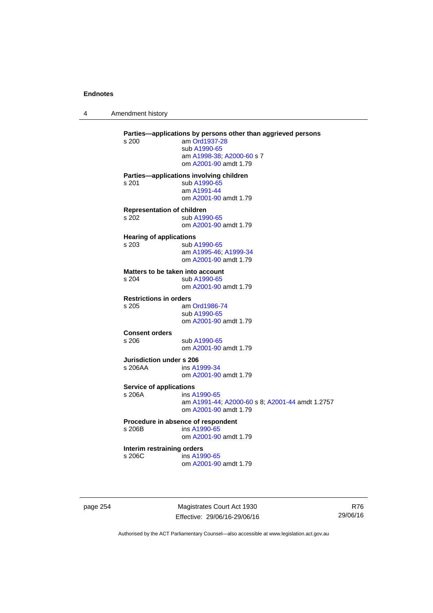4 Amendment history

| s 200                                      | Parties-applications by persons other than aggrieved persons<br>am Ord1937-28<br>sub A1990-65<br>am A1998-38; A2000-60 s 7<br>om A2001-90 amdt 1.79 |
|--------------------------------------------|-----------------------------------------------------------------------------------------------------------------------------------------------------|
| s 201                                      | Parties-applications involving children<br>sub A1990-65<br>am A1991-44<br>om A2001-90 amdt 1.79                                                     |
| <b>Representation of children</b><br>s.202 | sub A1990-65<br>om A2001-90 amdt 1.79                                                                                                               |
| <b>Hearing of applications</b><br>s 203    | sub A1990-65<br>am A1995-46; A1999-34<br>om A2001-90 amdt 1.79                                                                                      |
| s.204                                      | Matters to be taken into account<br>sub A1990-65<br>om A2001-90 amdt 1.79                                                                           |
| <b>Restrictions in orders</b><br>s 205     | am Ord1986-74<br>sub A1990-65<br>om A2001-90 amdt 1.79                                                                                              |
| <b>Consent orders</b><br>s 206             | sub A1990-65<br>om A2001-90 amdt 1.79                                                                                                               |
| Jurisdiction under s 206<br>s 206AA        | ins A1999-34<br>om A2001-90 amdt 1.79                                                                                                               |
| <b>Service of applications</b><br>s 206A   | ins A1990-65<br>am A1991-44; A2000-60 s 8; A2001-44 amdt 1.2757<br>om A2001-90 amdt 1.79                                                            |
| s 206B                                     | Procedure in absence of respondent<br>ins A1990-65<br>om A2001-90 amdt 1.79                                                                         |
| Interim restraining orders<br>s 206C       | ins A1990-65<br>om A2001-90 amdt 1.79                                                                                                               |
|                                            |                                                                                                                                                     |

page 254 Magistrates Court Act 1930 Effective: 29/06/16-29/06/16

R76 29/06/16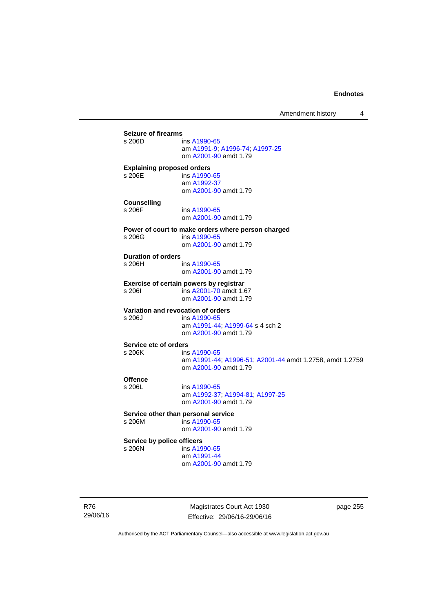Amendment history 4

**Seizure of firearms**  ins [A1990-65](http://www.legislation.act.gov.au/a/1990-65) am [A1991-9;](http://www.legislation.act.gov.au/a/1991-9) [A1996-74](http://www.legislation.act.gov.au/a/1996-74); [A1997-25](http://www.legislation.act.gov.au/a/1997-25) om [A2001-90](http://www.legislation.act.gov.au/a/2001-90) amdt 1.79 **Explaining proposed orders**  s 206E ins [A1990-65](http://www.legislation.act.gov.au/a/1990-65) am [A1992-37](http://www.legislation.act.gov.au/a/1992-37) om [A2001-90](http://www.legislation.act.gov.au/a/2001-90) amdt 1.79 **Counselling**  s 206F ins [A1990-65](http://www.legislation.act.gov.au/a/1990-65) om [A2001-90](http://www.legislation.act.gov.au/a/2001-90) amdt 1.79 **Power of court to make orders where person charged**  s 206G ins [A1990-65](http://www.legislation.act.gov.au/a/1990-65) om [A2001-90](http://www.legislation.act.gov.au/a/2001-90) amdt 1.79 **Duration of orders**  ins [A1990-65](http://www.legislation.act.gov.au/a/1990-65) om [A2001-90](http://www.legislation.act.gov.au/a/2001-90) amdt 1.79 **Exercise of certain powers by registrar**<br>s 206l **ins A2001-70** amdt 1.6 s 206I ins [A2001-70](http://www.legislation.act.gov.au/a/2001-70) amdt 1.67 om [A2001-90](http://www.legislation.act.gov.au/a/2001-90) amdt 1.79 **Variation and revocation of orders**  s 206J ins [A1990-65](http://www.legislation.act.gov.au/a/1990-65) am [A1991-44](http://www.legislation.act.gov.au/a/1991-44); [A1999-64](http://www.legislation.act.gov.au/a/1999-64) s 4 sch 2 om [A2001-90](http://www.legislation.act.gov.au/a/2001-90) amdt 1.79 **Service etc of orders**<br>s 206K **ins** ins [A1990-65](http://www.legislation.act.gov.au/a/1990-65) am [A1991-44](http://www.legislation.act.gov.au/a/1991-44); [A1996-51](http://www.legislation.act.gov.au/a/1996-51); [A2001-44](http://www.legislation.act.gov.au/a/2001-44) amdt 1.2758, amdt 1.2759 om [A2001-90](http://www.legislation.act.gov.au/a/2001-90) amdt 1.79 Offence<br>s 206L ins [A1990-65](http://www.legislation.act.gov.au/a/1990-65) am [A1992-37](http://www.legislation.act.gov.au/a/1992-37); [A1994-81](http://www.legislation.act.gov.au/a/1994-81); [A1997-25](http://www.legislation.act.gov.au/a/1997-25) om [A2001-90](http://www.legislation.act.gov.au/a/2001-90) amdt 1.79 **Service other than personal service**<br>s 206M ins A1990-65  $ins A1990-65$  $ins A1990-65$  om [A2001-90](http://www.legislation.act.gov.au/a/2001-90) amdt 1.79 **Service by police officers**  s 206N ins [A1990-65](http://www.legislation.act.gov.au/a/1990-65) am [A1991-44](http://www.legislation.act.gov.au/a/1991-44) om [A2001-90](http://www.legislation.act.gov.au/a/2001-90) amdt 1.79

R76 29/06/16

Magistrates Court Act 1930 Effective: 29/06/16-29/06/16 page 255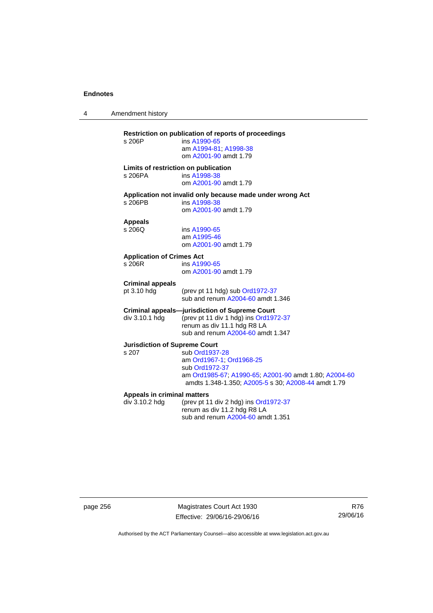4 Amendment history

| s 206P                                        | Restriction on publication of reports of proceedings<br>ins A1990-65<br>am A1994-81; A1998-38<br>om A2001-90 amdt 1.79                                                       |
|-----------------------------------------------|------------------------------------------------------------------------------------------------------------------------------------------------------------------------------|
| s 206PA                                       | Limits of restriction on publication<br>ins A1998-38<br>om A2001-90 amdt 1.79                                                                                                |
| s 206PB                                       | Application not invalid only because made under wrong Act<br>ins A1998-38<br>om A2001-90 amdt 1.79                                                                           |
| <b>Appeals</b><br>s 206Q                      | ins A1990-65<br>am A1995-46<br>om A2001-90 amdt 1.79                                                                                                                         |
| <b>Application of Crimes Act</b><br>s 206R    | ins A1990-65<br>om A2001-90 amdt 1.79                                                                                                                                        |
| <b>Criminal appeals</b><br>pt 3.10 hdg        | (prev pt 11 hdg) sub Ord1972-37<br>sub and renum A2004-60 amdt 1.346                                                                                                         |
| div 3.10.1 hdg                                | <b>Criminal appeals--jurisdiction of Supreme Court</b><br>(prev pt 11 div 1 hdg) ins Ord1972-37<br>renum as div 11.1 hdg R8 LA<br>sub and renum A2004-60 amdt 1.347          |
| <b>Jurisdiction of Supreme Court</b><br>s.207 | sub Ord1937-28<br>am Ord1967-1; Ord1968-25<br>sub Ord1972-37<br>am Ord1985-67; A1990-65; A2001-90 amdt 1.80; A2004-60<br>amdts 1.348-1.350; A2005-5 s 30; A2008-44 amdt 1.79 |
| Appeals in criminal matters<br>div 3.10.2 hdg | (prev pt 11 div 2 hdg) ins Ord1972-37<br>renum as div 11.2 hdg R8 LA<br>sub and renum A2004-60 amdt 1.351                                                                    |

page 256 Magistrates Court Act 1930 Effective: 29/06/16-29/06/16

R76 29/06/16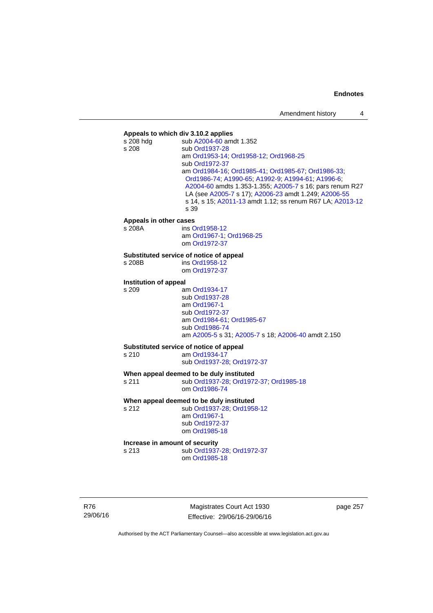## **Appeals to which div 3.10.2 applies**  sub [A2004-60](http://www.legislation.act.gov.au/a/2004-60) amdt 1.352 s 208 sub [Ord1937-28](http://www.legislation.act.gov.au/a/1937-28) am [Ord1953-14](http://www.legislation.act.gov.au/a/1953-14); [Ord1958-12;](http://www.legislation.act.gov.au/a/1958-12) [Ord1968-25](http://www.legislation.act.gov.au/a/1968-25) sub [Ord1972-37](http://www.legislation.act.gov.au/a/1972-37) am [Ord1984-16](http://www.legislation.act.gov.au/a/1984-16); [Ord1985-41;](http://www.legislation.act.gov.au/a/1985-41) [Ord1985-67](http://www.legislation.act.gov.au/a/1985-67); [Ord1986-33](http://www.legislation.act.gov.au/a/1986-33); [Ord1986-74;](http://www.legislation.act.gov.au/a/1986-74) [A1990-65;](http://www.legislation.act.gov.au/a/1990-65) [A1992-9](http://www.legislation.act.gov.au/a/1992-9); [A1994-61](http://www.legislation.act.gov.au/a/1994-61); [A1996-6](http://www.legislation.act.gov.au/a/1996-6); [A2004-60](http://www.legislation.act.gov.au/a/2004-60) amdts 1.353-1.355; [A2005-7](http://www.legislation.act.gov.au/a/2005-7) s 16; pars renum R27 LA (see [A2005-7](http://www.legislation.act.gov.au/a/2005-7) s 17); [A2006-23](http://www.legislation.act.gov.au/a/2006-23) amdt 1.249; [A2006-55](http://www.legislation.act.gov.au/a/2006-55) s 14, s 15; [A2011-13](http://www.legislation.act.gov.au/a/2011-13) amdt 1.12; ss renum R67 LA; [A2013-12](http://www.legislation.act.gov.au/a/2013-12) s 39 **Appeals in other cases**  s 208A ins [Ord1958-12](http://www.legislation.act.gov.au/a/1958-12) am [Ord1967-1;](http://www.legislation.act.gov.au/a/1967-1) [Ord1968-25](http://www.legislation.act.gov.au/a/1968-25) om [Ord1972-37](http://www.legislation.act.gov.au/a/1972-37) **Substituted service of notice of appeal**  s 208B ins [Ord1958-12](http://www.legislation.act.gov.au/a/1958-12) om [Ord1972-37](http://www.legislation.act.gov.au/a/1972-37) **Institution of appeal**  s 209 am [Ord1934-17](http://www.legislation.act.gov.au/a/1934-17) sub [Ord1937-28](http://www.legislation.act.gov.au/a/1937-28) am [Ord1967-1](http://www.legislation.act.gov.au/a/1967-1) sub [Ord1972-37](http://www.legislation.act.gov.au/a/1972-37) am [Ord1984-61;](http://www.legislation.act.gov.au/a/1984-61) [Ord1985-67](http://www.legislation.act.gov.au/a/1985-67) sub [Ord1986-74](http://www.legislation.act.gov.au/a/1986-74) am [A2005-5](http://www.legislation.act.gov.au/a/2005-5) s 31; [A2005-7](http://www.legislation.act.gov.au/a/2005-7) s 18; [A2006-40](http://www.legislation.act.gov.au/a/2006-40) amdt 2.150 **Substituted service of notice of appeal**  s 210 am [Ord1934-17](http://www.legislation.act.gov.au/a/1934-17) sub [Ord1937-28](http://www.legislation.act.gov.au/a/1937-28); [Ord1972-37](http://www.legislation.act.gov.au/a/1972-37) **When appeal deemed to be duly instituted**  s 211 sub [Ord1937-28](http://www.legislation.act.gov.au/a/1937-28); [Ord1972-37](http://www.legislation.act.gov.au/a/1972-37); [Ord1985-18](http://www.legislation.act.gov.au/a/1985-18) om [Ord1986-74](http://www.legislation.act.gov.au/a/1986-74) **When appeal deemed to be duly instituted**  s 212 sub [Ord1937-28](http://www.legislation.act.gov.au/a/1937-28); [Ord1958-12](http://www.legislation.act.gov.au/a/1958-12) am [Ord1967-1](http://www.legislation.act.gov.au/a/1967-1) sub [Ord1972-37](http://www.legislation.act.gov.au/a/1972-37) om [Ord1985-18](http://www.legislation.act.gov.au/a/1985-18) **Increase in amount of security**  s 213 sub [Ord1937-28](http://www.legislation.act.gov.au/a/1937-28); [Ord1972-37](http://www.legislation.act.gov.au/a/1972-37) om [Ord1985-18](http://www.legislation.act.gov.au/a/1985-18)

R76 29/06/16

Magistrates Court Act 1930 Effective: 29/06/16-29/06/16 page 257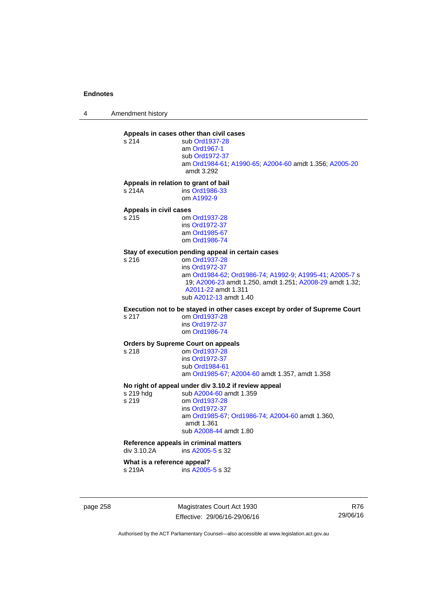4 Amendment history

## **Appeals in cases other than civil cases**

s 214 sub [Ord1937-28](http://www.legislation.act.gov.au/a/1937-28) am [Ord1967-1](http://www.legislation.act.gov.au/a/1967-1) sub [Ord1972-37](http://www.legislation.act.gov.au/a/1972-37) am [Ord1984-61](http://www.legislation.act.gov.au/a/1984-61); [A1990-65;](http://www.legislation.act.gov.au/a/1990-65) [A2004-60](http://www.legislation.act.gov.au/a/2004-60) amdt 1.356; [A2005-20](http://www.legislation.act.gov.au/a/2005-20) amdt 3.292

**Appeals in relation to grant of bail** 

s 214A ins [Ord1986-33](http://www.legislation.act.gov.au/a/1986-33) om [A1992-9](http://www.legislation.act.gov.au/a/1992-9)

## **Appeals in civil cases**

om [Ord1937-28](http://www.legislation.act.gov.au/a/1937-28) ins [Ord1972-37](http://www.legislation.act.gov.au/a/1972-37) am [Ord1985-67](http://www.legislation.act.gov.au/a/1985-67) om [Ord1986-74](http://www.legislation.act.gov.au/a/1986-74)

## **Stay of execution pending appeal in certain cases**

om [Ord1937-28](http://www.legislation.act.gov.au/a/1937-28) ins [Ord1972-37](http://www.legislation.act.gov.au/a/1972-37) am [Ord1984-62](http://www.legislation.act.gov.au/a/1984-62); [Ord1986-74;](http://www.legislation.act.gov.au/a/1986-74) [A1992-9](http://www.legislation.act.gov.au/a/1992-9); [A1995-41](http://www.legislation.act.gov.au/a/1995-41); [A2005-7](http://www.legislation.act.gov.au/a/2005-7) s 19; [A2006-23](http://www.legislation.act.gov.au/a/2006-23) amdt 1.250, amdt 1.251; [A2008-29](http://www.legislation.act.gov.au/a/2008-29) amdt 1.32; [A2011-22](http://www.legislation.act.gov.au/a/2011-22) amdt 1.311 sub [A2012-13](http://www.legislation.act.gov.au/a/2012-13) amdt 1.40

**Execution not to be stayed in other cases except by order of Supreme Court** 

s 217 om [Ord1937-28](http://www.legislation.act.gov.au/a/1937-28) ins [Ord1972-37](http://www.legislation.act.gov.au/a/1972-37) om [Ord1986-74](http://www.legislation.act.gov.au/a/1986-74)

## **Orders by Supreme Court on appeals**

s 218 om [Ord1937-28](http://www.legislation.act.gov.au/a/1937-28)

 ins [Ord1972-37](http://www.legislation.act.gov.au/a/1972-37) sub [Ord1984-61](http://www.legislation.act.gov.au/a/1984-61) am [Ord1985-67](http://www.legislation.act.gov.au/a/1985-67); [A2004-60](http://www.legislation.act.gov.au/a/2004-60) amdt 1.357, amdt 1.358

## **No right of appeal under div 3.10.2 if review appeal**

s 219 hdg sub [A2004-60](http://www.legislation.act.gov.au/a/2004-60) amdt 1.359<br>s 219 om Ord1937-28 om [Ord1937-28](http://www.legislation.act.gov.au/a/1937-28) ins [Ord1972-37](http://www.legislation.act.gov.au/a/1972-37) am [Ord1985-67;](http://www.legislation.act.gov.au/a/1985-67) [Ord1986-74;](http://www.legislation.act.gov.au/a/1986-74) [A2004-60](http://www.legislation.act.gov.au/a/2004-60) amdt 1.360, amdt 1.361 sub [A2008-44](http://www.legislation.act.gov.au/a/2008-44) amdt 1.80

## **Reference appeals in criminal matters**

div 3.10.2A ins [A2005-5](http://www.legislation.act.gov.au/a/2005-5) s 32

## **What is a reference appeal?**

s 219A ins [A2005-5](http://www.legislation.act.gov.au/a/2005-5) s 32

page 258 Magistrates Court Act 1930 Effective: 29/06/16-29/06/16

R76 29/06/16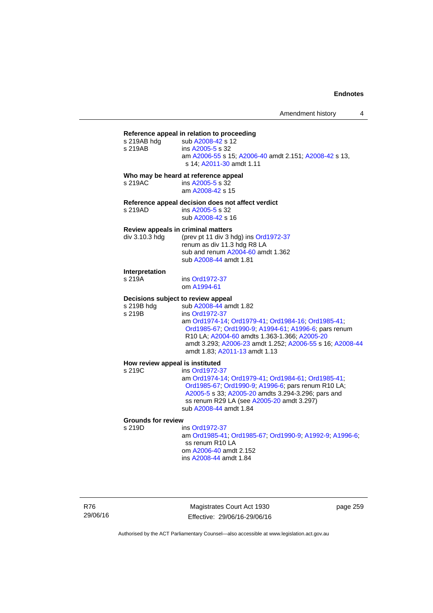## **Reference appeal in relation to proceeding**

| <u>Reference</u> appear in relation to proceeding |                                                       |  |
|---------------------------------------------------|-------------------------------------------------------|--|
| s 219AB hdg                                       | sub A2008-42 s 12                                     |  |
| s 219AB                                           | ins A2005-5 s 32                                      |  |
|                                                   | am A2006-55 s 15; A2006-40 amdt 2.151; A2008-42 s 13, |  |
|                                                   | s 14: A2011-30 amdt 1.11                              |  |
| $\blacksquare$                                    |                                                       |  |

## **Who may be heard at reference appeal**

| s 219AC | ins A2005-5 s 32 |
|---------|------------------|
|         | am A2008-42 s 15 |

## **Reference appeal decision does not affect verdict**

s 219AD ins [A2005-5](http://www.legislation.act.gov.au/a/2005-5) s 32 sub [A2008-42](http://www.legislation.act.gov.au/a/2008-42) s 16

## **Review appeals in criminal matters**

| div 3.10.3 hdq | (prev pt 11 div 3 hdg) ins Ord1972-37 |
|----------------|---------------------------------------|
|                | renum as div 11.3 hdg R8 LA           |
|                | sub and renum A2004-60 amdt 1.362     |
|                | sub A2008-44 amdt 1.81                |

#### **Interpretation**

s 219A ins [Ord1972-37](http://www.legislation.act.gov.au/a/1972-37) om [A1994-61](http://www.legislation.act.gov.au/a/1994-61)

# **Decisions subject to review appeal**<br>s 219B hdg sub A2008-44 am

s 219B hdg sub [A2008-44](http://www.legislation.act.gov.au/a/2008-44) amdt 1.82<br>s 219B ins Ord1972-37 ins [Ord1972-37](http://www.legislation.act.gov.au/a/1972-37) am [Ord1974-14](http://www.legislation.act.gov.au/a/1974-14); [Ord1979-41;](http://www.legislation.act.gov.au/a/1979-41) [Ord1984-16](http://www.legislation.act.gov.au/a/1984-16); [Ord1985-41](http://www.legislation.act.gov.au/a/1985-41); [Ord1985-67;](http://www.legislation.act.gov.au/a/1985-67) [Ord1990-9;](http://www.legislation.act.gov.au/a/alt_ord1990-9) [A1994-61](http://www.legislation.act.gov.au/a/1994-61); [A1996-6](http://www.legislation.act.gov.au/a/1996-6); pars renum R10 LA; [A2004-60](http://www.legislation.act.gov.au/a/2004-60) amdts 1.363-1.366; [A2005-20](http://www.legislation.act.gov.au/a/2005-20) amdt 3.293; [A2006-23](http://www.legislation.act.gov.au/a/2006-23) amdt 1.252; [A2006-55](http://www.legislation.act.gov.au/a/2006-55) s 16; [A2008-44](http://www.legislation.act.gov.au/a/2008-44) amdt 1.83; [A2011-13](http://www.legislation.act.gov.au/a/2011-13) amdt 1.13

#### **How review appeal is instituted**  s 219C

| s 219C | ins Ord1972-37                                     |
|--------|----------------------------------------------------|
|        | am Ord1974-14, Ord1979-41, Ord1984-61, Ord1985-41, |
|        | Ord1985-67; Ord1990-9; A1996-6; pars renum R10 LA; |
|        | A2005-5 s 33; A2005-20 amdts 3.294-3.296; pars and |
|        | ss renum R29 LA (see A2005-20 amdt 3.297)          |
|        | sub A2008-44 amdt 1.84                             |

## **Grounds for review**

ins [Ord1972-37](http://www.legislation.act.gov.au/a/1972-37) am [Ord1985-41](http://www.legislation.act.gov.au/a/1985-41); [Ord1985-67;](http://www.legislation.act.gov.au/a/1985-67) [Ord1990-9](http://www.legislation.act.gov.au/a/alt_ord1990-9); [A1992-9](http://www.legislation.act.gov.au/a/1992-9); [A1996-6](http://www.legislation.act.gov.au/a/1996-6); ss renum R10 LA om [A2006-40](http://www.legislation.act.gov.au/a/2006-40) amdt 2.152 ins [A2008-44](http://www.legislation.act.gov.au/a/2008-44) amdt 1.84

R76 29/06/16

Magistrates Court Act 1930 Effective: 29/06/16-29/06/16 page 259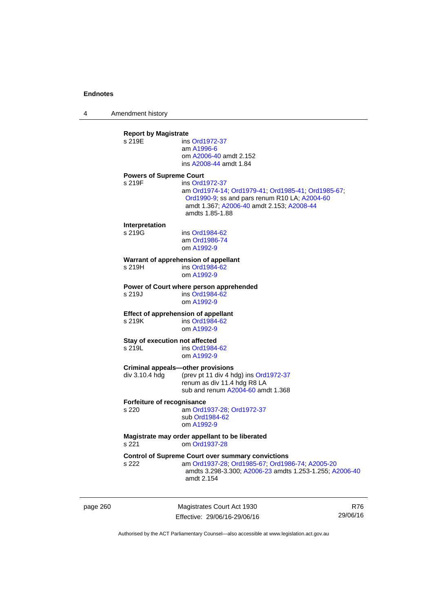4 Amendment history

| page 260 |                                          | Magistrates Court Act 1930                                                                                                                                                            | R76 |
|----------|------------------------------------------|---------------------------------------------------------------------------------------------------------------------------------------------------------------------------------------|-----|
|          | s 222                                    | <b>Control of Supreme Court over summary convictions</b><br>am Ord1937-28; Ord1985-67; Ord1986-74; A2005-20<br>amdts 3.298-3.300; A2006-23 amdts 1.253-1.255; A2006-40<br>amdt 2.154  |     |
|          | s 221                                    | Magistrate may order appellant to be liberated<br>om Ord1937-28                                                                                                                       |     |
|          | Forfeiture of recognisance<br>s 220      | am Ord1937-28; Ord1972-37<br>sub Ord1984-62<br>om A1992-9                                                                                                                             |     |
|          | div 3.10.4 hdg                           | <b>Criminal appeals-other provisions</b><br>(prev pt 11 div 4 hdg) ins Ord1972-37<br>renum as div 11.4 hdg R8 LA<br>sub and renum A2004-60 amdt 1.368                                 |     |
|          | Stay of execution not affected<br>s 219L | ins Ord1984-62<br>om A1992-9                                                                                                                                                          |     |
|          | s 219K                                   | <b>Effect of apprehension of appellant</b><br>ins Ord1984-62<br>om A1992-9                                                                                                            |     |
|          | s 219J                                   | Power of Court where person apprehended<br>ins Ord1984-62<br>om A1992-9                                                                                                               |     |
|          | s 219H                                   | Warrant of apprehension of appellant<br>ins Ord1984-62<br>om A1992-9                                                                                                                  |     |
|          | Interpretation<br>s 219G                 | ins Ord1984-62<br>am Ord1986-74<br>om A1992-9                                                                                                                                         |     |
|          | <b>Powers of Supreme Court</b><br>s 219F | ins Ord1972-37<br>am Ord1974-14, Ord1979-41, Ord1985-41, Ord1985-67,<br>Ord1990-9; ss and pars renum R10 LA; A2004-60<br>amdt 1.367; A2006-40 amdt 2.153; A2008-44<br>amdts 1.85-1.88 |     |
|          | <b>Report by Magistrate</b><br>s 219E    | ins Ord1972-37<br>am A1996-6<br>om A2006-40 amdt 2.152<br>ins A2008-44 amdt 1.84                                                                                                      |     |
|          |                                          |                                                                                                                                                                                       |     |

Authorised by the ACT Parliamentary Counsel—also accessible at www.legislation.act.gov.au

29/06/16

Effective: 29/06/16-29/06/16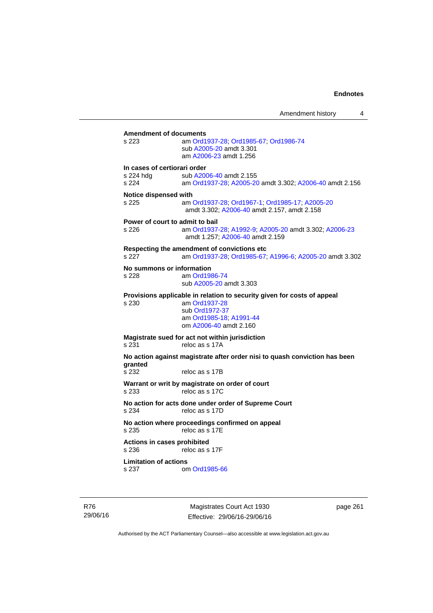**Amendment of documents**<br>s 223 am Ord1 s 223 am [Ord1937-28](http://www.legislation.act.gov.au/a/1937-28); [Ord1985-67](http://www.legislation.act.gov.au/a/1985-67); [Ord1986-74](http://www.legislation.act.gov.au/a/1986-74) sub [A2005-20](http://www.legislation.act.gov.au/a/2005-20) amdt 3.301 am [A2006-23](http://www.legislation.act.gov.au/a/2006-23) amdt 1.256 **In cases of certiorari order**  s 224 hdg sub [A2006-40](http://www.legislation.act.gov.au/a/2006-40) amdt 2.155<br>s 224 am Ord1937-28: A2005-20 am [Ord1937-28](http://www.legislation.act.gov.au/a/1937-28); [A2005-20](http://www.legislation.act.gov.au/a/2005-20) amdt 3.302; [A2006-40](http://www.legislation.act.gov.au/a/2006-40) amdt 2.156 **Notice dispensed with**  s 225 am [Ord1937-28](http://www.legislation.act.gov.au/a/1937-28); [Ord1967-1](http://www.legislation.act.gov.au/a/1967-1); [Ord1985-17](http://www.legislation.act.gov.au/a/1985-17); [A2005-20](http://www.legislation.act.gov.au/a/2005-20) amdt 3.302; [A2006-40](http://www.legislation.act.gov.au/a/2006-40) amdt 2.157, amdt 2.158 **Power of court to admit to bail**  s 226 am [Ord1937-28](http://www.legislation.act.gov.au/a/1937-28); [A1992-9](http://www.legislation.act.gov.au/a/1992-9); [A2005-20](http://www.legislation.act.gov.au/a/2005-20) amdt 3.302; [A2006-23](http://www.legislation.act.gov.au/a/2006-23) amdt 1.257; [A2006-40](http://www.legislation.act.gov.au/a/2006-40) amdt 2.159 **Respecting the amendment of convictions etc**  s 227 am [Ord1937-28](http://www.legislation.act.gov.au/a/1937-28); [Ord1985-67;](http://www.legislation.act.gov.au/a/1985-67) [A1996-6](http://www.legislation.act.gov.au/a/1996-6); [A2005-20](http://www.legislation.act.gov.au/a/2005-20) amdt 3.302 **No summons or information**  s 228 am [Ord1986-74](http://www.legislation.act.gov.au/a/1986-74) sub [A2005-20](http://www.legislation.act.gov.au/a/2005-20) amdt 3.303 **Provisions applicable in relation to security given for costs of appeal**  s 230 am [Ord1937-28](http://www.legislation.act.gov.au/a/1937-28) sub [Ord1972-37](http://www.legislation.act.gov.au/a/1972-37) am [Ord1985-18;](http://www.legislation.act.gov.au/a/1985-18) [A1991-44](http://www.legislation.act.gov.au/a/1991-44) om [A2006-40](http://www.legislation.act.gov.au/a/2006-40) amdt 2.160 **Magistrate sued for act not within jurisdiction**  s 231 reloc as s 17A **No action against magistrate after order nisi to quash conviction has been granted**  reloc as s 17B **Warrant or writ by magistrate on order of court**  s 233 reloc as s 17C **No action for acts done under order of Supreme Court**<br>
s 234 reloc as s 17D reloc as s 17D **No action where proceedings confirmed on appeal**  s 235 reloc as s 17E **Actions in cases prohibited**  s 236 reloc as s 17F **Limitation of actions**  s 237 om [Ord1985-66](http://www.legislation.act.gov.au/a/1985-66)

R76 29/06/16

Magistrates Court Act 1930 Effective: 29/06/16-29/06/16 page 261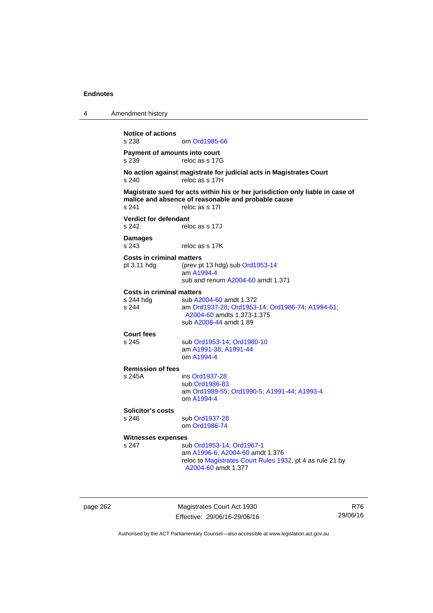4 Amendment history **Notice of actions**  om [Ord1985-66](http://www.legislation.act.gov.au/a/1985-66) **Payment of amounts into court**  s 239 reloc as s 17G **No action against magistrate for judicial acts in Magistrates Court**  s 240 reloc as s 17H **Magistrate sued for acts within his or her jurisdiction only liable in case of malice and absence of reasonable and probable cause**  s 241 reloc as s 17I **Verdict for defendant**  s 242 reloc as s 17J **Damages**  s 243 reloc as s 17K **Costs in criminal matters**  pt 3.11 hdg (prev pt 13 hdg) sub [Ord1953-14](http://www.legislation.act.gov.au/a/1953-14) am [A1994-4](http://www.legislation.act.gov.au/a/1994-4) sub and renum [A2004-60](http://www.legislation.act.gov.au/a/2004-60) amdt 1.371 **Costs in criminal matters**  s 244 hdg sub [A2004-60](http://www.legislation.act.gov.au/a/2004-60) amdt 1.372<br>s 244 am Ord1937-28: Ord1953 s 244 am [Ord1937-28](http://www.legislation.act.gov.au/a/1937-28); [Ord1953-14;](http://www.legislation.act.gov.au/a/1953-14) [Ord1986-74](http://www.legislation.act.gov.au/a/1986-74); [A1994-61](http://www.legislation.act.gov.au/a/1994-61); [A2004-60](http://www.legislation.act.gov.au/a/2004-60) amdts 1.373-1.375 sub [A2008-44](http://www.legislation.act.gov.au/a/2008-44) amdt 1.89 **Court fees**  s 245 sub [Ord1953-14](http://www.legislation.act.gov.au/a/1953-14); [Ord1980-10](http://www.legislation.act.gov.au/a/1980-10) am [A1991-38;](http://www.legislation.act.gov.au/a/1991-38) [A1991-44](http://www.legislation.act.gov.au/a/1991-44) om [A1994-4](http://www.legislation.act.gov.au/a/1994-4) **Remission of fees**  s 245A ins [Ord1937-28](http://www.legislation.act.gov.au/a/1937-28) sub [Ord1986-83](http://www.legislation.act.gov.au/a/1986-83) am [Ord1989-55](http://www.legislation.act.gov.au/a/1989-55); [Ord1990-5](http://www.legislation.act.gov.au/a/alt_ord1990-5); [A1991-44](http://www.legislation.act.gov.au/a/1991-44); [A1993-4](http://www.legislation.act.gov.au/a/1993-4) om [A1994-4](http://www.legislation.act.gov.au/a/1994-4) **Solicitor's costs**  s 246 sub [Ord1937-28](http://www.legislation.act.gov.au/a/1937-28) om [Ord1986-74](http://www.legislation.act.gov.au/a/1986-74) **Witnesses expenses**  s 247 sub [Ord1953-14](http://www.legislation.act.gov.au/a/1953-14); [Ord1967-1](http://www.legislation.act.gov.au/a/1967-1) am [A1996-6;](http://www.legislation.act.gov.au/a/1996-6) [A2004-60](http://www.legislation.act.gov.au/a/2004-60) amdt 1.376 reloc to [Magistrates Court Rules 1932](http://www.legislation.act.gov.au/sl/1932-4/default.asp), pt 4 as rule 21 by [A2004-60](http://www.legislation.act.gov.au/a/2004-60) amdt 1.377

page 262 Magistrates Court Act 1930 Effective: 29/06/16-29/06/16

R76 29/06/16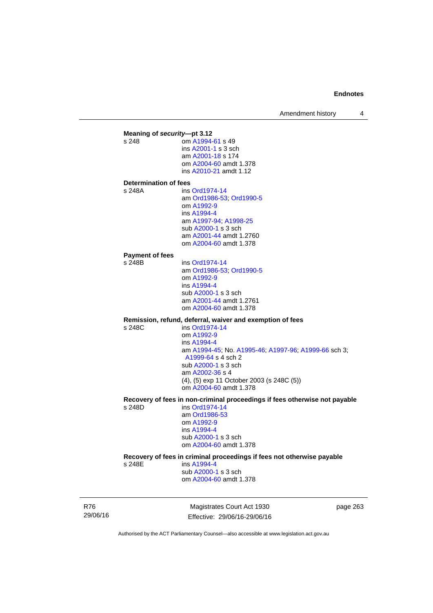Amendment history 4

**Meaning of** *security***—pt 3.12**<br>s 248 **com A1994** om [A1994-61](http://www.legislation.act.gov.au/a/1994-61) s 49 ins [A2001-1](http://www.legislation.act.gov.au/a/2001-1) s 3 sch am [A2001-18](http://www.legislation.act.gov.au/a/2001-18) s 174 om [A2004-60](http://www.legislation.act.gov.au/a/2004-60) amdt 1.378 ins [A2010-21](http://www.legislation.act.gov.au/a/2010-21) amdt 1.12 **Determination of fees**  s 248A ins [Ord1974-14](http://www.legislation.act.gov.au/a/1974-14) am [Ord1986-53](http://www.legislation.act.gov.au/a/1986-53); [Ord1990-5](http://www.legislation.act.gov.au/a/alt_ord1990-5) om [A1992-9](http://www.legislation.act.gov.au/a/1992-9) ins [A1994-4](http://www.legislation.act.gov.au/a/1994-4) am [A1997-94](http://www.legislation.act.gov.au/a/1997-94); [A1998-25](http://www.legislation.act.gov.au/a/1998-25) sub [A2000-1](http://www.legislation.act.gov.au/a/2000-1) s 3 sch am [A2001-44](http://www.legislation.act.gov.au/a/2001-44) amdt 1.2760 om [A2004-60](http://www.legislation.act.gov.au/a/2004-60) amdt 1.378 **Payment of fees**  s 248B ins [Ord1974-14](http://www.legislation.act.gov.au/a/1974-14) am [Ord1986-53](http://www.legislation.act.gov.au/a/1986-53); [Ord1990-5](http://www.legislation.act.gov.au/a/alt_ord1990-5) om [A1992-9](http://www.legislation.act.gov.au/a/1992-9) ins [A1994-4](http://www.legislation.act.gov.au/a/1994-4) sub [A2000-1](http://www.legislation.act.gov.au/a/2000-1) s 3 sch am [A2001-44](http://www.legislation.act.gov.au/a/2001-44) amdt 1.2761 om [A2004-60](http://www.legislation.act.gov.au/a/2004-60) amdt 1.378 **Remission, refund, deferral, waiver and exemption of fees**  s 248C ins [Ord1974-14](http://www.legislation.act.gov.au/a/1974-14) om [A1992-9](http://www.legislation.act.gov.au/a/1992-9) ins [A1994-4](http://www.legislation.act.gov.au/a/1994-4) am [A1994-45](http://www.legislation.act.gov.au/a/1994-45); No. [A1995-46;](http://www.legislation.act.gov.au/a/1995-46) [A1997-96;](http://www.legislation.act.gov.au/a/1997-96) [A1999-66](http://www.legislation.act.gov.au/a/1999-66) sch 3; [A1999-64](http://www.legislation.act.gov.au/a/1999-64) s 4 sch 2 sub [A2000-1](http://www.legislation.act.gov.au/a/2000-1) s 3 sch am [A2002-36](http://www.legislation.act.gov.au/a/2002-36) s 4 (4), (5) exp 11 October 2003 (s 248C (5)) om [A2004-60](http://www.legislation.act.gov.au/a/2004-60) amdt 1.378 **Recovery of fees in non-criminal proceedings if fees otherwise not payable**  s 248D ins [Ord1974-14](http://www.legislation.act.gov.au/a/1974-14) am [Ord1986-53](http://www.legislation.act.gov.au/a/1986-53) om [A1992-9](http://www.legislation.act.gov.au/a/1992-9) ins [A1994-4](http://www.legislation.act.gov.au/a/1994-4) sub [A2000-1](http://www.legislation.act.gov.au/a/2000-1) s 3 sch om [A2004-60](http://www.legislation.act.gov.au/a/2004-60) amdt 1.378 **Recovery of fees in criminal proceedings if fees not otherwise payable**  s 248E ins [A1994-4](http://www.legislation.act.gov.au/a/1994-4) sub [A2000-1](http://www.legislation.act.gov.au/a/2000-1) s 3 sch om [A2004-60](http://www.legislation.act.gov.au/a/2004-60) amdt 1.378

R76 29/06/16

Magistrates Court Act 1930 Effective: 29/06/16-29/06/16 page 263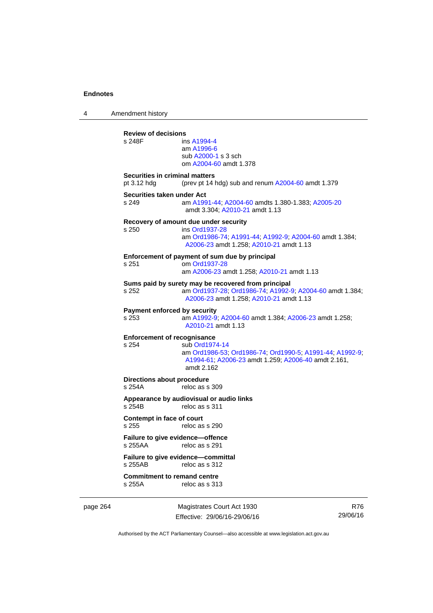4 Amendment history

**Review of decisions**  ins [A1994-4](http://www.legislation.act.gov.au/a/1994-4) am [A1996-6](http://www.legislation.act.gov.au/a/1996-6) sub [A2000-1](http://www.legislation.act.gov.au/a/2000-1) s 3 sch om [A2004-60](http://www.legislation.act.gov.au/a/2004-60) amdt 1.378 **Securities in criminal matters**  pt 3.12 hdg (prev pt 14 hdg) sub and renum [A2004-60](http://www.legislation.act.gov.au/a/2004-60) amdt 1.379 **Securities taken under Act**  s 249 am [A1991-44](http://www.legislation.act.gov.au/a/1991-44); [A2004-60](http://www.legislation.act.gov.au/a/2004-60) amdts 1.380-1.383; [A2005-20](http://www.legislation.act.gov.au/a/2005-20) amdt 3.304; [A2010-21](http://www.legislation.act.gov.au/a/2010-21) amdt 1.13 **Recovery of amount due under security**  ins [Ord1937-28](http://www.legislation.act.gov.au/a/1937-28) am [Ord1986-74](http://www.legislation.act.gov.au/a/1986-74); [A1991-44](http://www.legislation.act.gov.au/a/1991-44); [A1992-9](http://www.legislation.act.gov.au/a/1992-9); [A2004-60](http://www.legislation.act.gov.au/a/2004-60) amdt 1.384; [A2006-23](http://www.legislation.act.gov.au/a/2006-23) amdt 1.258; [A2010-21](http://www.legislation.act.gov.au/a/2010-21) amdt 1.13 **Enforcement of payment of sum due by principal**  s 251 om [Ord1937-28](http://www.legislation.act.gov.au/a/1937-28) am [A2006-23](http://www.legislation.act.gov.au/a/2006-23) amdt 1.258; [A2010-21](http://www.legislation.act.gov.au/a/2010-21) amdt 1.13 **Sums paid by surety may be recovered from principal**  s 252 am [Ord1937-28](http://www.legislation.act.gov.au/a/1937-28); [Ord1986-74;](http://www.legislation.act.gov.au/a/1986-74) [A1992-9](http://www.legislation.act.gov.au/a/1992-9); [A2004-60](http://www.legislation.act.gov.au/a/2004-60) amdt 1.384; [A2006-23](http://www.legislation.act.gov.au/a/2006-23) amdt 1.258; [A2010-21](http://www.legislation.act.gov.au/a/2010-21) amdt 1.13 **Payment enforced by security**  s 253 am [A1992-9;](http://www.legislation.act.gov.au/a/1992-9) [A2004-60](http://www.legislation.act.gov.au/a/2004-60) amdt 1.384; [A2006-23](http://www.legislation.act.gov.au/a/2006-23) amdt 1.258; [A2010-21](http://www.legislation.act.gov.au/a/2010-21) amdt 1.13 **Enforcement of recognisance**  s 254 sub [Ord1974-14](http://www.legislation.act.gov.au/a/1974-14) am [Ord1986-53](http://www.legislation.act.gov.au/a/1986-53); [Ord1986-74;](http://www.legislation.act.gov.au/a/1986-74) [Ord1990-5](http://www.legislation.act.gov.au/a/alt_ord1990-5); [A1991-44](http://www.legislation.act.gov.au/a/1991-44); [A1992-9](http://www.legislation.act.gov.au/a/1992-9); [A1994-61;](http://www.legislation.act.gov.au/a/1994-61) [A2006-23](http://www.legislation.act.gov.au/a/2006-23) amdt 1.259; [A2006-40](http://www.legislation.act.gov.au/a/2006-40) amdt 2.161, amdt 2.162 **Directions about procedure**<br>s 254A reloc as s reloc as s 309 **Appearance by audiovisual or audio links**  s 254B reloc as s 311 **Contempt in face of court**  s 255 reloc as s 290 **Failure to give evidence—offence**  s 255AA reloc as s 291 **Failure to give evidence—committal**<br>s 255AB reloc as s 312 reloc as s 312 **Commitment to remand centre**  s 255A reloc as s 313

page 264 Magistrates Court Act 1930 Effective: 29/06/16-29/06/16

R76 29/06/16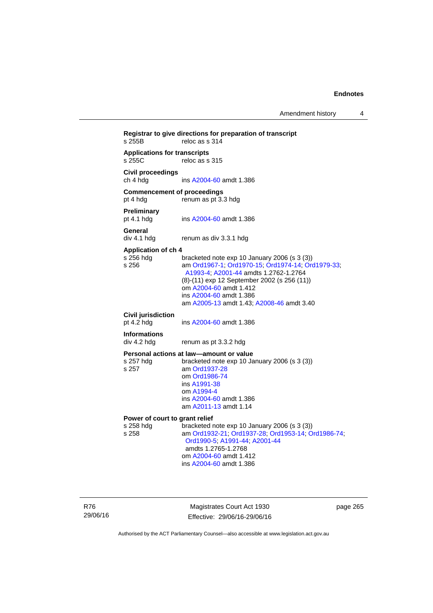Amendment history 4

**Registrar to give directions for preparation of transcript**  reloc as s  $314$ **Applications for transcripts**  reloc as s 315 **Civil proceedings**  ch 4 hdg ins [A2004-60](http://www.legislation.act.gov.au/a/2004-60) amdt 1.386 **Commencement of proceedings**  pt 4 hdg renum as pt 3.3 hdg **Preliminary**  ins [A2004-60](http://www.legislation.act.gov.au/a/2004-60) amdt 1.386 **General**  div 4.1 hdg renum as div 3.3.1 hdg **Application of ch 4**  bracketed note exp 10 January 2006 (s 3 (3)) s 256 am [Ord1967-1;](http://www.legislation.act.gov.au/a/1967-1) [Ord1970-15](http://www.legislation.act.gov.au/a/1970-15); [Ord1974-14](http://www.legislation.act.gov.au/a/1974-14); [Ord1979-33](http://www.legislation.act.gov.au/a/1979-33); [A1993-4;](http://www.legislation.act.gov.au/a/1993-4) [A2001-44](http://www.legislation.act.gov.au/a/2001-44) amdts 1.2762-1.2764 (8)-(11) exp 12 September 2002 (s 256 (11)) om [A2004-60](http://www.legislation.act.gov.au/a/2004-60) amdt 1.412 ins [A2004-60](http://www.legislation.act.gov.au/a/2004-60) amdt 1.386 am [A2005-13](http://www.legislation.act.gov.au/a/2005-13) amdt 1.43; [A2008-46](http://www.legislation.act.gov.au/a/2008-46) amdt 3.40 **Civil jurisdiction**  pt 4.2 hdg ins [A2004-60](http://www.legislation.act.gov.au/a/2004-60) amdt 1.386 **Informations**  div 4.2 hdg renum as pt 3.3.2 hdg **Personal actions at law—amount or value**  s 257 hdg bracketed note exp 10 January 2006 (s 3 (3)) s 257 am [Ord1937-28](http://www.legislation.act.gov.au/a/1937-28) om [Ord1986-74](http://www.legislation.act.gov.au/a/1986-74) ins [A1991-38](http://www.legislation.act.gov.au/a/1991-38) om [A1994-4](http://www.legislation.act.gov.au/a/1994-4) ins [A2004-60](http://www.legislation.act.gov.au/a/2004-60) amdt 1.386 am [A2011-13](http://www.legislation.act.gov.au/a/2011-13) amdt 1.14 **Power of court to grant relief**<br>s 258 hdg bracketed r s 258 hdg bracketed note exp 10 January 2006 (s 3 (3)) s 258 am [Ord1932-21](http://www.legislation.act.gov.au/a/1932-21); [Ord1937-28](http://www.legislation.act.gov.au/a/1937-28); [Ord1953-14](http://www.legislation.act.gov.au/a/1953-14); [Ord1986-74](http://www.legislation.act.gov.au/a/1986-74); [Ord1990-5;](http://www.legislation.act.gov.au/a/alt_ord1990-5) [A1991-44](http://www.legislation.act.gov.au/a/1991-44); [A2001-44](http://www.legislation.act.gov.au/a/2001-44) amdts 1.2765-1.2768 om [A2004-60](http://www.legislation.act.gov.au/a/2004-60) amdt 1.412 ins [A2004-60](http://www.legislation.act.gov.au/a/2004-60) amdt 1.386

R76 29/06/16

Magistrates Court Act 1930 Effective: 29/06/16-29/06/16 page 265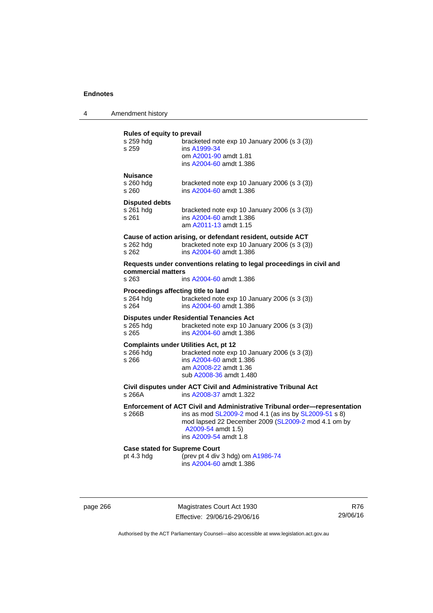| Amendment history |
|-------------------|
|                   |

## **Rules of equity to prevail**

| s 259 hdg<br>s 259                                                 | bracketed note exp 10 January 2006 (s 3 (3))<br>ins A1999-34<br>om A2001-90 amdt 1.81<br>ins A2004-60 amdt 1.386                                                                                                                                                                               |
|--------------------------------------------------------------------|------------------------------------------------------------------------------------------------------------------------------------------------------------------------------------------------------------------------------------------------------------------------------------------------|
| Nuisance<br>s 260 hdg<br>s 260                                     | bracketed note exp 10 January 2006 (s 3 (3))<br>ins A2004-60 amdt 1.386                                                                                                                                                                                                                        |
| <b>Disputed debts</b><br>s 261 hdg<br>s 261                        | bracketed note exp 10 January 2006 (s 3 (3))<br>ins A2004-60 amdt 1.386<br>am A2011-13 amdt 1.15                                                                                                                                                                                               |
| s 262 hdg<br>s 262                                                 | Cause of action arising, or defendant resident, outside ACT<br>bracketed note exp 10 January 2006 (s 3 (3))<br>ins A2004-60 amdt 1.386                                                                                                                                                         |
| commercial matters<br>s 263                                        | Requests under conventions relating to legal proceedings in civil and<br>ins A2004-60 amdt 1.386                                                                                                                                                                                               |
| Proceedings affecting title to land<br>s 264 hdg<br>s 264          | bracketed note exp 10 January 2006 (s 3 (3))<br>ins A2004-60 amdt 1.386                                                                                                                                                                                                                        |
| s 265 hdg<br>s 265                                                 | <b>Disputes under Residential Tenancies Act</b><br>bracketed note exp 10 January 2006 (s 3 (3))<br>ins A2004-60 amdt 1.386                                                                                                                                                                     |
| <b>Complaints under Utilities Act, pt 12</b><br>s 266 hdg<br>s 266 | bracketed note exp 10 January 2006 (s 3 (3))<br>ins A2004-60 amdt 1.386<br>am A2008-22 amdt 1.36<br>sub A2008-36 amdt 1.480                                                                                                                                                                    |
| s 266A                                                             | Civil disputes under ACT Civil and Administrative Tribunal Act<br>ins A2008-37 amdt 1.322                                                                                                                                                                                                      |
| s 266B                                                             | Enforcement of ACT Civil and Administrative Tribunal order-representation<br>ins as mod SL2009-2 mod 4.1 (as ins by SL2009-51 s 8)<br>mod lapsed 22 December 2009 (SL2009-2 mod 4.1 om by<br>A2009-54 amdt 1.5)<br>ins A2009-54 amdt 1.8                                                       |
| <b>Case stated for Supreme Court</b>                               | $\left($ and $\left($ and $\left($ and $\left($ and $\right)$ and $\left($ and $\left($ and $\left($ and $\left($ and $\left($ and $\left($ and $\left($ and $\left($ and $\left($ and $\left($ and $\left($ and $\left($ and $\left($ and $\left($ and $\left($ and $\left($ and $\left($ and |

pt 4.3 hdg (prev pt 4 div 3 hdg) om [A1986-74](http://www.legislation.act.gov.au/a/1986-74) ins [A2004-60](http://www.legislation.act.gov.au/a/2004-60) amdt 1.386

page 266 Magistrates Court Act 1930 Effective: 29/06/16-29/06/16

R76 29/06/16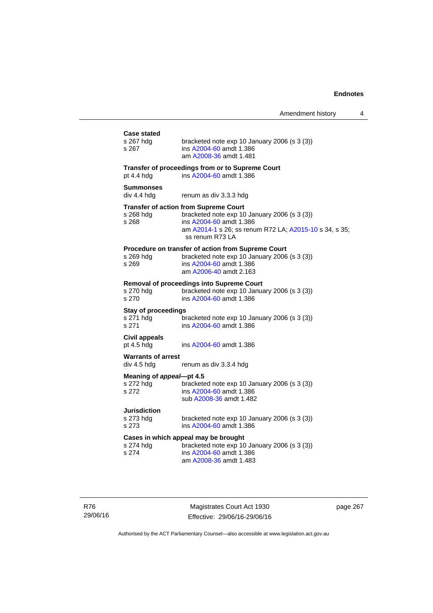|                                                    |                                                                                                                                                                                                      | Amenament nistory |
|----------------------------------------------------|------------------------------------------------------------------------------------------------------------------------------------------------------------------------------------------------------|-------------------|
| <b>Case stated</b><br>s 267 hdg<br>s 267           | bracketed note exp 10 January 2006 (s 3 (3))<br>ins A2004-60 amdt 1.386<br>am A2008-36 amdt 1.481                                                                                                    |                   |
| pt 4.4 hdg                                         | Transfer of proceedings from or to Supreme Court<br>ins A2004-60 amdt 1.386                                                                                                                          |                   |
| <b>Summonses</b><br>div 4.4 hdg                    | renum as div 3.3.3 hdg                                                                                                                                                                               |                   |
| s 268 hdg<br>s 268                                 | <b>Transfer of action from Supreme Court</b><br>bracketed note exp 10 January 2006 (s 3 (3))<br>ins A2004-60 amdt 1.386<br>am A2014-1 s 26; ss renum R72 LA; A2015-10 s 34, s 35;<br>ss renum R73 LA |                   |
| s 269 hdg<br>s 269                                 | Procedure on transfer of action from Supreme Court<br>bracketed note exp 10 January 2006 (s 3 (3))<br>ins A2004-60 amdt 1.386<br>am A2006-40 amdt 2.163                                              |                   |
| s 270 hdg<br>s 270                                 | <b>Removal of proceedings into Supreme Court</b><br>bracketed note exp 10 January 2006 (s 3 (3))<br>ins A2004-60 amdt 1.386                                                                          |                   |
| <b>Stay of proceedings</b><br>s $271$ hdg<br>s 271 | bracketed note exp 10 January 2006 (s 3 (3))<br>ins A2004-60 amdt 1.386                                                                                                                              |                   |
| Civil appeals<br>pt 4.5 hdg                        | ins A2004-60 amdt 1.386                                                                                                                                                                              |                   |
| <b>Warrants of arrest</b><br>div 4.5 hdg           | renum as div 3.3.4 hdg                                                                                                                                                                               |                   |
| Meaning of appeal-pt 4.5<br>s 272 hdg<br>s 272     | bracketed note exp 10 January 2006 (s 3 (3))<br>ins A2004-60 amdt 1.386<br>sub A2008-36 amdt 1.482                                                                                                   |                   |
| Jurisdiction<br>s 273 hdg<br>s 273                 | bracketed note exp 10 January 2006 (s 3 (3))<br>ins A2004-60 amdt 1.386                                                                                                                              |                   |
| s 274 hdg<br>s 274                                 | Cases in which appeal may be brought<br>bracketed note exp 10 January 2006 (s 3 (3))<br>ins A2004-60 amdt 1.386<br>am A2008-36 amdt 1.483                                                            |                   |
|                                                    |                                                                                                                                                                                                      |                   |

R76 29/06/16

Magistrates Court Act 1930 Effective: 29/06/16-29/06/16 page 267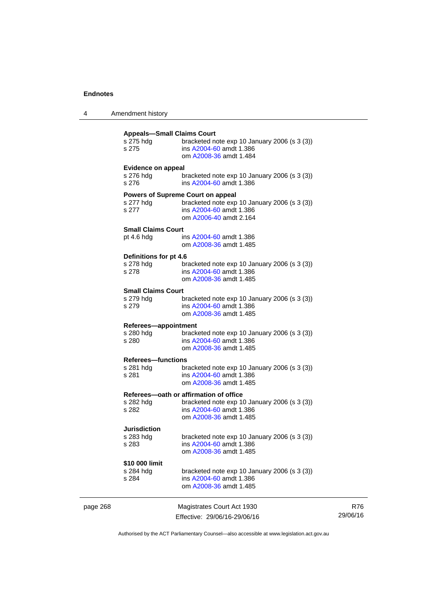| 4 | Amendment history |
|---|-------------------|
|---|-------------------|

|          | <b>Appeals-Small Claims Court</b><br>s 275 hdg<br>s 275 | bracketed note exp 10 January 2006 (s 3 (3))<br>ins A2004-60 amdt 1.386<br>om A2008-36 amdt 1.484                                           |                 |
|----------|---------------------------------------------------------|---------------------------------------------------------------------------------------------------------------------------------------------|-----------------|
|          | <b>Evidence on appeal</b><br>s 276 hdg<br>s 276         | bracketed note exp 10 January 2006 (s 3 (3))<br>ins A2004-60 amdt 1.386                                                                     |                 |
|          | s 277 hdg<br>s 277                                      | Powers of Supreme Court on appeal<br>bracketed note exp 10 January 2006 (s 3 (3))<br>ins A2004-60 amdt 1.386<br>om A2006-40 amdt 2.164      |                 |
|          | <b>Small Claims Court</b><br>pt $4.6$ hdg               | ins A2004-60 amdt 1.386<br>om A2008-36 amdt 1.485                                                                                           |                 |
|          | Definitions for pt 4.6<br>s 278 hdg<br>s 278            | bracketed note $exp 10$ January 2006 (s 3 (3))<br>ins A2004-60 amdt 1.386<br>om A2008-36 amdt 1.485                                         |                 |
|          | <b>Small Claims Court</b><br>s 279 hdg<br>s 279         | bracketed note $exp 10$ January 2006 (s 3 (3))<br>ins A2004-60 amdt 1.386<br>om A2008-36 amdt 1.485                                         |                 |
|          | Referees-appointment<br>s 280 hdg<br>s 280              | bracketed note $exp 10$ January 2006 (s 3 (3))<br>ins A2004-60 amdt 1.386<br>om A2008-36 amdt 1.485                                         |                 |
|          | <b>Referees-functions</b><br>s 281 hdg<br>s 281         | bracketed note $exp 10$ January 2006 (s 3 (3))<br>ins A2004-60 amdt 1.386<br>om A2008-36 amdt 1.485                                         |                 |
|          | s 282 hdg<br>s 282                                      | Referees-oath or affirmation of office<br>bracketed note exp 10 January 2006 (s 3 (3))<br>ins A2004-60 amdt 1.386<br>om A2008-36 amdt 1.485 |                 |
|          | <b>Jurisdiction</b><br>s 283 hdg<br>s 283               | bracketed note exp 10 January 2006 (s 3 (3))<br>ins A2004-60 amdt 1.386<br>om A2008-36 amdt 1.485                                           |                 |
|          | \$10 000 limit<br>s 284 hdg<br>s 284                    | bracketed note $exp 10$ January 2006 (s 3 (3))<br>ins A2004-60 amdt 1.386<br>om A2008-36 amdt 1.485                                         |                 |
| page 268 |                                                         | Magistrates Court Act 1930<br>Effective: 29/06/16-29/06/16                                                                                  | R76<br>29/06/16 |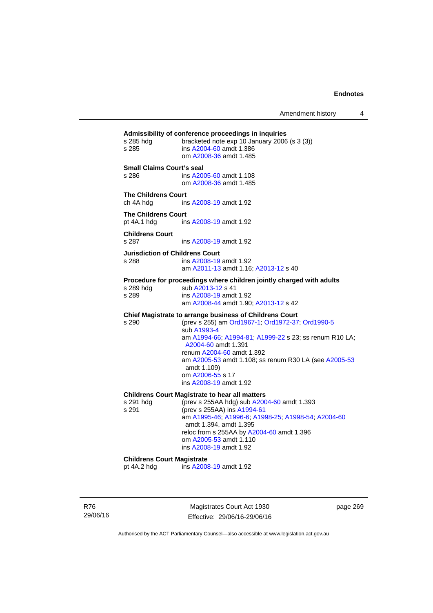Amendment history 4

| s 285 hdg<br>s 285                              | Admissibility of conference proceedings in inquiries<br>bracketed note exp 10 January 2006 (s 3 (3))<br>ins A2004-60 amdt 1.386<br>om A2008-36 amdt 1.485                                                                                                                                                                                                      |
|-------------------------------------------------|----------------------------------------------------------------------------------------------------------------------------------------------------------------------------------------------------------------------------------------------------------------------------------------------------------------------------------------------------------------|
| <b>Small Claims Court's seal</b><br>s 286       | ins A2005-60 amdt 1.108<br>om A2008-36 amdt 1.485                                                                                                                                                                                                                                                                                                              |
| <b>The Childrens Court</b><br>ch 4A hdg         | ins A2008-19 amdt 1.92                                                                                                                                                                                                                                                                                                                                         |
| <b>The Childrens Court</b><br>pt 4A.1 hdg       | ins A2008-19 amdt 1.92                                                                                                                                                                                                                                                                                                                                         |
| <b>Childrens Court</b><br>s 287                 | ins A2008-19 amdt 1.92                                                                                                                                                                                                                                                                                                                                         |
| <b>Jurisdiction of Childrens Court</b><br>s 288 | ins A2008-19 amdt 1.92<br>am A2011-13 amdt 1.16; A2013-12 s 40                                                                                                                                                                                                                                                                                                 |
| s 289 hdg<br>s 289                              | Procedure for proceedings where children jointly charged with adults<br>sub A2013-12 s 41<br>ins A2008-19 amdt 1.92<br>am A2008-44 amdt 1.90; A2013-12 s 42                                                                                                                                                                                                    |
| s 290                                           | Chief Magistrate to arrange business of Childrens Court<br>(prev s 255) am Ord1967-1; Ord1972-37; Ord1990-5<br>sub A1993-4<br>am A1994-66; A1994-81; A1999-22 s 23; ss renum R10 LA;<br>A2004-60 amdt 1.391<br>renum A2004-60 amdt 1.392<br>am A2005-53 amdt 1.108; ss renum R30 LA (see A2005-53<br>amdt 1.109)<br>om A2006-55 s 17<br>ins A2008-19 amdt 1.92 |
| s 291 hdg<br>s 291                              | <b>Childrens Court Magistrate to hear all matters</b><br>(prev s 255AA hdg) sub A2004-60 amdt 1.393<br>(prev s 255AA) ins A1994-61<br>am A1995-46; A1996-6; A1998-25; A1998-54; A2004-60<br>amdt 1.394, amdt 1.395<br>reloc from s 255AA by A2004-60 amdt 1.396<br>om A2005-53 amdt 1.110<br>ins A2008-19 amdt 1.92                                            |
| <b>Childrens Court Magistrate</b>               |                                                                                                                                                                                                                                                                                                                                                                |

pt 4A.2 hdg ins [A2008-19](http://www.legislation.act.gov.au/a/2008-19) amdt 1.92

R76 29/06/16

Magistrates Court Act 1930 Effective: 29/06/16-29/06/16 page 269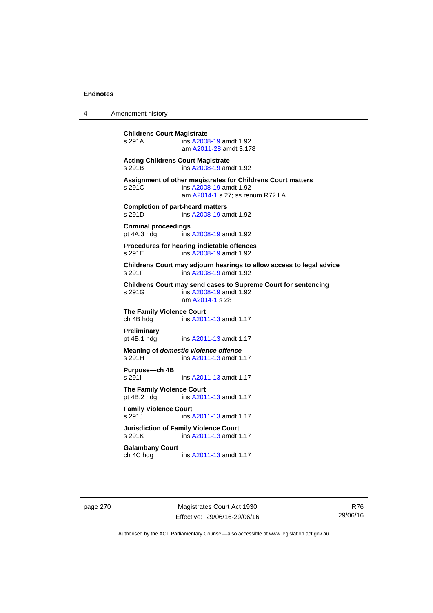4 Amendment history

**Childrens Court Magistrate**  s 291A ins [A2008-19](http://www.legislation.act.gov.au/a/2008-19) amdt 1.92 am [A2011-28](http://www.legislation.act.gov.au/a/2011-28) amdt 3.178 **Acting Childrens Court Magistrate**  s 291B ins [A2008-19](http://www.legislation.act.gov.au/a/2008-19) amdt 1.92 **Assignment of other magistrates for Childrens Court matters**  s 291C ins [A2008-19](http://www.legislation.act.gov.au/a/2008-19) amdt 1.92 am [A2014-1](http://www.legislation.act.gov.au/a/2014-1) s 27; ss renum R72 LA **Completion of part-heard matters**  s 291D ins [A2008-19](http://www.legislation.act.gov.au/a/2008-19) amdt 1.92 **Criminal proceedings**  pt 4A.3 hdg ins [A2008-19](http://www.legislation.act.gov.au/a/2008-19) amdt 1.92 **Procedures for hearing indictable offences**  s 291E ins [A2008-19](http://www.legislation.act.gov.au/a/2008-19) amdt 1.92 **Childrens Court may adjourn hearings to allow access to legal advice**  ins [A2008-19](http://www.legislation.act.gov.au/a/2008-19) amdt 1.92 **Childrens Court may send cases to Supreme Court for sentencing**  ins [A2008-19](http://www.legislation.act.gov.au/a/2008-19) amdt 1.92 am [A2014-1](http://www.legislation.act.gov.au/a/2014-1) s 28 **The Family Violence Court**  ch 4B hdg ins [A2011-13](http://www.legislation.act.gov.au/a/2011-13) amdt 1.17 **Preliminary**  pt 4B.1 hdg ins [A2011-13](http://www.legislation.act.gov.au/a/2011-13) amdt 1.17 **Meaning of** *domestic violence offence* s 291H ins [A2011-13](http://www.legislation.act.gov.au/a/2011-13) amdt 1.17 **Purpose—ch 4B**  s 291I **ins [A2011-13](http://www.legislation.act.gov.au/a/2011-13) amdt 1.17 The Family Violence Court**  pt 4B.2 hdg ins [A2011-13](http://www.legislation.act.gov.au/a/2011-13) amdt 1.17 **Family Violence Court**  s 291J ins [A2011-13](http://www.legislation.act.gov.au/a/2011-13) amdt 1.17 **Jurisdiction of Family Violence Court**  ins [A2011-13](http://www.legislation.act.gov.au/a/2011-13) amdt 1.17 **Galambany Court**  ch 4C hdg ins [A2011-13](http://www.legislation.act.gov.au/a/2011-13) amdt 1.17

page 270 Magistrates Court Act 1930 Effective: 29/06/16-29/06/16

R76 29/06/16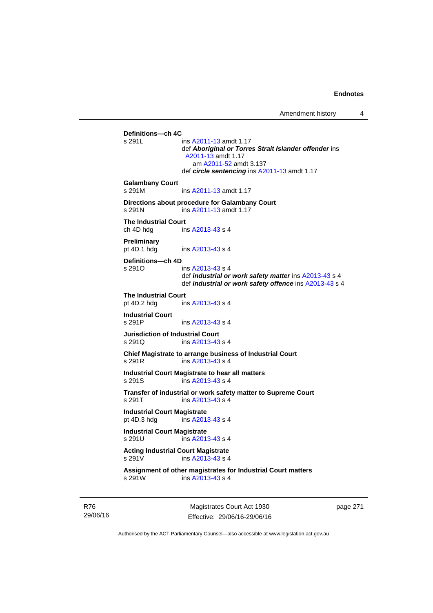Amendment history 4

**Definitions—ch 4C**  ins [A2011-13](http://www.legislation.act.gov.au/a/2011-13) amdt 1.17 def *Aboriginal or Torres Strait Islander offender* ins [A2011-13](http://www.legislation.act.gov.au/a/2011-13) amdt 1.17 am [A2011-52](http://www.legislation.act.gov.au/a/2011-52) amdt 3.137 def *circle sentencing* ins [A2011-13](http://www.legislation.act.gov.au/a/2011-13) amdt 1.17 **Galambany Court**  s 291M ins [A2011-13](http://www.legislation.act.gov.au/a/2011-13) amdt 1.17 **Directions about procedure for Galambany Court**  s 291N ins [A2011-13](http://www.legislation.act.gov.au/a/2011-13) amdt 1.17 **The Industrial Court**  ch 4D hdg ins [A2013-43](http://www.legislation.act.gov.au/a/2013-43) s 4 **Preliminary**  pt 4D.1 hdg ins [A2013-43](http://www.legislation.act.gov.au/a/2013-43) s 4 **Definitions—ch 4D**   $ins A2013-43 s 4$  $ins A2013-43 s 4$  $ins A2013-43 s 4$  def *industrial or work safety matter* ins [A2013-43](http://www.legislation.act.gov.au/a/2013-43) s 4 def *industrial or work safety offence* ins [A2013-43](http://www.legislation.act.gov.au/a/2013-43) s 4 **The Industrial Court** pt 4D.2 hdg in ins  $A2013-43 s 4$ **Industrial Court**  s 291P ins [A2013-43](http://www.legislation.act.gov.au/a/2013-43) s 4 **Jurisdiction of Industrial Court**  s 291Q ins [A2013-43](http://www.legislation.act.gov.au/a/2013-43) s 4 **Chief Magistrate to arrange business of Industrial Court**  s 291R ins [A2013-43](http://www.legislation.act.gov.au/a/2013-43) s 4 **Industrial Court Magistrate to hear all matters**  s 291S ins [A2013-43](http://www.legislation.act.gov.au/a/2013-43) s 4 **Transfer of industrial or work safety matter to Supreme Court**  s 291T ins [A2013-43](http://www.legislation.act.gov.au/a/2013-43) s 4 **Industrial Court Magistrate**<br>pt 4D.3 hdg ins A201  $ins$  [A2013-43](http://www.legislation.act.gov.au/a/2013-43) s 4 **Industrial Court Magistrate**  s 291U ins [A2013-43](http://www.legislation.act.gov.au/a/2013-43) s 4 **Acting Industrial Court Magistrate**  s 291V ins [A2013-43](http://www.legislation.act.gov.au/a/2013-43) s 4 **Assignment of other magistrates for Industrial Court matters**  s 291W ins [A2013-43](http://www.legislation.act.gov.au/a/2013-43) s 4

R76 29/06/16

Magistrates Court Act 1930 Effective: 29/06/16-29/06/16 page 271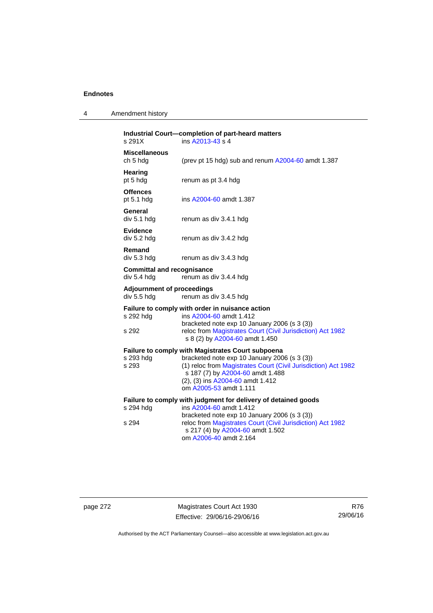| 4 | Amendment history |  |
|---|-------------------|--|
|---|-------------------|--|

| s 291X                                           | Industrial Court-completion of part-heard matters<br>ins A2013-43 s 4                                                                                                                                                                                                        |
|--------------------------------------------------|------------------------------------------------------------------------------------------------------------------------------------------------------------------------------------------------------------------------------------------------------------------------------|
| <b>Miscellaneous</b><br>ch 5 hdg                 | (prev pt 15 hdg) sub and renum A2004-60 amdt 1.387                                                                                                                                                                                                                           |
| Hearing<br>pt 5 hdg                              | renum as pt 3.4 hdg                                                                                                                                                                                                                                                          |
| <b>Offences</b><br>pt $5.1$ hdg                  | ins A2004-60 amdt 1.387                                                                                                                                                                                                                                                      |
| General<br>div 5.1 hdg                           | renum as div 3.4.1 hdg                                                                                                                                                                                                                                                       |
| <b>Evidence</b><br>div 5.2 hdg                   | renum as div 3.4.2 hdg                                                                                                                                                                                                                                                       |
| Remand<br>div 5.3 hdg                            | renum as div 3.4.3 hdg                                                                                                                                                                                                                                                       |
| <b>Committal and recognisance</b><br>div 5.4 hdg | renum as div 3.4.4 hdg                                                                                                                                                                                                                                                       |
| <b>Adjournment of proceedings</b><br>div 5.5 hdg | renum as div 3.4.5 hdg                                                                                                                                                                                                                                                       |
| s 292 hdg<br>s 292                               | Failure to comply with order in nuisance action<br>ins A2004-60 amdt 1.412<br>bracketed note exp 10 January 2006 (s 3 (3))<br>reloc from Magistrates Court (Civil Jurisdiction) Act 1982<br>s 8 (2) by A2004-60 amdt 1.450                                                   |
| s 293 hdg<br>s 293                               | <b>Failure to comply with Magistrates Court subpoena</b><br>bracketed note exp 10 January 2006 (s 3 (3))<br>(1) reloc from Magistrates Court (Civil Jurisdiction) Act 1982<br>s 187 (7) by A2004-60 amdt 1.488<br>(2), (3) ins A2004-60 amdt 1.412<br>om A2005-53 amdt 1.111 |
| s 294 hdg<br>s 294                               | Failure to comply with judgment for delivery of detained goods<br>ins A2004-60 amdt 1.412<br>bracketed note exp 10 January 2006 (s 3 (3))<br>reloc from Magistrates Court (Civil Jurisdiction) Act 1982<br>s 217 (4) by A2004-60 amdt 1.502<br>om A2006-40 amdt 2.164        |

page 272 Magistrates Court Act 1930 Effective: 29/06/16-29/06/16

R76 29/06/16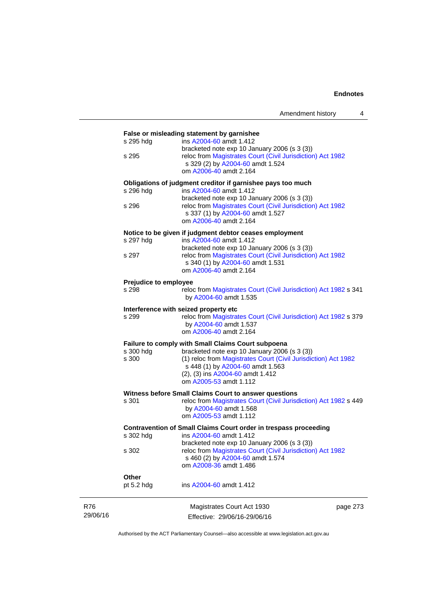|          |                              | False or misleading statement by garnishee                                                                 |
|----------|------------------------------|------------------------------------------------------------------------------------------------------------|
|          | s 295 hdg                    | ins A2004-60 amdt 1.412                                                                                    |
|          |                              | bracketed note exp 10 January 2006 (s 3 (3))                                                               |
|          | s 295                        | reloc from Magistrates Court (Civil Jurisdiction) Act 1982                                                 |
|          |                              | s 329 (2) by A2004-60 amdt 1.524<br>om A2006-40 amdt 2.164                                                 |
|          |                              |                                                                                                            |
|          |                              | Obligations of judgment creditor if garnishee pays too much                                                |
|          | s 296 hdg                    | ins A2004-60 amdt 1.412                                                                                    |
|          | s 296                        | bracketed note exp 10 January 2006 (s 3 (3))<br>reloc from Magistrates Court (Civil Jurisdiction) Act 1982 |
|          |                              | s 337 (1) by A2004-60 amdt 1.527                                                                           |
|          |                              | om A2006-40 amdt 2.164                                                                                     |
|          |                              | Notice to be given if judgment debtor ceases employment                                                    |
|          | s 297 hdg                    | ins A2004-60 amdt 1.412                                                                                    |
|          |                              | bracketed note exp 10 January 2006 (s 3 (3))                                                               |
|          | s 297                        | reloc from Magistrates Court (Civil Jurisdiction) Act 1982<br>s 340 (1) by A2004-60 amdt 1.531             |
|          |                              | om A2006-40 amdt 2.164                                                                                     |
|          | <b>Prejudice to employee</b> |                                                                                                            |
|          | s 298                        | reloc from Magistrates Court (Civil Jurisdiction) Act 1982 s 341                                           |
|          |                              | by A2004-60 amdt 1.535                                                                                     |
|          |                              | Interference with seized property etc                                                                      |
|          | s 299                        | reloc from Magistrates Court (Civil Jurisdiction) Act 1982 s 379                                           |
|          |                              | by A2004-60 amdt 1.537                                                                                     |
|          |                              | om A2006-40 amdt 2.164                                                                                     |
|          |                              | Failure to comply with Small Claims Court subpoena                                                         |
|          | s 300 hdg                    | bracketed note exp 10 January 2006 (s 3 (3))                                                               |
|          | s 300                        | (1) reloc from Magistrates Court (Civil Jurisdiction) Act 1982<br>s 448 (1) by A2004-60 amdt 1.563         |
|          |                              | (2), (3) ins A2004-60 amdt 1.412                                                                           |
|          |                              | om A2005-53 amdt 1.112                                                                                     |
|          |                              | Witness before Small Claims Court to answer questions                                                      |
|          | s 301                        | reloc from Magistrates Court (Civil Jurisdiction) Act 1982 s 449                                           |
|          |                              | by A2004-60 amdt 1.568                                                                                     |
|          |                              | om A2005-53 amdt 1.112                                                                                     |
|          |                              | Contravention of Small Claims Court order in trespass proceeding                                           |
|          | s 302 hdg                    | ins A2004-60 amdt 1.412                                                                                    |
|          |                              | bracketed note exp 10 January 2006 (s 3 (3))                                                               |
|          | s 302                        | reloc from Magistrates Court (Civil Jurisdiction) Act 1982<br>s 460 (2) by A2004-60 amdt 1.574             |
|          |                              | om A2008-36 amdt 1.486                                                                                     |
|          | Other                        |                                                                                                            |
|          | pt 5.2 hdg                   | ins A2004-60 amdt 1.412                                                                                    |
| R76      |                              | Magistrates Court Act 1930<br>page 273                                                                     |
| 29/06/16 |                              | Effective: 29/06/16-29/06/16                                                                               |

Authorised by the ACT Parliamentary Counsel—also accessible at www.legislation.act.gov.au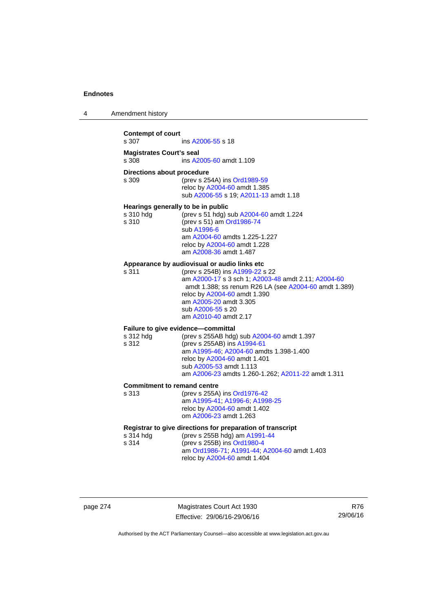| 4 | Amendment history |
|---|-------------------|
|---|-------------------|

| <b>Contempt of court</b><br>s 307  | ins A2006-55 s 18                                          |  |  |  |
|------------------------------------|------------------------------------------------------------|--|--|--|
|                                    |                                                            |  |  |  |
| <b>Magistrates Court's seal</b>    |                                                            |  |  |  |
| s 308                              | ins A2005-60 amdt 1.109                                    |  |  |  |
| Directions about procedure         |                                                            |  |  |  |
|                                    |                                                            |  |  |  |
| s 309                              | (prev s 254A) ins Ord1989-59                               |  |  |  |
|                                    | reloc by A2004-60 amdt 1.385                               |  |  |  |
|                                    | sub A2006-55 s 19; A2011-13 amdt 1.18                      |  |  |  |
|                                    |                                                            |  |  |  |
| Hearings generally to be in public |                                                            |  |  |  |
| s 310 hdg                          | (prev s 51 hdg) sub A2004-60 amdt 1.224                    |  |  |  |
| s 310                              | (prev s 51) am Ord1986-74                                  |  |  |  |
|                                    | sub A1996-6                                                |  |  |  |
|                                    | am A2004-60 amdts 1.225-1.227                              |  |  |  |
|                                    | reloc by A2004-60 amdt 1.228                               |  |  |  |
|                                    | am A2008-36 amdt 1.487                                     |  |  |  |
|                                    |                                                            |  |  |  |
|                                    | Appearance by audiovisual or audio links etc               |  |  |  |
| s 311                              | (prev s 254B) ins A1999-22 s 22                            |  |  |  |
|                                    | am A2000-17 s 3 sch 1; A2003-48 amdt 2.11; A2004-60        |  |  |  |
|                                    | amdt 1.388; ss renum R26 LA (see A2004-60 amdt 1.389)      |  |  |  |
|                                    | reloc by A2004-60 amdt 1.390                               |  |  |  |
|                                    |                                                            |  |  |  |
|                                    | am A2005-20 amdt 3.305                                     |  |  |  |
|                                    | sub A2006-55 s 20                                          |  |  |  |
|                                    | am A2010-40 amdt 2.17                                      |  |  |  |
|                                    | Failure to give evidence-committal                         |  |  |  |
|                                    |                                                            |  |  |  |
| s 312 hdg                          | (prev s 255AB hdg) sub A2004-60 amdt 1.397                 |  |  |  |
| s 312                              | (prev s 255AB) ins A1994-61                                |  |  |  |
|                                    | am A1995-46; A2004-60 amdts 1.398-1.400                    |  |  |  |
|                                    | reloc by A2004-60 amdt 1.401                               |  |  |  |
|                                    | sub A2005-53 amdt 1.113                                    |  |  |  |
|                                    | am A2006-23 amdts 1.260-1.262; A2011-22 amdt 1.311         |  |  |  |
|                                    |                                                            |  |  |  |
| <b>Commitment to remand centre</b> |                                                            |  |  |  |
| s 313                              | (prev s 255A) ins Ord1976-42                               |  |  |  |
|                                    | am A1995-41; A1996-6; A1998-25                             |  |  |  |
|                                    | reloc by A2004-60 amdt 1.402                               |  |  |  |
|                                    | om A2006-23 amdt 1.263                                     |  |  |  |
|                                    |                                                            |  |  |  |
|                                    | Registrar to give directions for preparation of transcript |  |  |  |
| s 314 hdg                          | (prev s 255B hdg) am A1991-44                              |  |  |  |
| s 314                              | (prev s 255B) ins Ord1980-4                                |  |  |  |
|                                    | am Ord1986-71; A1991-44; A2004-60 amdt 1.403               |  |  |  |
|                                    | reloc by A2004-60 amdt 1.404                               |  |  |  |
|                                    |                                                            |  |  |  |

page 274 Magistrates Court Act 1930 Effective: 29/06/16-29/06/16

R76 29/06/16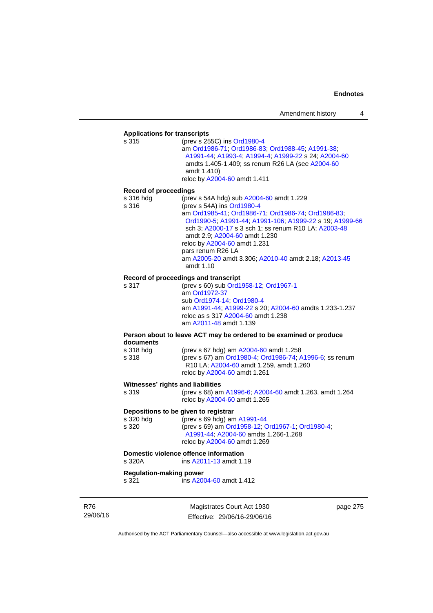# **Applications for transcripts**

s 315 (prev s 255C) ins [Ord1980-4](http://www.legislation.act.gov.au/a/1980-4) am [Ord1986-71](http://www.legislation.act.gov.au/a/1986-71); [Ord1986-83;](http://www.legislation.act.gov.au/a/1986-83) [Ord1988-45](http://www.legislation.act.gov.au/a/1988-45); [A1991-38](http://www.legislation.act.gov.au/a/1991-38); [A1991-44;](http://www.legislation.act.gov.au/a/1991-44) [A1993-4;](http://www.legislation.act.gov.au/a/1993-4) [A1994-4](http://www.legislation.act.gov.au/a/1994-4); [A1999-22](http://www.legislation.act.gov.au/a/1999-22) s 24; [A2004-60](http://www.legislation.act.gov.au/a/2004-60) amdts 1.405-1.409; ss renum R26 LA (see [A2004-60](http://www.legislation.act.gov.au/a/2004-60) amdt 1.410) reloc by [A2004-60](http://www.legislation.act.gov.au/a/2004-60) amdt 1.411

#### **Record of proceedings**

| s 316 hdg | (prev s 54A hdg) sub A2004-60 amdt 1.229                          |
|-----------|-------------------------------------------------------------------|
| s 316     | (prev s 54A) ins Ord1980-4                                        |
|           | am Ord1985-41; Ord1986-71; Ord1986-74; Ord1986-83;                |
|           | Ord1990-5; A1991-44; A1991-106; A1999-22 s 19; A1999-66           |
|           | sch 3; A2000-17 s 3 sch 1; ss renum R10 LA; A2003-48              |
|           | amdt 2.9; A2004-60 amdt 1.230                                     |
|           | reloc by A2004-60 amdt 1.231                                      |
|           | pars renum R26 LA                                                 |
|           | am A2005-20 amdt 3.306; A2010-40 amdt 2.18; A2013-45<br>amdt 1.10 |
|           |                                                                   |

#### **Record of proceedings and transcript**

s 317 (prev s 60) sub [Ord1958-12](http://www.legislation.act.gov.au/a/1958-12); [Ord1967-1](http://www.legislation.act.gov.au/a/1967-1) am [Ord1972-37](http://www.legislation.act.gov.au/a/1972-37) sub [Ord1974-14](http://www.legislation.act.gov.au/a/1974-14); [Ord1980-4](http://www.legislation.act.gov.au/a/1980-4) am [A1991-44](http://www.legislation.act.gov.au/a/1991-44); [A1999-22](http://www.legislation.act.gov.au/a/1999-22) s 20; [A2004-60](http://www.legislation.act.gov.au/a/2004-60) amdts 1.233-1.237 reloc as s 317 [A2004-60](http://www.legislation.act.gov.au/a/2004-60) amdt 1.238 am [A2011-48](http://www.legislation.act.gov.au/a/2011-48) amdt 1.139

#### **Person about to leave ACT may be ordered to be examined or produce documents**

s 318 hdg (prev s 67 hdg) am [A2004-60](http://www.legislation.act.gov.au/a/2004-60) amdt 1.258 s 318 (prev s 67) am [Ord1980-4;](http://www.legislation.act.gov.au/a/1980-4) [Ord1986-74;](http://www.legislation.act.gov.au/a/1986-74) [A1996-6;](http://www.legislation.act.gov.au/a/1996-6) ss renum R10 LA; [A2004-60](http://www.legislation.act.gov.au/a/2004-60) amdt 1.259, amdt 1.260 reloc by [A2004-60](http://www.legislation.act.gov.au/a/2004-60) amdt 1.261

#### **Witnesses' rights and liabilities**

s 319 (prev s 68) am [A1996-6;](http://www.legislation.act.gov.au/a/1996-6) [A2004-60](http://www.legislation.act.gov.au/a/2004-60) amdt 1.263, amdt 1.264 reloc by [A2004-60](http://www.legislation.act.gov.au/a/2004-60) amdt 1.265

#### **Depositions to be given to registrar**

| s 320 hdg | (prev s 69 hdg) am $A1991-44$                    |
|-----------|--------------------------------------------------|
| s 320     | (prev s 69) am Ord1958-12, Ord1967-1, Ord1980-4, |
|           | A1991-44: A2004-60 amdts 1.266-1.268             |
|           | reloc by A2004-60 amdt 1.269                     |

#### **Domestic violence offence information**

s 320A ins [A2011-13](http://www.legislation.act.gov.au/a/2011-13) amdt 1.19

#### **Regulation-making power**

s 321 ins [A2004-60](http://www.legislation.act.gov.au/a/2004-60) amdt 1.412

R76 29/06/16

Magistrates Court Act 1930 Effective: 29/06/16-29/06/16 page 275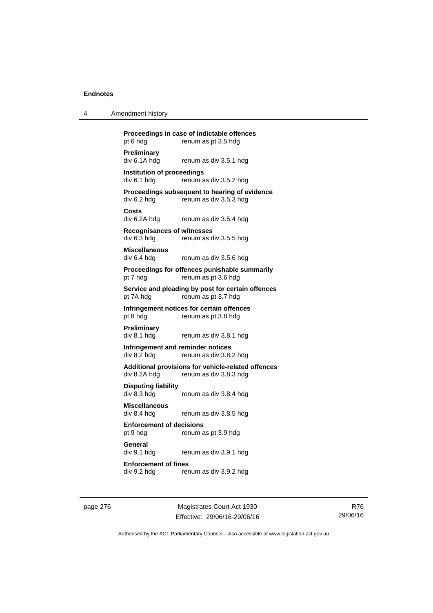| 4 | Amendment history |
|---|-------------------|
|---|-------------------|

**Proceedings in case of indictable offences**  pt 6 hdg renum as pt 3.5 hdg **Preliminary**  div 6.1A hdg renum as div 3.5.1 hdg **Institution of proceedings**   $div 6.1$  hdg renum as div  $3.5.2$  hdg **Proceedings subsequent to hearing of evidence**  div 6.2 hdg renum as div 3.5.3 hdg **Costs**  renum as div 3.5.4 hdg **Recognisances of witnesses**  div 6.3 hdg renum as div 3.5.5 hdg **Miscellaneous**  div 6.4 hdg renum as div 3.5.6 hdg **Proceedings for offences punishable summarily**  pt 7 hdg renum as pt 3.6 hdg **Service and pleading by post for certain offences**  pt 7A hdg renum as pt 3.7 hdg **Infringement notices for certain offences**  pt 8 hdg renum as pt 3.8 hdg **Preliminary**  div 8.1 hdg renum as div 3.8.1 hdg **Infringement and reminder notices**  div 8.2 hdg renum as div 3.8.2 hdg **Additional provisions for vehicle-related offences**  div 8.2A hdg renum as div 3.8.3 hdg **Disputing liability**  div 8.3 hdg renum as div 3.8.4 hdg **Miscellaneous**  renum as div 3.8.5 hdg **Enforcement of decisions**  pt 9 hdg renum as pt 3.9 hdg **General** 

div 9.1 hdg renum as div 3.9.1 hdg

**Enforcement of fines**  div 9.2 hdg renum as div 3.9.2 hdg

page 276 Magistrates Court Act 1930 Effective: 29/06/16-29/06/16

R76 29/06/16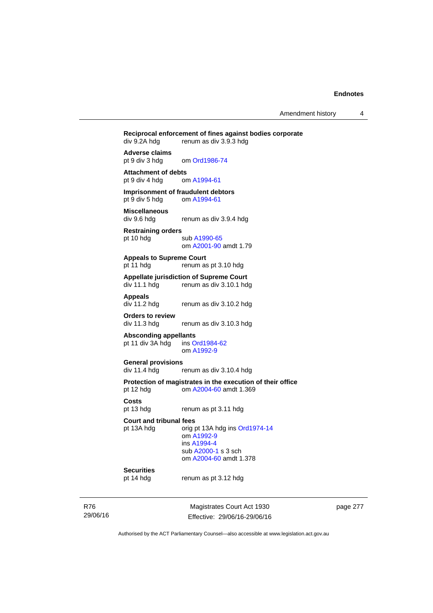Amendment history 4

**Reciprocal enforcement of fines against bodies corporate div 9.2A hdg renum as div 3.9.3 hdg** renum as div 3.9.3 hdg **Adverse claims**  pt 9 div 3 hdg om [Ord1986-74](http://www.legislation.act.gov.au/a/1986-74) **Attachment of debts**<br>
pt 9 div 4 hdg om A1994-61 pt 9 div 4 hdg **Imprisonment of fraudulent debtors**  pt 9 div 5 hdg om [A1994-61](http://www.legislation.act.gov.au/a/1994-61) **Miscellaneous**  renum as div 3.9.4 hdg **Restraining orders**  pt 10 hdg sub [A1990-65](http://www.legislation.act.gov.au/a/1990-65) om [A2001-90](http://www.legislation.act.gov.au/a/2001-90) amdt 1.79 **Appeals to Supreme Court**  pt 11 hdg renum as pt 3.10 hdg **Appellate jurisdiction of Supreme Court**  renum as div 3.10.1 hdg **Appeals**  div 11.2 hdg renum as div 3.10.2 hdg **Orders to review**  renum as div 3.10.3 hdg **Absconding appellants**  pt 11 div 3A hdg ins [Ord1984-62](http://www.legislation.act.gov.au/a/1984-62) om [A1992-9](http://www.legislation.act.gov.au/a/1992-9) **General provisions**  renum as div 3.10.4 hdg **Protection of magistrates in the execution of their office**  pt 12 hdg om [A2004-60](http://www.legislation.act.gov.au/a/2004-60) amdt 1.369 **Costs**  pt 13 hdg renum as pt 3.11 hdg **Court and tribunal fees**  pt 13A hdg orig pt 13A hdg ins [Ord1974-14](http://www.legislation.act.gov.au/a/1974-14) om [A1992-9](http://www.legislation.act.gov.au/a/1992-9) ins [A1994-4](http://www.legislation.act.gov.au/a/1994-4) sub [A2000-1](http://www.legislation.act.gov.au/a/2000-1) s 3 sch om [A2004-60](http://www.legislation.act.gov.au/a/2004-60) amdt 1.378

### **Securities**

pt 14 hdg renum as pt 3.12 hdg

R76 29/06/16

Magistrates Court Act 1930 Effective: 29/06/16-29/06/16 page 277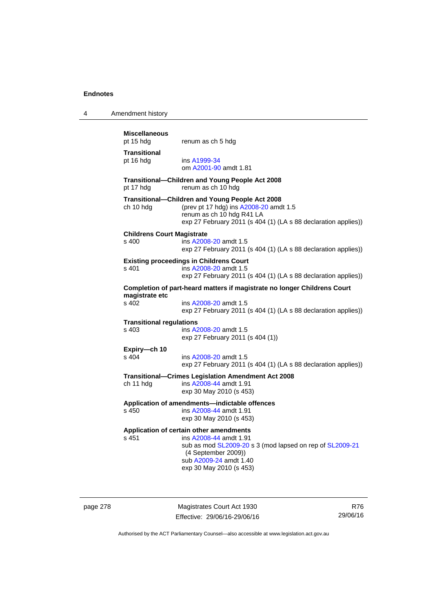| 4 | Amendment history                          |                                                                                                                                                                                                           |
|---|--------------------------------------------|-----------------------------------------------------------------------------------------------------------------------------------------------------------------------------------------------------------|
|   | <b>Miscellaneous</b><br>pt 15 hdg          | renum as ch 5 hdg                                                                                                                                                                                         |
|   | <b>Transitional</b><br>pt 16 hdg           | ins A1999-34<br>om A2001-90 amdt 1.81                                                                                                                                                                     |
|   | pt 17 hdg                                  | Transitional-Children and Young People Act 2008<br>renum as ch 10 hdg                                                                                                                                     |
|   | ch 10 hdg                                  | Transitional-Children and Young People Act 2008<br>(prev pt 17 hdg) ins A2008-20 amdt 1.5<br>renum as ch 10 hdg R41 LA<br>exp 27 February 2011 (s 404 (1) (LA s 88 declaration applies))                  |
|   | <b>Childrens Court Magistrate</b><br>s 400 | ins A2008-20 amdt 1.5<br>exp 27 February 2011 (s 404 (1) (LA s 88 declaration applies))                                                                                                                   |
|   | s 401                                      | <b>Existing proceedings in Childrens Court</b><br>ins A2008-20 amdt 1.5<br>exp 27 February 2011 (s 404 (1) (LA s 88 declaration applies))                                                                 |
|   | magistrate etc<br>s 402                    | Completion of part-heard matters if magistrate no longer Childrens Court<br>ins A2008-20 amdt 1.5<br>exp 27 February 2011 (s 404 (1) (LA s 88 declaration applies))                                       |
|   | <b>Transitional regulations</b><br>s 403   | ins A2008-20 amdt 1.5<br>exp 27 February 2011 (s 404 (1))                                                                                                                                                 |
|   | Expiry-ch 10<br>s 404                      | ins A2008-20 amdt 1.5<br>exp 27 February 2011 (s 404 (1) (LA s 88 declaration applies))                                                                                                                   |
|   | ch 11 hdg                                  | <b>Transitional-Crimes Legislation Amendment Act 2008</b><br>ins A2008-44 amdt 1.91<br>exp 30 May 2010 (s 453)                                                                                            |
|   | s 450                                      | Application of amendments-indictable offences<br>ins A2008-44 amdt 1.91<br>exp 30 May 2010 (s 453)                                                                                                        |
|   | s 451                                      | Application of certain other amendments<br>ins A2008-44 amdt 1.91<br>sub as mod SL2009-20 s 3 (mod lapsed on rep of SL2009-21<br>(4 September 2009))<br>sub A2009-24 amdt 1.40<br>exp 30 May 2010 (s 453) |

page 278 Magistrates Court Act 1930 Effective: 29/06/16-29/06/16

R76 29/06/16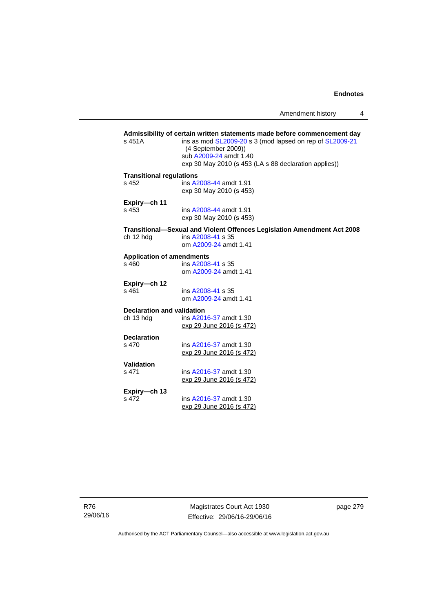Amendment history 4

### Admissibility of certain written statements made before commencement day<br>
s 451A ins as mod SL2009-20 s 3 (mod lapsed on rep of SL2009-21 ins as mod [SL2009-20](http://www.legislation.act.gov.au/sl/2009-20) s 3 (mod lapsed on rep of [SL2009-21](http://www.legislation.act.gov.au/sl/2009-21) (4 September 2009)) sub [A2009-24](http://www.legislation.act.gov.au/a/2009-24) amdt 1.40 exp 30 May 2010 (s 453 (LA s 88 declaration applies)) **Transitional regulations**  s 452 ins [A2008-44](http://www.legislation.act.gov.au/a/2008-44) amdt 1.91 exp 30 May 2010 (s 453) **Expiry—ch 11**  s 453 ins [A2008-44](http://www.legislation.act.gov.au/a/2008-44) amdt 1.91 exp 30 May 2010 (s 453) **Transitional—Sexual and Violent Offences Legislation Amendment Act 2008**  ch 12 hdg ins [A2008-41](http://www.legislation.act.gov.au/a/2008-41) s 35 om [A2009-24](http://www.legislation.act.gov.au/a/2009-24) amdt 1.41 **Application of amendments**  s 460 ins [A2008-41](http://www.legislation.act.gov.au/a/2008-41) s 35 om [A2009-24](http://www.legislation.act.gov.au/a/2009-24) amdt 1.41 **Expiry—ch 12**  ins [A2008-41](http://www.legislation.act.gov.au/a/2008-41) s 35 om [A2009-24](http://www.legislation.act.gov.au/a/2009-24) amdt 1.41 **Declaration and validation**  ch 13 hdg ins [A2016-37](http://www.legislation.act.gov.au/a/2016-37/default.asp) amdt 1.30 exp 29 June 2016 (s 472) **Declaration**  s 470 ins [A2016-37](http://www.legislation.act.gov.au/a/2016-37/default.asp) amdt 1.30 exp 29 June 2016 (s 472) **Validation**  ins [A2016-37](http://www.legislation.act.gov.au/a/2016-37/default.asp) amdt 1.30 exp 29 June 2016 (s 472) **Expiry—ch 13**  ins [A2016-37](http://www.legislation.act.gov.au/a/2016-37/default.asp) amdt 1.30 exp 29 June 2016 (s 472)

R76 29/06/16

Magistrates Court Act 1930 Effective: 29/06/16-29/06/16 page 279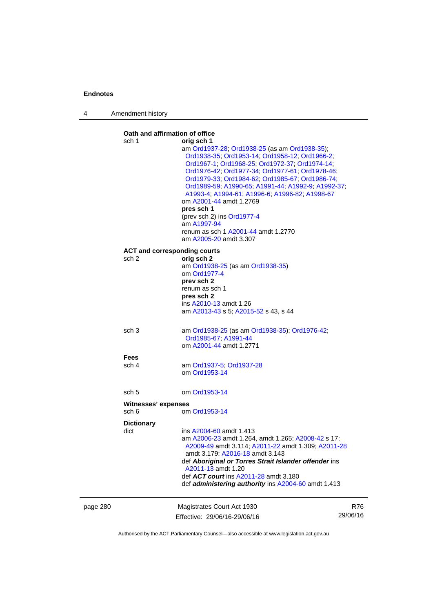4 Amendment history

page 280 Magistrates Court Act 1930 Effective: 29/06/16-29/06/16 R76 29/06/16 **Oath and affirmation of office**  sch 1 **orig sch 1**  am [Ord1937-28](http://www.legislation.act.gov.au/a/1937-28); [Ord1938-25](http://www.legislation.act.gov.au/a/1938-25) (as am [Ord1938-35\)](http://www.legislation.act.gov.au/a/1938-35); [Ord1938-35;](http://www.legislation.act.gov.au/a/1938-35) [Ord1953-14](http://www.legislation.act.gov.au/a/1953-14); [Ord1958-12](http://www.legislation.act.gov.au/a/1958-12); [Ord1966-2](http://www.legislation.act.gov.au/a/1966-2); [Ord1967-1;](http://www.legislation.act.gov.au/a/1967-1) [Ord1968-25;](http://www.legislation.act.gov.au/a/1968-25) [Ord1972-37;](http://www.legislation.act.gov.au/a/1972-37) [Ord1974-14](http://www.legislation.act.gov.au/a/1974-14); [Ord1976-42;](http://www.legislation.act.gov.au/a/1976-42) [Ord1977-34](http://www.legislation.act.gov.au/a/1977-34); [Ord1977-61](http://www.legislation.act.gov.au/a/1977-61); [Ord1978-46](http://www.legislation.act.gov.au/a/1978-46); [Ord1979-33;](http://www.legislation.act.gov.au/a/1979-33) [Ord1984-62](http://www.legislation.act.gov.au/a/1984-62); [Ord1985-67;](http://www.legislation.act.gov.au/a/1985-67) [Ord1986-74](http://www.legislation.act.gov.au/a/1986-74); [Ord1989-59;](http://www.legislation.act.gov.au/a/1989-59) [A1990-65;](http://www.legislation.act.gov.au/a/1990-65) [A1991-44;](http://www.legislation.act.gov.au/a/1991-44) [A1992-9](http://www.legislation.act.gov.au/a/1992-9); [A1992-37](http://www.legislation.act.gov.au/a/1992-37); [A1993-4;](http://www.legislation.act.gov.au/a/1993-4) [A1994-61;](http://www.legislation.act.gov.au/a/1994-61) [A1996-6](http://www.legislation.act.gov.au/a/1996-6); [A1996-82](http://www.legislation.act.gov.au/a/1996-82); [A1998-67](http://www.legislation.act.gov.au/a/1998-67) om [A2001-44](http://www.legislation.act.gov.au/a/2001-44) amdt 1.2769 **pres sch 1** (prev sch 2) ins [Ord1977-4](http://www.legislation.act.gov.au/a/1977-4) am [A1997-94](http://www.legislation.act.gov.au/a/1997-94) renum as sch 1 [A2001-44](http://www.legislation.act.gov.au/a/2001-44) amdt 1.2770 am [A2005-20](http://www.legislation.act.gov.au/a/2005-20) amdt 3.307 **ACT and corresponding courts**  sch 2 **orig sch 2** am [Ord1938-25](http://www.legislation.act.gov.au/a/1938-25) (as am [Ord1938-35\)](http://www.legislation.act.gov.au/a/1938-35) om [Ord1977-4](http://www.legislation.act.gov.au/a/1977-4) **prev sch 2**  renum as sch 1 **pres sch 2**  ins [A2010-13](http://www.legislation.act.gov.au/a/2010-13) amdt 1.26 am [A2013-43](http://www.legislation.act.gov.au/a/2013-43) s 5; [A2015-52](http://www.legislation.act.gov.au/a/2015-52/default.asp) s 43, s 44 sch 3 am [Ord1938-25](http://www.legislation.act.gov.au/a/1938-25) (as am [Ord1938-35\)](http://www.legislation.act.gov.au/a/1938-35); [Ord1976-42;](http://www.legislation.act.gov.au/a/1976-42) [Ord1985-67;](http://www.legislation.act.gov.au/a/1985-67) [A1991-44](http://www.legislation.act.gov.au/a/1991-44) om [A2001-44](http://www.legislation.act.gov.au/a/2001-44) amdt 1.2771 **Fees**  sch 4 am [Ord1937-5;](http://www.legislation.act.gov.au/a/1937-5) [Ord1937-28](http://www.legislation.act.gov.au/a/1937-28) om [Ord1953-14](http://www.legislation.act.gov.au/a/1953-14) sch 5 om [Ord1953-14](http://www.legislation.act.gov.au/a/1953-14) **Witnesses' expenses**  sch 6 om [Ord1953-14](http://www.legislation.act.gov.au/a/1953-14) **Dictionary**  dict ins [A2004-60](http://www.legislation.act.gov.au/a/2004-60) amdt 1.413 am [A2006-23](http://www.legislation.act.gov.au/a/2006-23) amdt 1.264, amdt 1.265; [A2008-42](http://www.legislation.act.gov.au/a/2008-42) s 17; [A2009-49](http://www.legislation.act.gov.au/a/2009-49) amdt 3.114; [A2011-22](http://www.legislation.act.gov.au/a/2011-22) amdt 1.309; [A2011-28](http://www.legislation.act.gov.au/a/2011-28) amdt 3.179; [A2016-18](http://www.legislation.act.gov.au/a/2016-18/default.asp) amdt 3.143 def *Aboriginal or Torres Strait Islander offender* ins [A2011-13](http://www.legislation.act.gov.au/a/2011-13) amdt 1.20 def *ACT court* ins [A2011-28](http://www.legislation.act.gov.au/a/2011-28) amdt 3.180 def *administering authority* ins [A2004-60](http://www.legislation.act.gov.au/a/2004-60) amdt 1.413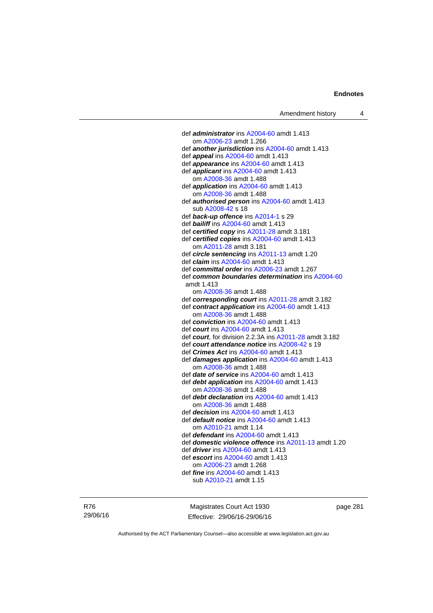def *administrator* ins [A2004-60](http://www.legislation.act.gov.au/a/2004-60) amdt 1.413 om [A2006-23](http://www.legislation.act.gov.au/a/2006-23) amdt 1.266 def *another jurisdiction* ins [A2004-60](http://www.legislation.act.gov.au/a/2004-60) amdt 1.413 def *appeal* ins [A2004-60](http://www.legislation.act.gov.au/a/2004-60) amdt 1.413 def *appearance* ins [A2004-60](http://www.legislation.act.gov.au/a/2004-60) amdt 1.413 def *applicant* ins [A2004-60](http://www.legislation.act.gov.au/a/2004-60) amdt 1.413 om [A2008-36](http://www.legislation.act.gov.au/a/2008-36) amdt 1.488 def *application* ins [A2004-60](http://www.legislation.act.gov.au/a/2004-60) amdt 1.413 om [A2008-36](http://www.legislation.act.gov.au/a/2008-36) amdt 1.488 def *authorised person* ins [A2004-60](http://www.legislation.act.gov.au/a/2004-60) amdt 1.413 sub [A2008-42](http://www.legislation.act.gov.au/a/2008-42) s 18 def *back-up offence* ins [A2014-1](http://www.legislation.act.gov.au/a/2014-1) s 29 def *bailiff* ins [A2004-60](http://www.legislation.act.gov.au/a/2004-60) amdt 1.413 def *certified copy* ins [A2011-28](http://www.legislation.act.gov.au/a/2011-28) amdt 3.181 def *certified copies* ins [A2004-60](http://www.legislation.act.gov.au/a/2004-60) amdt 1.413 om [A2011-28](http://www.legislation.act.gov.au/a/2011-28) amdt 3.181 def *circle sentencing* ins [A2011-13](http://www.legislation.act.gov.au/a/2011-13) amdt 1.20 def *claim* ins [A2004-60](http://www.legislation.act.gov.au/a/2004-60) amdt 1.413 def *committal order* ins [A2006-23](http://www.legislation.act.gov.au/a/2006-23) amdt 1.267 def *common boundaries determination* ins [A2004-60](http://www.legislation.act.gov.au/a/2004-60) amdt 1.413 om [A2008-36](http://www.legislation.act.gov.au/a/2008-36) amdt 1.488 def *corresponding court* ins [A2011-28](http://www.legislation.act.gov.au/a/2011-28) amdt 3.182 def *contract application* ins [A2004-60](http://www.legislation.act.gov.au/a/2004-60) amdt 1.413 om [A2008-36](http://www.legislation.act.gov.au/a/2008-36) amdt 1.488 def *conviction* ins [A2004-60](http://www.legislation.act.gov.au/a/2004-60) amdt 1.413 def *court* ins [A2004-60](http://www.legislation.act.gov.au/a/2004-60) amdt 1.413 def *court*, for division 2.2.3A ins [A2011-28](http://www.legislation.act.gov.au/a/2011-28) amdt 3.182 def *court attendance notice* ins [A2008-42](http://www.legislation.act.gov.au/a/2008-42) s 19 def *Crimes Act* ins [A2004-60](http://www.legislation.act.gov.au/a/2004-60) amdt 1.413 def *damages application* ins [A2004-60](http://www.legislation.act.gov.au/a/2004-60) amdt 1.413 om [A2008-36](http://www.legislation.act.gov.au/a/2008-36) amdt 1.488 def *date of service* ins [A2004-60](http://www.legislation.act.gov.au/a/2004-60) amdt 1.413 def *debt application* ins [A2004-60](http://www.legislation.act.gov.au/a/2004-60) amdt 1.413 om [A2008-36](http://www.legislation.act.gov.au/a/2008-36) amdt 1.488 def *debt declaration* ins [A2004-60](http://www.legislation.act.gov.au/a/2004-60) amdt 1.413 om [A2008-36](http://www.legislation.act.gov.au/a/2008-36) amdt 1.488 def *decision* ins [A2004-60](http://www.legislation.act.gov.au/a/2004-60) amdt 1.413 def *default notice* ins [A2004-60](http://www.legislation.act.gov.au/a/2004-60) amdt 1.413 om [A2010-21](http://www.legislation.act.gov.au/a/2010-21) amdt 1.14 def *defendant* ins [A2004-60](http://www.legislation.act.gov.au/a/2004-60) amdt 1.413 def *domestic violence offence* ins [A2011-13](http://www.legislation.act.gov.au/a/2011-13) amdt 1.20 def *driver* ins [A2004-60](http://www.legislation.act.gov.au/a/2004-60) amdt 1.413 def *escort* ins [A2004-60](http://www.legislation.act.gov.au/a/2004-60) amdt 1.413 om [A2006-23](http://www.legislation.act.gov.au/a/2006-23) amdt 1.268 def *fine* ins [A2004-60](http://www.legislation.act.gov.au/a/2004-60) amdt 1.413 sub [A2010-21](http://www.legislation.act.gov.au/a/2010-21) amdt 1.15

R76 29/06/16

Magistrates Court Act 1930 Effective: 29/06/16-29/06/16 page 281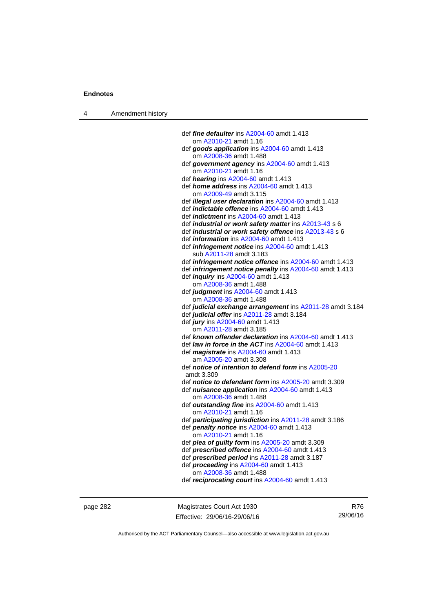4 Amendment history

| def fine defaulter ins A2004-60 amdt 1.413                     |
|----------------------------------------------------------------|
| om A2010-21 amdt 1.16                                          |
| def goods application ins A2004-60 amdt 1.413                  |
| om A2008-36 amdt 1.488                                         |
| def government agency ins A2004-60 amdt 1.413                  |
| om A2010-21 amdt 1.16                                          |
| def hearing ins A2004-60 amdt 1.413                            |
| def home address ins A2004-60 amdt 1.413                       |
| om A2009-49 amdt 3.115                                         |
| def <i>illegal user declaration</i> ins A2004-60 amdt 1.413    |
| def <i>indictable</i> offence ins A2004-60 amdt 1.413          |
|                                                                |
| def <i>indictment</i> ins A2004-60 amdt 1.413                  |
| def industrial or work safety matter ins A2013-43 s 6          |
| def industrial or work safety offence ins A2013-43 s 6         |
| def <i>information</i> ins A2004-60 amdt 1.413                 |
| def <i>infringement notice</i> ins A2004-60 amdt 1.413         |
| sub A2011-28 amdt 3.183                                        |
| def <i>infringement notice offence</i> ins A2004-60 amdt 1.413 |
| def <i>infringement notice penalty</i> ins A2004-60 amdt 1.413 |
| def <i>inquiry</i> ins A2004-60 amdt 1.413                     |
| om A2008-36 amdt 1.488                                         |
| def judgment ins A2004-60 amdt 1.413                           |
| om A2008-36 amdt 1.488                                         |
| def judicial exchange arrangement ins A2011-28 amdt 3.184      |
| def judicial offer ins A2011-28 amdt 3.184                     |
| def jury ins A2004-60 amdt 1.413                               |
| om A2011-28 amdt 3.185                                         |
| def known offender declaration ins A2004-60 amdt 1.413         |
| def law in force in the ACT ins A2004-60 amdt 1.413            |
| def <i>magistrate</i> ins A2004-60 amdt 1.413                  |
| am A2005-20 amdt 3.308                                         |
| def notice of intention to defend form ins A2005-20            |
| amdt 3.309                                                     |
|                                                                |
| def notice to defendant form ins A2005-20 amdt 3.309           |
| def nuisance application ins A2004-60 amdt 1.413               |
| om A2008-36 amdt 1.488                                         |
| def outstanding fine ins A2004-60 amdt 1.413                   |
| om A2010-21 amdt 1.16                                          |
| def participating jurisdiction ins A2011-28 amdt 3.186         |
| def penalty notice ins A2004-60 amdt 1.413                     |
| om A2010-21 amdt 1.16                                          |
| def plea of guilty form ins A2005-20 amdt 3.309                |
| def prescribed offence ins A2004-60 amdt 1.413                 |
| def prescribed period ins A2011-28 amdt 3.187                  |
| def proceeding ins A2004-60 amdt 1.413                         |
| om A2008-36 amdt 1.488                                         |
| def reciprocating court ins A2004-60 amdt 1.413                |
|                                                                |

page 282 Magistrates Court Act 1930 Effective: 29/06/16-29/06/16

R76 29/06/16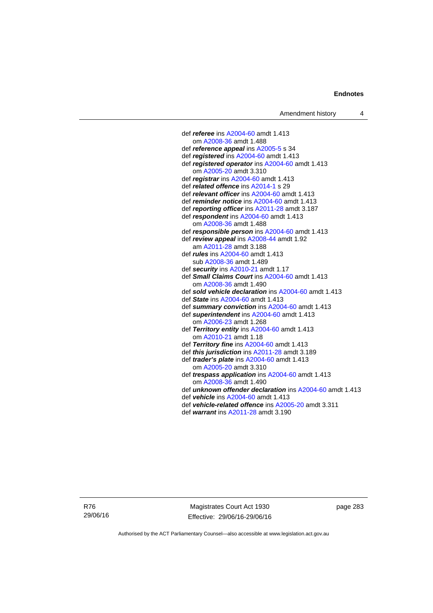def *referee* ins [A2004-60](http://www.legislation.act.gov.au/a/2004-60) amdt 1.413 om [A2008-36](http://www.legislation.act.gov.au/a/2008-36) amdt 1.488 def *reference appeal* ins [A2005-5](http://www.legislation.act.gov.au/a/2005-5) s 34 def *registered* ins [A2004-60](http://www.legislation.act.gov.au/a/2004-60) amdt 1.413 def *registered operator* ins [A2004-60](http://www.legislation.act.gov.au/a/2004-60) amdt 1.413 om [A2005-20](http://www.legislation.act.gov.au/a/2005-20) amdt 3.310 def *registrar* ins [A2004-60](http://www.legislation.act.gov.au/a/2004-60) amdt 1.413 def *related offence* ins [A2014-1](http://www.legislation.act.gov.au/a/2014-1) s 29 def *relevant officer* ins [A2004-60](http://www.legislation.act.gov.au/a/2004-60) amdt 1.413 def *reminder notice* ins [A2004-60](http://www.legislation.act.gov.au/a/2004-60) amdt 1.413 def *reporting officer* ins [A2011-28](http://www.legislation.act.gov.au/a/2011-28) amdt 3.187 def *respondent* ins [A2004-60](http://www.legislation.act.gov.au/a/2004-60) amdt 1.413 om [A2008-36](http://www.legislation.act.gov.au/a/2008-36) amdt 1.488 def *responsible person* ins [A2004-60](http://www.legislation.act.gov.au/a/2004-60) amdt 1.413 def *review appeal* ins [A2008-44](http://www.legislation.act.gov.au/a/2008-44) amdt 1.92 am [A2011-28](http://www.legislation.act.gov.au/a/2011-28) amdt 3.188 def *rules* ins [A2004-60](http://www.legislation.act.gov.au/a/2004-60) amdt 1.413 sub [A2008-36](http://www.legislation.act.gov.au/a/2008-36) amdt 1.489 def *security* ins [A2010-21](http://www.legislation.act.gov.au/a/2010-21) amdt 1.17 def *Small Claims Court* ins [A2004-60](http://www.legislation.act.gov.au/a/2004-60) amdt 1.413 om [A2008-36](http://www.legislation.act.gov.au/a/2008-36) amdt 1.490 def *sold vehicle declaration* ins [A2004-60](http://www.legislation.act.gov.au/a/2004-60) amdt 1.413 def *State* ins [A2004-60](http://www.legislation.act.gov.au/a/2004-60) amdt 1.413 def *summary conviction* ins [A2004-60](http://www.legislation.act.gov.au/a/2004-60) amdt 1.413 def *superintendent* ins [A2004-60](http://www.legislation.act.gov.au/a/2004-60) amdt 1.413 om [A2006-23](http://www.legislation.act.gov.au/a/2006-23) amdt 1.268 def *Territory entity* ins [A2004-60](http://www.legislation.act.gov.au/a/2004-60) amdt 1.413 om [A2010-21](http://www.legislation.act.gov.au/a/2010-21) amdt 1.18 def *Territory fine* ins [A2004-60](http://www.legislation.act.gov.au/a/2004-60) amdt 1.413 def *this jurisdiction* ins [A2011-28](http://www.legislation.act.gov.au/a/2011-28) amdt 3.189 def *trader's plate* ins [A2004-60](http://www.legislation.act.gov.au/a/2004-60) amdt 1.413 om [A2005-20](http://www.legislation.act.gov.au/a/2005-20) amdt 3.310 def *trespass application* ins [A2004-60](http://www.legislation.act.gov.au/a/2004-60) amdt 1.413 om [A2008-36](http://www.legislation.act.gov.au/a/2008-36) amdt 1.490 def *unknown offender declaration* ins [A2004-60](http://www.legislation.act.gov.au/a/2004-60) amdt 1.413 def *vehicle* ins [A2004-60](http://www.legislation.act.gov.au/a/2004-60) amdt 1.413

- def *vehicle-related offence* ins [A2005-20](http://www.legislation.act.gov.au/a/2005-20) amdt 3.311
- def *warrant* ins [A2011-28](http://www.legislation.act.gov.au/a/2011-28) amdt 3.190

R76 29/06/16

Magistrates Court Act 1930 Effective: 29/06/16-29/06/16 page 283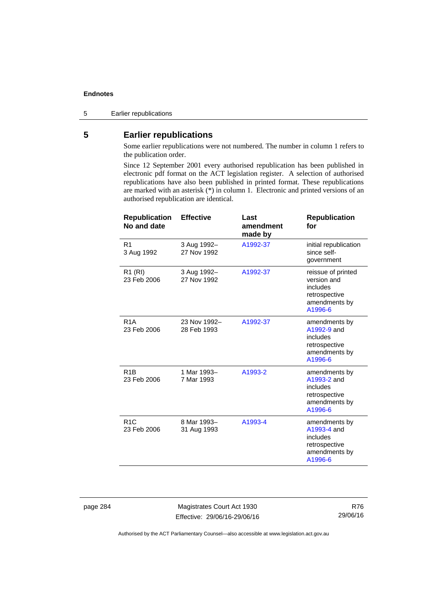5 Earlier republications

## **5 Earlier republications**

Some earlier republications were not numbered. The number in column 1 refers to the publication order.

Since 12 September 2001 every authorised republication has been published in electronic pdf format on the ACT legislation register. A selection of authorised republications have also been published in printed format. These republications are marked with an asterisk (\*) in column 1. Electronic and printed versions of an authorised republication are identical.

| <b>Republication</b><br>No and date | <b>Effective</b>            | Last<br>amendment<br>made by | <b>Republication</b><br>for                                                                |
|-------------------------------------|-----------------------------|------------------------------|--------------------------------------------------------------------------------------------|
| R <sub>1</sub><br>3 Aug 1992        | 3 Aug 1992-<br>27 Nov 1992  | A1992-37                     | initial republication<br>since self-<br>government                                         |
| R <sub>1</sub> (RI)<br>23 Feb 2006  | 3 Aug 1992-<br>27 Nov 1992  | A1992-37                     | reissue of printed<br>version and<br>includes<br>retrospective<br>amendments by<br>A1996-6 |
| R <sub>1</sub> A<br>23 Feb 2006     | 23 Nov 1992-<br>28 Feb 1993 | A1992-37                     | amendments by<br>A1992-9 and<br>includes<br>retrospective<br>amendments by<br>A1996-6      |
| R <sub>1</sub> B<br>23 Feb 2006     | 1 Mar 1993-<br>7 Mar 1993   | A1993-2                      | amendments by<br>A1993-2 and<br>includes<br>retrospective<br>amendments by<br>A1996-6      |
| R <sub>1</sub> C<br>23 Feb 2006     | 8 Mar 1993-<br>31 Aug 1993  | A1993-4                      | amendments by<br>A1993-4 and<br>includes<br>retrospective<br>amendments by<br>A1996-6      |

page 284 Magistrates Court Act 1930 Effective: 29/06/16-29/06/16

R76 29/06/16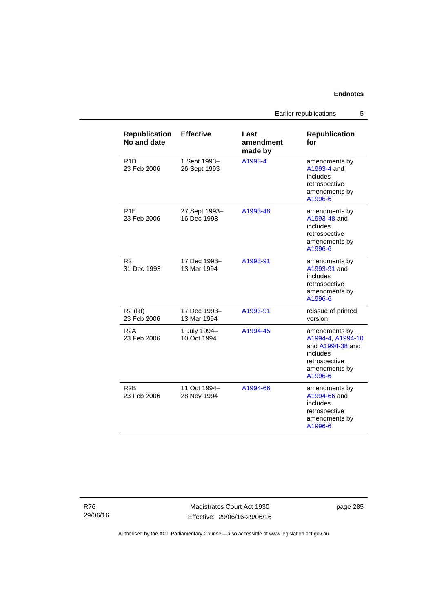Earlier republications 5

| <b>Republication</b><br>No and date | <b>Effective</b>             | Last<br>amendment<br>made by | <b>Republication</b><br>for                                                                                     |
|-------------------------------------|------------------------------|------------------------------|-----------------------------------------------------------------------------------------------------------------|
| R <sub>1</sub> D<br>23 Feb 2006     | 1 Sept 1993-<br>26 Sept 1993 | A1993-4                      | amendments by<br>A1993-4 and<br>includes<br>retrospective<br>amendments by<br>A1996-6                           |
| R <sub>1E</sub><br>23 Feb 2006      | 27 Sept 1993-<br>16 Dec 1993 | A1993-48                     | amendments by<br>A1993-48 and<br>includes<br>retrospective<br>amendments by<br>A1996-6                          |
| R <sub>2</sub><br>31 Dec 1993       | 17 Dec 1993–<br>13 Mar 1994  | A1993-91                     | amendments by<br>A1993-91 and<br>includes<br>retrospective<br>amendments by<br>A1996-6                          |
| R <sub>2</sub> (RI)<br>23 Feb 2006  | 17 Dec 1993–<br>13 Mar 1994  | A1993-91                     | reissue of printed<br>version                                                                                   |
| R2A<br>23 Feb 2006                  | 1 July 1994-<br>10 Oct 1994  | A1994-45                     | amendments by<br>A1994-4, A1994-10<br>and A1994-38 and<br>includes<br>retrospective<br>amendments by<br>A1996-6 |
| R <sub>2</sub> B<br>23 Feb 2006     | 11 Oct 1994-<br>28 Nov 1994  | A1994-66                     | amendments by<br>A1994-66 and<br>includes<br>retrospective<br>amendments by<br>A1996-6                          |

R76 29/06/16

Magistrates Court Act 1930 Effective: 29/06/16-29/06/16 page 285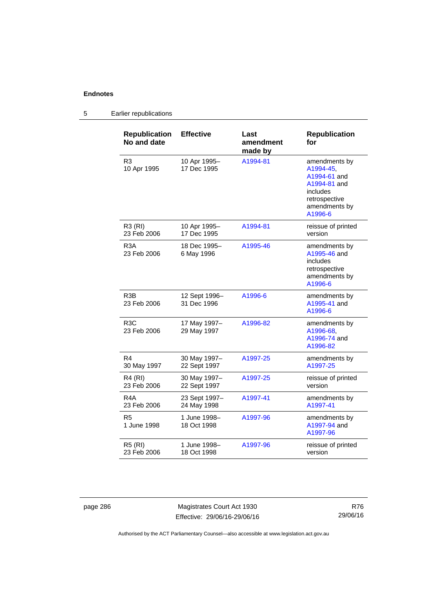#### **Republication No and date Effective Last amendment made by Republication for**  R3 10 Apr 1995 10 Apr 1995– 17 Dec 1995 [A1994-81](http://www.legislation.act.gov.au/a/1994-81) amendments by [A1994-45,](http://www.legislation.act.gov.au/a/1994-45) [A1994-61](http://www.legislation.act.gov.au/a/1994-61) and [A1994-81](http://www.legislation.act.gov.au/a/1994-81) and includes retrospective amendments by [A1996-6](http://www.legislation.act.gov.au/a/1996-6) R3 (RI) 23 Feb 2006 10 Apr 1995– 17 Dec 1995 [A1994-81](http://www.legislation.act.gov.au/a/1994-81) reissue of printed version R3A 23 Feb 2006 18 Dec 1995– 6 May 1996 [A1995-46](http://www.legislation.act.gov.au/a/1995-46) amendments by [A1995-46](http://www.legislation.act.gov.au/a/1995-46) and includes retrospective amendments by [A1996-6](http://www.legislation.act.gov.au/a/1996-6) R3B 23 Feb 2006 12 Sept 1996– 31 Dec 1996 [A1996-6](http://www.legislation.act.gov.au/a/1996-6) amendments by [A1995-41](http://www.legislation.act.gov.au/a/1995-41) and [A1996-6](http://www.legislation.act.gov.au/a/1996-6) R3C 23 Feb 2006 17 May 1997– 29 May 1997 [A1996-82](http://www.legislation.act.gov.au/a/1996-82) amendments by [A1996-68,](http://www.legislation.act.gov.au/a/1996-68) [A1996-74](http://www.legislation.act.gov.au/a/1996-74) and [A1996-82](http://www.legislation.act.gov.au/a/1996-82) R4 30 May 1997 30 May 1997– 22 Sept 1997 [A1997-25](http://www.legislation.act.gov.au/a/1997-25) amendments by [A1997-25](http://www.legislation.act.gov.au/a/1997-25) R4 (RI) 23 Feb 2006 30 May 1997– 22 Sept 1997 [A1997-25](http://www.legislation.act.gov.au/a/1997-25) reissue of printed version R4A 23 Feb 2006 23 Sept 1997– 24 May 1998 [A1997-41](http://www.legislation.act.gov.au/a/1997-41) amendments by [A1997-41](http://www.legislation.act.gov.au/a/1997-41) R5 1 June 1998 1 June 1998– 18 Oct 1998 [A1997-96](http://www.legislation.act.gov.au/a/1997-96) amendments by [A1997-94](http://www.legislation.act.gov.au/a/1997-94) and [A1997-96](http://www.legislation.act.gov.au/a/1997-96) R5 (RI) 23 Feb 2006 1 June 1998– 18 Oct 1998 [A1997-96](http://www.legislation.act.gov.au/a/1997-96) reissue of printed version

### 5 Earlier republications

page 286 Magistrates Court Act 1930 Effective: 29/06/16-29/06/16

R76 29/06/16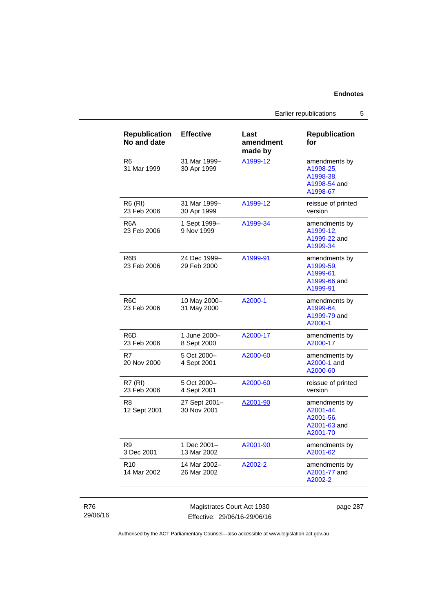Earlier republications 5

| <b>Republication</b><br>No and date | <b>Effective</b>             | Last<br>amendment<br>made by | <b>Republication</b><br>for                                         |
|-------------------------------------|------------------------------|------------------------------|---------------------------------------------------------------------|
| R6<br>31 Mar 1999                   | 31 Mar 1999-<br>30 Apr 1999  | A1999-12                     | amendments by<br>A1998-25.<br>A1998-38.<br>A1998-54 and<br>A1998-67 |
| <b>R6 (RI)</b><br>23 Feb 2006       | 31 Mar 1999-<br>30 Apr 1999  | A1999-12                     | reissue of printed<br>version                                       |
| R <sub>6</sub> A<br>23 Feb 2006     | 1 Sept 1999-<br>9 Nov 1999   | A1999-34                     | amendments by<br>A1999-12,<br>A1999-22 and<br>A1999-34              |
| R6B<br>23 Feb 2006                  | 24 Dec 1999–<br>29 Feb 2000  | A1999-91                     | amendments by<br>A1999-59.<br>A1999-61,<br>A1999-66 and<br>A1999-91 |
| R <sub>6</sub> C<br>23 Feb 2006     | 10 May 2000-<br>31 May 2000  | A2000-1                      | amendments by<br>A1999-64,<br>A1999-79 and<br>A2000-1               |
| R6D<br>23 Feb 2006                  | 1 June 2000-<br>8 Sept 2000  | A2000-17                     | amendments by<br>A2000-17                                           |
| R7<br>20 Nov 2000                   | 5 Oct 2000-<br>4 Sept 2001   | A2000-60                     | amendments by<br>A2000-1 and<br>A2000-60                            |
| <b>R7 (RI)</b><br>23 Feb 2006       | 5 Oct 2000-<br>4 Sept 2001   | A2000-60                     | reissue of printed<br>version                                       |
| R <sub>8</sub><br>12 Sept 2001      | 27 Sept 2001-<br>30 Nov 2001 | A2001-90                     | amendments by<br>A2001-44,<br>A2001-56,<br>A2001-63 and<br>A2001-70 |
| R9<br>3 Dec 2001                    | 1 Dec 2001-<br>13 Mar 2002   | A2001-90                     | amendments by<br>A2001-62                                           |
| R <sub>10</sub><br>14 Mar 2002      | 14 Mar 2002-<br>26 Mar 2002  | A2002-2                      | amendments by<br>A2001-77 and<br>A2002-2                            |

### R76 29/06/16

Magistrates Court Act 1930 Effective: 29/06/16-29/06/16 page 287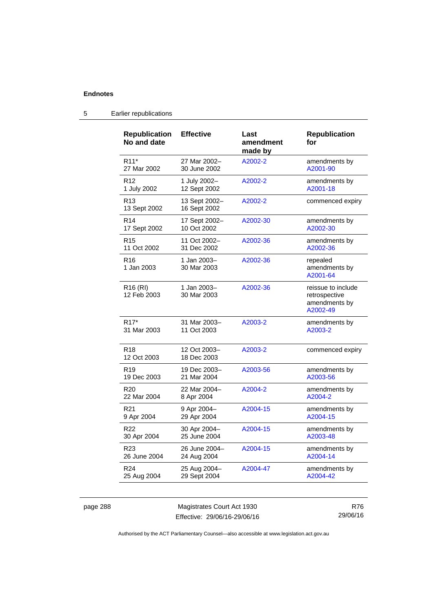| <b>Republication</b><br>No and date | <b>Effective</b>              | Last<br>amendment<br>made by | <b>Republication</b><br>for                                      |
|-------------------------------------|-------------------------------|------------------------------|------------------------------------------------------------------|
| R <sub>11</sub> *                   | 27 Mar 2002-                  | A2002-2                      | amendments by                                                    |
| 27 Mar 2002                         | 30 June 2002                  |                              | A2001-90                                                         |
| R <sub>12</sub>                     | 1 July 2002-                  | A2002-2                      | amendments by                                                    |
| 1 July 2002                         | 12 Sept 2002                  |                              | A2001-18                                                         |
| R <sub>13</sub><br>13 Sept 2002     | 13 Sept 2002-<br>16 Sept 2002 | A2002-2                      | commenced expiry                                                 |
| R <sub>14</sub>                     | 17 Sept 2002-                 | A2002-30                     | amendments by                                                    |
| 17 Sept 2002                        | 10 Oct 2002                   |                              | A2002-30                                                         |
| R <sub>15</sub>                     | 11 Oct 2002-                  | A2002-36                     | amendments by                                                    |
| 11 Oct 2002                         | 31 Dec 2002                   |                              | A2002-36                                                         |
| R <sub>16</sub><br>1 Jan 2003       | 1 Jan 2003-<br>30 Mar 2003    | A2002-36                     | repealed<br>amendments by<br>A2001-64                            |
| R <sub>16</sub> (RI)<br>12 Feb 2003 | 1 Jan 2003-<br>30 Mar 2003    | A2002-36                     | reissue to include<br>retrospective<br>amendments by<br>A2002-49 |
| R <sub>17</sub> *                   | 31 Mar 2003-                  | A2003-2                      | amendments by                                                    |
| 31 Mar 2003                         | 11 Oct 2003                   |                              | A2003-2                                                          |
| R <sub>18</sub><br>12 Oct 2003      | 12 Oct 2003-<br>18 Dec 2003   | A2003-2                      | commenced expiry                                                 |
| R <sub>19</sub>                     | 19 Dec 2003-                  | A2003-56                     | amendments by                                                    |
| 19 Dec 2003                         | 21 Mar 2004                   |                              | A2003-56                                                         |
| R <sub>20</sub>                     | 22 Mar 2004-                  | A2004-2                      | amendments by                                                    |
| 22 Mar 2004                         | 8 Apr 2004                    |                              | A2004-2                                                          |
| R <sub>21</sub>                     | 9 Apr 2004-                   | A2004-15                     | amendments by                                                    |
| 9 Apr 2004                          | 29 Apr 2004                   |                              | A2004-15                                                         |
| R <sub>22</sub>                     | 30 Apr 2004-                  | A2004-15                     | amendments by                                                    |
| 30 Apr 2004                         | 25 June 2004                  |                              | A2003-48                                                         |
| R <sub>23</sub>                     | 26 June 2004-                 | A2004-15                     | amendments by                                                    |
| 26 June 2004                        | 24 Aug 2004                   |                              | A2004-14                                                         |
| R <sub>24</sub>                     | 25 Aug 2004-                  | A2004-47                     | amendments by                                                    |
| 25 Aug 2004                         | 29 Sept 2004                  |                              | A2004-42                                                         |

### 5 Earlier republications

page 288 Magistrates Court Act 1930 Effective: 29/06/16-29/06/16

R76 29/06/16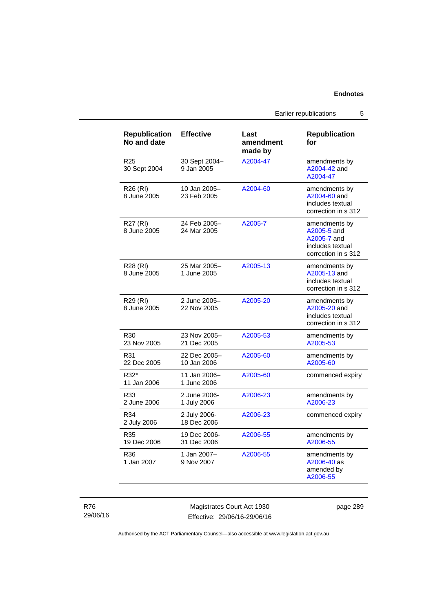Earlier republications 5

| <b>Republication</b><br>No and date | <b>Effective</b>            | Last<br>amendment<br>made by | <b>Republication</b><br>for                                                            |
|-------------------------------------|-----------------------------|------------------------------|----------------------------------------------------------------------------------------|
| R25<br>30 Sept 2004                 | 30 Sept 2004-<br>9 Jan 2005 | A2004-47                     | amendments by<br>A2004-42 and<br>A2004-47                                              |
| R <sub>26</sub> (RI)<br>8 June 2005 | 10 Jan 2005-<br>23 Feb 2005 | A2004-60                     | amendments by<br>A2004-60 and<br>includes textual<br>correction in s 312               |
| R27 (RI)<br>8 June 2005             | 24 Feb 2005-<br>24 Mar 2005 | A2005-7                      | amendments by<br>A2005-5 and<br>A2005-7 and<br>includes textual<br>correction in s 312 |
| R28 (RI)<br>8 June 2005             | 25 Mar 2005-<br>1 June 2005 | A2005-13                     | amendments by<br>A2005-13 and<br>includes textual<br>correction in s 312               |
| R29 (RI)<br>8 June 2005             | 2 June 2005-<br>22 Nov 2005 | A2005-20                     | amendments by<br>A2005-20 and<br>includes textual<br>correction in s 312               |
| R <sub>30</sub><br>23 Nov 2005      | 23 Nov 2005-<br>21 Dec 2005 | A2005-53                     | amendments by<br>A2005-53                                                              |
| R31<br>22 Dec 2005                  | 22 Dec 2005-<br>10 Jan 2006 | A2005-60                     | amendments by<br>A2005-60                                                              |
| R32*<br>11 Jan 2006                 | 11 Jan 2006-<br>1 June 2006 | A2005-60                     | commenced expiry                                                                       |
| R33<br>2 June 2006                  | 2 June 2006-<br>1 July 2006 | A2006-23                     | amendments by<br>A2006-23                                                              |
| R34<br>2 July 2006                  | 2 July 2006-<br>18 Dec 2006 | A2006-23                     | commenced expiry                                                                       |
| R35<br>19 Dec 2006                  | 19 Dec 2006-<br>31 Dec 2006 | A2006-55                     | amendments by<br>A2006-55                                                              |
| R36<br>1 Jan 2007                   | 1 Jan 2007-<br>9 Nov 2007   | A2006-55                     | amendments by<br>A2006-40 as<br>amended by<br>A2006-55                                 |

R76 29/06/16

Magistrates Court Act 1930 Effective: 29/06/16-29/06/16 page 289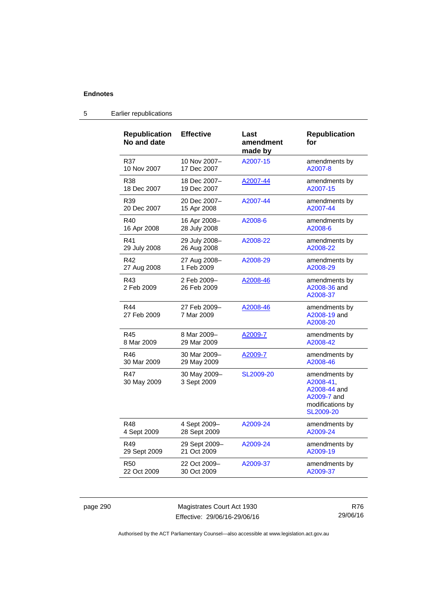| <b>Republication</b><br>No and date | <b>Effective</b>            | Last<br>amendment<br>made by | <b>Republication</b><br>for                                                                |
|-------------------------------------|-----------------------------|------------------------------|--------------------------------------------------------------------------------------------|
| R37                                 | 10 Nov 2007-                | A2007-15                     | amendments by                                                                              |
| 10 Nov 2007                         | 17 Dec 2007                 |                              | A2007-8                                                                                    |
| R38                                 | 18 Dec 2007-                | A2007-44                     | amendments by                                                                              |
| 18 Dec 2007                         | 19 Dec 2007                 |                              | A2007-15                                                                                   |
| R <sub>39</sub>                     | 20 Dec 2007-                | A2007-44                     | amendments by                                                                              |
| 20 Dec 2007                         | 15 Apr 2008                 |                              | A2007-44                                                                                   |
| R40                                 | 16 Apr 2008-                | A2008-6                      | amendments by                                                                              |
| 16 Apr 2008                         | 28 July 2008                |                              | A2008-6                                                                                    |
| R41                                 | 29 July 2008-               | A2008-22                     | amendments by                                                                              |
| 29 July 2008                        | 26 Aug 2008                 |                              | A2008-22                                                                                   |
| R42                                 | 27 Aug 2008-                | A2008-29                     | amendments by                                                                              |
| 27 Aug 2008                         | 1 Feb 2009                  |                              | A2008-29                                                                                   |
| R43<br>2 Feb 2009                   | 2 Feb 2009-<br>26 Feb 2009  | A2008-46                     | amendments by<br>A2008-36 and<br>A2008-37                                                  |
| R44<br>27 Feb 2009                  | 27 Feb 2009-<br>7 Mar 2009  | A2008-46                     | amendments by<br>A2008-19 and<br>A2008-20                                                  |
| R45                                 | 8 Mar 2009-                 | A2009-7                      | amendments by                                                                              |
| 8 Mar 2009                          | 29 Mar 2009                 |                              | A2008-42                                                                                   |
| R46                                 | 30 Mar 2009-                | A2009-7                      | amendments by                                                                              |
| 30 Mar 2009                         | 29 May 2009                 |                              | A2008-46                                                                                   |
| <b>R47</b><br>30 May 2009           | 30 May 2009-<br>3 Sept 2009 | SL2009-20                    | amendments by<br>A2008-41,<br>A2008-44 and<br>A2009-7 and<br>modifications by<br>SL2009-20 |
| R48                                 | 4 Sept 2009-                | A2009-24                     | amendments by                                                                              |
| 4 Sept 2009                         | 28 Sept 2009                |                              | A2009-24                                                                                   |
| R49                                 | 29 Sept 2009-               | A2009-24                     | amendments by                                                                              |
| 29 Sept 2009                        | 21 Oct 2009                 |                              | A2009-19                                                                                   |
| <b>R50</b>                          | 22 Oct 2009-                | A2009-37                     | amendments by                                                                              |
| 22 Oct 2009                         | 30 Oct 2009                 |                              | A2009-37                                                                                   |

### 5 Earlier republications

page 290 Magistrates Court Act 1930 Effective: 29/06/16-29/06/16

R76 29/06/16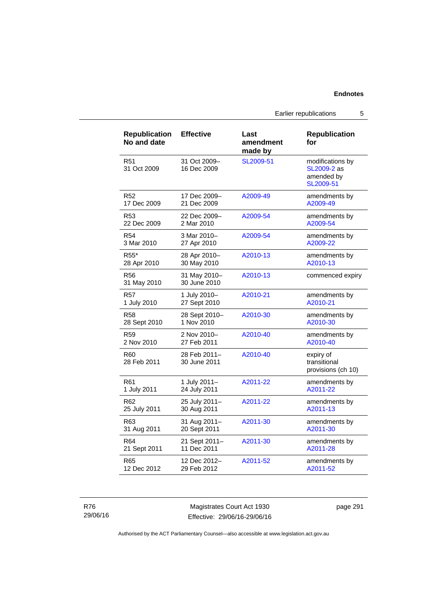Earlier republications 5

| <b>Republication</b><br>No and date | <b>Effective</b>             | Last<br>amendment<br>made by | <b>Republication</b><br>for                                |
|-------------------------------------|------------------------------|------------------------------|------------------------------------------------------------|
| R <sub>51</sub><br>31 Oct 2009      | 31 Oct 2009-<br>16 Dec 2009  | SL2009-51                    | modifications by<br>SL2009-2 as<br>amended by<br>SL2009-51 |
| R <sub>52</sub>                     | 17 Dec 2009-                 | A2009-49                     | amendments by                                              |
| 17 Dec 2009                         | 21 Dec 2009                  |                              | A2009-49                                                   |
| R <sub>53</sub>                     | 22 Dec 2009-                 | A2009-54                     | amendments by                                              |
| 22 Dec 2009                         | 2 Mar 2010                   |                              | A2009-54                                                   |
| <b>R54</b>                          | 3 Mar 2010-                  | A2009-54                     | amendments by                                              |
| 3 Mar 2010                          | 27 Apr 2010                  |                              | A2009-22                                                   |
| R <sub>55</sub> *                   | 28 Apr 2010-                 | A2010-13                     | amendments by                                              |
| 28 Apr 2010                         | 30 May 2010                  |                              | A2010-13                                                   |
| R56<br>31 May 2010                  | 31 May 2010-<br>30 June 2010 | A2010-13                     | commenced expiry                                           |
| R57                                 | 1 July 2010-                 | A2010-21                     | amendments by                                              |
| 1 July 2010                         | 27 Sept 2010                 |                              | A2010-21                                                   |
| <b>R58</b>                          | 28 Sept 2010-                | A2010-30                     | amendments by                                              |
| 28 Sept 2010                        | 1 Nov 2010                   |                              | A2010-30                                                   |
| R <sub>59</sub>                     | 2 Nov 2010-                  | A2010-40                     | amendments by                                              |
| 2 Nov 2010                          | 27 Feb 2011                  |                              | A2010-40                                                   |
| R60<br>28 Feb 2011                  | 28 Feb 2011-<br>30 June 2011 | A2010-40                     | expiry of<br>transitional<br>provisions (ch 10)            |
| R61                                 | 1 July 2011-                 | A2011-22                     | amendments by                                              |
| 1 July 2011                         | 24 July 2011                 |                              | A2011-22                                                   |
| R62                                 | 25 July 2011-                | A2011-22                     | amendments by                                              |
| 25 July 2011                        | 30 Aug 2011                  |                              | A2011-13                                                   |
| R <sub>63</sub>                     | 31 Aug 2011-                 | A2011-30                     | amendments by                                              |
| 31 Aug 2011                         | 20 Sept 2011                 |                              | A2011-30                                                   |
| R <sub>64</sub>                     | 21 Sept 2011-                | A2011-30                     | amendments by                                              |
| 21 Sept 2011                        | 11 Dec 2011                  |                              | A2011-28                                                   |
| R65                                 | 12 Dec 2012-                 | A2011-52                     | amendments by                                              |
| 12 Dec 2012                         | 29 Feb 2012                  |                              | A2011-52                                                   |

R76 29/06/16

Magistrates Court Act 1930 Effective: 29/06/16-29/06/16 page 291